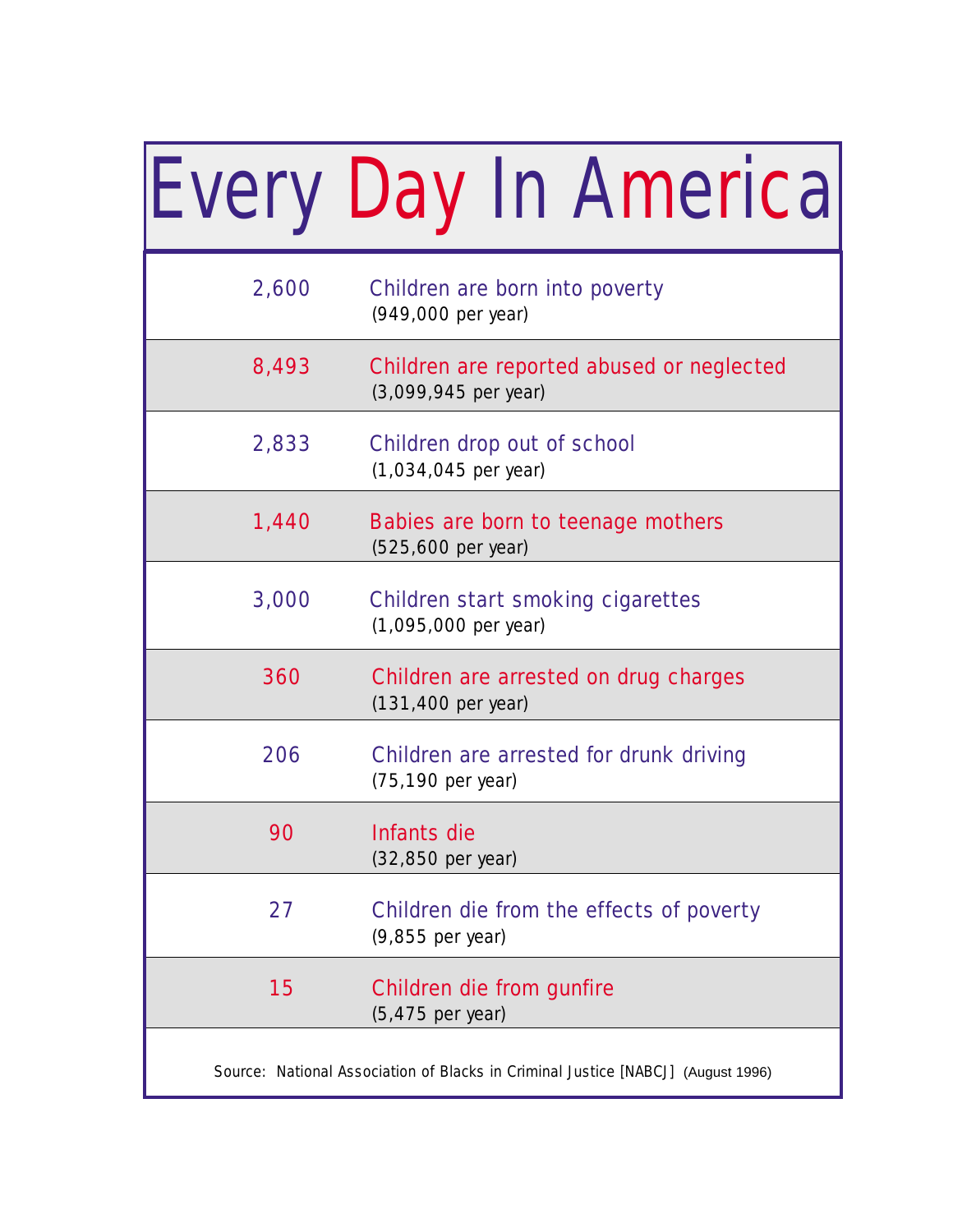|       | <b>Every Day In Americal</b>                                                     |
|-------|----------------------------------------------------------------------------------|
| 2,600 | Children are born into poverty<br>(949,000 per year)                             |
| 8,493 | Children are reported abused or neglected<br>(3,099,945 per year)                |
| 2,833 | Children drop out of school<br>$(1,034,045$ per year)                            |
| 1,440 | Babies are born to teenage mothers<br>(525,600 per year)                         |
| 3,000 | <b>Children start smoking cigarettes</b><br>(1,095,000 per year)                 |
| 360   | Children are arrested on drug charges<br>(131,400 per year)                      |
| 206   | Children are arrested for drunk driving<br>(75,190 per year)                     |
| 90    | Infants die<br>(32,850 per year)                                                 |
| 27    | Children die from the effects of poverty<br>(9,855 per year)                     |
| 15    | <b>Children die from gunfire</b><br>(5,475 per year)                             |
|       | Source: National Association of Blacks in Criminal Justice [NABCJ] (August 1996) |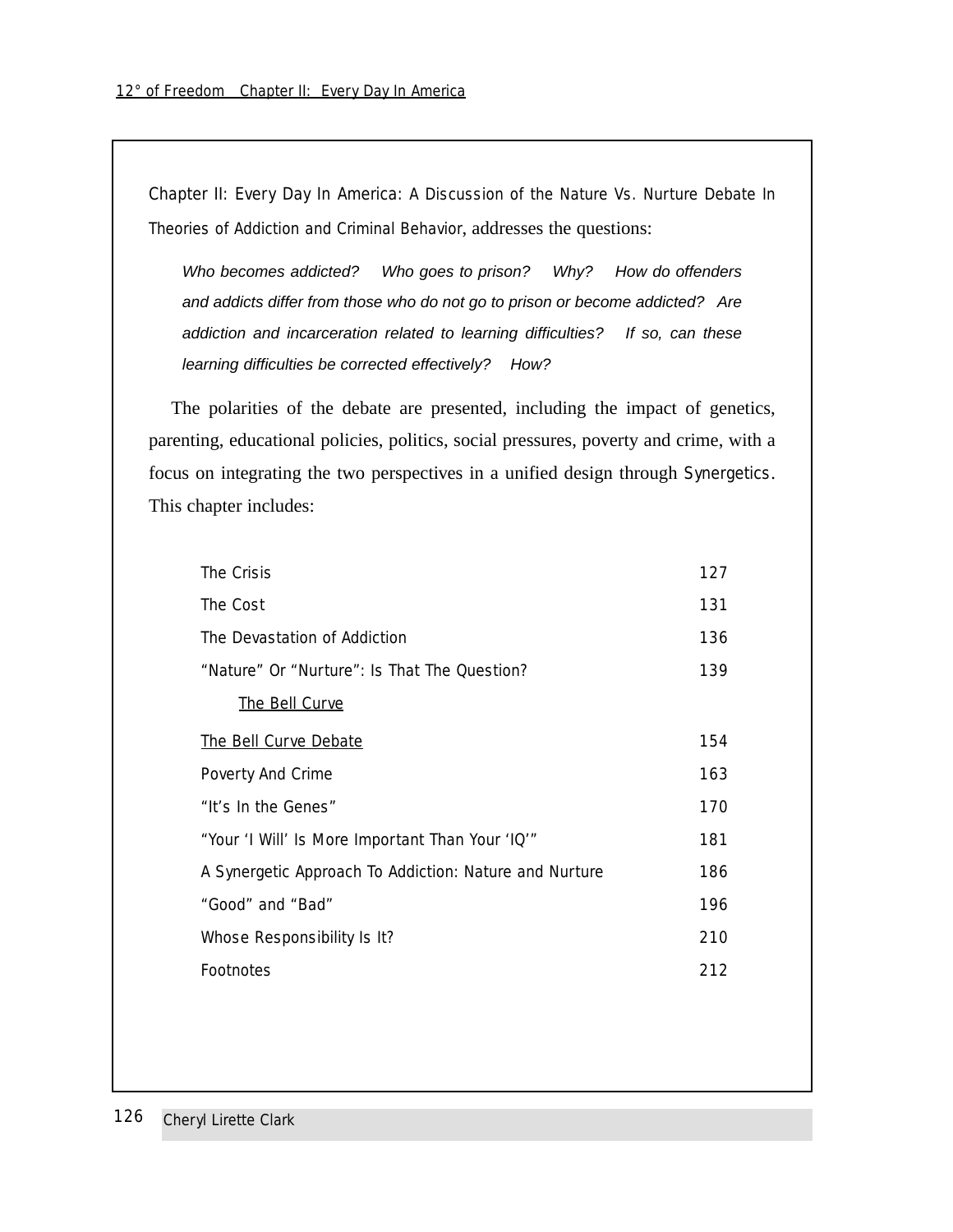Chapter II: Every Day In America: A Discussion of the Nature Vs. Nurture Debate In Theories of Addiction and Criminal Behavior, addresses the questions:

Who becomes addicted? Who goes to prison? Why? How do offenders and addicts differ from those who do not go to prison or become addicted? Are addiction and incarceration related to learning difficulties? If so, can these learning difficulties be corrected effectively? How?

The polarities of the debate are presented, including the impact of genetics, parenting, educational policies, politics, social pressures, poverty and crime, with a focus on integrating the two perspectives in a unified design through Synergetics. This chapter includes:

| The Crisis                                             | 127 |
|--------------------------------------------------------|-----|
| The Cost                                               | 131 |
| The Devastation of Addiction                           | 136 |
| "Nature" Or "Nurture": Is That The Question?           | 139 |
| The Bell Curve                                         |     |
| The Bell Curve Debate                                  | 154 |
| Poverty And Crime                                      | 163 |
| "It's In the Genes"                                    | 170 |
| "Your 'I Will' Is More Important Than Your 'IQ'"       | 181 |
| A Synergetic Approach To Addiction: Nature and Nurture |     |
| "Good" and "Bad"                                       |     |
| Whose Responsibility Is It?                            |     |
| Footnotes                                              |     |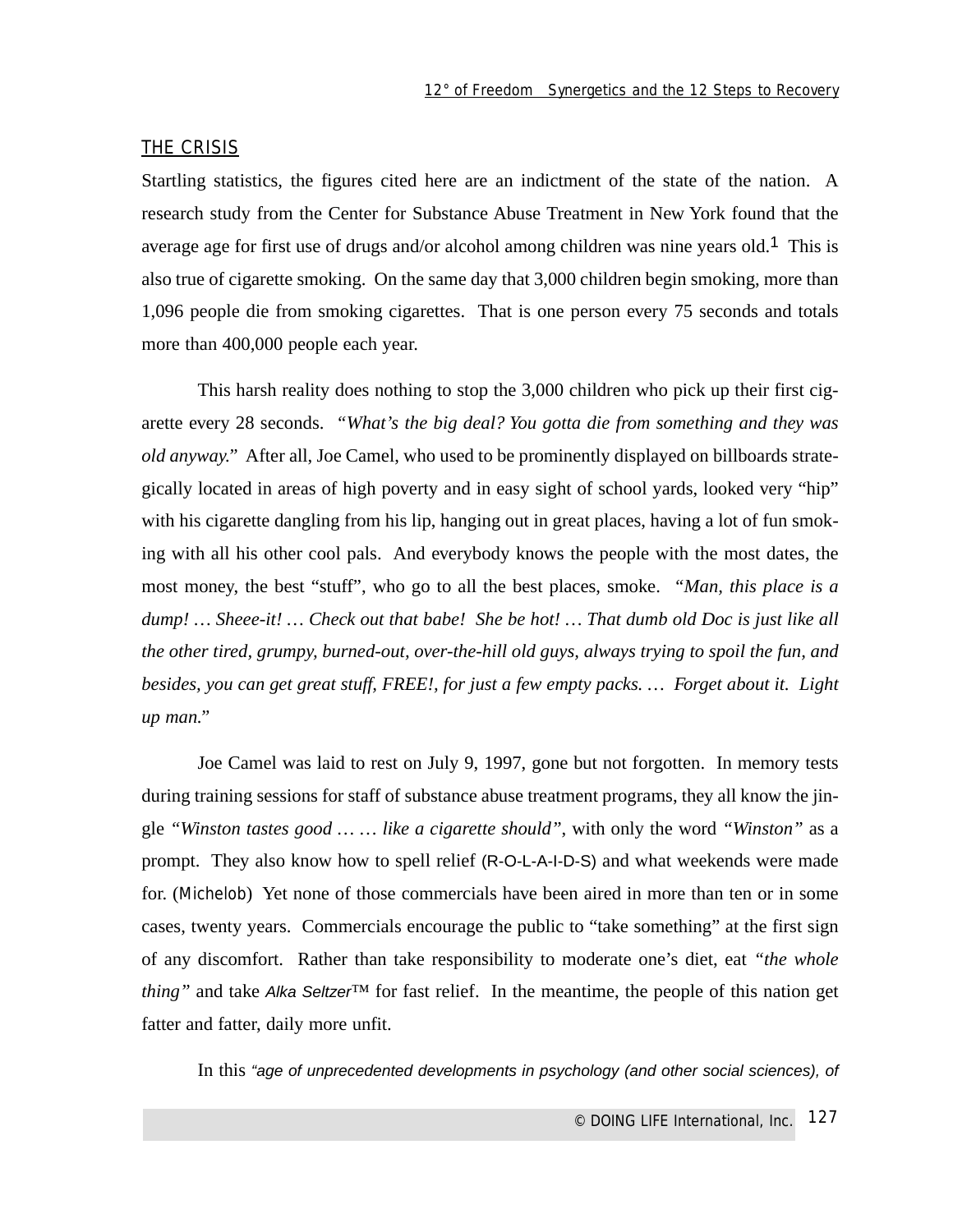# THE CRISIS

Startling statistics, the figures cited here are an indictment of the state of the nation. A research study from the Center for Substance Abuse Treatment in New York found that the average age for first use of drugs and/or alcohol among children was nine years old.1 This is also true of cigarette smoking. On the same day that 3,000 children begin smoking, more than 1,096 people die from smoking cigarettes. That is one person every 75 seconds and totals more than 400,000 people each year.

This harsh reality does nothing to stop the 3,000 children who pick up their first cigarette every 28 seconds. *"What's the big deal? You gotta die from something and they was old anyway."* After all, Joe Camel, who used to be prominently displayed on billboards strategically located in areas of high poverty and in easy sight of school yards, looked very "hip" with his cigarette dangling from his lip, hanging out in great places, having a lot of fun smoking with all his other cool pals. And everybody knows the people with the most dates, the most money, the best "stuff", who go to all the best places, smoke. *"Man, this place is a dump! … Sheee-it! … Check out that babe! She be hot! … That dumb old Doc is just like all the other tired, grumpy, burned-out, over-the-hill old guys, always trying to spoil the fun, and besides, you can get great stuff, FREE!, for just a few empty packs. … Forget about it. Light up man."*

Joe Camel was laid to rest on July 9, 1997, gone but not forgotten. In memory tests during training sessions for staff of substance abuse treatment programs, they all know the jingle *"Winston tastes good … … like a cigarette should"*, with only the word *"Winston"* as a prompt. They also know how to spell relief (R-O-L-A-I-D-S) and what weekends were made for. (Michelob) Yet none of those commercials have been aired in more than ten or in some cases, twenty years. Commercials encourage the public to "take something" at the first sign of any discomfort. Rather than take responsibility to moderate one's diet, eat *"the whole thing*" and take Alka Seltzer™ for fast relief. In the meantime, the people of this nation get fatter and fatter, daily more unfit.

In this "age of unprecedented developments in psychology (and other social sciences), of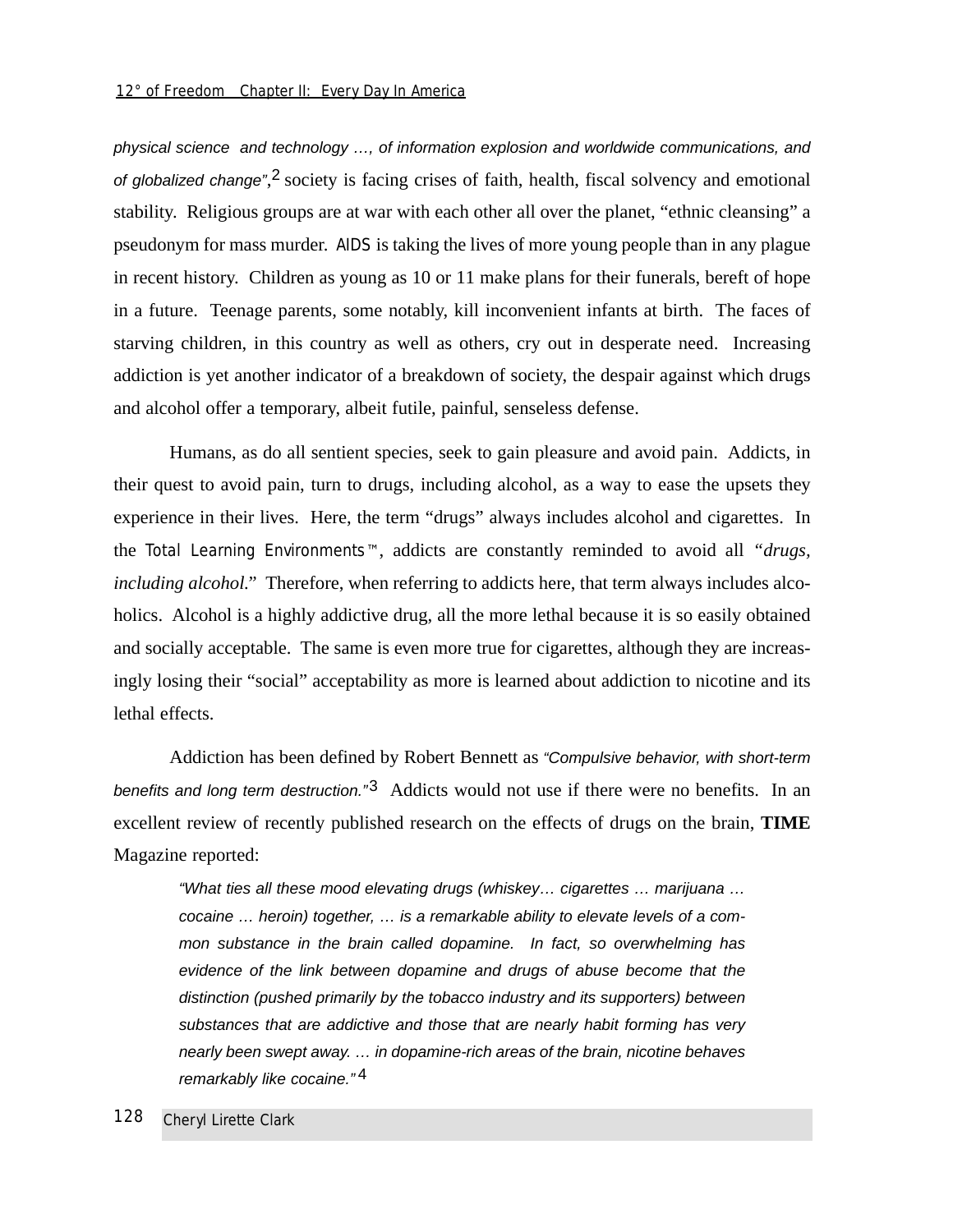physical science and technology …, of information explosion and worldwide communications, and of globalized change",<sup>2</sup> society is facing crises of faith, health, fiscal solvency and emotional stability. Religious groups are at war with each other all over the planet, "ethnic cleansing" a pseudonym for mass murder. AIDS is taking the lives of more young people than in any plague in recent history. Children as young as 10 or 11 make plans for their funerals, bereft of hope in a future. Teenage parents, some notably, kill inconvenient infants at birth. The faces of starving children, in this country as well as others, cry out in desperate need. Increasing addiction is yet another indicator of a breakdown of society, the despair against which drugs and alcohol offer a temporary, albeit futile, painful, senseless defense.

Humans, as do all sentient species, seek to gain pleasure and avoid pain. Addicts, in their quest to avoid pain, turn to drugs, including alcohol, as a way to ease the upsets they experience in their lives. Here, the term "drugs" always includes alcohol and cigarettes. In the Total Learning Environments™, addicts are constantly reminded to avoid all *"drugs, including alcohol."* Therefore, when referring to addicts here, that term always includes alcoholics. Alcohol is a highly addictive drug, all the more lethal because it is so easily obtained and socially acceptable. The same is even more true for cigarettes, although they are increasingly losing their "social" acceptability as more is learned about addiction to nicotine and its lethal effects.

Addiction has been defined by Robert Bennett as "Compulsive behavior, with short-term benefits and long term destruction.<sup>"3</sup> Addicts would not use if there were no benefits. In an excellent review of recently published research on the effects of drugs on the brain, **TIME** Magazine reported:

"What ties all these mood elevating drugs (whiskey… cigarettes … marijuana … cocaine … heroin) together, … is a remarkable ability to elevate levels of a common substance in the brain called dopamine. In fact, so overwhelming has evidence of the link between dopamine and drugs of abuse become that the distinction (pushed primarily by the tobacco industry and its supporters) between substances that are addictive and those that are nearly habit forming has very nearly been swept away. … in dopamine-rich areas of the brain, nicotine behaves remarkably like cocaine."<sup>4</sup>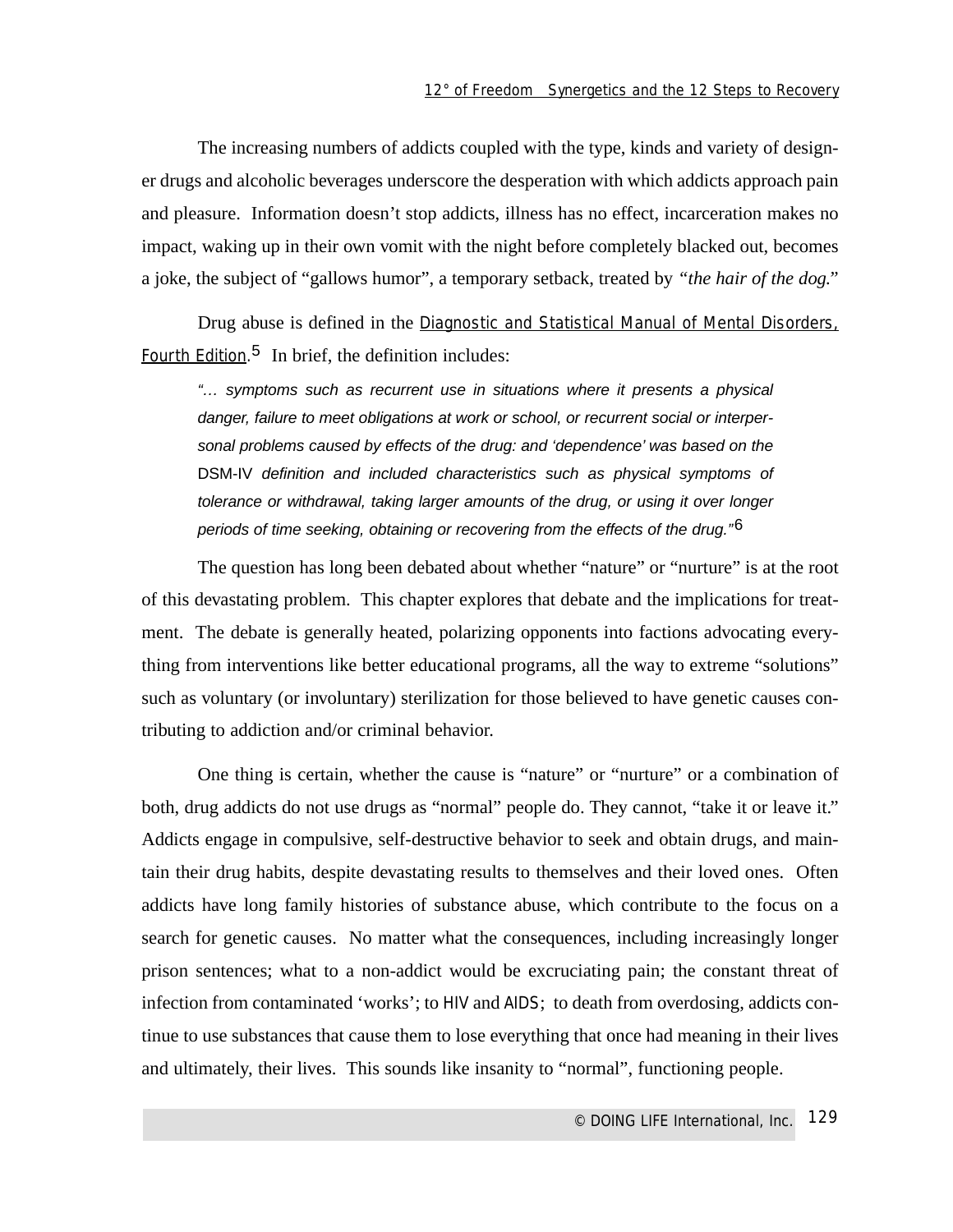The increasing numbers of addicts coupled with the type, kinds and variety of designer drugs and alcoholic beverages underscore the desperation with which addicts approach pain and pleasure. Information doesn't stop addicts, illness has no effect, incarceration makes no impact, waking up in their own vomit with the night before completely blacked out, becomes a joke, the subject of "gallows humor", a temporary setback, treated by *"the hair of the dog."*

Drug abuse is defined in the Diagnostic and Statistical Manual of Mental Disorders, Fourth Edition.<sup>5</sup> In brief, the definition includes:

"… symptoms such as recurrent use in situations where it presents a physical danger, failure to meet obligations at work or school, or recurrent social or interpersonal problems caused by effects of the drug: and 'dependence' was based on the DSM-IV definition and included characteristics such as physical symptoms of tolerance or withdrawal, taking larger amounts of the drug, or using it over longer periods of time seeking, obtaining or recovering from the effects of the drug."<sup>6</sup>

The question has long been debated about whether "nature" or "nurture" is at the root of this devastating problem. This chapter explores that debate and the implications for treatment. The debate is generally heated, polarizing opponents into factions advocating everything from interventions like better educational programs, all the way to extreme "solutions" such as voluntary (or involuntary) sterilization for those believed to have genetic causes contributing to addiction and/or criminal behavior.

One thing is certain, whether the cause is "nature" or "nurture" or a combination of both, drug addicts do not use drugs as "normal" people do. They cannot, "take it or leave it." Addicts engage in compulsive, self-destructive behavior to seek and obtain drugs, and maintain their drug habits, despite devastating results to themselves and their loved ones. Often addicts have long family histories of substance abuse, which contribute to the focus on a search for genetic causes. No matter what the consequences, including increasingly longer prison sentences; what to a non-addict would be excruciating pain; the constant threat of infection from contaminated 'works'; to HIV and AIDS; to death from overdosing, addicts continue to use substances that cause them to lose everything that once had meaning in their lives and ultimately, their lives. This sounds like insanity to "normal", functioning people.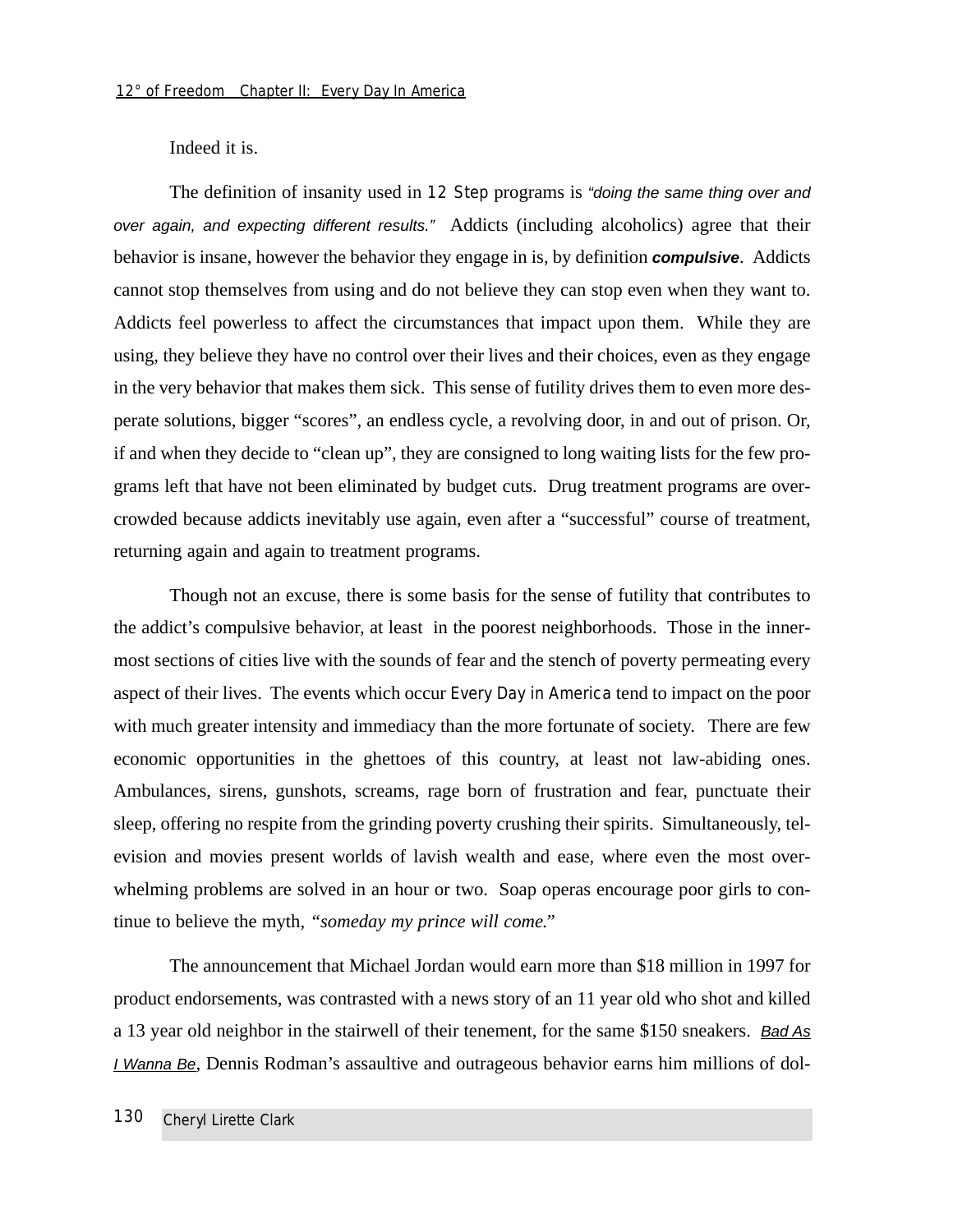# Indeed it is.

The definition of insanity used in 12 Step programs is "doing the same thing over and over again, and expecting different results." Addicts (including alcoholics) agree that their behavior is insane, however the behavior they engage in is, by definition **compulsive**. Addicts cannot stop themselves from using and do not believe they can stop even when they want to. Addicts feel powerless to affect the circumstances that impact upon them. While they are using, they believe they have no control over their lives and their choices, even as they engage in the very behavior that makes them sick. This sense of futility drives them to even more desperate solutions, bigger "scores", an endless cycle, a revolving door, in and out of prison. Or, if and when they decide to "clean up", they are consigned to long waiting lists for the few programs left that have not been eliminated by budget cuts. Drug treatment programs are overcrowded because addicts inevitably use again, even after a "successful" course of treatment, returning again and again to treatment programs.

Though not an excuse, there is some basis for the sense of futility that contributes to the addict's compulsive behavior, at least in the poorest neighborhoods. Those in the innermost sections of cities live with the sounds of fear and the stench of poverty permeating every aspect of their lives. The events which occur Every Day in America tend to impact on the poor with much greater intensity and immediacy than the more fortunate of society. There are few economic opportunities in the ghettoes of this country, at least not law-abiding ones. Ambulances, sirens, gunshots, screams, rage born of frustration and fear, punctuate their sleep, offering no respite from the grinding poverty crushing their spirits. Simultaneously, television and movies present worlds of lavish wealth and ease, where even the most overwhelming problems are solved in an hour or two. Soap operas encourage poor girls to continue to believe the myth, *"someday my prince will come."*

The announcement that Michael Jordan would earn more than \$18 million in 1997 for product endorsements, was contrasted with a news story of an 11 year old who shot and killed a 13 year old neighbor in the stairwell of their tenement, for the same \$150 sneakers. Bad As I Wanna Be, Dennis Rodman's assaultive and outrageous behavior earns him millions of dol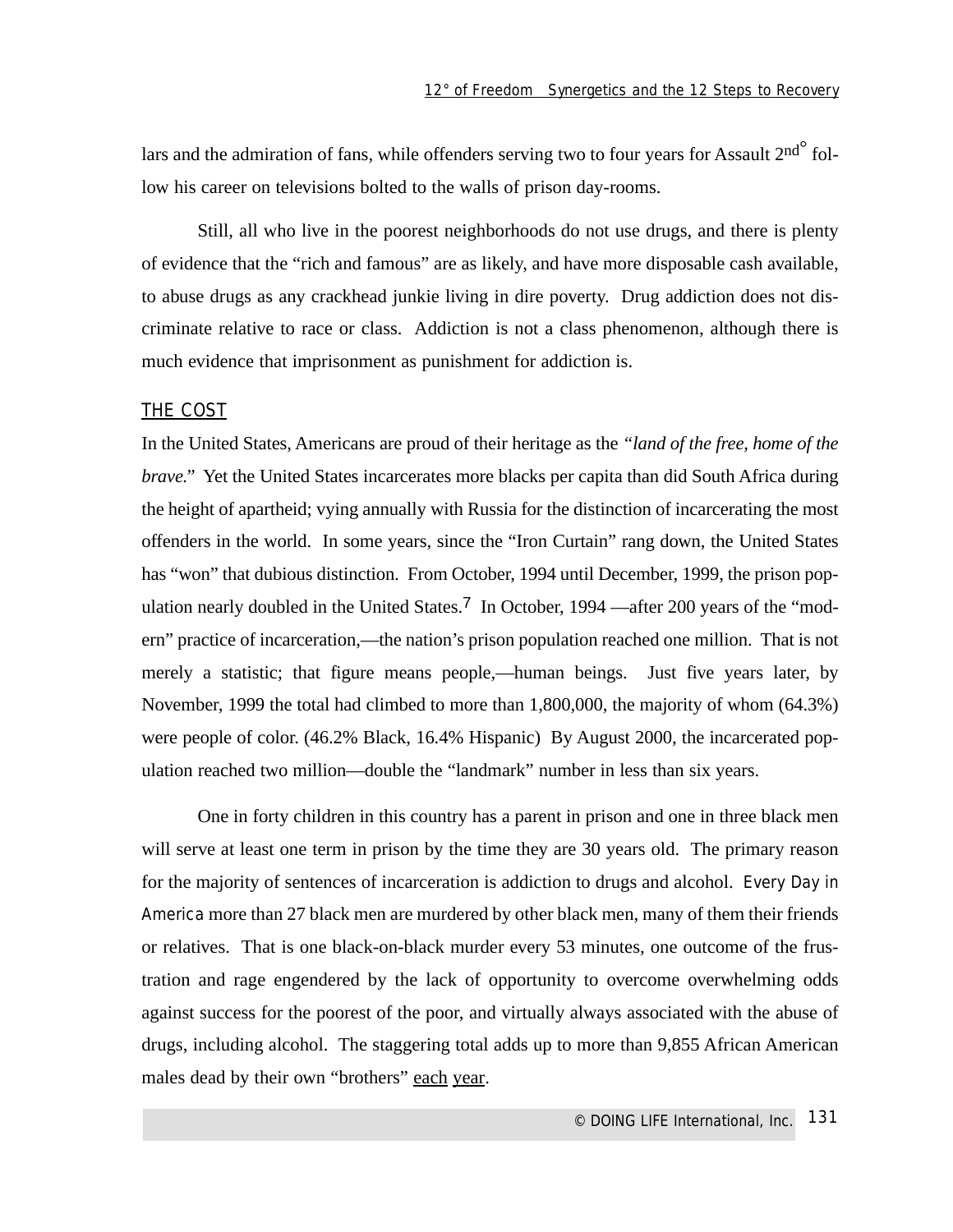lars and the admiration of fans, while offenders serving two to four years for Assault 2nd° follow his career on televisions bolted to the walls of prison day-rooms.

Still, all who live in the poorest neighborhoods do not use drugs, and there is plenty of evidence that the "rich and famous" are as likely, and have more disposable cash available, to abuse drugs as any crackhead junkie living in dire poverty. Drug addiction does not discriminate relative to race or class. Addiction is not a class phenomenon, although there is much evidence that imprisonment as punishment for addiction is.

## THE COST

In the United States, Americans are proud of their heritage as the *"land of the free, home of the brave.*" Yet the United States incarcerates more blacks per capita than did South Africa during the height of apartheid; vying annually with Russia for the distinction of incarcerating the most offenders in the world. In some years, since the "Iron Curtain" rang down, the United States has "won" that dubious distinction. From October, 1994 until December, 1999, the prison population nearly doubled in the United States.<sup>7</sup> In October, 1994 —after 200 years of the "modern" practice of incarceration,—the nation's prison population reached one million. That is not merely a statistic; that figure means people,—human beings. Just five years later, by November, 1999 the total had climbed to more than 1,800,000, the majority of whom (64.3%) were people of color. (46.2% Black, 16.4% Hispanic) By August 2000, the incarcerated population reached two million—double the "landmark" number in less than six years.

One in forty children in this country has a parent in prison and one in three black men will serve at least one term in prison by the time they are 30 years old. The primary reason for the majority of sentences of incarceration is addiction to drugs and alcohol. Every Day in America more than 27 black men are murdered by other black men, many of them their friends or relatives. That is one black-on-black murder every 53 minutes, one outcome of the frustration and rage engendered by the lack of opportunity to overcome overwhelming odds against success for the poorest of the poor, and virtually always associated with the abuse of drugs, including alcohol. The staggering total adds up to more than 9,855 African American males dead by their own "brothers" each year.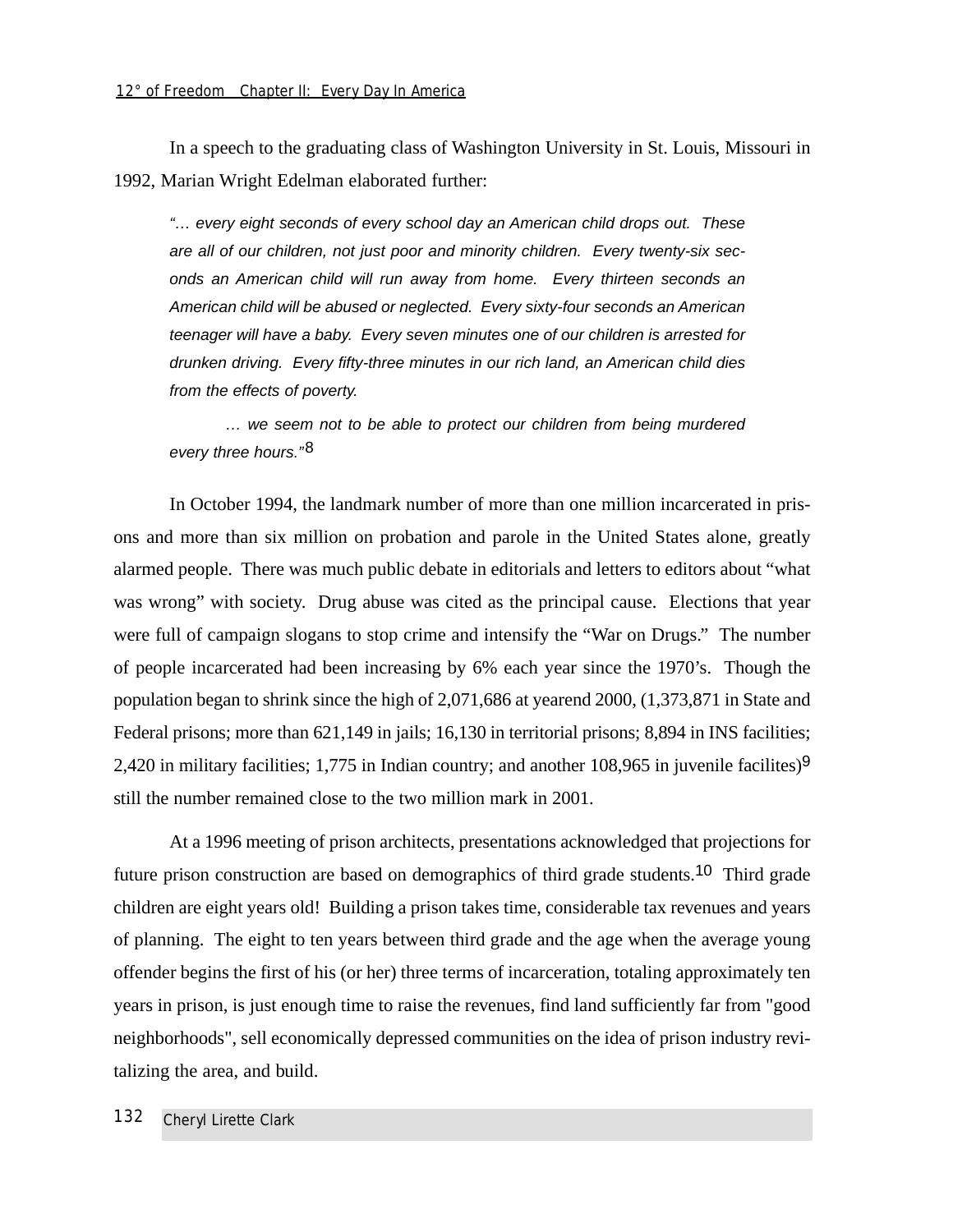In a speech to the graduating class of Washington University in St. Louis, Missouri in 1992, Marian Wright Edelman elaborated further:

"… every eight seconds of every school day an American child drops out. These are all of our children, not just poor and minority children. Every twenty-six seconds an American child will run away from home. Every thirteen seconds an American child will be abused or neglected. Every sixty-four seconds an American teenager will have a baby. Every seven minutes one of our children is arrested for drunken driving. Every fifty-three minutes in our rich land, an American child dies from the effects of poverty.

… we seem not to be able to protect our children from being murdered every three hours."<sup>8</sup>

In October 1994, the landmark number of more than one million incarcerated in prisons and more than six million on probation and parole in the United States alone, greatly alarmed people. There was much public debate in editorials and letters to editors about "what was wrong" with society. Drug abuse was cited as the principal cause. Elections that year were full of campaign slogans to stop crime and intensify the "War on Drugs." The number of people incarcerated had been increasing by 6% each year since the 1970's. Though the population began to shrink since the high of 2,071,686 at yearend 2000, (1,373,871 in State and Federal prisons; more than 621,149 in jails; 16,130 in territorial prisons; 8,894 in INS facilities; 2,420 in military facilities; 1,775 in Indian country; and another 108,965 in juvenile facilites)<sup>9</sup> still the number remained close to the two million mark in 2001.

At a 1996 meeting of prison architects, presentations acknowledged that projections for future prison construction are based on demographics of third grade students.<sup>10</sup> Third grade children are eight years old! Building a prison takes time, considerable tax revenues and years of planning. The eight to ten years between third grade and the age when the average young offender begins the first of his (or her) three terms of incarceration, totaling approximately ten years in prison, is just enough time to raise the revenues, find land sufficiently far from "good neighborhoods", sell economically depressed communities on the idea of prison industry revitalizing the area, and build.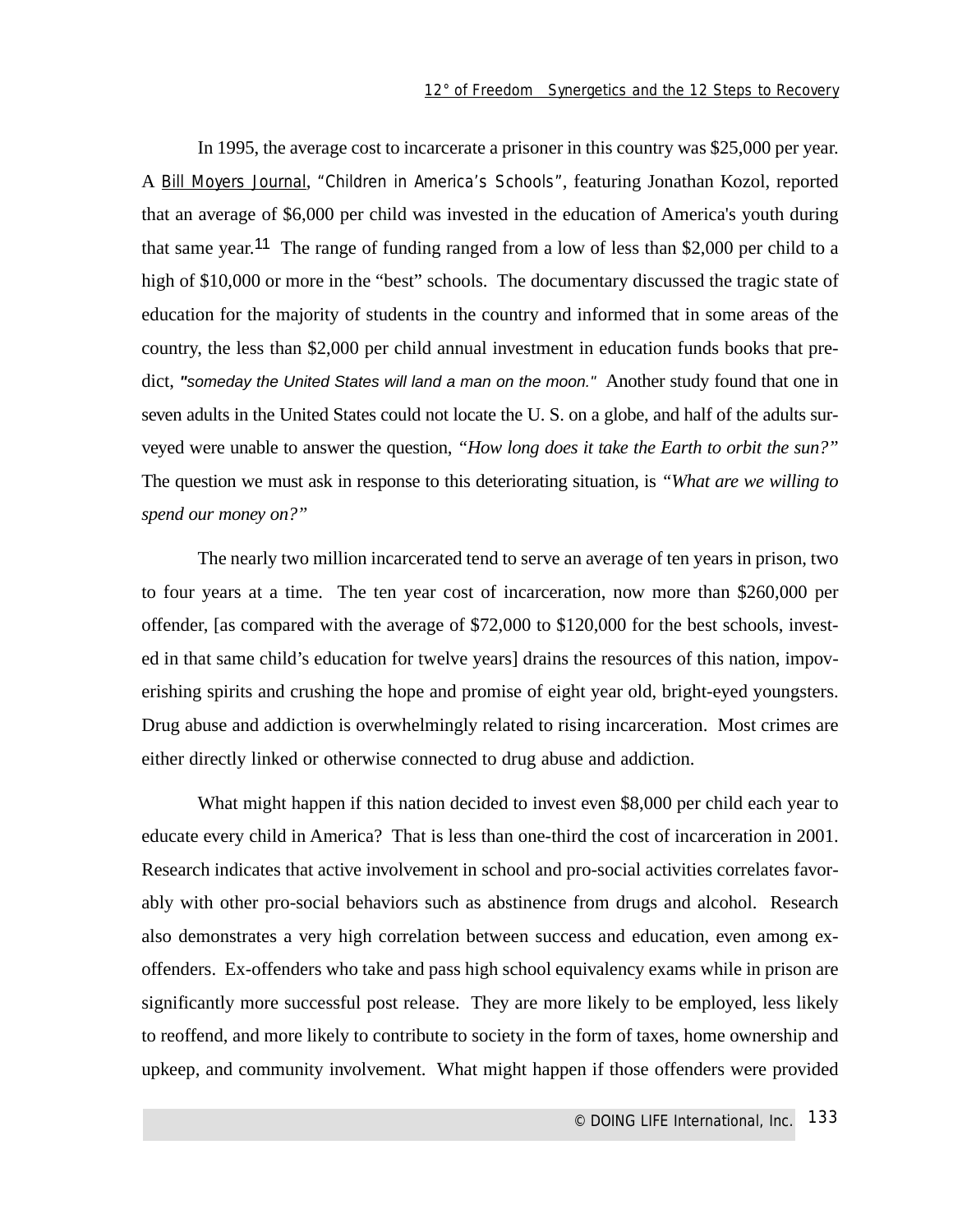In 1995, the average cost to incarcerate a prisoner in this country was \$25,000 per year. A Bill Moyers Journal, *"Children in America's Schools"*, featuring Jonathan Kozol, reported that an average of \$6,000 per child was invested in the education of America's youth during that same year.11 The range of funding ranged from a low of less than \$2,000 per child to a high of \$10,000 or more in the "best" schools. The documentary discussed the tragic state of education for the majority of students in the country and informed that in some areas of the country, the less than \$2,000 per child annual investment in education funds books that predict, **"**someday the United States will land a man on the moon." Another study found that one in seven adults in the United States could not locate the U. S. on a globe, and half of the adults surveyed were unable to answer the question, *"How long does it take the Earth to orbit the sun?"* The question we must ask in response to this deteriorating situation, is *"What are we willing to spend our money on?"*

The nearly two million incarcerated tend to serve an average of ten years in prison, two to four years at a time. The ten year cost of incarceration, now more than \$260,000 per offender, [as compared with the average of \$72,000 to \$120,000 for the best schools, invested in that same child's education for twelve years] drains the resources of this nation, impoverishing spirits and crushing the hope and promise of eight year old, bright-eyed youngsters. Drug abuse and addiction is overwhelmingly related to rising incarceration. Most crimes are either directly linked or otherwise connected to drug abuse and addiction.

What might happen if this nation decided to invest even \$8,000 per child each year to educate every child in America? That is less than one-third the cost of incarceration in 2001. Research indicates that active involvement in school and pro-social activities correlates favorably with other pro-social behaviors such as abstinence from drugs and alcohol. Research also demonstrates a very high correlation between success and education, even among exoffenders. Ex-offenders who take and pass high school equivalency exams while in prison are significantly more successful post release. They are more likely to be employed, less likely to reoffend, and more likely to contribute to society in the form of taxes, home ownership and upkeep, and community involvement. What might happen if those offenders were provided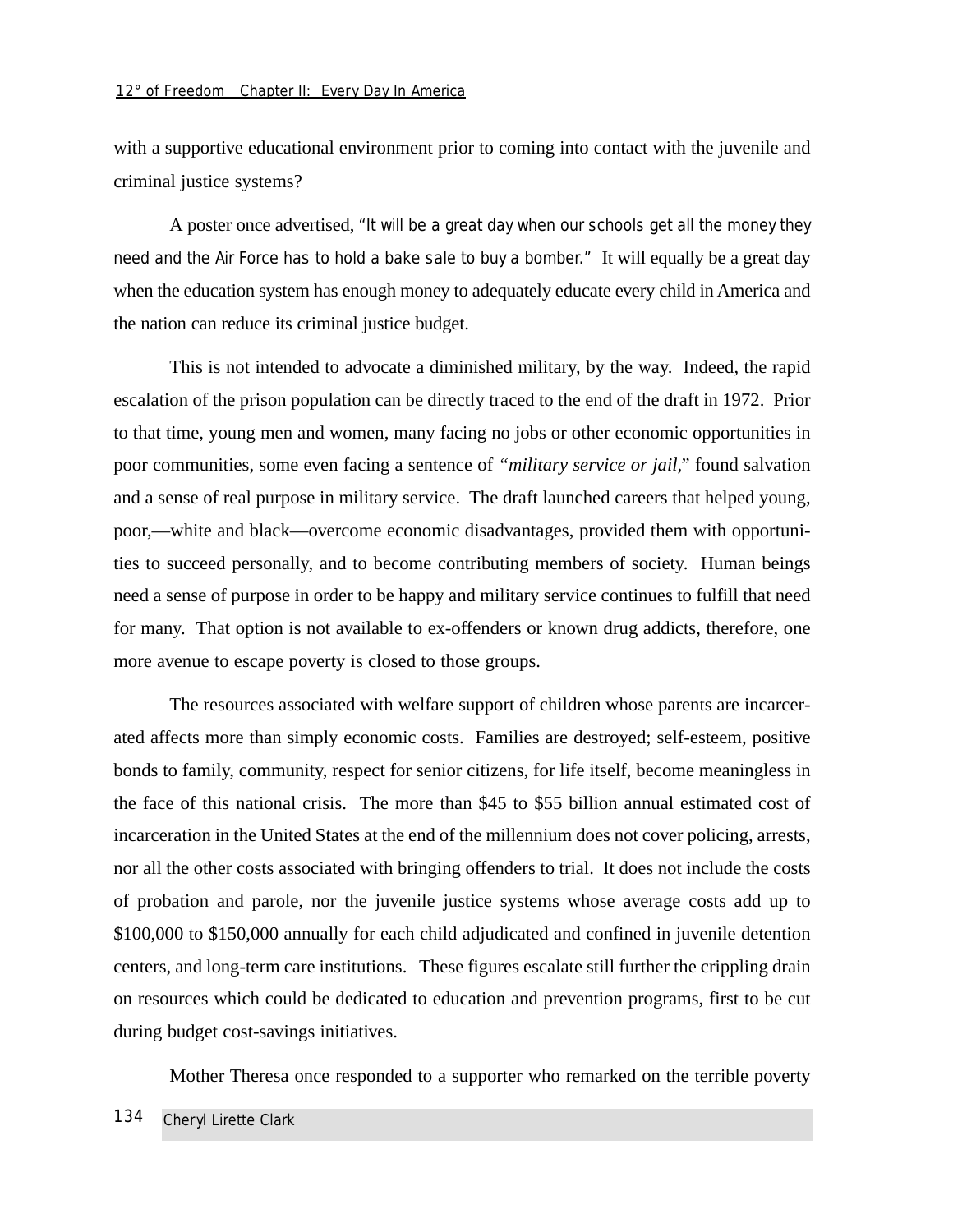with a supportive educational environment prior to coming into contact with the juvenile and criminal justice systems?

A poster once advertised, *"It will be a great day when our schools get all the money they need and the Air Force has to hold a bake sale to buy a bomber."* It will equally be a great day when the education system has enough money to adequately educate every child in America and the nation can reduce its criminal justice budget.

This is not intended to advocate a diminished military, by the way. Indeed, the rapid escalation of the prison population can be directly traced to the end of the draft in 1972. Prior to that time, young men and women, many facing no jobs or other economic opportunities in poor communities, some even facing a sentence of *"military service or jail,"* found salvation and a sense of real purpose in military service. The draft launched careers that helped young, poor,—white and black—overcome economic disadvantages, provided them with opportunities to succeed personally, and to become contributing members of society. Human beings need a sense of purpose in order to be happy and military service continues to fulfill that need for many. That option is not available to ex-offenders or known drug addicts, therefore, one more avenue to escape poverty is closed to those groups.

The resources associated with welfare support of children whose parents are incarcerated affects more than simply economic costs. Families are destroyed; self-esteem, positive bonds to family, community, respect for senior citizens, for life itself, become meaningless in the face of this national crisis. The more than \$45 to \$55 billion annual estimated cost of incarceration in the United States at the end of the millennium does not cover policing, arrests, nor all the other costs associated with bringing offenders to trial. It does not include the costs of probation and parole, nor the juvenile justice systems whose average costs add up to \$100,000 to \$150,000 annually for each child adjudicated and confined in juvenile detention centers, and long-term care institutions. These figures escalate still further the crippling drain on resources which could be dedicated to education and prevention programs, first to be cut during budget cost-savings initiatives.

Mother Theresa once responded to a supporter who remarked on the terrible poverty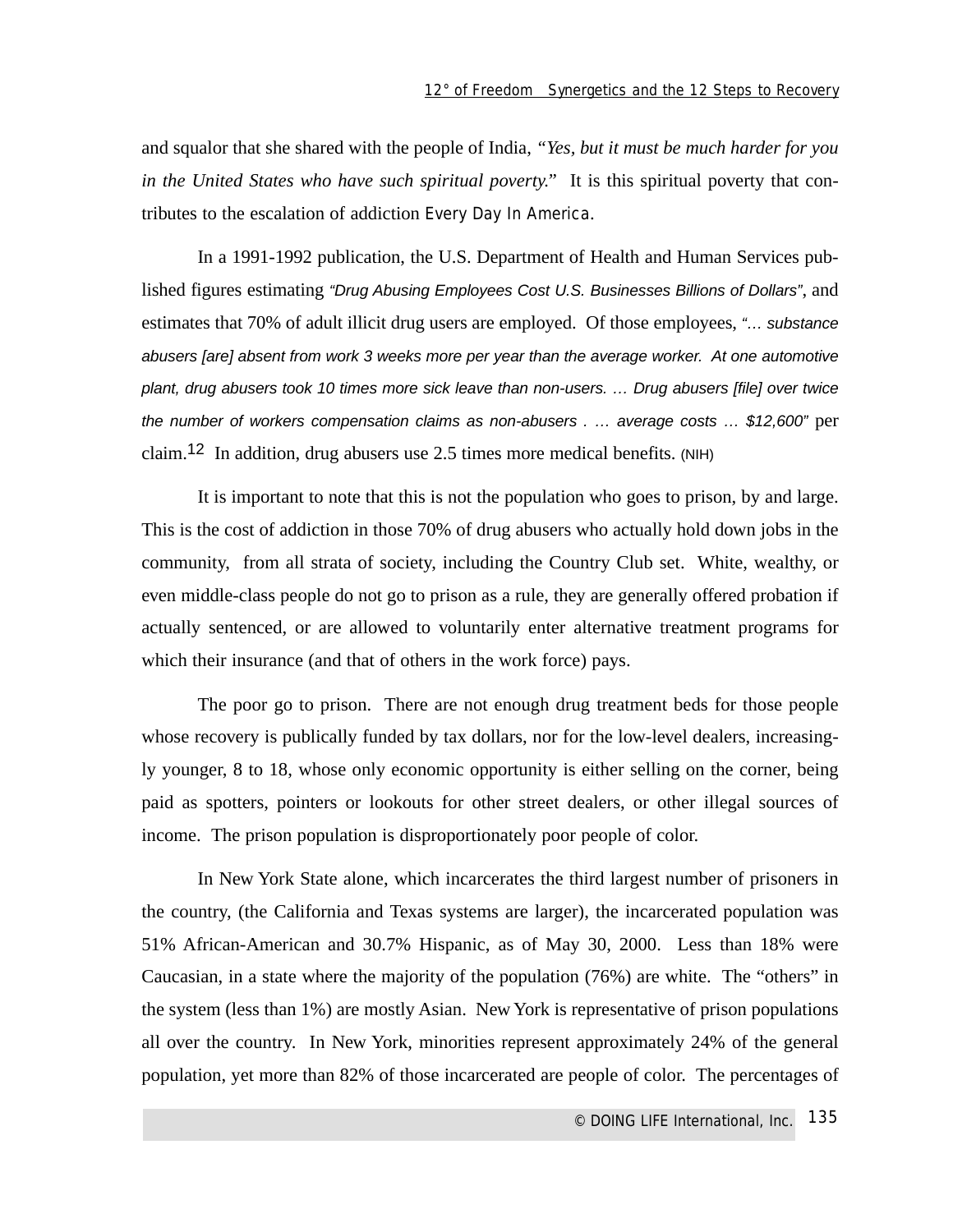and squalor that she shared with the people of India, *"Yes, but it must be much harder for you in the United States who have such spiritual poverty."* It is this spiritual poverty that contributes to the escalation of addiction Every Day In America.

In a 1991-1992 publication, the U.S. Department of Health and Human Services published figures estimating "Drug Abusing Employees Cost U.S. Businesses Billions of Dollars", and estimates that 70% of adult illicit drug users are employed. Of those employees, "… substance abusers [are] absent from work 3 weeks more per year than the average worker. At one automotive plant, drug abusers took 10 times more sick leave than non-users. … Drug abusers [file] over twice the number of workers compensation claims as non-abusers . … average costs … \$12,600" per claim.12 In addition, drug abusers use 2.5 times more medical benefits. (NIH)

It is important to note that this is not the population who goes to prison, by and large. This is the cost of addiction in those 70% of drug abusers who actually hold down jobs in the community, from all strata of society, including the Country Club set. White, wealthy, or even middle-class people do not go to prison as a rule, they are generally offered probation if actually sentenced, or are allowed to voluntarily enter alternative treatment programs for which their insurance (and that of others in the work force) pays.

The poor go to prison. There are not enough drug treatment beds for those people whose recovery is publically funded by tax dollars, nor for the low-level dealers, increasingly younger, 8 to 18, whose only economic opportunity is either selling on the corner, being paid as spotters, pointers or lookouts for other street dealers, or other illegal sources of income. The prison population is disproportionately poor people of color.

In New York State alone, which incarcerates the third largest number of prisoners in the country, (the California and Texas systems are larger), the incarcerated population was 51% African-American and 30.7% Hispanic, as of May 30, 2000. Less than 18% were Caucasian, in a state where the majority of the population (76%) are white. The "others" in the system (less than 1%) are mostly Asian. New York is representative of prison populations all over the country. In New York, minorities represent approximately 24% of the general population, yet more than 82% of those incarcerated are people of color. The percentages of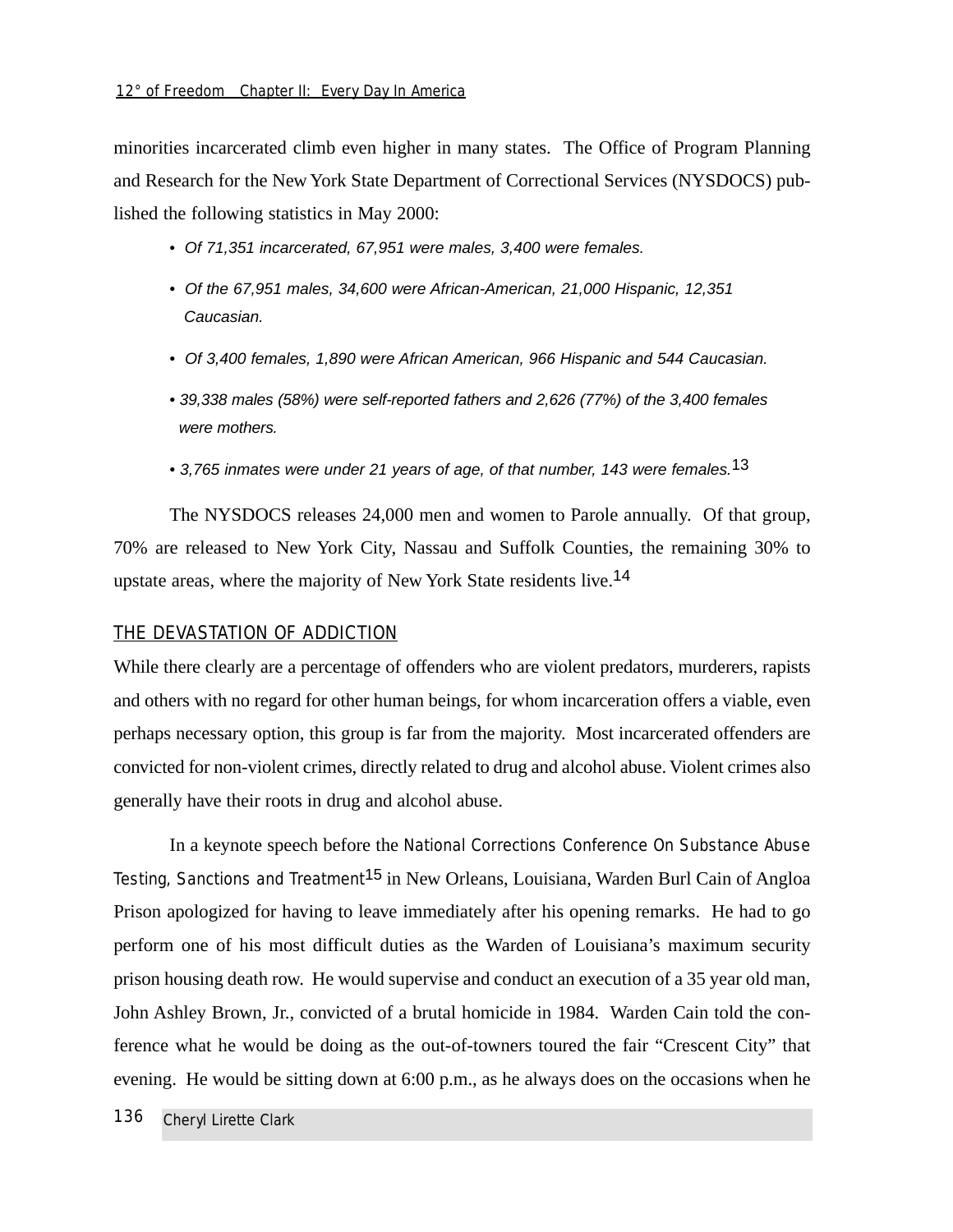minorities incarcerated climb even higher in many states. The Office of Program Planning and Research for the New York State Department of Correctional Services (NYSDOCS) published the following statistics in May 2000:

- Of 71,351 incarcerated, 67,951 were males, 3,400 were females.
- Of the 67,951 males, 34,600 were African-American, 21,000 Hispanic, 12,351 Caucasian.
- Of 3,400 females, 1,890 were African American, 966 Hispanic and 544 Caucasian.
- 39,338 males (58%) were self-reported fathers and 2,626 (77%) of the 3,400 females were mothers.
- 3,765 inmates were under 21 years of age, of that number, 143 were females.<sup>13</sup>

The NYSDOCS releases 24,000 men and women to Parole annually. Of that group, 70% are released to New York City, Nassau and Suffolk Counties, the remaining 30% to upstate areas, where the majority of New York State residents live.<sup>14</sup>

# THE DEVASTATION OF ADDICTION

While there clearly are a percentage of offenders who are violent predators, murderers, rapists and others with no regard for other human beings, for whom incarceration offers a viable, even perhaps necessary option, this group is far from the majority. Most incarcerated offenders are convicted for non-violent crimes, directly related to drug and alcohol abuse. Violent crimes also generally have their roots in drug and alcohol abuse.

In a keynote speech before the National Corrections Conference On Substance Abuse Testing, Sanctions and Treatment<sup>15</sup> in New Orleans, Louisiana, Warden Burl Cain of Angloa Prison apologized for having to leave immediately after his opening remarks. He had to go perform one of his most difficult duties as the Warden of Louisiana's maximum security prison housing death row. He would supervise and conduct an execution of a 35 year old man, John Ashley Brown, Jr., convicted of a brutal homicide in 1984. Warden Cain told the conference what he would be doing as the out-of-towners toured the fair "Crescent City" that evening. He would be sitting down at 6:00 p.m., as he always does on the occasions when he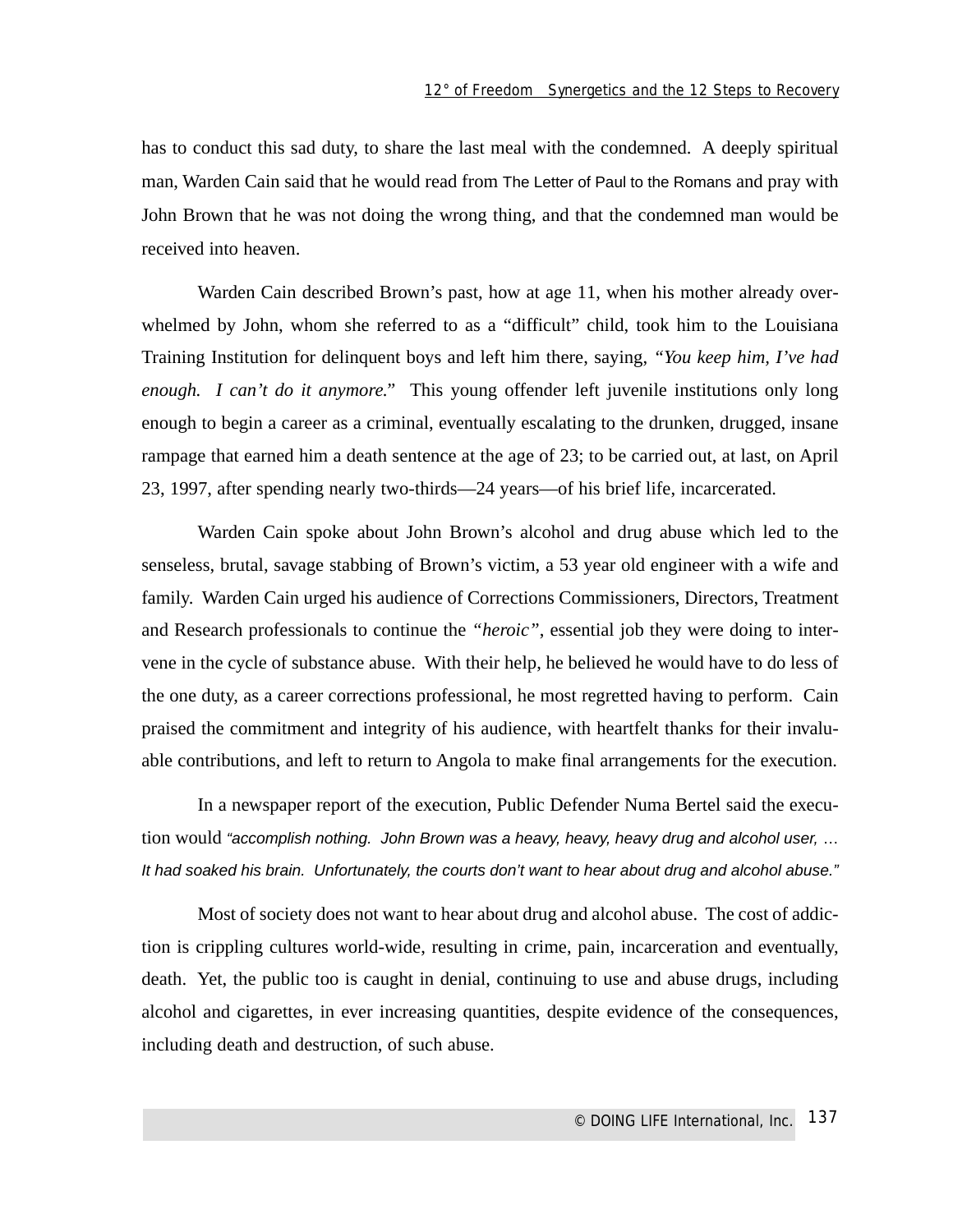has to conduct this sad duty, to share the last meal with the condemned. A deeply spiritual man, Warden Cain said that he would read from The Letter of Paul to the Romans and pray with John Brown that he was not doing the wrong thing, and that the condemned man would be received into heaven.

Warden Cain described Brown's past, how at age 11, when his mother already overwhelmed by John, whom she referred to as a "difficult" child, took him to the Louisiana Training Institution for delinquent boys and left him there, saying, *"You keep him, I've had enough. I can't do it anymore."* This young offender left juvenile institutions only long enough to begin a career as a criminal, eventually escalating to the drunken, drugged, insane rampage that earned him a death sentence at the age of 23; to be carried out, at last, on April 23, 1997, after spending nearly two-thirds—24 years—of his brief life, incarcerated.

Warden Cain spoke about John Brown's alcohol and drug abuse which led to the senseless, brutal, savage stabbing of Brown's victim, a 53 year old engineer with a wife and family. Warden Cain urged his audience of Corrections Commissioners, Directors, Treatment and Research professionals to continue the *"heroic"*, essential job they were doing to intervene in the cycle of substance abuse. With their help, he believed he would have to do less of the one duty, as a career corrections professional, he most regretted having to perform. Cain praised the commitment and integrity of his audience, with heartfelt thanks for their invaluable contributions, and left to return to Angola to make final arrangements for the execution.

In a newspaper report of the execution, Public Defender Numa Bertel said the execution would "accomplish nothing. John Brown was a heavy, heavy, heavy drug and alcohol user, ... It had soaked his brain. Unfortunately, the courts don't want to hear about drug and alcohol abuse."

Most of society does not want to hear about drug and alcohol abuse. The cost of addiction is crippling cultures world-wide, resulting in crime, pain, incarceration and eventually, death. Yet, the public too is caught in denial, continuing to use and abuse drugs, including alcohol and cigarettes, in ever increasing quantities, despite evidence of the consequences, including death and destruction, of such abuse.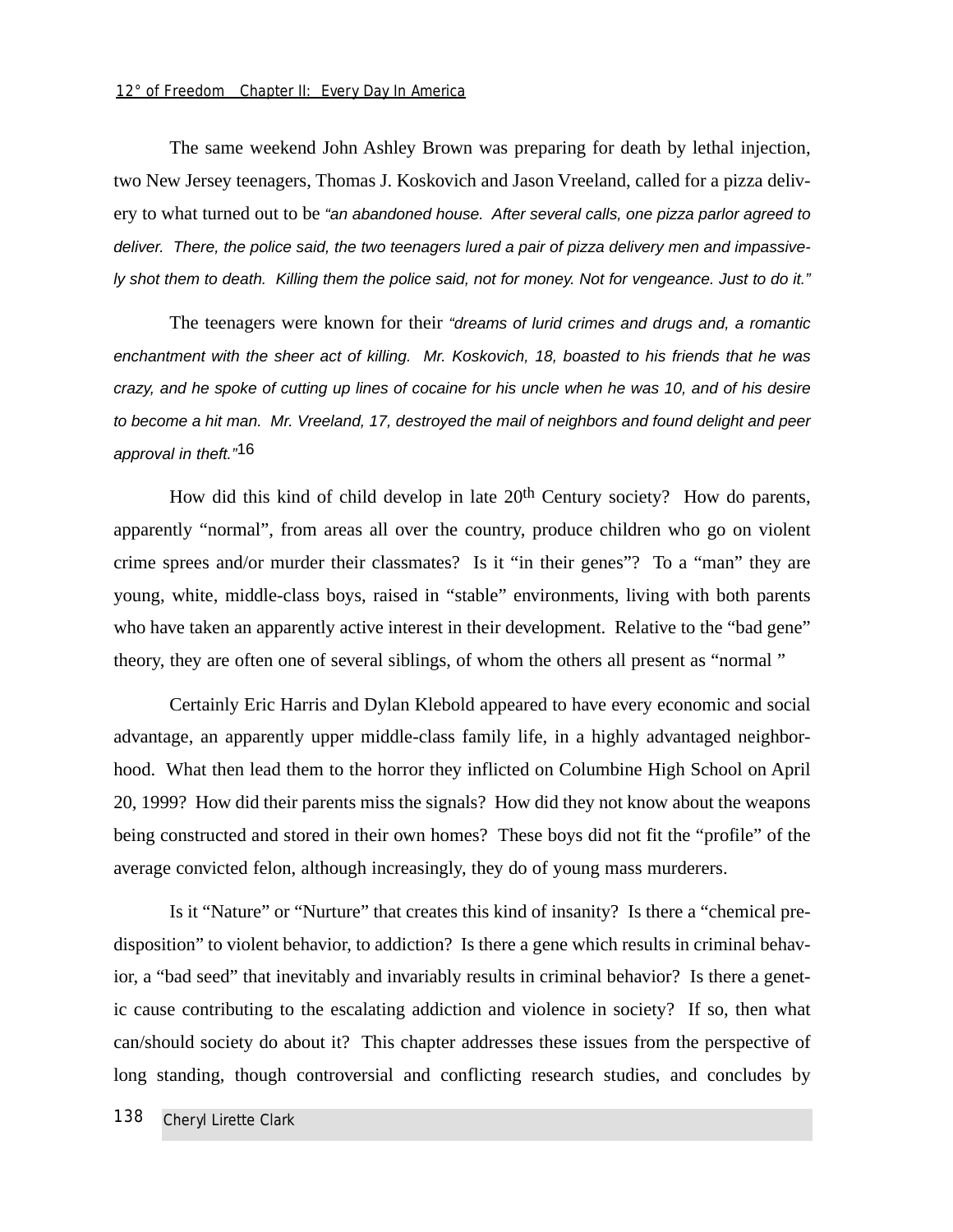#### *12° of Freedom Chapter II: Every Day In America*

The same weekend John Ashley Brown was preparing for death by lethal injection, two New Jersey teenagers, Thomas J. Koskovich and Jason Vreeland, called for a pizza delivery to what turned out to be "an abandoned house. After several calls, one pizza parlor agreed to deliver. There, the police said, the two teenagers lured a pair of pizza delivery men and impassively shot them to death. Killing them the police said, not for money. Not for vengeance. Just to do it."

The teenagers were known for their "dreams of lurid crimes and drugs and, a romantic enchantment with the sheer act of killing. Mr. Koskovich, 18, boasted to his friends that he was crazy, and he spoke of cutting up lines of cocaine for his uncle when he was 10, and of his desire to become a hit man. Mr. Vreeland, 17, destroyed the mail of neighbors and found delight and peer approval in theft."<sup>16</sup>

How did this kind of child develop in late 20<sup>th</sup> Century society? How do parents, apparently "normal", from areas all over the country, produce children who go on violent crime sprees and/or murder their classmates? Is it "in their genes"? To a "man" they are young, white, middle-class boys, raised in "stable" environments, living with both parents who have taken an apparently active interest in their development. Relative to the "bad gene" theory, they are often one of several siblings, of whom the others all present as "normal "

Certainly Eric Harris and Dylan Klebold appeared to have every economic and social advantage, an apparently upper middle-class family life, in a highly advantaged neighborhood. What then lead them to the horror they inflicted on Columbine High School on April 20, 1999? How did their parents miss the signals? How did they not know about the weapons being constructed and stored in their own homes? These boys did not fit the "profile" of the average convicted felon, although increasingly, they do of young mass murderers.

Is it "Nature" or "Nurture" that creates this kind of insanity? Is there a "chemical predisposition" to violent behavior, to addiction? Is there a gene which results in criminal behavior, a "bad seed" that inevitably and invariably results in criminal behavior? Is there a genetic cause contributing to the escalating addiction and violence in society? If so, then what can/should society do about it? This chapter addresses these issues from the perspective of long standing, though controversial and conflicting research studies, and concludes by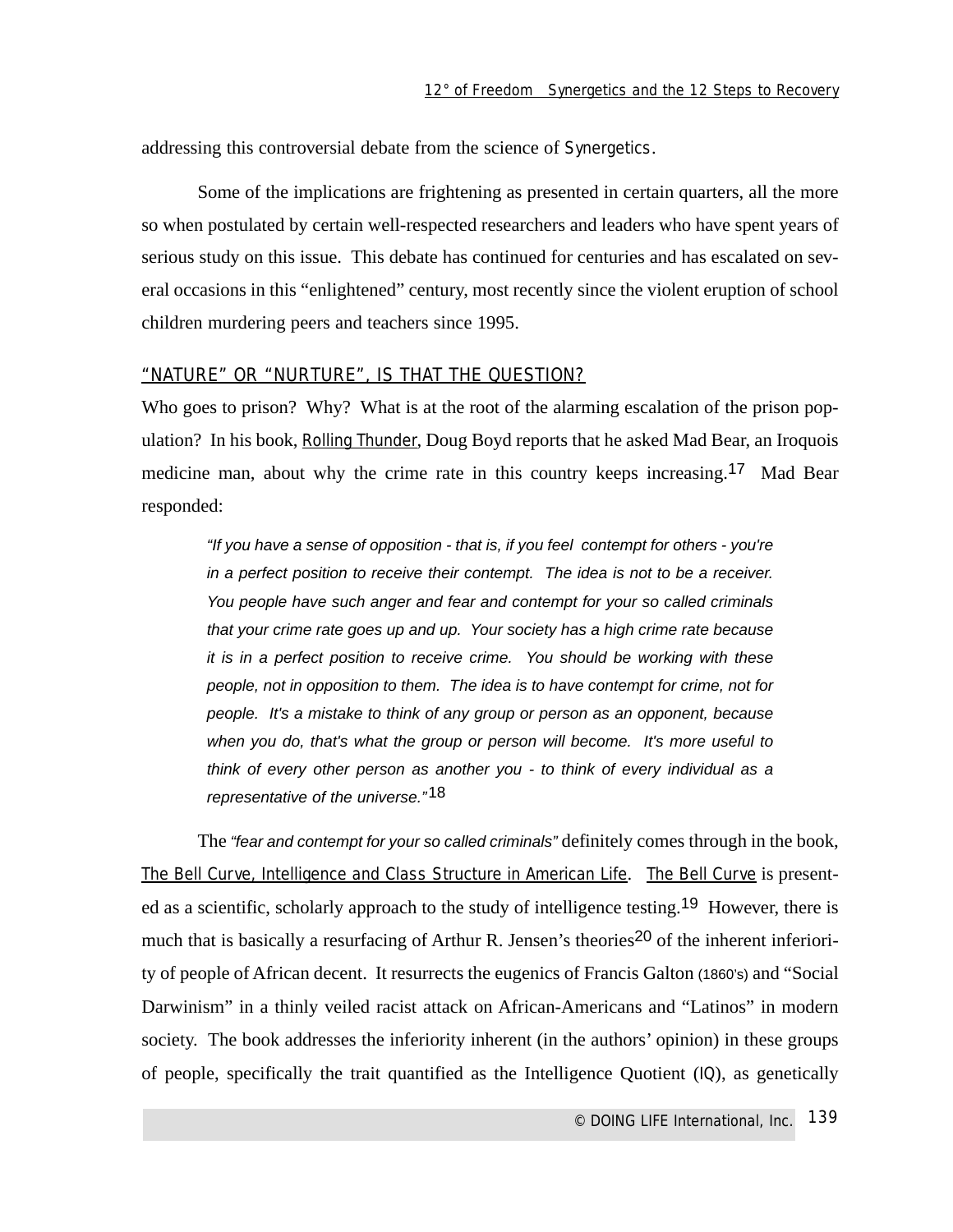addressing this controversial debate from the science of Synergetics.

Some of the implications are frightening as presented in certain quarters, all the more so when postulated by certain well-respected researchers and leaders who have spent years of serious study on this issue. This debate has continued for centuries and has escalated on several occasions in this "enlightened" century, most recently since the violent eruption of school children murdering peers and teachers since 1995.

## "NATURE" OR "NURTURE", IS THAT THE QUESTION?

Who goes to prison? Why? What is at the root of the alarming escalation of the prison population? In his book, Rolling Thunder, Doug Boyd reports that he asked Mad Bear, an Iroquois medicine man, about why the crime rate in this country keeps increasing.17 Mad Bear responded:

"If you have a sense of opposition - that is, if you feel contempt for others - you're in a perfect position to receive their contempt. The idea is not to be a receiver. You people have such anger and fear and contempt for your so called criminals that your crime rate goes up and up. Your society has a high crime rate because it is in a perfect position to receive crime. You should be working with these people, not in opposition to them. The idea is to have contempt for crime, not for people. It's a mistake to think of any group or person as an opponent, because when you do, that's what the group or person will become. It's more useful to think of every other person as another you - to think of every individual as a representative of the universe."<sup>18</sup>

The "fear and contempt for your so called criminals" definitely comes through in the book, The Bell Curve, *Intelligence and Class Structure in American Life*. The Bell Curve is presented as a scientific, scholarly approach to the study of intelligence testing.<sup>19</sup> However, there is much that is basically a resurfacing of Arthur R. Jensen's theories<sup>20</sup> of the inherent inferiority of people of African decent. It resurrects the eugenics of Francis Galton (1860's) and "Social Darwinism" in a thinly veiled racist attack on African-Americans and "Latinos" in modern society. The book addresses the inferiority inherent (in the authors' opinion) in these groups of people, specifically the trait quantified as the Intelligence Quotient (IQ), as genetically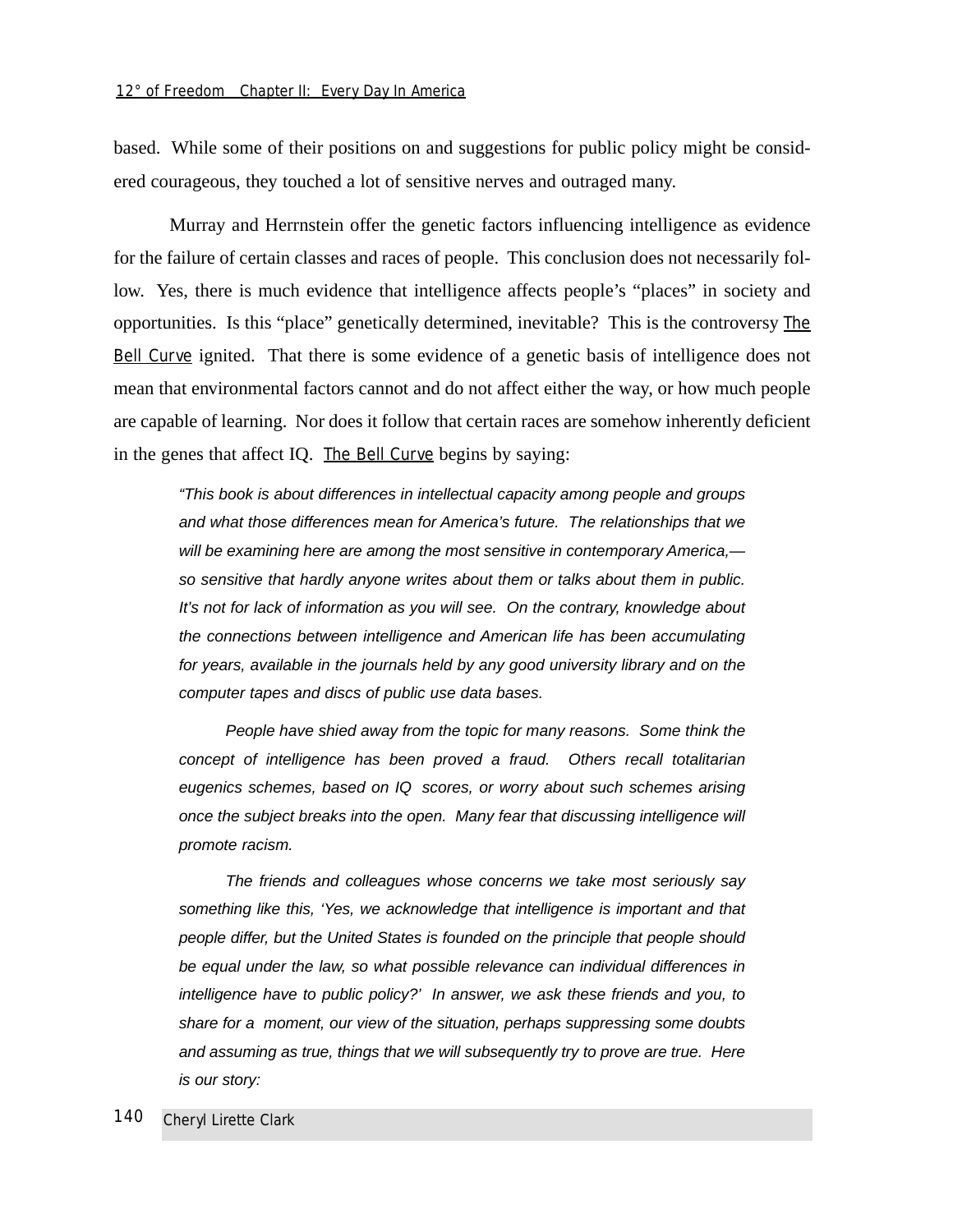based. While some of their positions on and suggestions for public policy might be considered courageous, they touched a lot of sensitive nerves and outraged many.

Murray and Herrnstein offer the genetic factors influencing intelligence as evidence for the failure of certain classes and races of people. This conclusion does not necessarily follow. Yes, there is much evidence that intelligence affects people's "places" in society and opportunities. Is this "place" genetically determined, inevitable? This is the controversy The Bell Curve ignited. That there is some evidence of a genetic basis of intelligence does not mean that environmental factors cannot and do not affect either the way, or how much people are capable of learning. Nor does it follow that certain races are somehow inherently deficient in the genes that affect IQ. The Bell Curve begins by saying:

"This book is about differences in intellectual capacity among people and groups and what those differences mean for America's future. The relationships that we will be examining here are among the most sensitive in contemporary America, so sensitive that hardly anyone writes about them or talks about them in public. It's not for lack of information as you will see. On the contrary, knowledge about the connections between intelligence and American life has been accumulating for years, available in the journals held by any good university library and on the computer tapes and discs of public use data bases.

People have shied away from the topic for many reasons. Some think the concept of intelligence has been proved a fraud. Others recall totalitarian eugenics schemes, based on IQ scores, or worry about such schemes arising once the subject breaks into the open. Many fear that discussing intelligence will promote racism.

The friends and colleagues whose concerns we take most seriously say something like this, 'Yes, we acknowledge that intelligence is important and that people differ, but the United States is founded on the principle that people should be equal under the law, so what possible relevance can individual differences in intelligence have to public policy?' In answer, we ask these friends and you, to share for a moment, our view of the situation, perhaps suppressing some doubts and assuming as true, things that we will subsequently try to prove are true. Here is our story: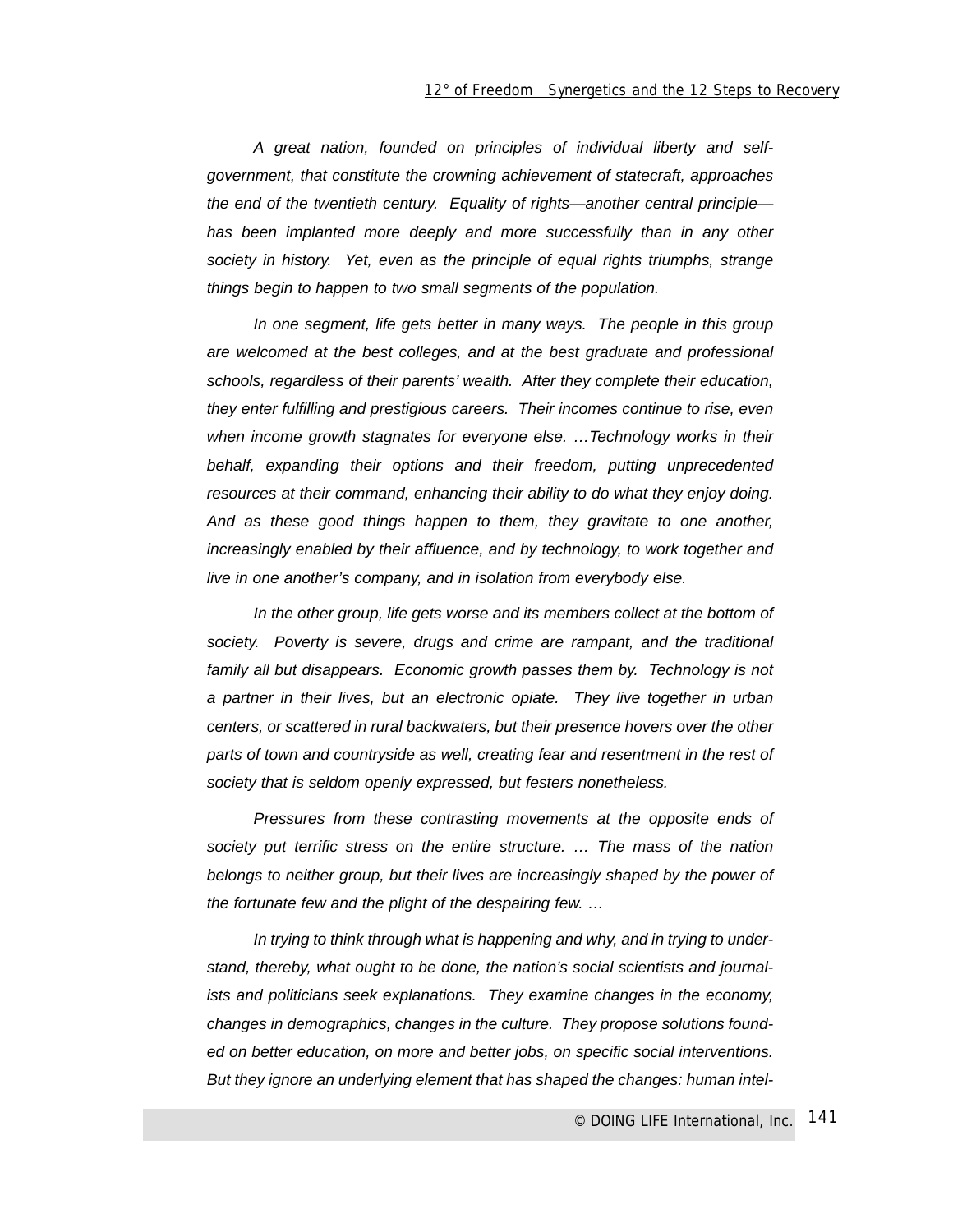A great nation, founded on principles of individual liberty and selfgovernment, that constitute the crowning achievement of statecraft, approaches the end of the twentieth century. Equality of rights—another central principle has been implanted more deeply and more successfully than in any other society in history. Yet, even as the principle of equal rights triumphs, strange things begin to happen to two small segments of the population.

In one segment, life gets better in many ways. The people in this group are welcomed at the best colleges, and at the best graduate and professional schools, regardless of their parents' wealth. After they complete their education, they enter fulfilling and prestigious careers. Their incomes continue to rise, even when income growth stagnates for everyone else. ... Technology works in their behalf, expanding their options and their freedom, putting unprecedented resources at their command, enhancing their ability to do what they enjoy doing. And as these good things happen to them, they gravitate to one another, increasingly enabled by their affluence, and by technology, to work together and live in one another's company, and in isolation from everybody else.

In the other group, life gets worse and its members collect at the bottom of society. Poverty is severe, drugs and crime are rampant, and the traditional family all but disappears. Economic growth passes them by. Technology is not a partner in their lives, but an electronic opiate. They live together in urban centers, or scattered in rural backwaters, but their presence hovers over the other parts of town and countryside as well, creating fear and resentment in the rest of society that is seldom openly expressed, but festers nonetheless.

Pressures from these contrasting movements at the opposite ends of society put terrific stress on the entire structure. ... The mass of the nation belongs to neither group, but their lives are increasingly shaped by the power of the fortunate few and the plight of the despairing few. …

In trying to think through what is happening and why, and in trying to understand, thereby, what ought to be done, the nation's social scientists and journalists and politicians seek explanations. They examine changes in the economy, changes in demographics, changes in the culture. They propose solutions founded on better education, on more and better jobs, on specific social interventions. But they ignore an underlying element that has shaped the changes: human intel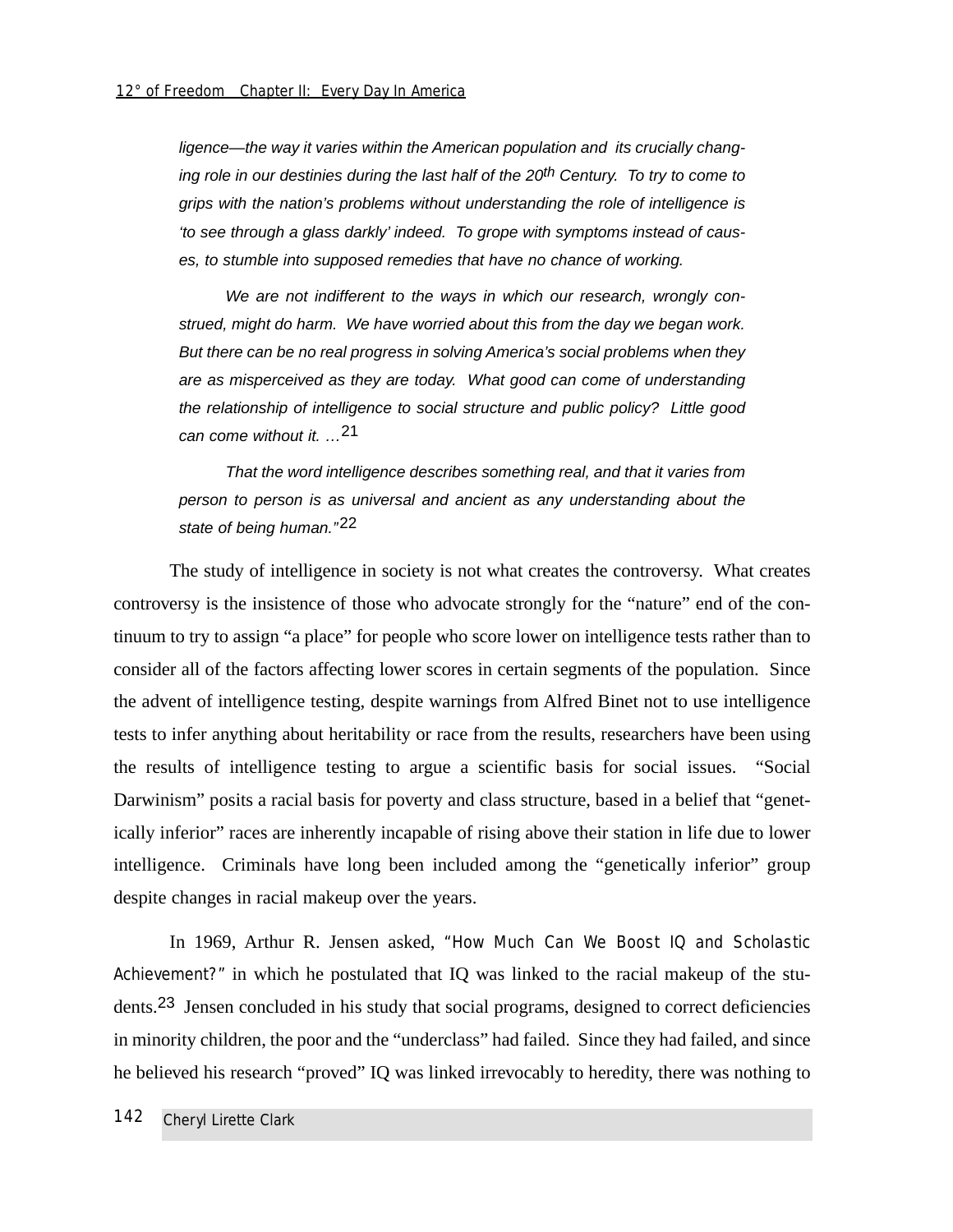ligence—the way it varies within the American population and its crucially changing role in our destinies during the last half of the 20<sup>th</sup> Century. To try to come to grips with the nation's problems without understanding the role of intelligence is 'to see through a glass darkly' indeed. To grope with symptoms instead of causes, to stumble into supposed remedies that have no chance of working.

We are not indifferent to the ways in which our research, wrongly construed, might do harm. We have worried about this from the day we began work. But there can be no real progress in solving America's social problems when they are as misperceived as they are today. What good can come of understanding the relationship of intelligence to social structure and public policy? Little good can come without it. …21

That the word intelligence describes something real, and that it varies from person to person is as universal and ancient as any understanding about the state of being human."22

The study of intelligence in society is not what creates the controversy. What creates controversy is the insistence of those who advocate strongly for the "nature" end of the continuum to try to assign "a place" for people who score lower on intelligence tests rather than to consider all of the factors affecting lower scores in certain segments of the population. Since the advent of intelligence testing, despite warnings from Alfred Binet not to use intelligence tests to infer anything about heritability or race from the results, researchers have been using the results of intelligence testing to argue a scientific basis for social issues. "Social Darwinism" posits a racial basis for poverty and class structure, based in a belief that "genetically inferior" races are inherently incapable of rising above their station in life due to lower intelligence. Criminals have long been included among the "genetically inferior" group despite changes in racial makeup over the years.

In 1969, Arthur R. Jensen asked, *"How Much Can We Boost IQ and Scholastic Achievement?"* in which he postulated that IQ was linked to the racial makeup of the students.<sup>23</sup> Jensen concluded in his study that social programs, designed to correct deficiencies in minority children, the poor and the "underclass" had failed. Since they had failed, and since he believed his research "proved" IQ was linked irrevocably to heredity, there was nothing to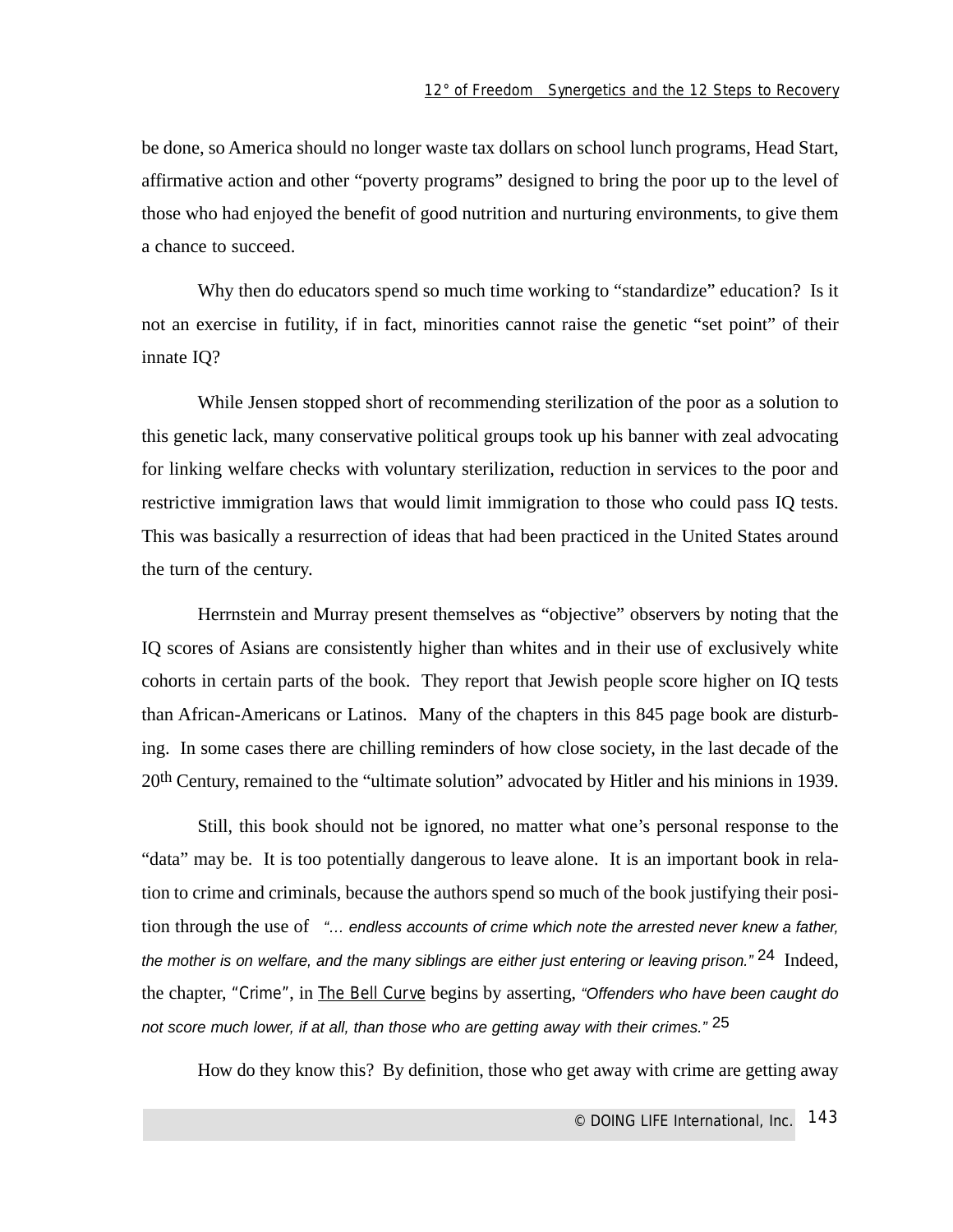be done, so America should no longer waste tax dollars on school lunch programs, Head Start, affirmative action and other "poverty programs" designed to bring the poor up to the level of those who had enjoyed the benefit of good nutrition and nurturing environments, to give them a chance to succeed.

Why then do educators spend so much time working to "standardize" education? Is it not an exercise in futility, if in fact, minorities cannot raise the genetic "set point" of their innate IQ?

While Jensen stopped short of recommending sterilization of the poor as a solution to this genetic lack, many conservative political groups took up his banner with zeal advocating for linking welfare checks with voluntary sterilization, reduction in services to the poor and restrictive immigration laws that would limit immigration to those who could pass IQ tests. This was basically a resurrection of ideas that had been practiced in the United States around the turn of the century.

Herrnstein and Murray present themselves as "objective" observers by noting that the IQ scores of Asians are consistently higher than whites and in their use of exclusively white cohorts in certain parts of the book. They report that Jewish people score higher on IQ tests than African-Americans or Latinos. Many of the chapters in this 845 page book are disturbing. In some cases there are chilling reminders of how close society, in the last decade of the 20th Century, remained to the "ultimate solution" advocated by Hitler and his minions in 1939.

Still, this book should not be ignored, no matter what one's personal response to the "data" may be. It is too potentially dangerous to leave alone. It is an important book in relation to crime and criminals, because the authors spend so much of the book justifying their position through the use of "… endless accounts of crime which note the arrested never knew a father, the mother is on welfare, and the many siblings are either just entering or leaving prison."  $24$  Indeed, the chapter, *"Crime"*, in The Bell Curve begins by asserting, "Offenders who have been caught do not score much lower, if at all, than those who are getting away with their crimes." 25

How do they know this? By definition, those who get away with crime are getting away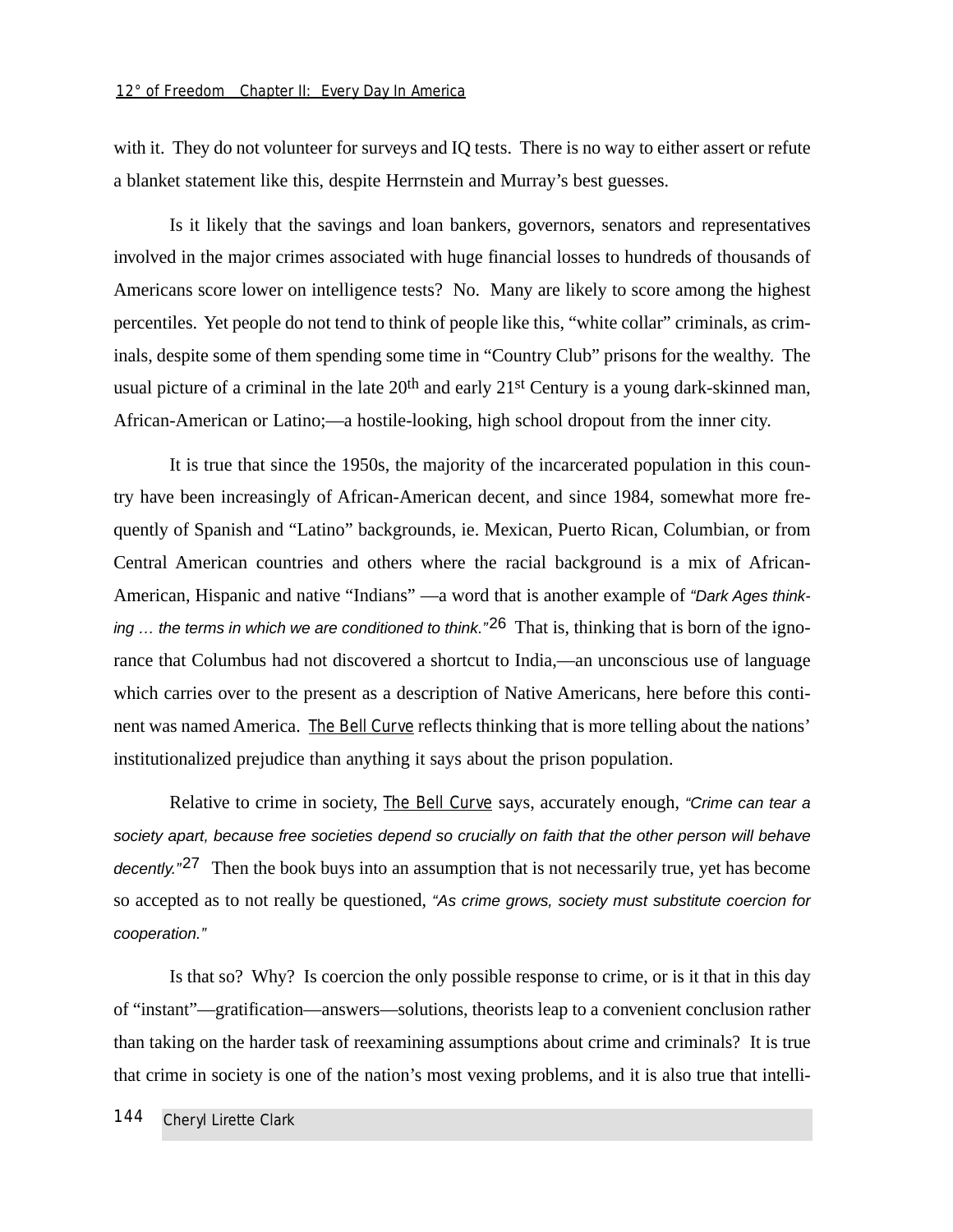with it. They do not volunteer for surveys and IO tests. There is no way to either assert or refute a blanket statement like this, despite Herrnstein and Murray's best guesses.

Is it likely that the savings and loan bankers, governors, senators and representatives involved in the major crimes associated with huge financial losses to hundreds of thousands of Americans score lower on intelligence tests? No. Many are likely to score among the highest percentiles. Yet people do not tend to think of people like this, "white collar" criminals, as criminals, despite some of them spending some time in "Country Club" prisons for the wealthy. The usual picture of a criminal in the late  $20<sup>th</sup>$  and early  $21<sup>st</sup>$  Century is a young dark-skinned man, African-American or Latino;—a hostile-looking, high school dropout from the inner city.

It is true that since the 1950s, the majority of the incarcerated population in this country have been increasingly of African-American decent, and since 1984, somewhat more frequently of Spanish and "Latino" backgrounds, ie. Mexican, Puerto Rican, Columbian, or from Central American countries and others where the racial background is a mix of African-American, Hispanic and native "Indians" —a word that is another example of "Dark Ages thinking ... the terms in which we are conditioned to think.<sup>"26</sup> That is, thinking that is born of the ignorance that Columbus had not discovered a shortcut to India,—an unconscious use of language which carries over to the present as a description of Native Americans, here before this continent was named America. The Bell Curve reflects thinking that is more telling about the nations' institutionalized prejudice than anything it says about the prison population.

Relative to crime in society, The Bell Curve says, accurately enough, "Crime can tear a society apart, because free societies depend so crucially on faith that the other person will behave decently. $27$  Then the book buys into an assumption that is not necessarily true, yet has become so accepted as to not really be questioned, "As crime grows, society must substitute coercion for cooperation."

Is that so? Why? Is coercion the only possible response to crime, or is it that in this day of "instant"—gratification—answers—solutions, theorists leap to a convenient conclusion rather than taking on the harder task of reexamining assumptions about crime and criminals? It is true that crime in society is one of the nation's most vexing problems, and it is also true that intelli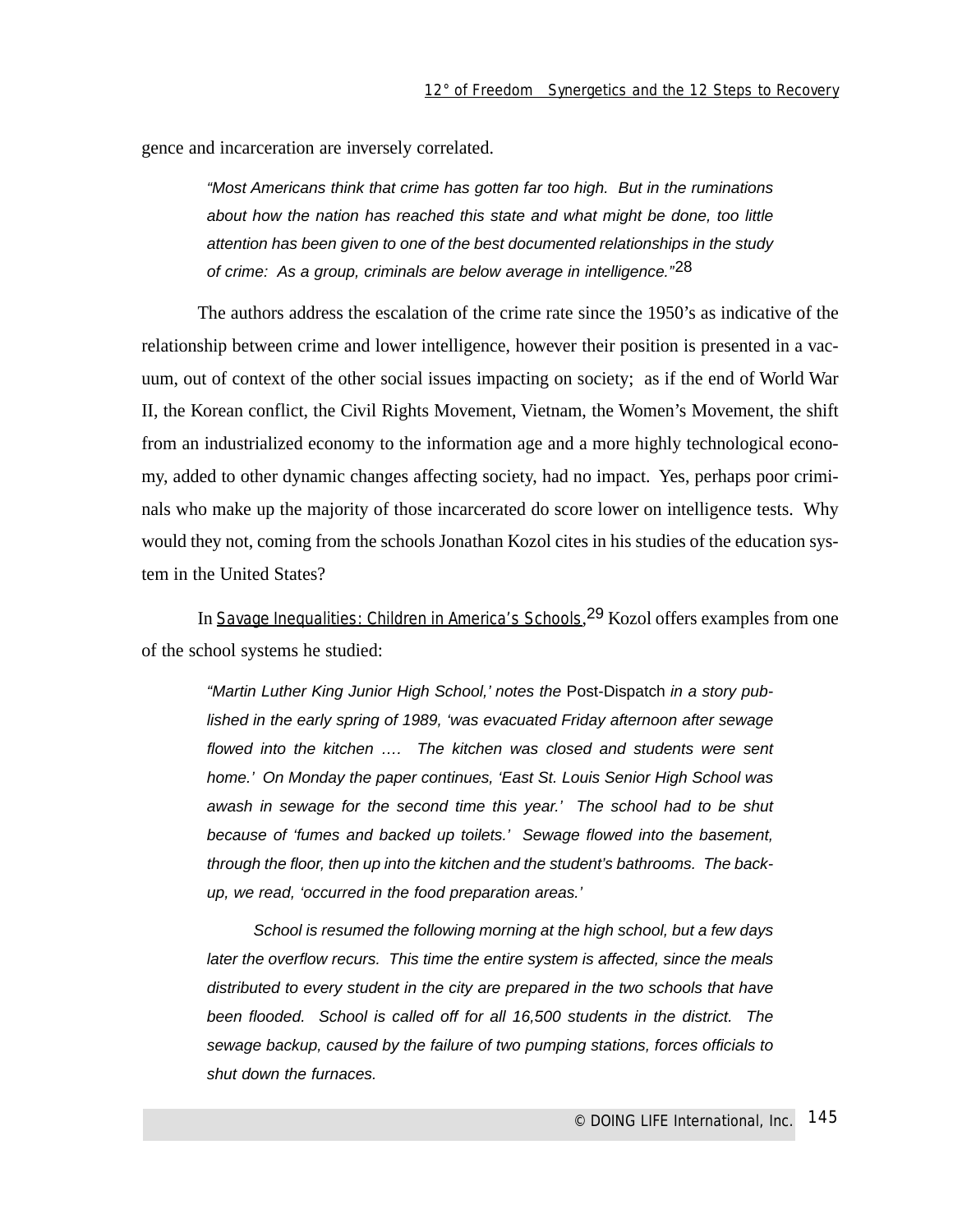gence and incarceration are inversely correlated.

"Most Americans think that crime has gotten far too high. But in the ruminations about how the nation has reached this state and what might be done, too little attention has been given to one of the best documented relationships in the study of crime: As a group, criminals are below average in intelligence."<sup>28</sup>

The authors address the escalation of the crime rate since the 1950's as indicative of the relationship between crime and lower intelligence, however their position is presented in a vacuum, out of context of the other social issues impacting on society; as if the end of World War II, the Korean conflict, the Civil Rights Movement, Vietnam, the Women's Movement, the shift from an industrialized economy to the information age and a more highly technological economy, added to other dynamic changes affecting society, had no impact. Yes, perhaps poor criminals who make up the majority of those incarcerated do score lower on intelligence tests. Why would they not, coming from the schools Jonathan Kozol cites in his studies of the education system in the United States?

In <u>Savage Inequalities: Children in America's Schools</u>,<sup>29</sup> Kozol offers examples from one of the school systems he studied:

"Martin Luther King Junior High School,' notes the Post-Dispatch in a story published in the early spring of 1989, 'was evacuated Friday afternoon after sewage flowed into the kitchen …. The kitchen was closed and students were sent home.' On Monday the paper continues, 'East St. Louis Senior High School was awash in sewage for the second time this year.' The school had to be shut because of 'fumes and backed up toilets.' Sewage flowed into the basement, through the floor, then up into the kitchen and the student's bathrooms. The backup, we read, 'occurred in the food preparation areas.'

School is resumed the following morning at the high school, but a few days later the overflow recurs. This time the entire system is affected, since the meals distributed to every student in the city are prepared in the two schools that have been flooded. School is called off for all 16,500 students in the district. The sewage backup, caused by the failure of two pumping stations, forces officials to shut down the furnaces.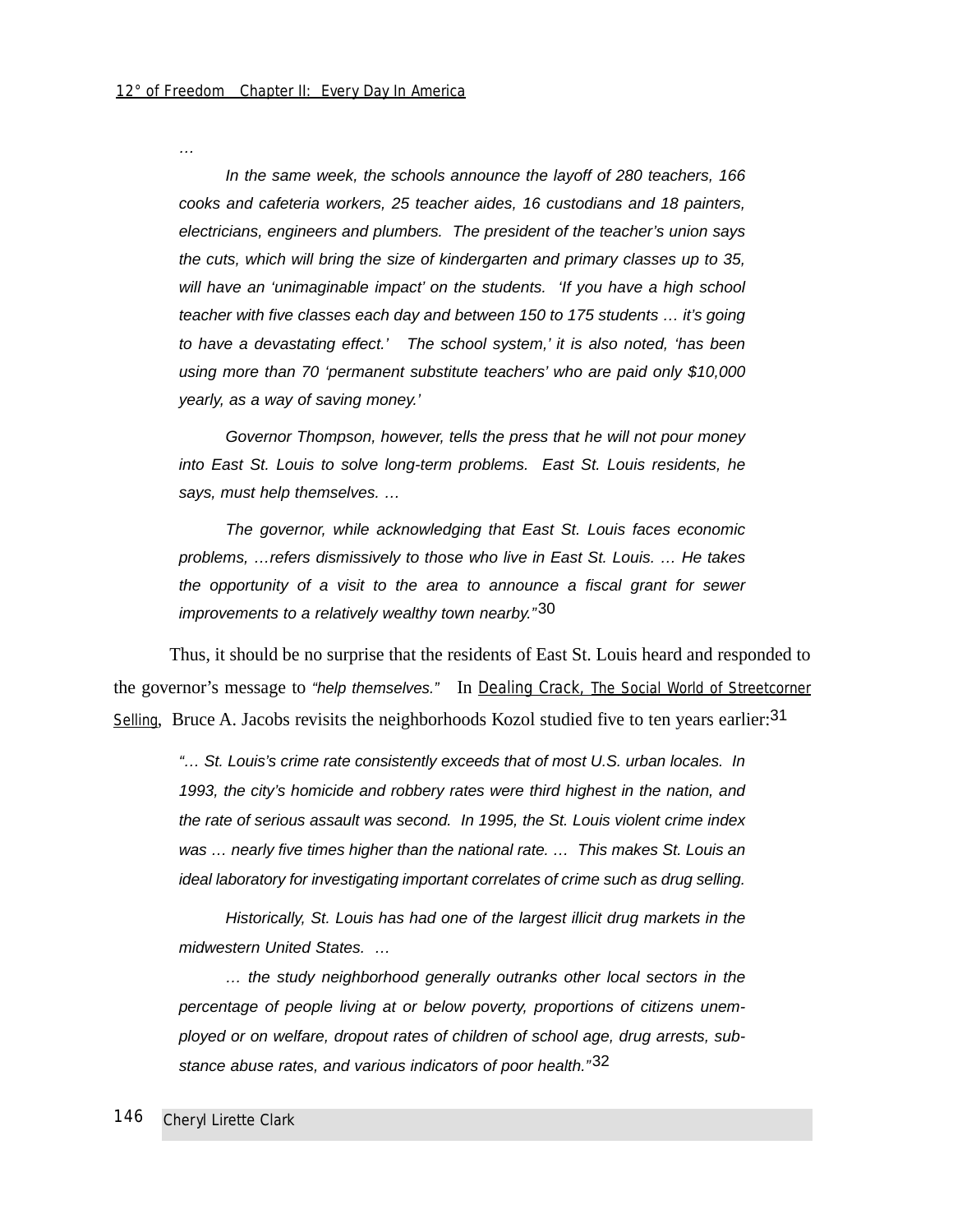…

In the same week, the schools announce the layoff of 280 teachers, 166 cooks and cafeteria workers, 25 teacher aides, 16 custodians and 18 painters, electricians, engineers and plumbers. The president of the teacher's union says the cuts, which will bring the size of kindergarten and primary classes up to 35, will have an 'unimaginable impact' on the students. 'If you have a high school teacher with five classes each day and between 150 to 175 students … it's going to have a devastating effect.' The school system,' it is also noted, 'has been using more than 70 'permanent substitute teachers' who are paid only \$10,000 yearly, as a way of saving money.'

Governor Thompson, however, tells the press that he will not pour money into East St. Louis to solve long-term problems. East St. Louis residents, he says, must help themselves. …

The governor, while acknowledging that East St. Louis faces economic problems, …refers dismissively to those who live in East St. Louis. … He takes the opportunity of a visit to the area to announce a fiscal grant for sewer improvements to a relatively wealthy town nearby. $"30"$ 

Thus, it should be no surprise that the residents of East St. Louis heard and responded to the governor's message to "help themselves." In Dealing Crack, *The Social World of Streetcorner Selling*, Bruce A. Jacobs revisits the neighborhoods Kozol studied five to ten years earlier:31

"… St. Louis's crime rate consistently exceeds that of most U.S. urban locales. In 1993, the city's homicide and robbery rates were third highest in the nation, and the rate of serious assault was second. In 1995, the St. Louis violent crime index was … nearly five times higher than the national rate. … This makes St. Louis an ideal laboratory for investigating important correlates of crime such as drug selling.

Historically, St. Louis has had one of the largest illicit drug markets in the midwestern United States. …

… the study neighborhood generally outranks other local sectors in the percentage of people living at or below poverty, proportions of citizens unemployed or on welfare, dropout rates of children of school age, drug arrests, substance abuse rates, and various indicators of poor health."32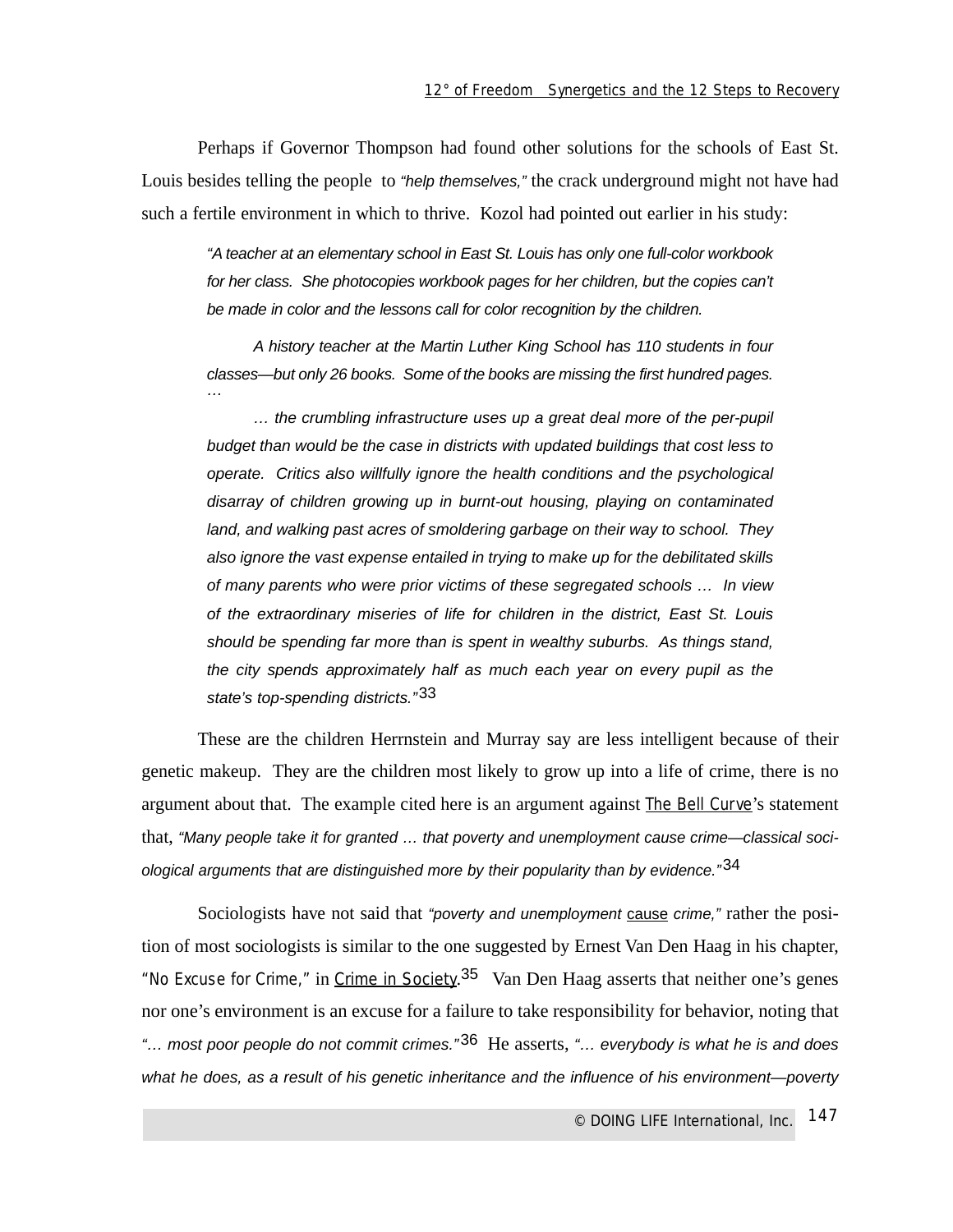Perhaps if Governor Thompson had found other solutions for the schools of East St. Louis besides telling the people to "help themselves," the crack underground might not have had such a fertile environment in which to thrive. Kozol had pointed out earlier in his study:

"A teacher at an elementary school in East St. Louis has only one full-color workbook for her class. She photocopies workbook pages for her children, but the copies can't be made in color and the lessons call for color recognition by the children.

A history teacher at the Martin Luther King School has 110 students in four classes—but only 26 books. Some of the books are missing the first hundred pages. …

… the crumbling infrastructure uses up a great deal more of the per-pupil budget than would be the case in districts with updated buildings that cost less to operate. Critics also willfully ignore the health conditions and the psychological disarray of children growing up in burnt-out housing, playing on contaminated land, and walking past acres of smoldering garbage on their way to school. They also ignore the vast expense entailed in trying to make up for the debilitated skills of many parents who were prior victims of these segregated schools … In view of the extraordinary miseries of life for children in the district, East St. Louis should be spending far more than is spent in wealthy suburbs. As things stand, the city spends approximately half as much each year on every pupil as the state's top-spending districts."33

These are the children Herrnstein and Murray say are less intelligent because of their genetic makeup. They are the children most likely to grow up into a life of crime, there is no argument about that. The example cited here is an argument against The Bell Curve's statement that, "Many people take it for granted … that poverty and unemployment cause crime—classical sociological arguments that are distinguished more by their popularity than by evidence.<sup>"34</sup>

Sociologists have not said that "poverty and unemployment cause crime," rather the position of most sociologists is similar to the one suggested by Ernest Van Den Haag in his chapter, *"No Excuse for Crime,"* in Crime in Society. 35 Van Den Haag asserts that neither one's genes nor one's environment is an excuse for a failure to take responsibility for behavior, noting that "... most poor people do not commit crimes." $36$  He asserts, "... everybody is what he is and does what he does, as a result of his genetic inheritance and the influence of his environment-poverty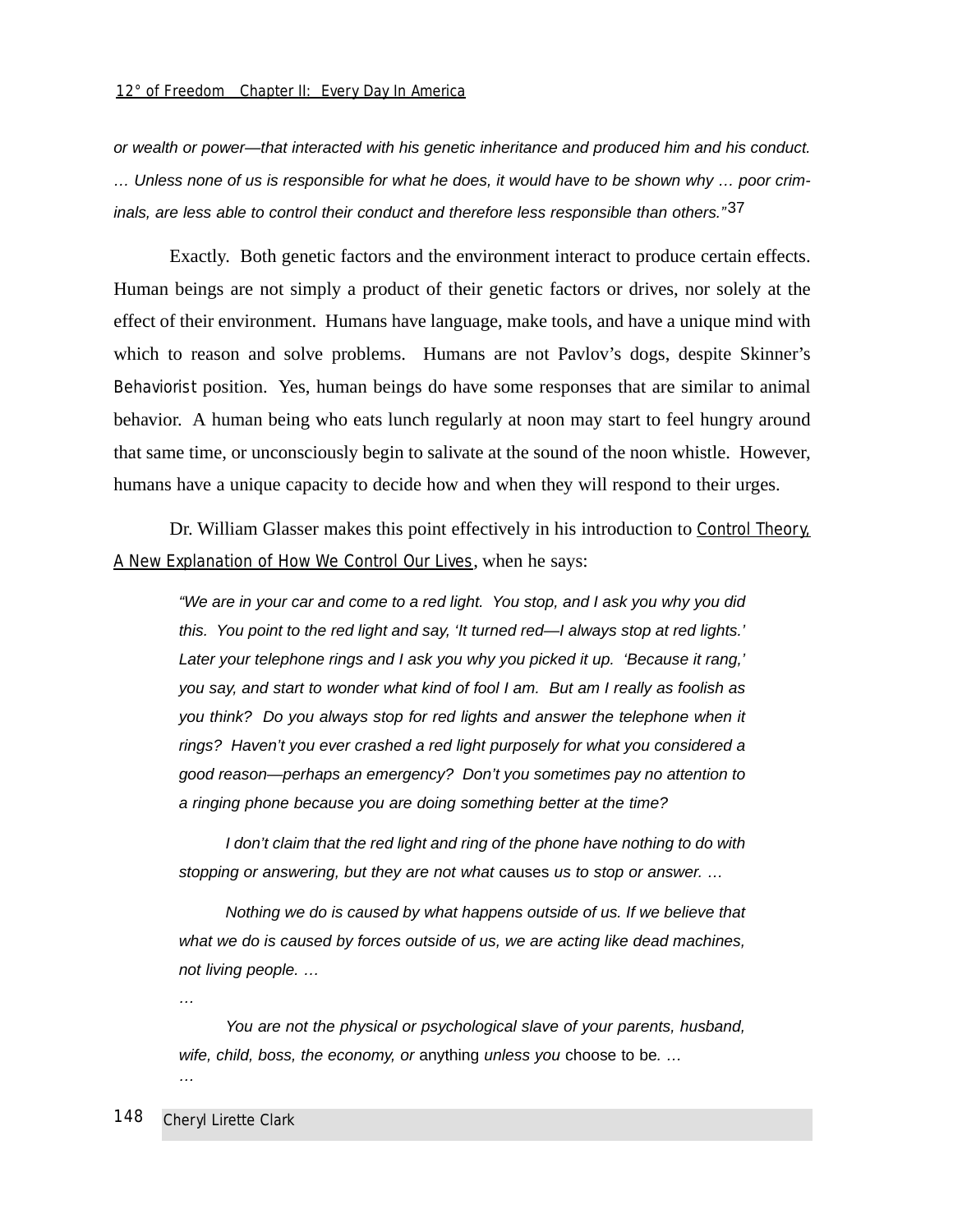or wealth or power—that interacted with his genetic inheritance and produced him and his conduct. … Unless none of us is responsible for what he does, it would have to be shown why … poor criminals, are less able to control their conduct and therefore less responsible than others." $37$ 

Exactly. Both genetic factors and the environment interact to produce certain effects. Human beings are not simply a product of their genetic factors or drives, nor solely at the effect of their environment. Humans have language, make tools, and have a unique mind with which to reason and solve problems. Humans are not Pavlov's dogs, despite Skinner's Behaviorist position. Yes, human beings do have some responses that are similar to animal behavior. A human being who eats lunch regularly at noon may start to feel hungry around that same time, or unconsciously begin to salivate at the sound of the noon whistle. However, humans have a unique capacity to decide how and when they will respond to their urges.

Dr. William Glasser makes this point effectively in his introduction to Control Theory, *A New Explanation of How We Control Our Lives*, when he says:

"We are in your car and come to a red light. You stop, and I ask you why you did this. You point to the red light and say, 'It turned red—I always stop at red lights.' Later your telephone rings and I ask you why you picked it up. 'Because it rang,' you say, and start to wonder what kind of fool I am. But am I really as foolish as you think? Do you always stop for red lights and answer the telephone when it rings? Haven't you ever crashed a red light purposely for what you considered a good reason—perhaps an emergency? Don't you sometimes pay no attention to a ringing phone because you are doing something better at the time?

I don't claim that the red light and ring of the phone have nothing to do with stopping or answering, but they are not what causes us to stop or answer. …

Nothing we do is caused by what happens outside of us. If we believe that what we do is caused by forces outside of us, we are acting like dead machines, not living people. …

You are not the physical or psychological slave of your parents, husband, wife, child, boss, the economy, or anything unless you choose to be... …

…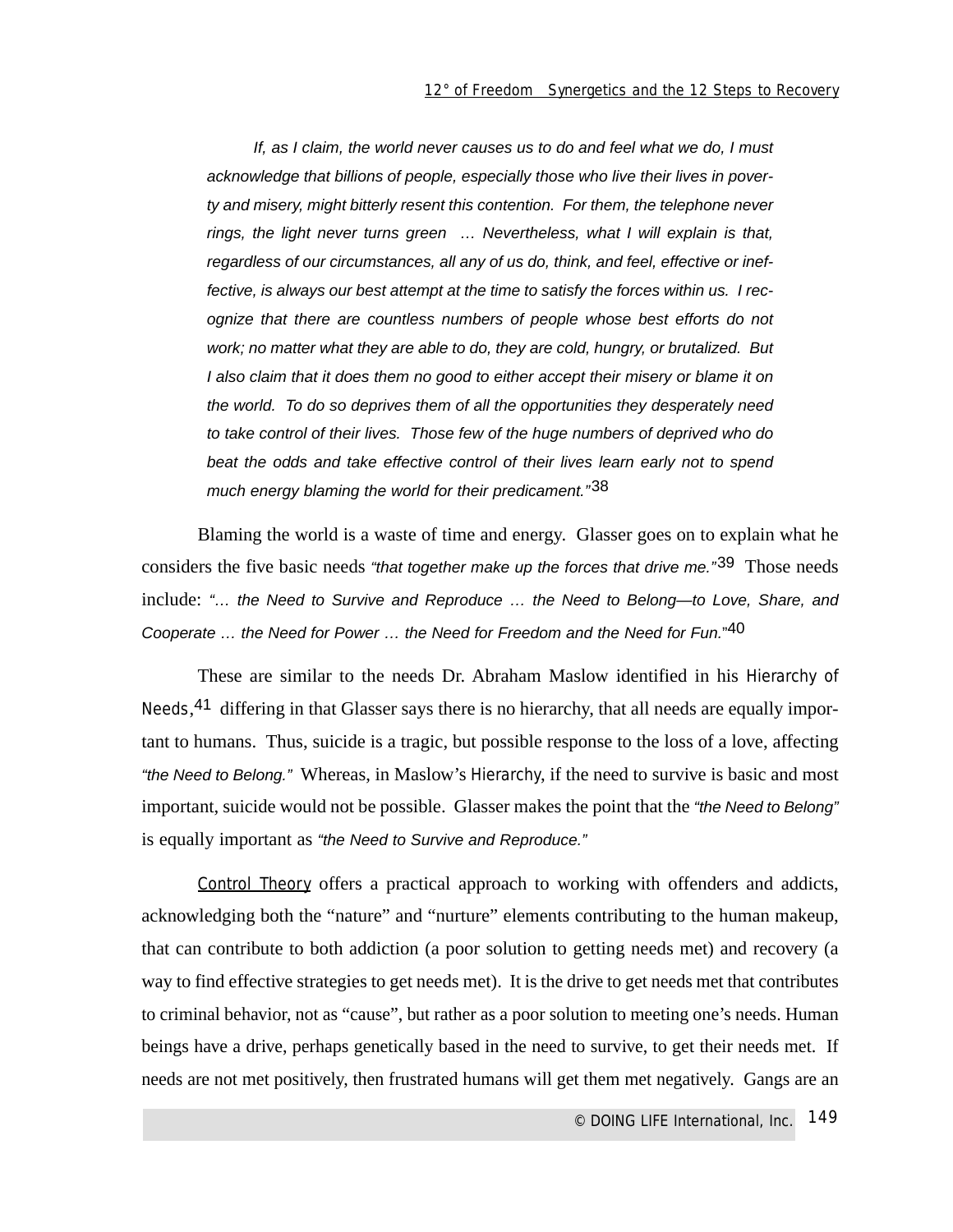If, as I claim, the world never causes us to do and feel what we do, I must acknowledge that billions of people, especially those who live their lives in poverty and misery, might bitterly resent this contention. For them, the telephone never rings, the light never turns green … Nevertheless, what I will explain is that, regardless of our circumstances, all any of us do, think, and feel, effective or ineffective, is always our best attempt at the time to satisfy the forces within us. I recognize that there are countless numbers of people whose best efforts do not work; no matter what they are able to do, they are cold, hungry, or brutalized. But I also claim that it does them no good to either accept their misery or blame it on the world. To do so deprives them of all the opportunities they desperately need to take control of their lives. Those few of the huge numbers of deprived who do beat the odds and take effective control of their lives learn early not to spend much energy blaming the world for their predicament."38

Blaming the world is a waste of time and energy. Glasser goes on to explain what he considers the five basic needs "that together make up the forces that drive me."39 Those needs include: "… the Need to Survive and Reproduce … the Need to Belong—to Love, Share, and Cooperate ... the Need for Power ... the Need for Freedom and the Need for Fun."<sup>40</sup>

These are similar to the needs Dr. Abraham Maslow identified in his Hierarchy of Needs, <sup>41</sup> differing in that Glasser says there is no hierarchy, that all needs are equally important to humans. Thus, suicide is a tragic, but possible response to the loss of a love, affecting "the Need to Belong." Whereas, in Maslow's Hierarchy, if the need to survive is basic and most important, suicide would not be possible. Glasser makes the point that the "the Need to Belong" is equally important as "the Need to Survive and Reproduce."

Control Theory offers a practical approach to working with offenders and addicts, acknowledging both the "nature" and "nurture" elements contributing to the human makeup, that can contribute to both addiction (a poor solution to getting needs met) and recovery (a way to find effective strategies to get needs met). It is the drive to get needs met that contributes to criminal behavior, not as "cause", but rather as a poor solution to meeting one's needs. Human beings have a drive, perhaps genetically based in the need to survive, to get their needs met. If needs are not met positively, then frustrated humans will get them met negatively. Gangs are an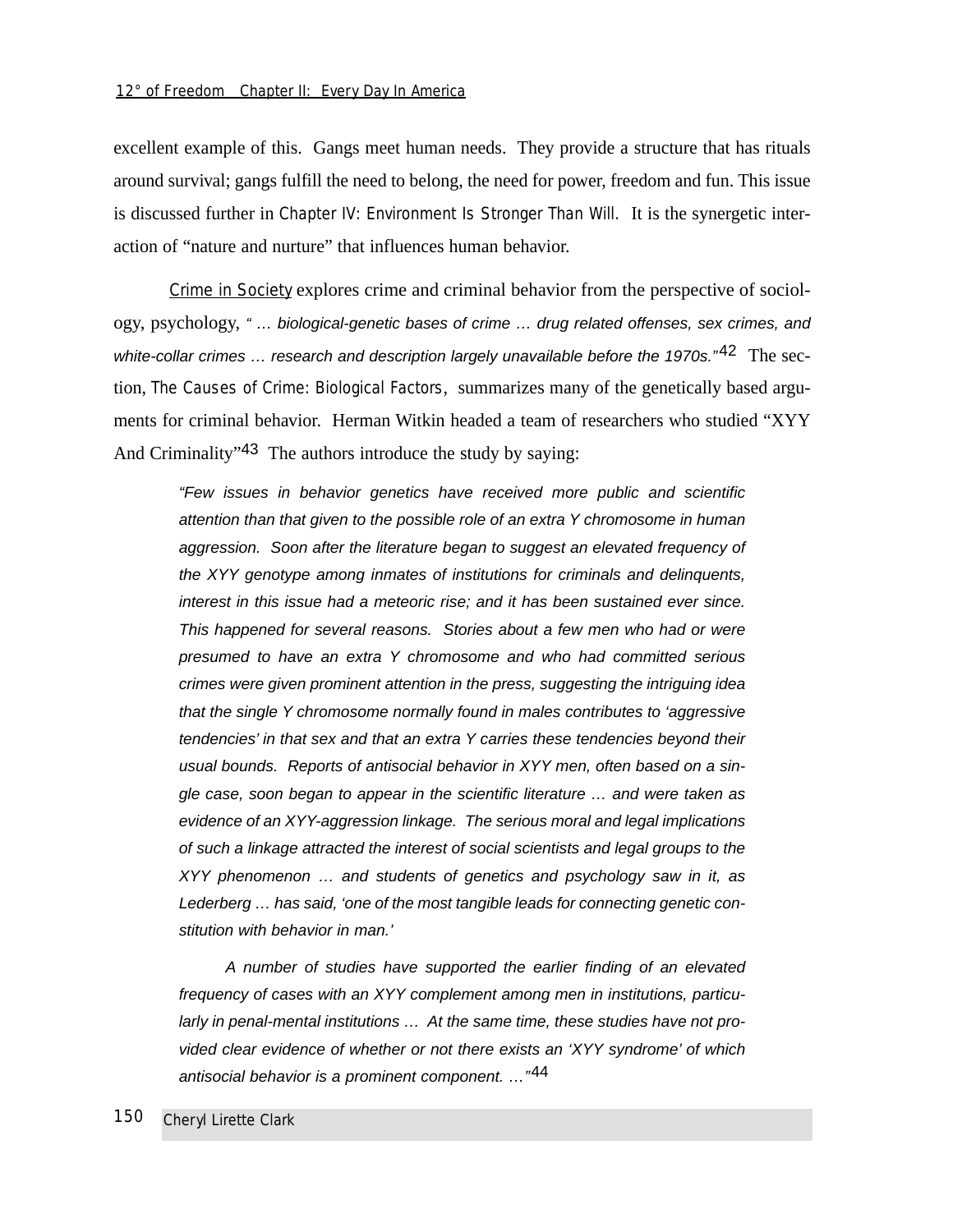excellent example of this. Gangs meet human needs. They provide a structure that has rituals around survival; gangs fulfill the need to belong, the need for power, freedom and fun. This issue is discussed further in Chapter IV: Environment Is Stronger Than Will. It is the synergetic interaction of "nature and nurture" that influences human behavior.

Crime in Society explores crime and criminal behavior from the perspective of sociology, psychology, " … biological-genetic bases of crime … drug related offenses, sex crimes, and white-collar crimes ... research and description largely unavailable before the 1970s."<sup>42</sup> The section, *The Causes of Crime: Biological Factors*, summarizes many of the genetically based arguments for criminal behavior. Herman Witkin headed a team of researchers who studied "XYY And Criminality<sup>343</sup> The authors introduce the study by saying:

"Few issues in behavior genetics have received more public and scientific attention than that given to the possible role of an extra Y chromosome in human aggression. Soon after the literature began to suggest an elevated frequency of the XYY genotype among inmates of institutions for criminals and delinquents, interest in this issue had a meteoric rise; and it has been sustained ever since. This happened for several reasons. Stories about a few men who had or were presumed to have an extra Y chromosome and who had committed serious crimes were given prominent attention in the press, suggesting the intriguing idea that the single Y chromosome normally found in males contributes to 'aggressive tendencies' in that sex and that an extra Y carries these tendencies beyond their usual bounds. Reports of antisocial behavior in XYY men, often based on a single case, soon began to appear in the scientific literature … and were taken as evidence of an XYY-aggression linkage. The serious moral and legal implications of such a linkage attracted the interest of social scientists and legal groups to the XYY phenomenon … and students of genetics and psychology saw in it, as Lederberg … has said, 'one of the most tangible leads for connecting genetic constitution with behavior in man.'

A number of studies have supported the earlier finding of an elevated frequency of cases with an XYY complement among men in institutions, particularly in penal-mental institutions … At the same time, these studies have not provided clear evidence of whether or not there exists an 'XYY syndrome' of which antisocial behavior is a prominent component. …"44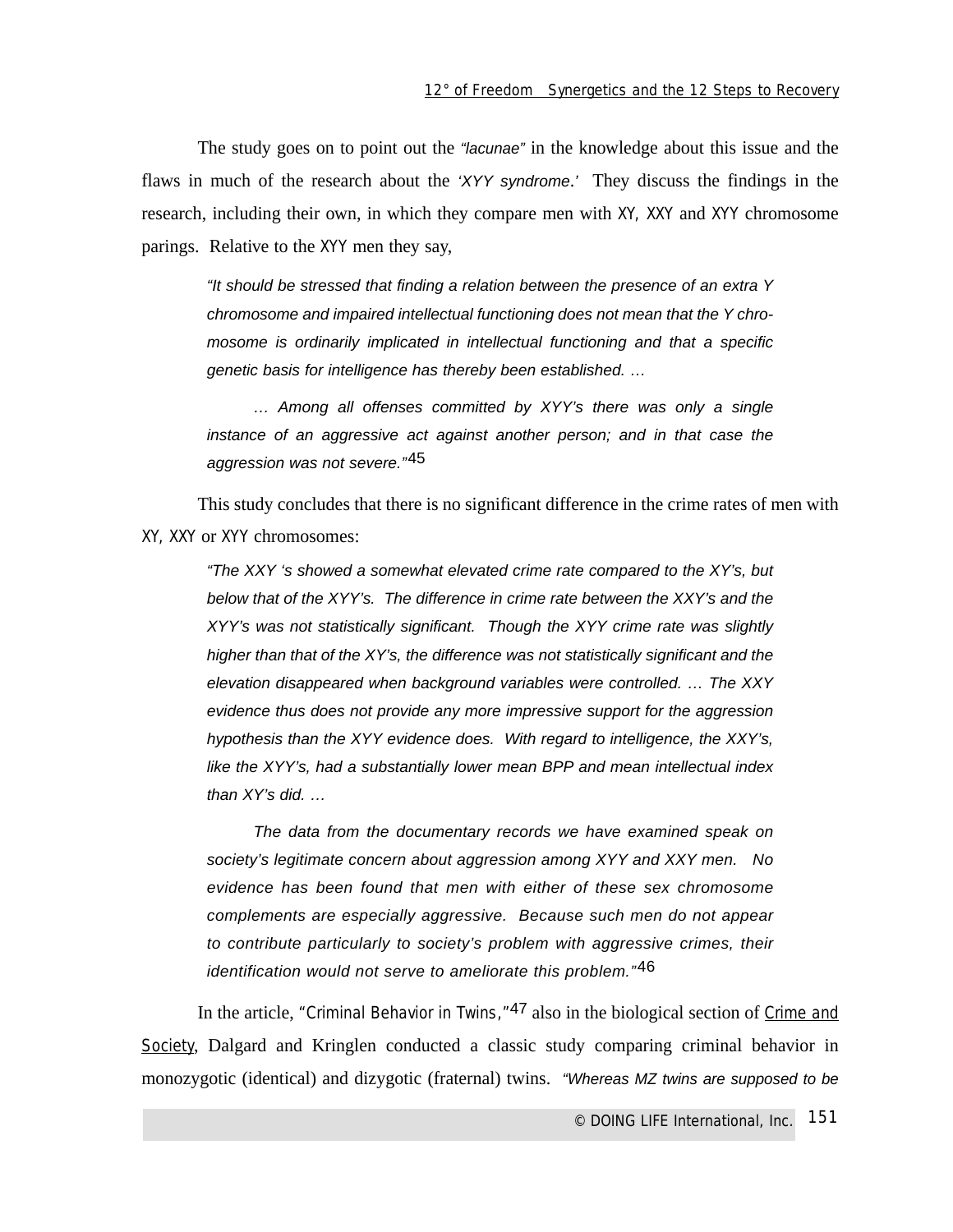The study goes on to point out the "lacunae" in the knowledge about this issue and the flaws in much of the research about the 'XYY syndrome.' They discuss the findings in the research, including their own, in which they compare men with XY, XXY and XYY chromosome parings. Relative to the XYY men they say,

"It should be stressed that finding a relation between the presence of an extra Y chromosome and impaired intellectual functioning does not mean that the Y chromosome is ordinarily implicated in intellectual functioning and that a specific genetic basis for intelligence has thereby been established. …

… Among all offenses committed by XYY's there was only a single instance of an aggressive act against another person; and in that case the aggression was not severe."<sup>45</sup>

This study concludes that there is no significant difference in the crime rates of men with XY, XXY or XYY chromosomes:

"The XXY 's showed a somewhat elevated crime rate compared to the XY's, but below that of the XYY's. The difference in crime rate between the XXY's and the XYY's was not statistically significant. Though the XYY crime rate was slightly higher than that of the XY's, the difference was not statistically significant and the elevation disappeared when background variables were controlled. … The XXY evidence thus does not provide any more impressive support for the aggression hypothesis than the XYY evidence does. With regard to intelligence, the XXY's, like the XYY's, had a substantially lower mean BPP and mean intellectual index than XY's did. …

The data from the documentary records we have examined speak on society's legitimate concern about aggression among XYY and XXY men. No evidence has been found that men with either of these sex chromosome complements are especially aggressive. Because such men do not appear to contribute particularly to society's problem with aggressive crimes, their identification would not serve to ameliorate this problem."<sup>46</sup>

In the article, *"Criminal Behavior in Twins,"*47 also in the biological section of Crime and Society, Dalgard and Kringlen conducted a classic study comparing criminal behavior in monozygotic (identical) and dizygotic (fraternal) twins. "Whereas MZ twins are supposed to be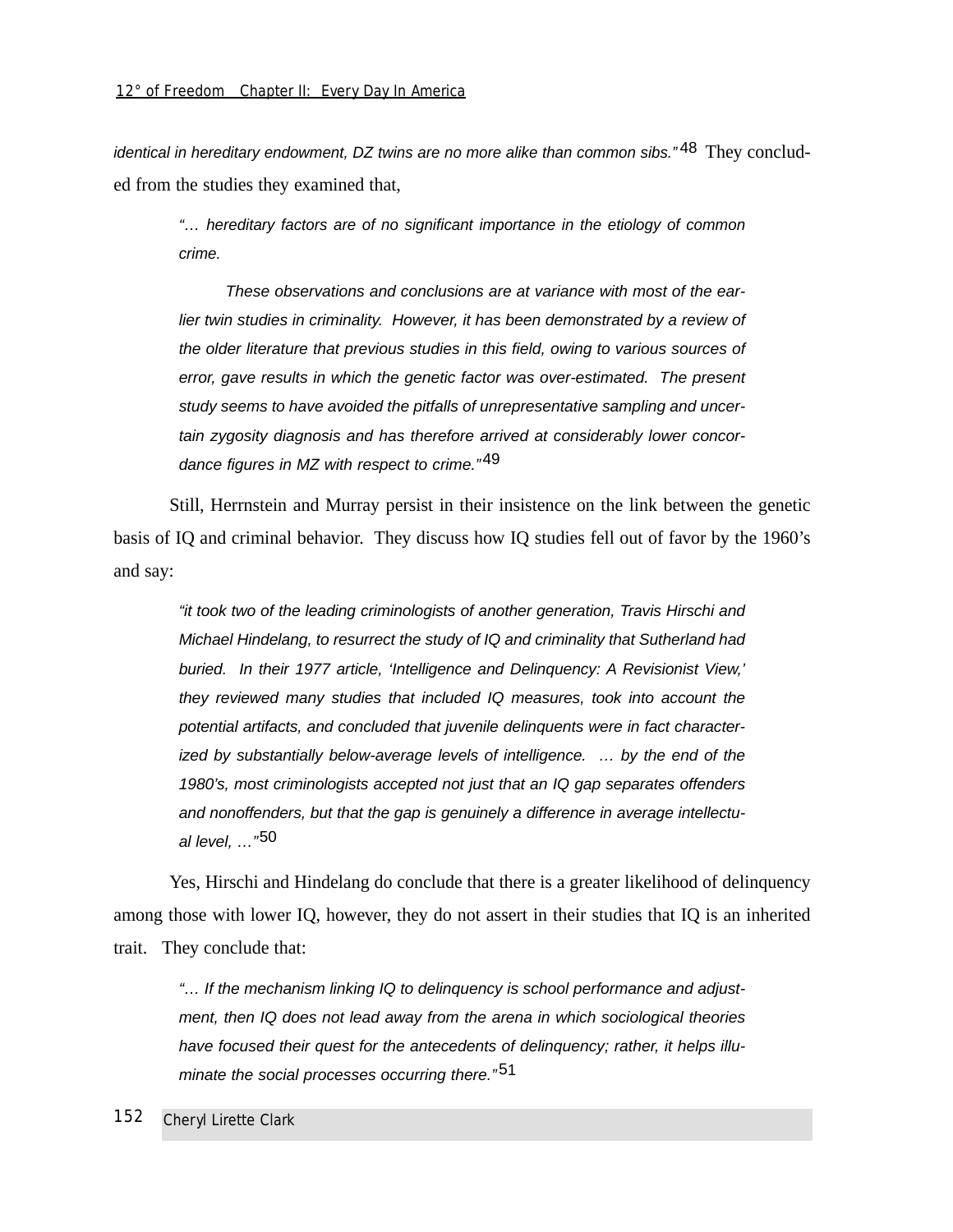identical in hereditary endowment, DZ twins are no more alike than common sibs."<sup>48</sup> They concluded from the studies they examined that,

"… hereditary factors are of no significant importance in the etiology of common crime.

These observations and conclusions are at variance with most of the earlier twin studies in criminality. However, it has been demonstrated by a review of the older literature that previous studies in this field, owing to various sources of error, gave results in which the genetic factor was over-estimated. The present study seems to have avoided the pitfalls of unrepresentative sampling and uncertain zygosity diagnosis and has therefore arrived at considerably lower concordance figures in MZ with respect to crime."49

Still, Herrnstein and Murray persist in their insistence on the link between the genetic basis of IQ and criminal behavior. They discuss how IQ studies fell out of favor by the 1960's and say:

"it took two of the leading criminologists of another generation, Travis Hirschi and Michael Hindelang, to resurrect the study of IQ and criminality that Sutherland had buried. In their 1977 article, 'Intelligence and Delinquency: A Revisionist View,' they reviewed many studies that included IQ measures, took into account the potential artifacts, and concluded that juvenile delinquents were in fact characterized by substantially below-average levels of intelligence. … by the end of the 1980's, most criminologists accepted not just that an IQ gap separates offenders and nonoffenders, but that the gap is genuinely a difference in average intellectual level, …"50

Yes, Hirschi and Hindelang do conclude that there is a greater likelihood of delinquency among those with lower IQ, however, they do not assert in their studies that IQ is an inherited trait. They conclude that:

"… If the mechanism linking IQ to delinquency is school performance and adjustment, then IQ does not lead away from the arena in which sociological theories have focused their quest for the antecedents of delinquency; rather, it helps illuminate the social processes occurring there."<sup>51</sup>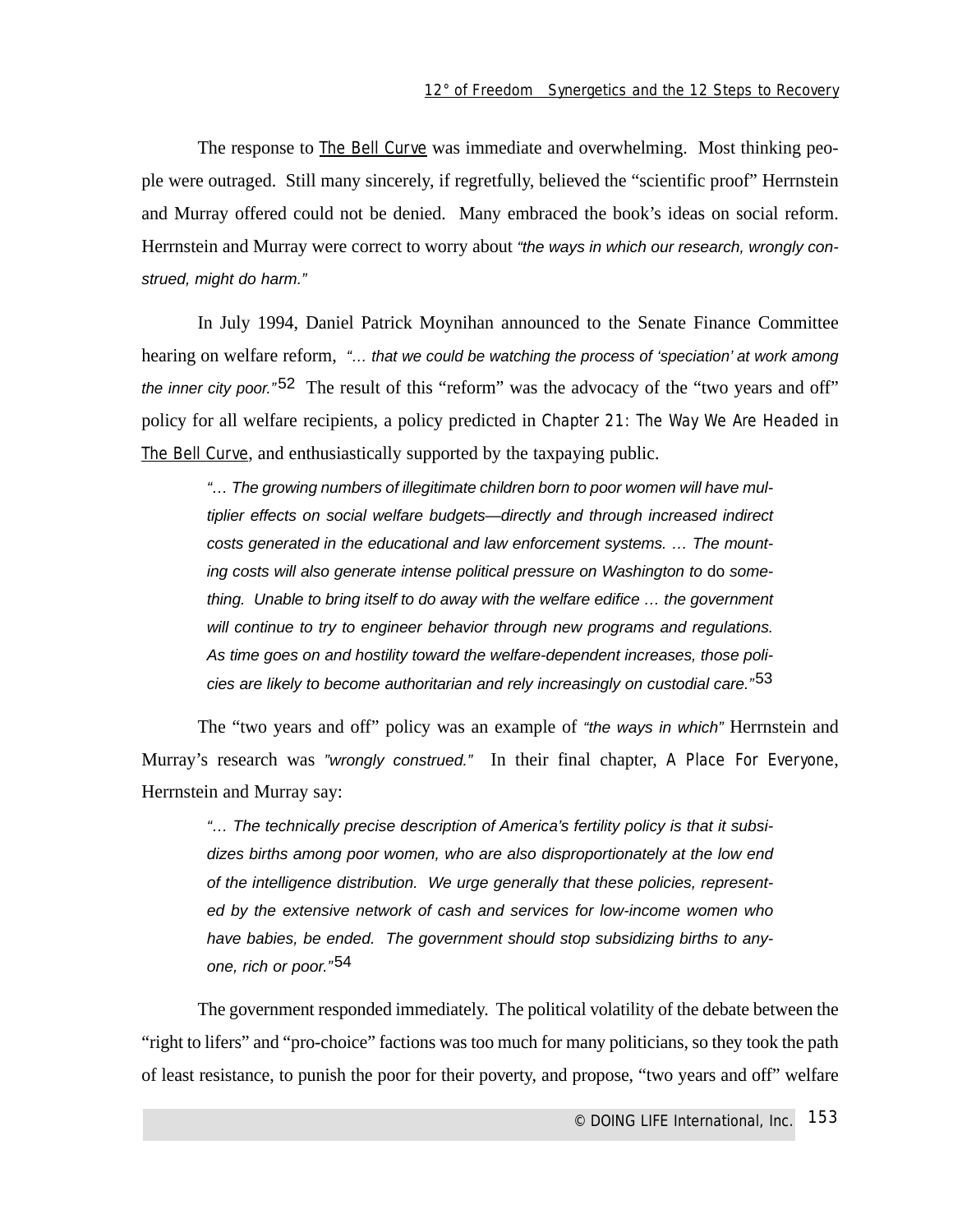The response to The Bell Curve was immediate and overwhelming. Most thinking people were outraged. Still many sincerely, if regretfully, believed the "scientific proof" Herrnstein and Murray offered could not be denied. Many embraced the book's ideas on social reform. Herrnstein and Murray were correct to worry about "the ways in which our research, wrongly construed, might do harm."

In July 1994, Daniel Patrick Moynihan announced to the Senate Finance Committee hearing on welfare reform, "... that we could be watching the process of 'speciation' at work among the inner city poor."<sup>52</sup> The result of this "reform" was the advocacy of the "two years and off" policy for all welfare recipients, a policy predicted in *Chapter 21: The Way We Are Headed* in The Bell Curve, and enthusiastically supported by the taxpaying public.

"… The growing numbers of illegitimate children born to poor women will have multiplier effects on social welfare budgets—directly and through increased indirect costs generated in the educational and law enforcement systems. … The mounting costs will also generate intense political pressure on Washington to do something. Unable to bring itself to do away with the welfare edifice … the government will continue to try to engineer behavior through new programs and regulations. As time goes on and hostility toward the welfare-dependent increases, those policies are likely to become authoritarian and rely increasingly on custodial care."<sup>53</sup>

The "two years and off" policy was an example of "the ways in which" Herrnstein and Murray's research was "wrongly construed." In their final chapter, *A Place For Everyone*, Herrnstein and Murray say:

"… The technically precise description of America's fertility policy is that it subsidizes births among poor women, who are also disproportionately at the low end of the intelligence distribution. We urge generally that these policies, represented by the extensive network of cash and services for low-income women who have babies, be ended. The government should stop subsidizing births to anyone, rich or poor."54

The government responded immediately. The political volatility of the debate between the "right to lifers" and "pro-choice" factions was too much for many politicians, so they took the path of least resistance, to punish the poor for their poverty, and propose, "two years and off" welfare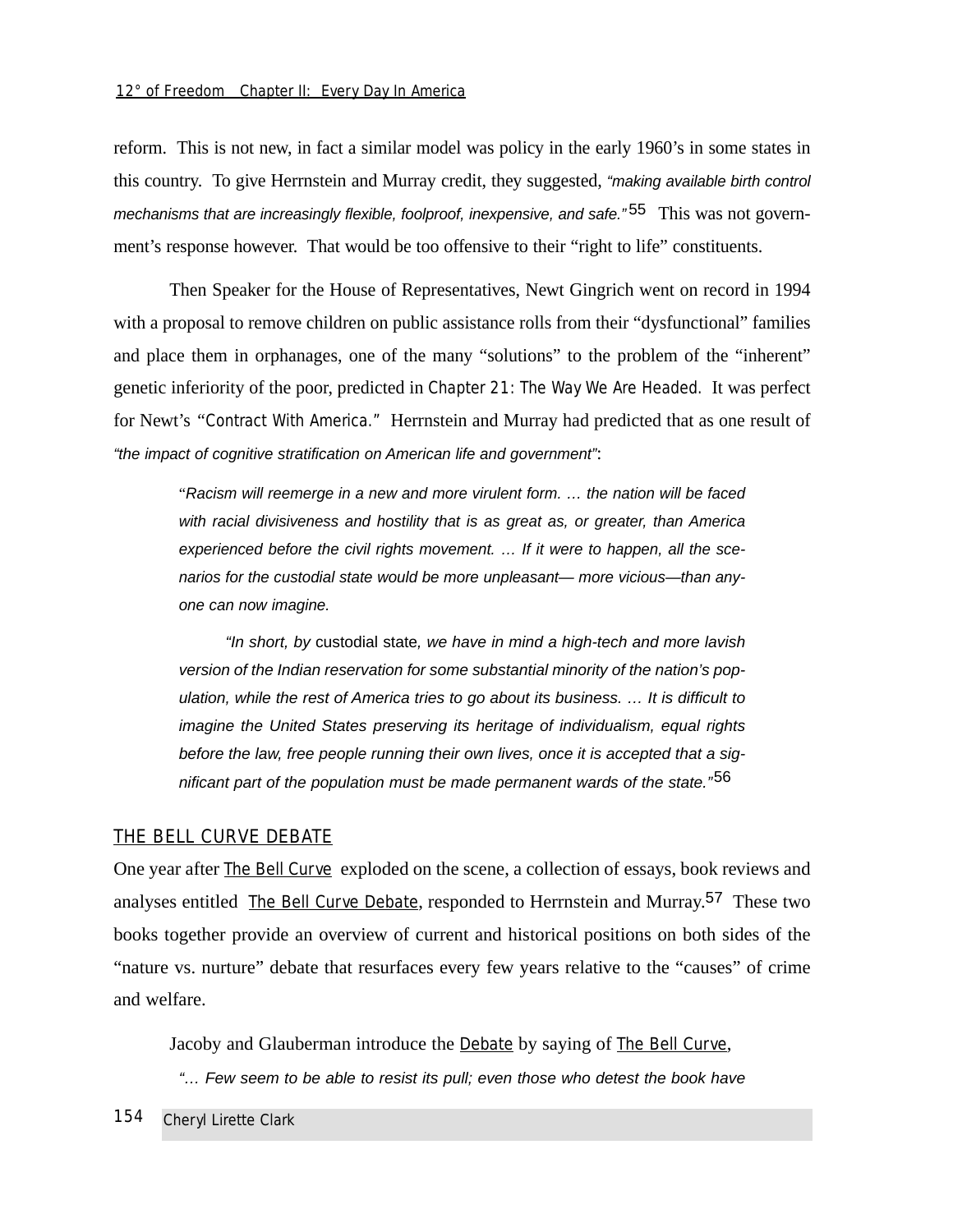#### *12° of Freedom Chapter II: Every Day In America*

reform. This is not new, in fact a similar model was policy in the early 1960's in some states in this country. To give Herrnstein and Murray credit, they suggested, "making available birth control mechanisms that are increasingly flexible, foolproof, inexpensive, and safe."<sup>55</sup> This was not government's response however. That would be too offensive to their "right to life" constituents.

Then Speaker for the House of Representatives, Newt Gingrich went on record in 1994 with a proposal to remove children on public assistance rolls from their "dysfunctional" families and place them in orphanages, one of the many "solutions" to the problem of the "inherent" genetic inferiority of the poor, predicted in *Chapter 21: The Way We Are Headed.* It was perfect for Newt's *"Contract With America."* Herrnstein and Murray had predicted that as one result of "the impact of cognitive stratification on American life and government":

"Racism will reemerge in a new and more virulent form. … the nation will be faced with racial divisiveness and hostility that is as great as, or greater, than America experienced before the civil rights movement. ... If it were to happen, all the scenarios for the custodial state would be more unpleasant— more vicious—than anyone can now imagine.

"In short, by custodial state, we have in mind a high-tech and more lavish version of the Indian reservation for some substantial minority of the nation's population, while the rest of America tries to go about its business. … It is difficult to imagine the United States preserving its heritage of individualism, equal rights before the law, free people running their own lives, once it is accepted that a significant part of the population must be made permanent wards of the state."<sup>56</sup>

### THE BELL CURVE DEBATE

One year after The Bell Curve exploded on the scene, a collection of essays, book reviews and analyses entitled The Bell Curve Debate, responded to Herrnstein and Murray.<sup>57</sup> These two books together provide an overview of current and historical positions on both sides of the "nature vs. nurture" debate that resurfaces every few years relative to the "causes" of crime and welfare.

Jacoby and Glauberman introduce the Debate by saying of The Bell Curve,

"… Few seem to be able to resist its pull; even those who detest the book have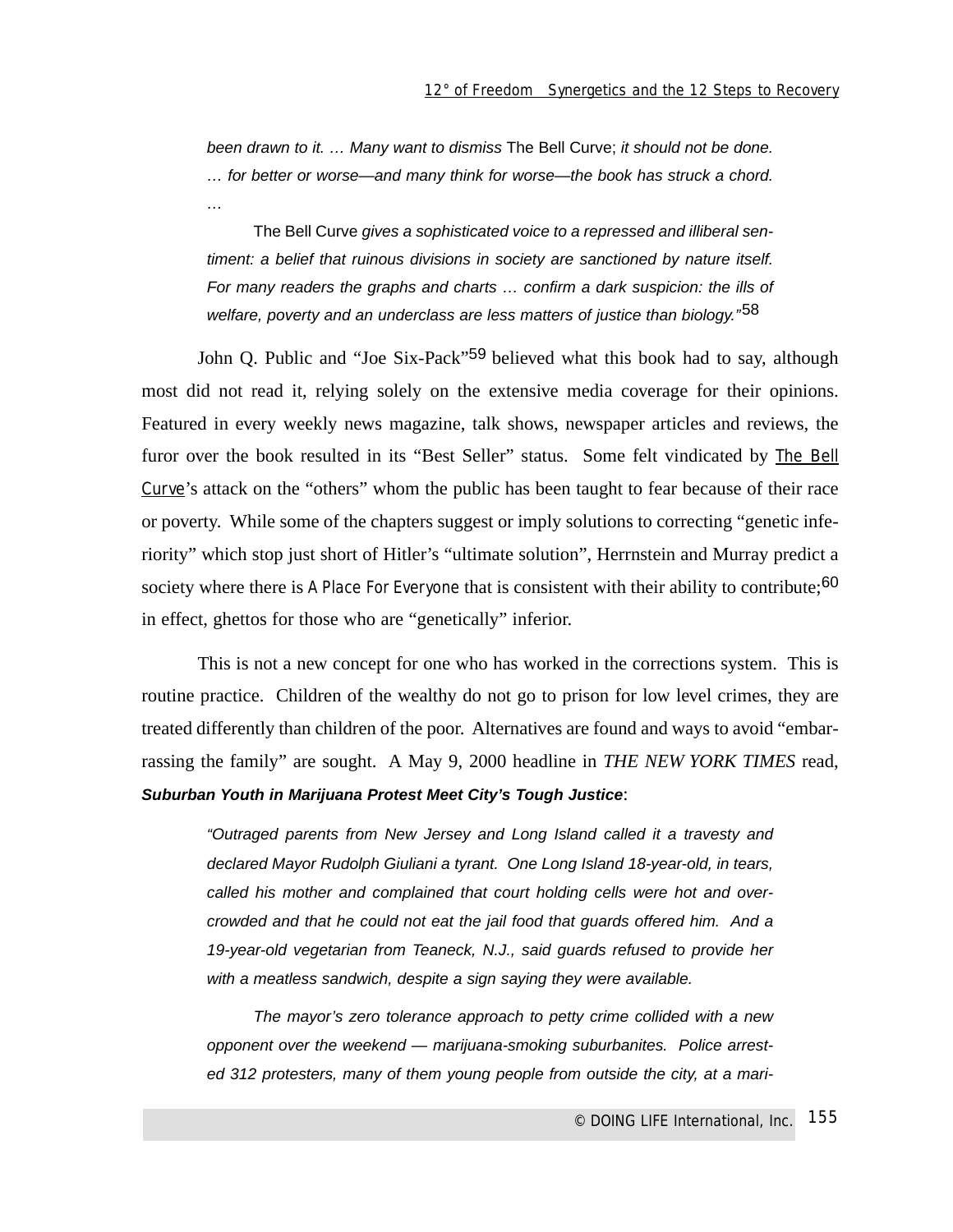been drawn to it. … Many want to dismiss The Bell Curve; it should not be done. … for better or worse—and many think for worse—the book has struck a chord. …

The Bell Curve gives a sophisticated voice to a repressed and illiberal sentiment: a belief that ruinous divisions in society are sanctioned by nature itself. For many readers the graphs and charts … confirm a dark suspicion: the ills of welfare, poverty and an underclass are less matters of justice than biology."<sup>58</sup>

John O. Public and "Joe Six-Pack"<sup>59</sup> believed what this book had to say, although most did not read it, relying solely on the extensive media coverage for their opinions. Featured in every weekly news magazine, talk shows, newspaper articles and reviews, the furor over the book resulted in its "Best Seller" status. Some felt vindicated by The Bell Curve's attack on the "others" whom the public has been taught to fear because of their race or poverty. While some of the chapters suggest or imply solutions to correcting "genetic inferiority" which stop just short of Hitler's "ultimate solution", Herrnstein and Murray predict a society where there is *A Place For Everyone* that is consistent with their ability to contribute;<sup>60</sup> in effect, ghettos for those who are "genetically" inferior.

This is not a new concept for one who has worked in the corrections system. This is routine practice. Children of the wealthy do not go to prison for low level crimes, they are treated differently than children of the poor. Alternatives are found and ways to avoid "embarrassing the family" are sought. A May 9, 2000 headline in *THE NEW YORK TIMES* read, **Suburban Youth in Marijuana Protest Meet City's Tough Justice**:

"Outraged parents from New Jersey and Long Island called it a travesty and declared Mayor Rudolph Giuliani a tyrant. One Long Island 18-year-old, in tears, called his mother and complained that court holding cells were hot and overcrowded and that he could not eat the jail food that guards offered him. And a 19-year-old vegetarian from Teaneck, N.J., said guards refused to provide her with a meatless sandwich, despite a sign saying they were available.

The mayor's zero tolerance approach to petty crime collided with a new opponent over the weekend — marijuana-smoking suburbanites. Police arrested 312 protesters, many of them young people from outside the city, at a mari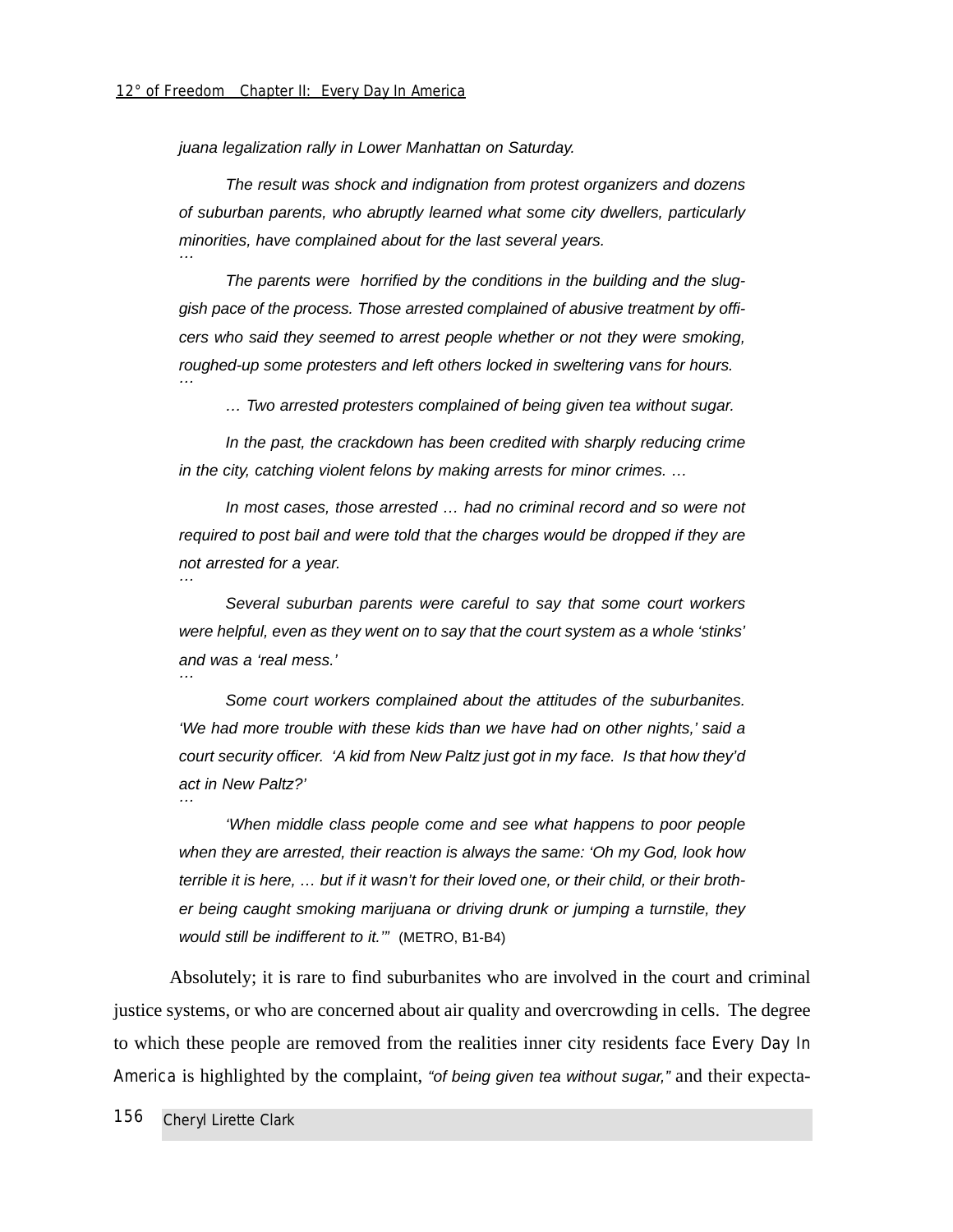juana legalization rally in Lower Manhattan on Saturday.

The result was shock and indignation from protest organizers and dozens of suburban parents, who abruptly learned what some city dwellers, particularly minorities, have complained about for the last several years. …

The parents were horrified by the conditions in the building and the sluggish pace of the process. Those arrested complained of abusive treatment by officers who said they seemed to arrest people whether or not they were smoking, roughed-up some protesters and left others locked in sweltering vans for hours. …

… Two arrested protesters complained of being given tea without sugar.

In the past, the crackdown has been credited with sharply reducing crime in the city, catching violent felons by making arrests for minor crimes. …

In most cases, those arrested … had no criminal record and so were not required to post bail and were told that the charges would be dropped if they are not arrested for a year. …

Several suburban parents were careful to say that some court workers were helpful, even as they went on to say that the court system as a whole 'stinks' and was a 'real mess.'

Some court workers complained about the attitudes of the suburbanites. 'We had more trouble with these kids than we have had on other nights,' said a court security officer. 'A kid from New Paltz just got in my face. Is that how they'd act in New Paltz?' …

'When middle class people come and see what happens to poor people when they are arrested, their reaction is always the same: 'Oh my God, look how terrible it is here, … but if it wasn't for their loved one, or their child, or their brother being caught smoking marijuana or driving drunk or jumping a turnstile, they would still be indifferent to it.'" (METRO, B1-B4)

Absolutely; it is rare to find suburbanites who are involved in the court and criminal justice systems, or who are concerned about air quality and overcrowding in cells. The degree to which these people are removed from the realities inner city residents face Every Day In America is highlighted by the complaint, "of being given tea without sugar," and their expecta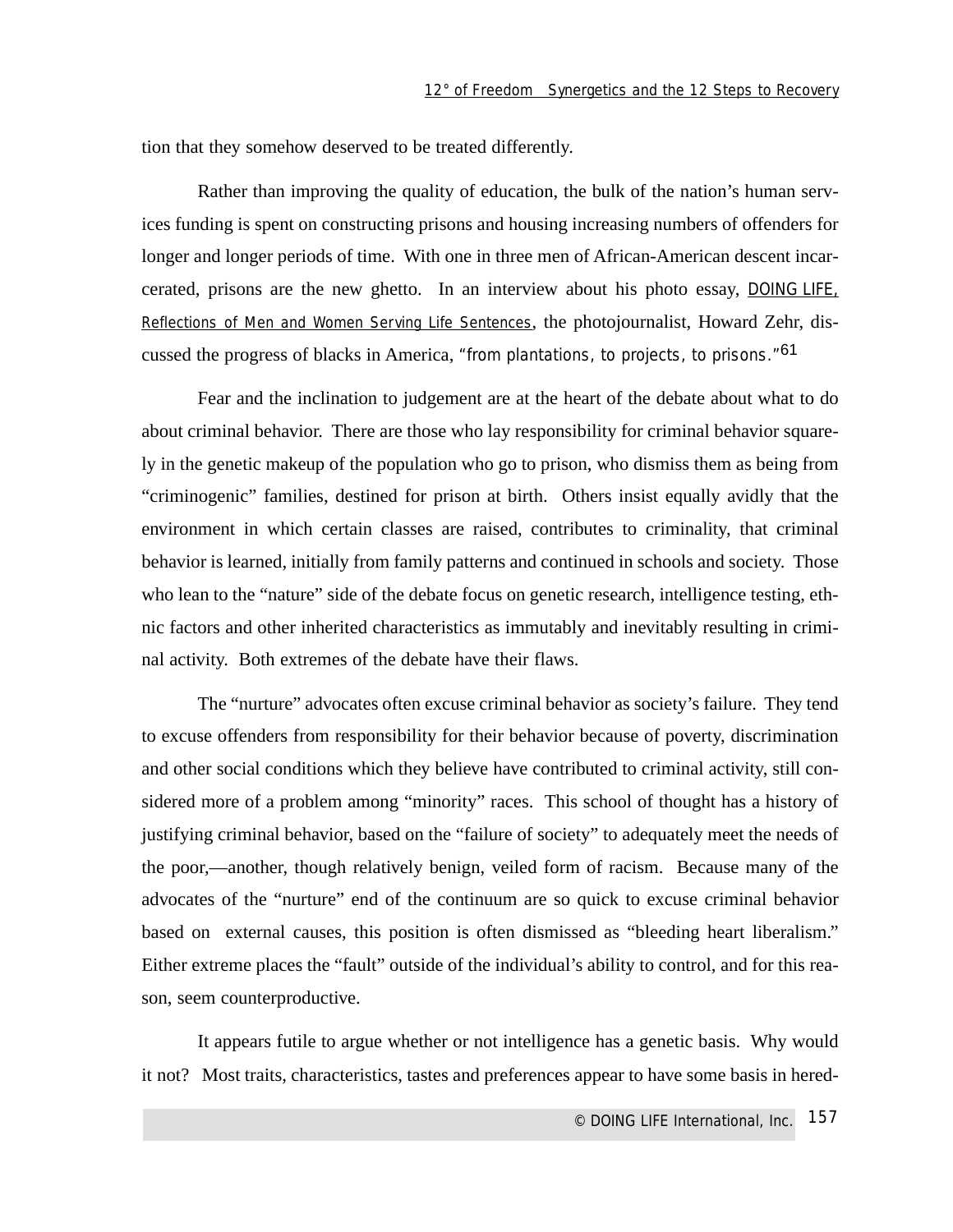tion that they somehow deserved to be treated differently.

Rather than improving the quality of education, the bulk of the nation's human services funding is spent on constructing prisons and housing increasing numbers of offenders for longer and longer periods of time. With one in three men of African-American descent incarcerated, prisons are the new ghetto. In an interview about his photo essay, DOING LIFE, Reflections of Men and Women Serving Life Sentences, the photojournalist, Howard Zehr, discussed the progress of blacks in America, *"from plantations, to projects, to prisons."*61

Fear and the inclination to judgement are at the heart of the debate about what to do about criminal behavior. There are those who lay responsibility for criminal behavior squarely in the genetic makeup of the population who go to prison, who dismiss them as being from "criminogenic" families, destined for prison at birth. Others insist equally avidly that the environment in which certain classes are raised, contributes to criminality, that criminal behavior is learned, initially from family patterns and continued in schools and society. Those who lean to the "nature" side of the debate focus on genetic research, intelligence testing, ethnic factors and other inherited characteristics as immutably and inevitably resulting in criminal activity. Both extremes of the debate have their flaws.

The "nurture" advocates often excuse criminal behavior as society's failure. They tend to excuse offenders from responsibility for their behavior because of poverty, discrimination and other social conditions which they believe have contributed to criminal activity, still considered more of a problem among "minority" races. This school of thought has a history of justifying criminal behavior, based on the "failure of society" to adequately meet the needs of the poor,—another, though relatively benign, veiled form of racism. Because many of the advocates of the "nurture" end of the continuum are so quick to excuse criminal behavior based on external causes, this position is often dismissed as "bleeding heart liberalism." Either extreme places the "fault" outside of the individual's ability to control, and for this reason, seem counterproductive.

It appears futile to argue whether or not intelligence has a genetic basis. Why would it not? Most traits, characteristics, tastes and preferences appear to have some basis in hered-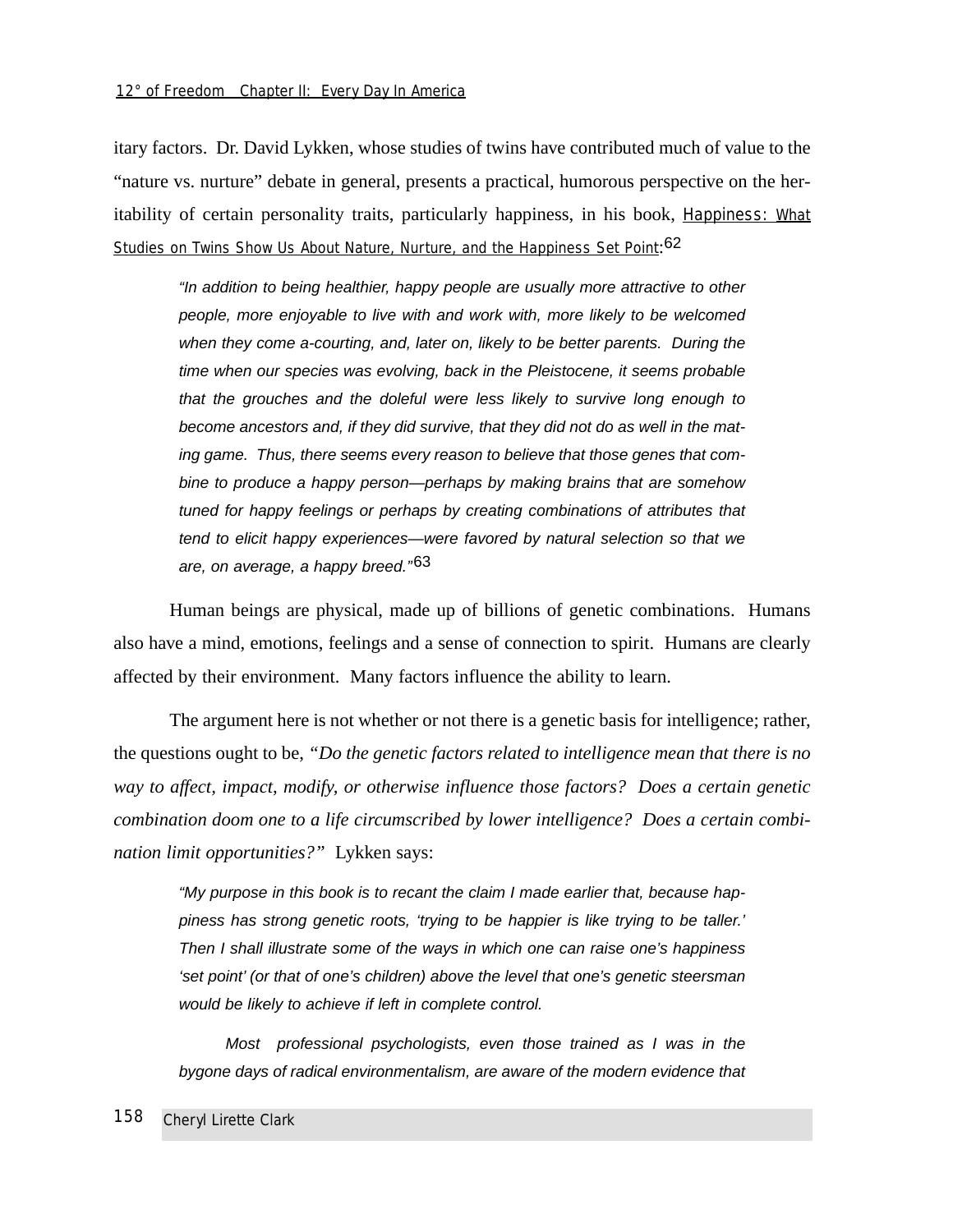#### *12° of Freedom Chapter II: Every Day In America*

itary factors. Dr. David Lykken, whose studies of twins have contributed much of value to the "nature vs. nurture" debate in general, presents a practical, humorous perspective on the heritability of certain personality traits, particularly happiness, in his book, Happiness: *What Studies on Twins Show Us About Nature, Nurture, and the Happiness Set Point*:62

"In addition to being healthier, happy people are usually more attractive to other people, more enjoyable to live with and work with, more likely to be welcomed when they come a-courting, and, later on, likely to be better parents. During the time when our species was evolving, back in the Pleistocene, it seems probable that the grouches and the doleful were less likely to survive long enough to become ancestors and, if they did survive, that they did not do as well in the mating game. Thus, there seems every reason to believe that those genes that combine to produce a happy person—perhaps by making brains that are somehow tuned for happy feelings or perhaps by creating combinations of attributes that tend to elicit happy experiences—were favored by natural selection so that we are, on average, a happy breed."63

Human beings are physical, made up of billions of genetic combinations. Humans also have a mind, emotions, feelings and a sense of connection to spirit. Humans are clearly affected by their environment. Many factors influence the ability to learn.

The argument here is not whether or not there is a genetic basis for intelligence; rather, the questions ought to be, *"Do the genetic factors related to intelligence mean that there is no way to affect, impact, modify, or otherwise influence those factors? Does a certain genetic combination doom one to a life circumscribed by lower intelligence? Does a certain combination limit opportunities?"* Lykken says:

"My purpose in this book is to recant the claim I made earlier that, because happiness has strong genetic roots, 'trying to be happier is like trying to be taller.' Then I shall illustrate some of the ways in which one can raise one's happiness 'set point' (or that of one's children) above the level that one's genetic steersman would be likely to achieve if left in complete control.

Most professional psychologists, even those trained as I was in the bygone days of radical environmentalism, are aware of the modern evidence that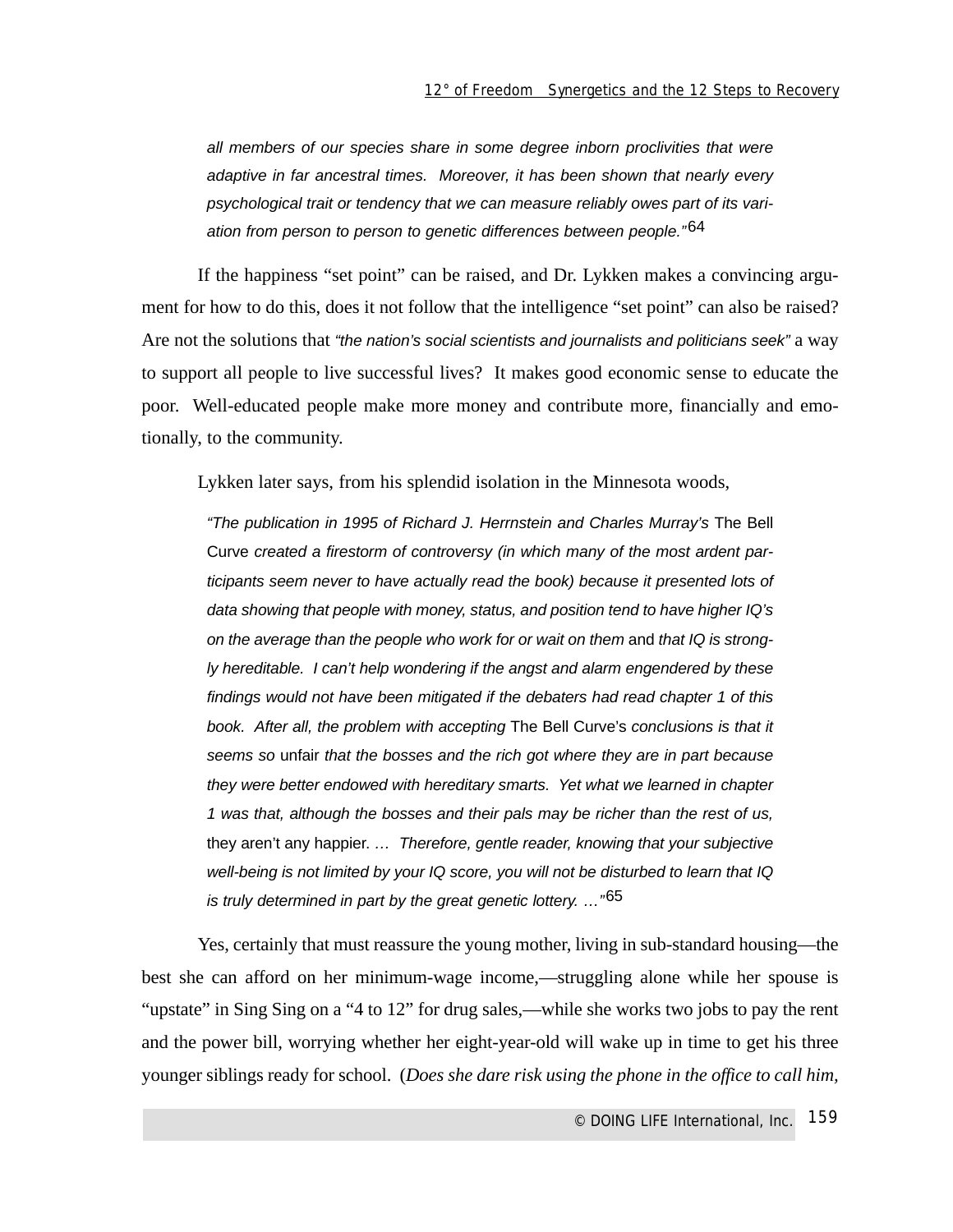all members of our species share in some degree inborn proclivities that were adaptive in far ancestral times. Moreover, it has been shown that nearly every psychological trait or tendency that we can measure reliably owes part of its variation from person to person to genetic differences between people."<sup>64</sup>

If the happiness "set point" can be raised, and Dr. Lykken makes a convincing argument for how to do this, does it not follow that the intelligence "set point" can also be raised? Are not the solutions that "the nation's social scientists and journalists and politicians seek" a way to support all people to live successful lives? It makes good economic sense to educate the poor. Well-educated people make more money and contribute more, financially and emotionally, to the community.

Lykken later says, from his splendid isolation in the Minnesota woods,

"The publication in 1995 of Richard J. Herrnstein and Charles Murray's The Bell Curve created a firestorm of controversy (in which many of the most ardent participants seem never to have actually read the book) because it presented lots of data showing that people with money, status, and position tend to have higher IQ's on the average than the people who work for or wait on them and that IQ is strongly hereditable. I can't help wondering if the angst and alarm engendered by these findings would not have been mitigated if the debaters had read chapter 1 of this book. After all, the problem with accepting The Bell Curve's conclusions is that it seems so unfair that the bosses and the rich got where they are in part because they were better endowed with hereditary smarts. Yet what we learned in chapter 1 was that, although the bosses and their pals may be richer than the rest of us, they aren't any happier. … Therefore, gentle reader, knowing that your subjective well-being is not limited by your IQ score, you will not be disturbed to learn that IQ is truly determined in part by the great genetic lottery.  $\ldots$ <sup>65</sup>

Yes, certainly that must reassure the young mother, living in sub-standard housing—the best she can afford on her minimum-wage income,—struggling alone while her spouse is "upstate" in Sing Sing on a "4 to 12" for drug sales,—while she works two jobs to pay the rent and the power bill, worrying whether her eight-year-old will wake up in time to get his three younger siblings ready for school. (*Does she dare risk using the phone in the office to call him,*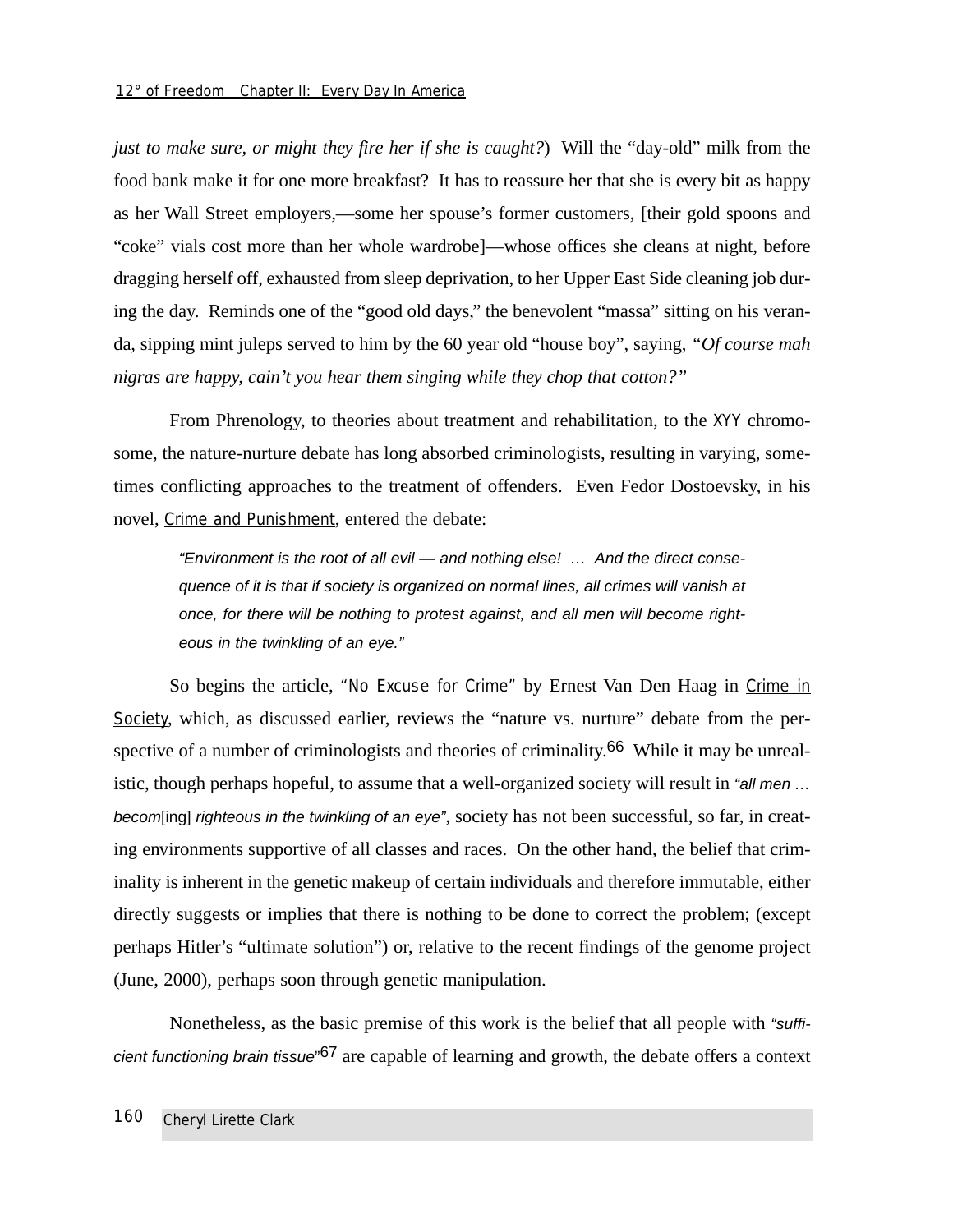*just to make sure, or might they fire her if she is caught?*) Will the "day-old" milk from the food bank make it for one more breakfast? It has to reassure her that she is every bit as happy as her Wall Street employers,—some her spouse's former customers, [their gold spoons and "coke" vials cost more than her whole wardrobe]—whose offices she cleans at night, before dragging herself off, exhausted from sleep deprivation, to her Upper East Side cleaning job during the day. Reminds one of the "good old days," the benevolent "massa" sitting on his veranda, sipping mint juleps served to him by the 60 year old "house boy", saying, *"Of course mah nigras are happy, cain't you hear them singing while they chop that cotton?"*

From Phrenology, to theories about treatment and rehabilitation, to the XYY chromosome, the nature-nurture debate has long absorbed criminologists, resulting in varying, sometimes conflicting approaches to the treatment of offenders. Even Fedor Dostoevsky, in his novel, Crime and Punishment, entered the debate:

"Environment is the root of all evil — and nothing else! … And the direct consequence of it is that if society is organized on normal lines, all crimes will vanish at once, for there will be nothing to protest against, and all men will become righteous in the twinkling of an eye."

So begins the article, *"No Excuse for Crime"* by Ernest Van Den Haag in Crime in Society, which, as discussed earlier, reviews the "nature vs. nurture" debate from the perspective of a number of criminologists and theories of criminality.<sup>66</sup> While it may be unrealistic, though perhaps hopeful, to assume that a well-organized society will result in "all men ... becomen righteous in the twinkling of an eye", society has not been successful, so far, in creating environments supportive of all classes and races. On the other hand, the belief that criminality is inherent in the genetic makeup of certain individuals and therefore immutable, either directly suggests or implies that there is nothing to be done to correct the problem; (except perhaps Hitler's "ultimate solution") or, relative to the recent findings of the genome project (June, 2000), perhaps soon through genetic manipulation.

Nonetheless, as the basic premise of this work is the belief that all people with "sufficient functioning brain tissue"<sup>67</sup> are capable of learning and growth, the debate offers a context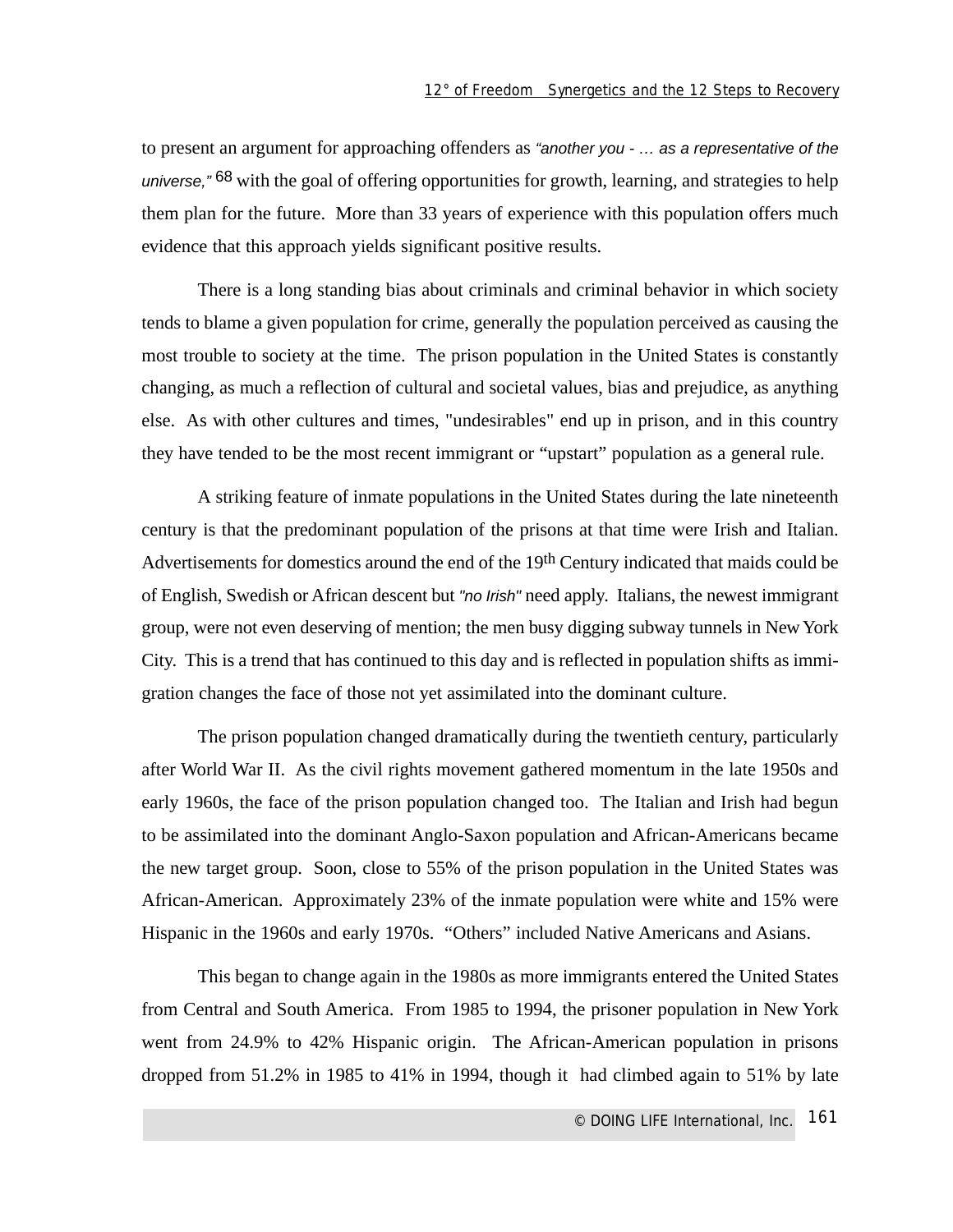to present an argument for approaching offenders as "another you - … as a representative of the universe,<sup>"68</sup> with the goal of offering opportunities for growth, learning, and strategies to help them plan for the future. More than 33 years of experience with this population offers much evidence that this approach yields significant positive results.

There is a long standing bias about criminals and criminal behavior in which society tends to blame a given population for crime, generally the population perceived as causing the most trouble to society at the time. The prison population in the United States is constantly changing, as much a reflection of cultural and societal values, bias and prejudice, as anything else. As with other cultures and times, "undesirables" end up in prison, and in this country they have tended to be the most recent immigrant or "upstart" population as a general rule.

A striking feature of inmate populations in the United States during the late nineteenth century is that the predominant population of the prisons at that time were Irish and Italian. Advertisements for domestics around the end of the 19<sup>th</sup> Century indicated that maids could be of English, Swedish or African descent but "no Irish" need apply. Italians, the newest immigrant group, were not even deserving of mention; the men busy digging subway tunnels in New York City. This is a trend that has continued to this day and is reflected in population shifts as immigration changes the face of those not yet assimilated into the dominant culture.

The prison population changed dramatically during the twentieth century, particularly after World War II. As the civil rights movement gathered momentum in the late 1950s and early 1960s, the face of the prison population changed too. The Italian and Irish had begun to be assimilated into the dominant Anglo-Saxon population and African-Americans became the new target group. Soon, close to 55% of the prison population in the United States was African-American. Approximately 23% of the inmate population were white and 15% were Hispanic in the 1960s and early 1970s. "Others" included Native Americans and Asians.

This began to change again in the 1980s as more immigrants entered the United States from Central and South America. From 1985 to 1994, the prisoner population in New York went from 24.9% to 42% Hispanic origin. The African-American population in prisons dropped from 51.2% in 1985 to 41% in 1994, though it had climbed again to 51% by late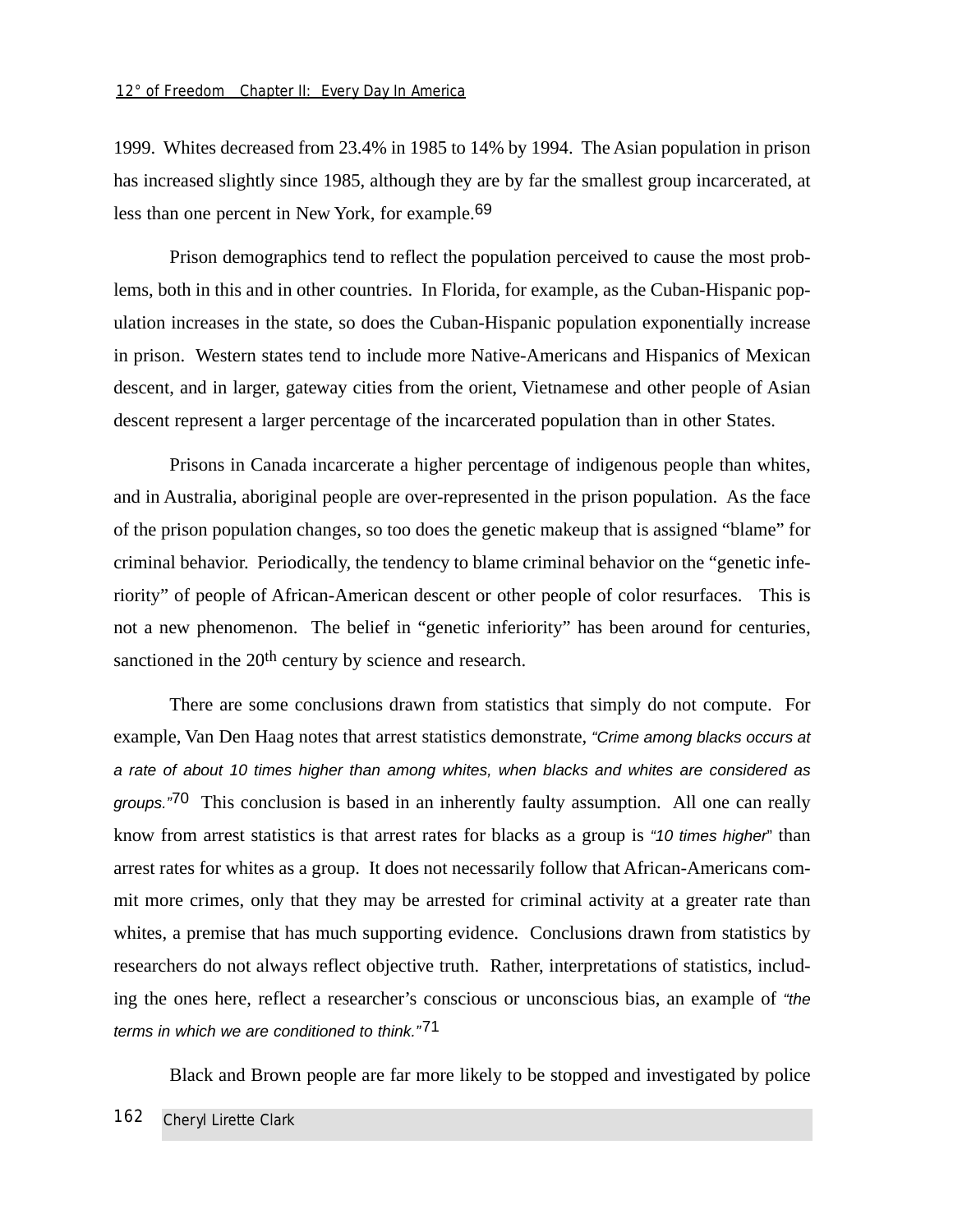1999. Whites decreased from 23.4% in 1985 to 14% by 1994. The Asian population in prison has increased slightly since 1985, although they are by far the smallest group incarcerated, at less than one percent in New York, for example.69

Prison demographics tend to reflect the population perceived to cause the most problems, both in this and in other countries. In Florida, for example, as the Cuban-Hispanic population increases in the state, so does the Cuban-Hispanic population exponentially increase in prison. Western states tend to include more Native-Americans and Hispanics of Mexican descent, and in larger, gateway cities from the orient, Vietnamese and other people of Asian descent represent a larger percentage of the incarcerated population than in other States.

Prisons in Canada incarcerate a higher percentage of indigenous people than whites, and in Australia, aboriginal people are over-represented in the prison population. As the face of the prison population changes, so too does the genetic makeup that is assigned "blame" for criminal behavior. Periodically, the tendency to blame criminal behavior on the "genetic inferiority" of people of African-American descent or other people of color resurfaces. This is not a new phenomenon. The belief in "genetic inferiority" has been around for centuries, sanctioned in the 20<sup>th</sup> century by science and research.

There are some conclusions drawn from statistics that simply do not compute. For example, Van Den Haag notes that arrest statistics demonstrate, "Crime among blacks occurs at a rate of about 10 times higher than among whites, when blacks and whites are considered as groups.<sup>"70</sup> This conclusion is based in an inherently faulty assumption. All one can really know from arrest statistics is that arrest rates for blacks as a group is "10 times higher" than arrest rates for whites as a group. It does not necessarily follow that African-Americans commit more crimes, only that they may be arrested for criminal activity at a greater rate than whites, a premise that has much supporting evidence. Conclusions drawn from statistics by researchers do not always reflect objective truth. Rather, interpretations of statistics, including the ones here, reflect a researcher's conscious or unconscious bias, an example of "the terms in which we are conditioned to think."<sup>71</sup>

Black and Brown people are far more likely to be stopped and investigated by police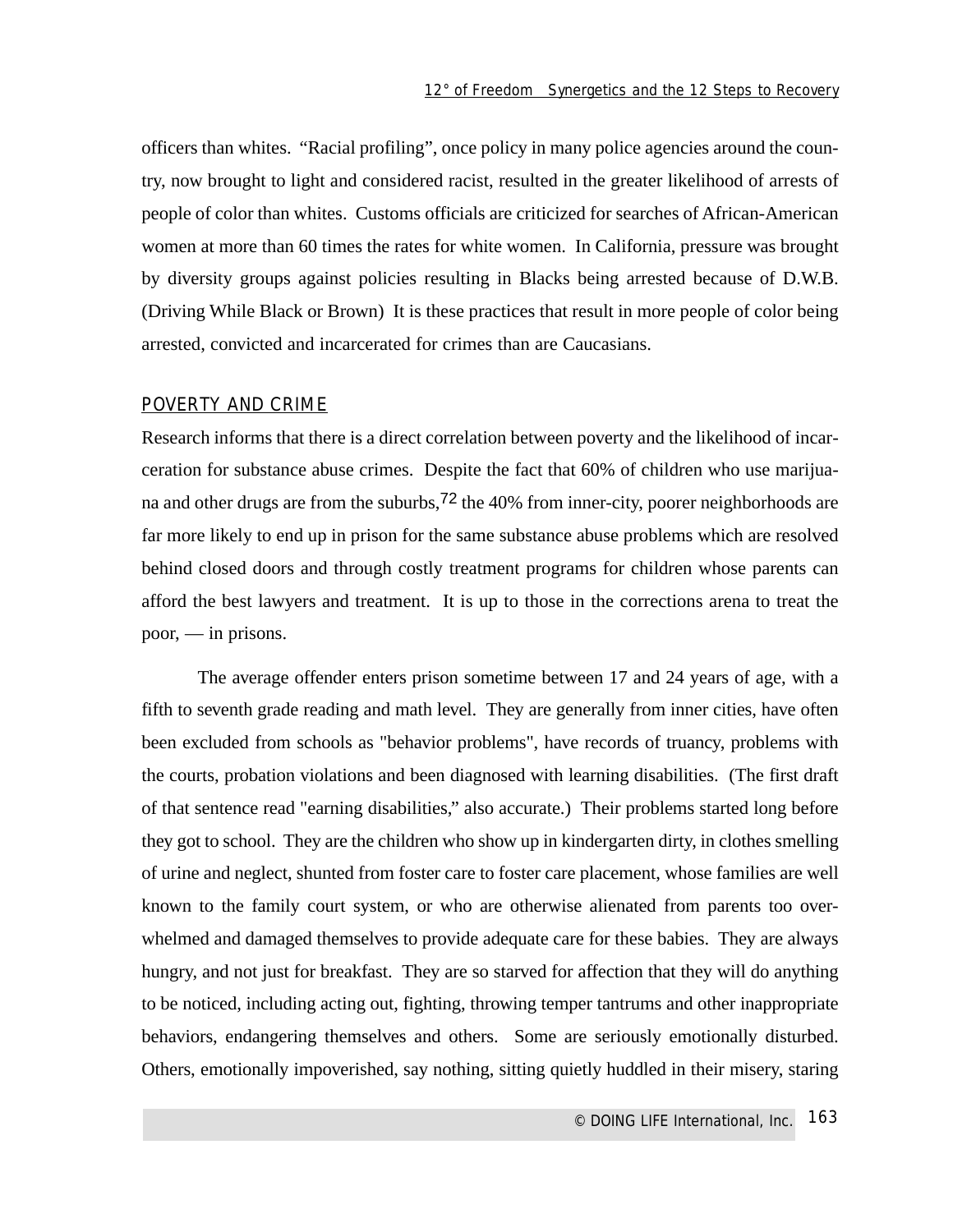officers than whites. "Racial profiling", once policy in many police agencies around the country, now brought to light and considered racist, resulted in the greater likelihood of arrests of people of color than whites. Customs officials are criticized for searches of African-American women at more than 60 times the rates for white women. In California, pressure was brought by diversity groups against policies resulting in Blacks being arrested because of D.W.B. (Driving While Black or Brown) It is these practices that result in more people of color being arrested, convicted and incarcerated for crimes than are Caucasians.

### POVERTY AND CRIME

Research informs that there is a direct correlation between poverty and the likelihood of incarceration for substance abuse crimes. Despite the fact that 60% of children who use marijuana and other drugs are from the suburbs,  $72$  the 40% from inner-city, poorer neighborhoods are far more likely to end up in prison for the same substance abuse problems which are resolved behind closed doors and through costly treatment programs for children whose parents can afford the best lawyers and treatment. It is up to those in the corrections arena to treat the poor, — in prisons.

The average offender enters prison sometime between 17 and 24 years of age, with a fifth to seventh grade reading and math level. They are generally from inner cities, have often been excluded from schools as "behavior problems", have records of truancy, problems with the courts, probation violations and been diagnosed with learning disabilities. (The first draft of that sentence read "earning disabilities," also accurate.) Their problems started long before they got to school. They are the children who show up in kindergarten dirty, in clothes smelling of urine and neglect, shunted from foster care to foster care placement, whose families are well known to the family court system, or who are otherwise alienated from parents too overwhelmed and damaged themselves to provide adequate care for these babies. They are always hungry, and not just for breakfast. They are so starved for affection that they will do anything to be noticed, including acting out, fighting, throwing temper tantrums and other inappropriate behaviors, endangering themselves and others. Some are seriously emotionally disturbed. Others, emotionally impoverished, say nothing, sitting quietly huddled in their misery, staring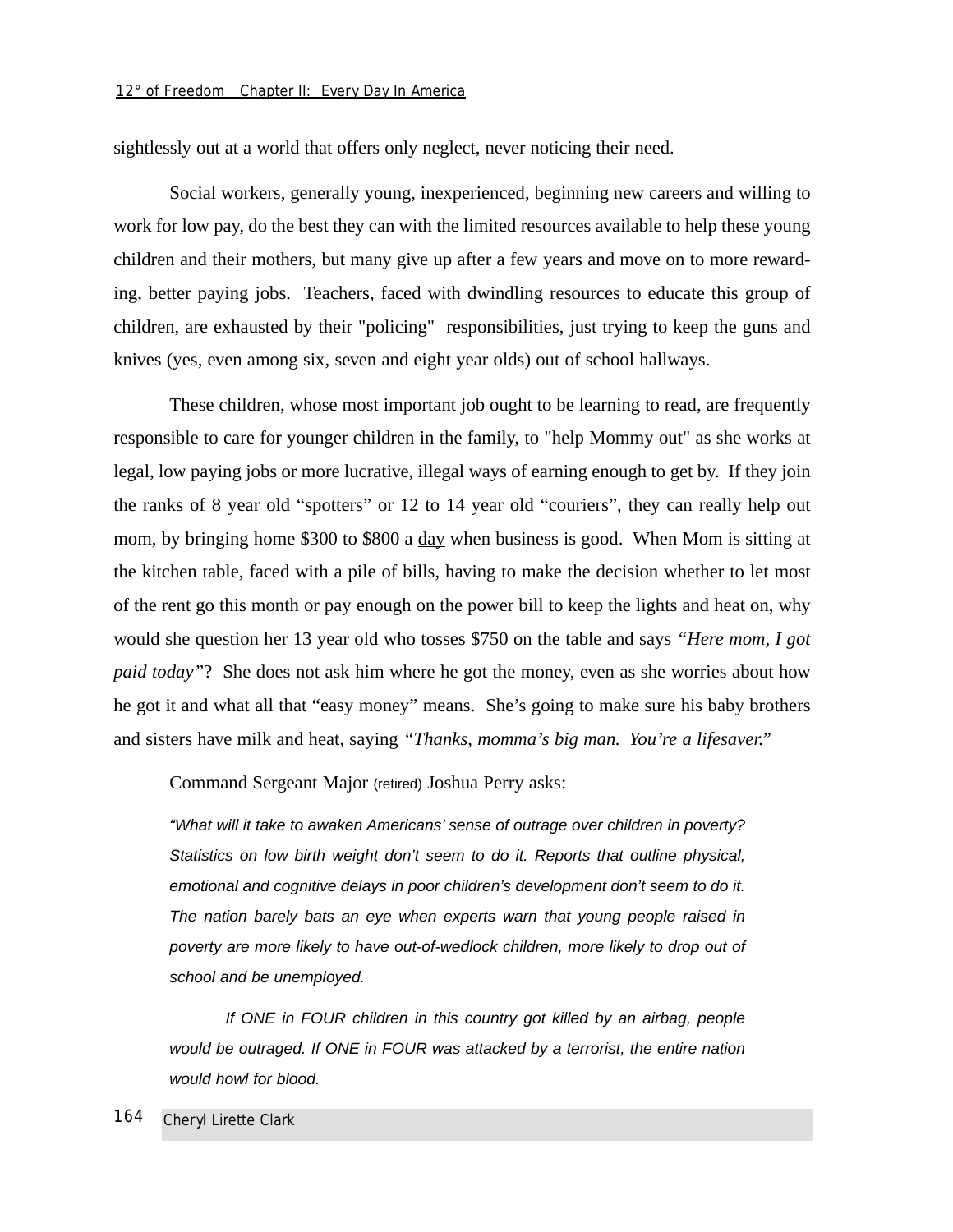sightlessly out at a world that offers only neglect, never noticing their need.

Social workers, generally young, inexperienced, beginning new careers and willing to work for low pay, do the best they can with the limited resources available to help these young children and their mothers, but many give up after a few years and move on to more rewarding, better paying jobs. Teachers, faced with dwindling resources to educate this group of children, are exhausted by their "policing" responsibilities, just trying to keep the guns and knives (yes, even among six, seven and eight year olds) out of school hallways.

These children, whose most important job ought to be learning to read, are frequently responsible to care for younger children in the family, to "help Mommy out" as she works at legal, low paying jobs or more lucrative, illegal ways of earning enough to get by. If they join the ranks of 8 year old "spotters" or 12 to 14 year old "couriers", they can really help out mom, by bringing home \$300 to \$800 a day when business is good. When Mom is sitting at the kitchen table, faced with a pile of bills, having to make the decision whether to let most of the rent go this month or pay enough on the power bill to keep the lights and heat on, why would she question her 13 year old who tosses \$750 on the table and says *"Here mom, I got paid today"*? She does not ask him where he got the money, even as she worries about how he got it and what all that "easy money" means. She's going to make sure his baby brothers and sisters have milk and heat, saying *"Thanks, momma's big man. You're a lifesaver."*

Command Sergeant Major (retired) Joshua Perry asks:

"What will it take to awaken Americans' sense of outrage over children in poverty? Statistics on low birth weight don't seem to do it. Reports that outline physical, emotional and cognitive delays in poor children's development don't seem to do it. The nation barely bats an eye when experts warn that young people raised in poverty are more likely to have out-of-wedlock children, more likely to drop out of school and be unemployed.

If ONE in FOUR children in this country got killed by an airbag, people would be outraged. If ONE in FOUR was attacked by a terrorist, the entire nation would howl for blood.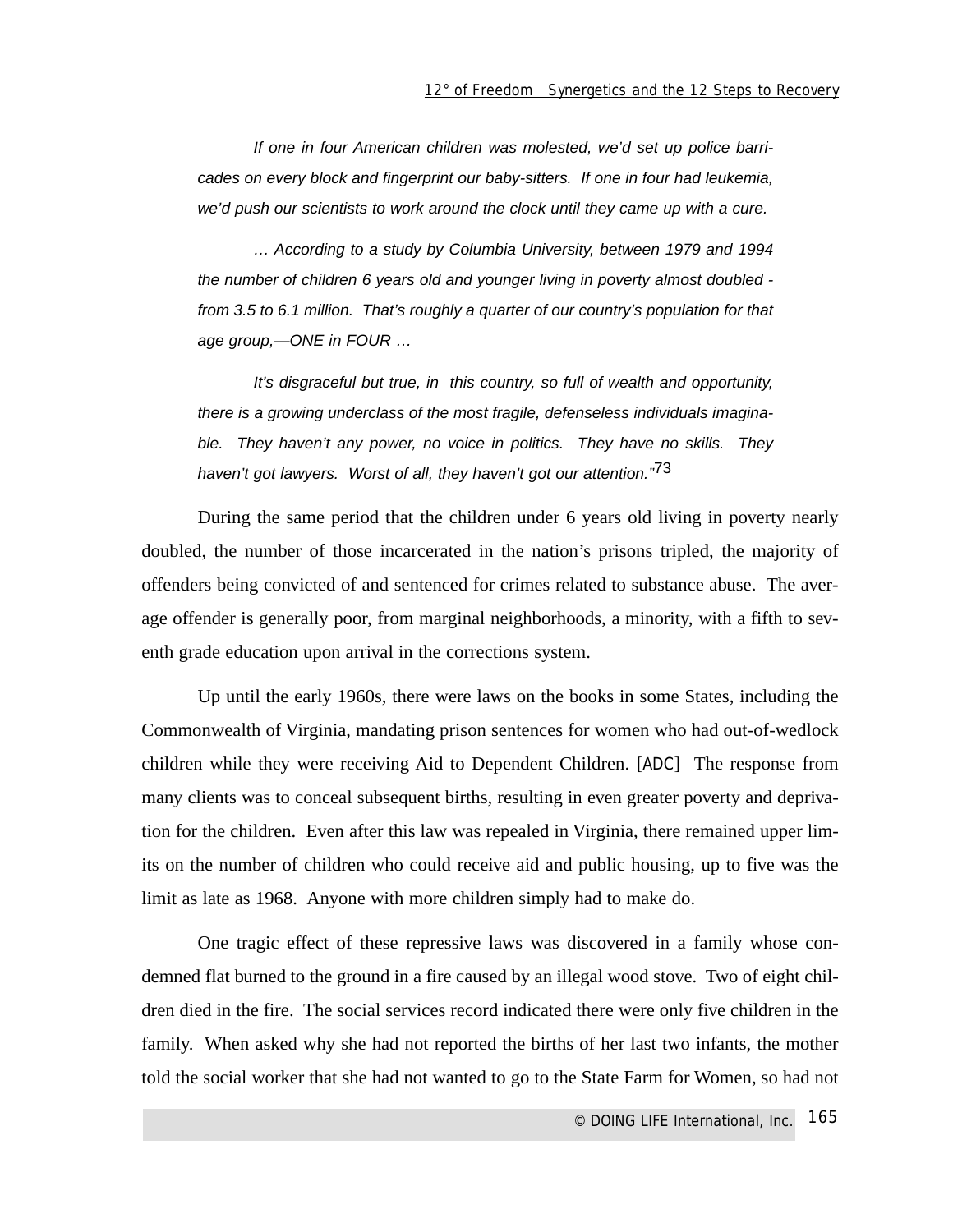If one in four American children was molested, we'd set up police barricades on every block and fingerprint our baby-sitters. If one in four had leukemia, we'd push our scientists to work around the clock until they came up with a cure.

… According to a study by Columbia University, between 1979 and 1994 the number of children 6 years old and younger living in poverty almost doubled from 3.5 to 6.1 million. That's roughly a quarter of our country's population for that age group,—ONE in FOUR …

It's disgraceful but true, in this country, so full of wealth and opportunity, there is a growing underclass of the most fragile, defenseless individuals imaginable. They haven't any power, no voice in politics. They have no skills. They haven't got lawyers. Worst of all, they haven't got our attention."<sup>73</sup>

During the same period that the children under 6 years old living in poverty nearly doubled, the number of those incarcerated in the nation's prisons tripled, the majority of offenders being convicted of and sentenced for crimes related to substance abuse. The average offender is generally poor, from marginal neighborhoods, a minority, with a fifth to seventh grade education upon arrival in the corrections system.

Up until the early 1960s, there were laws on the books in some States, including the Commonwealth of Virginia, mandating prison sentences for women who had out-of-wedlock children while they were receiving Aid to Dependent Children. [ADC] The response from many clients was to conceal subsequent births, resulting in even greater poverty and deprivation for the children. Even after this law was repealed in Virginia, there remained upper limits on the number of children who could receive aid and public housing, up to five was the limit as late as 1968. Anyone with more children simply had to make do.

One tragic effect of these repressive laws was discovered in a family whose condemned flat burned to the ground in a fire caused by an illegal wood stove. Two of eight children died in the fire. The social services record indicated there were only five children in the family. When asked why she had not reported the births of her last two infants, the mother told the social worker that she had not wanted to go to the State Farm for Women, so had not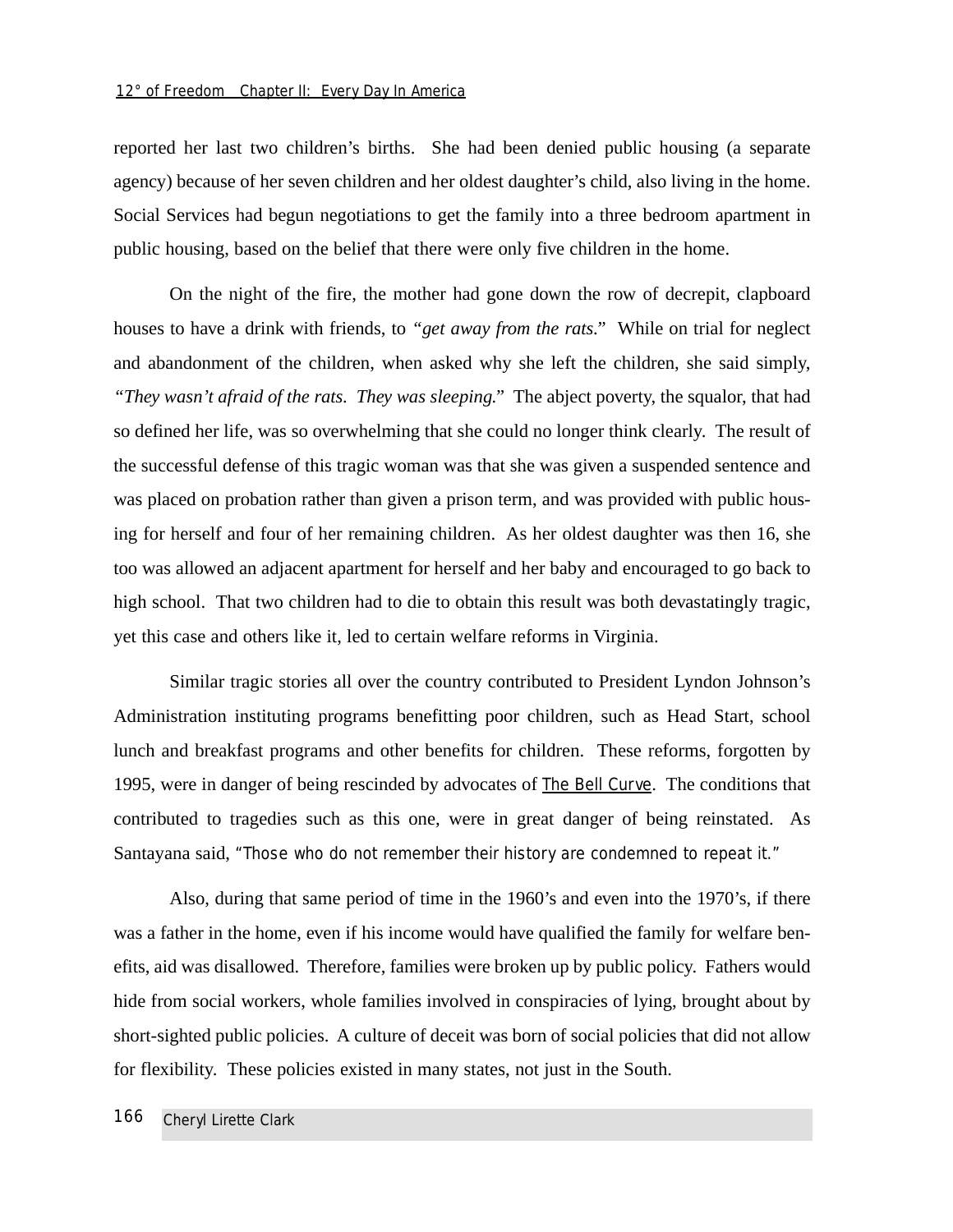reported her last two children's births. She had been denied public housing (a separate agency) because of her seven children and her oldest daughter's child, also living in the home. Social Services had begun negotiations to get the family into a three bedroom apartment in public housing, based on the belief that there were only five children in the home.

On the night of the fire, the mother had gone down the row of decrepit, clapboard houses to have a drink with friends, to *"get away from the rats."* While on trial for neglect and abandonment of the children, when asked why she left the children, she said simply, *"They wasn't afraid of the rats. They was sleeping."* The abject poverty, the squalor, that had so defined her life, was so overwhelming that she could no longer think clearly. The result of the successful defense of this tragic woman was that she was given a suspended sentence and was placed on probation rather than given a prison term, and was provided with public housing for herself and four of her remaining children. As her oldest daughter was then 16, she too was allowed an adjacent apartment for herself and her baby and encouraged to go back to high school. That two children had to die to obtain this result was both devastatingly tragic, yet this case and others like it, led to certain welfare reforms in Virginia.

Similar tragic stories all over the country contributed to President Lyndon Johnson's Administration instituting programs benefitting poor children, such as Head Start, school lunch and breakfast programs and other benefits for children. These reforms, forgotten by 1995, were in danger of being rescinded by advocates of The Bell Curve. The conditions that contributed to tragedies such as this one, were in great danger of being reinstated. As Santayana said, *"Those who do not remember their history are condemned to repeat it."*

Also, during that same period of time in the 1960's and even into the 1970's, if there was a father in the home, even if his income would have qualified the family for welfare benefits, aid was disallowed. Therefore, families were broken up by public policy. Fathers would hide from social workers, whole families involved in conspiracies of lying, brought about by short-sighted public policies. A culture of deceit was born of social policies that did not allow for flexibility. These policies existed in many states, not just in the South.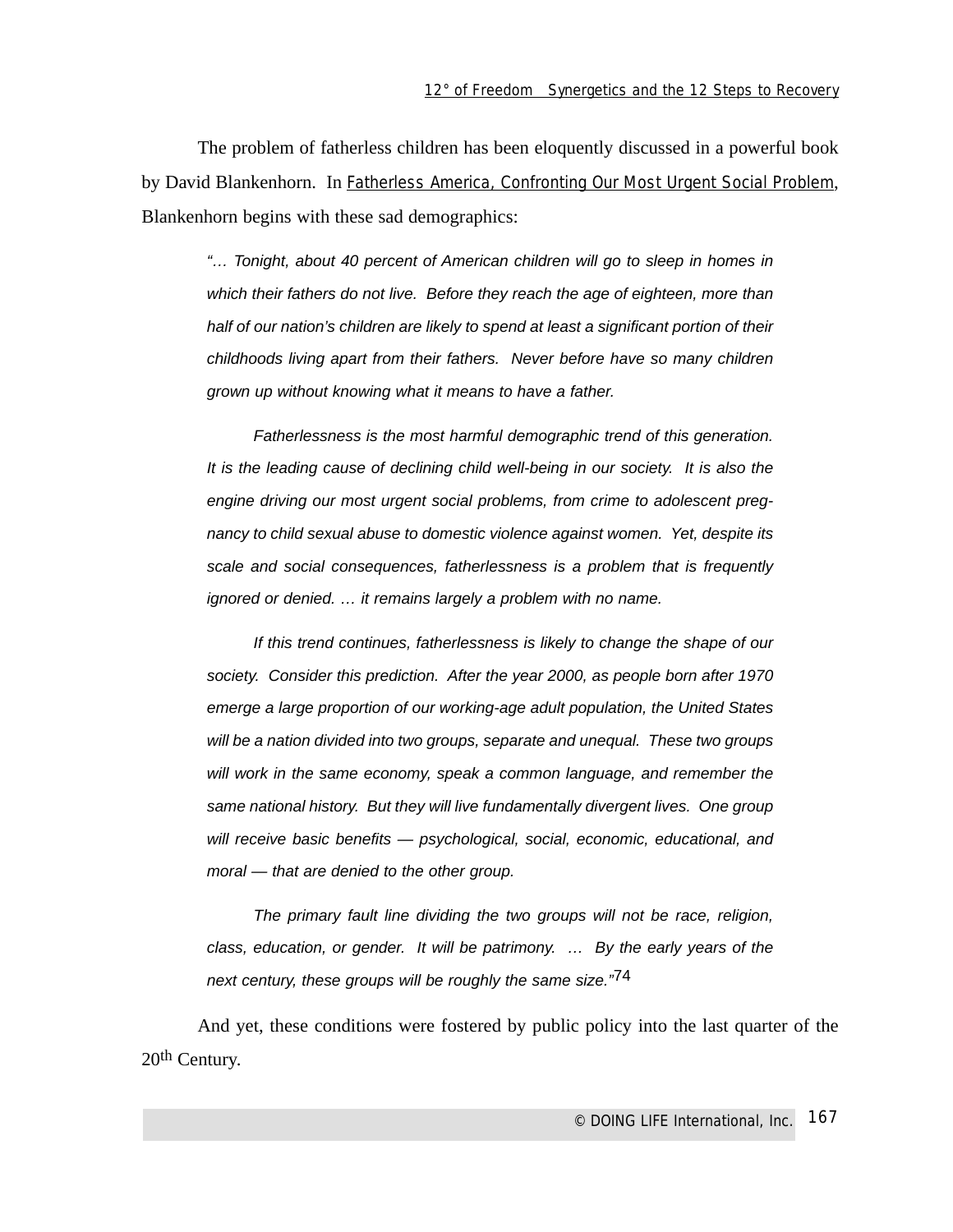The problem of fatherless children has been eloquently discussed in a powerful book by David Blankenhorn. In Fatherless America, *Confronting Our Most Urgent Social Problem*, Blankenhorn begins with these sad demographics:

"… Tonight, about 40 percent of American children will go to sleep in homes in which their fathers do not live. Before they reach the age of eighteen, more than half of our nation's children are likely to spend at least a significant portion of their childhoods living apart from their fathers. Never before have so many children grown up without knowing what it means to have a father.

Fatherlessness is the most harmful demographic trend of this generation. It is the leading cause of declining child well-being in our society. It is also the engine driving our most urgent social problems, from crime to adolescent pregnancy to child sexual abuse to domestic violence against women. Yet, despite its scale and social consequences, fatherlessness is a problem that is frequently ignored or denied. … it remains largely a problem with no name.

If this trend continues, fatherlessness is likely to change the shape of our society. Consider this prediction. After the year 2000, as people born after 1970 emerge a large proportion of our working-age adult population, the United States will be a nation divided into two groups, separate and unequal. These two groups will work in the same economy, speak a common language, and remember the same national history. But they will live fundamentally divergent lives. One group will receive basic benefits - psychological, social, economic, educational, and moral — that are denied to the other group.

The primary fault line dividing the two groups will not be race, religion, class, education, or gender. It will be patrimony. … By the early years of the next century, these groups will be roughly the same size. $^{n74}$ 

And yet, these conditions were fostered by public policy into the last quarter of the 20<sup>th</sup> Century.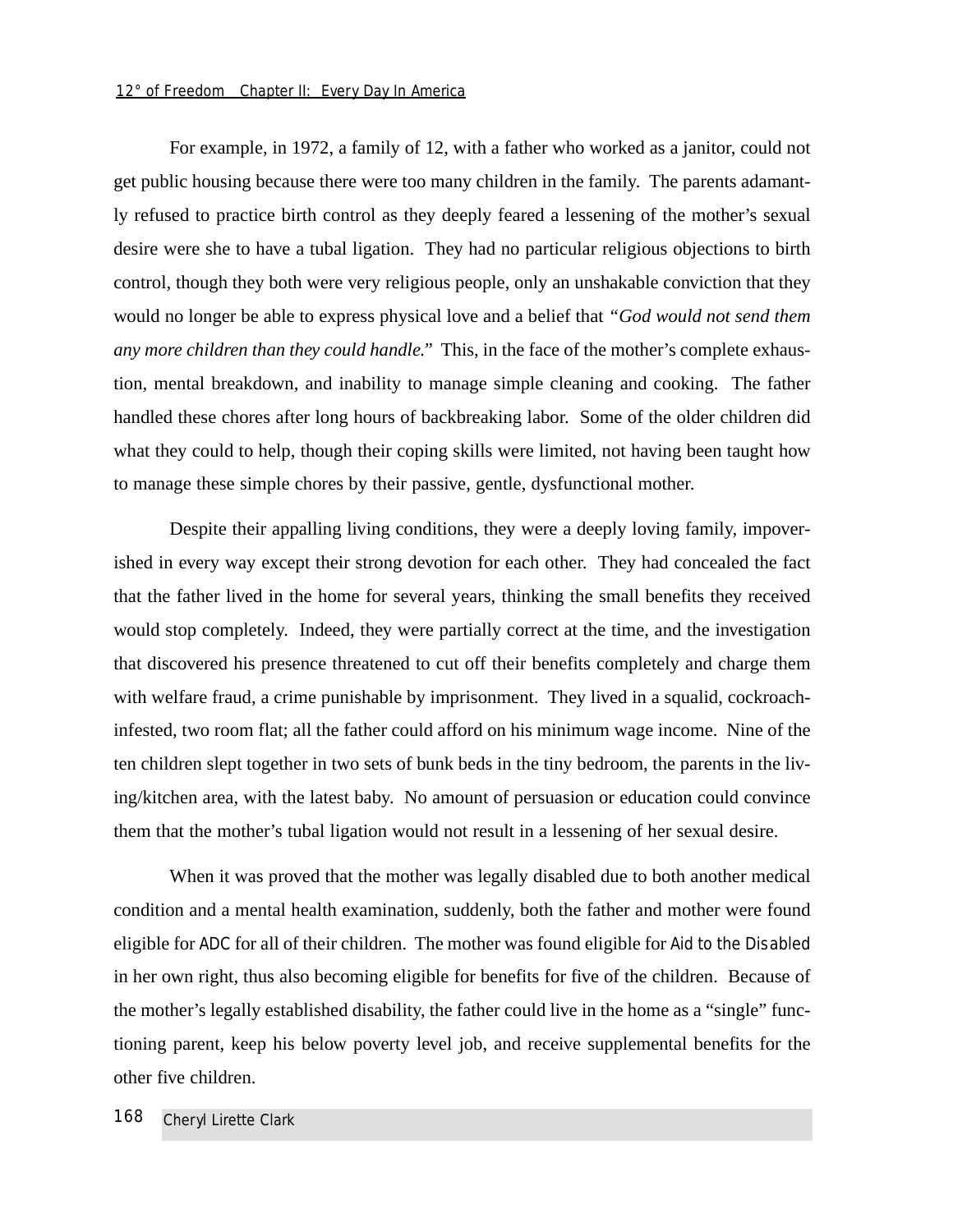### *12° of Freedom Chapter II: Every Day In America*

For example, in 1972, a family of 12, with a father who worked as a janitor, could not get public housing because there were too many children in the family. The parents adamantly refused to practice birth control as they deeply feared a lessening of the mother's sexual desire were she to have a tubal ligation. They had no particular religious objections to birth control, though they both were very religious people, only an unshakable conviction that they would no longer be able to express physical love and a belief that *"God would not send them any more children than they could handle."* This, in the face of the mother's complete exhaustion, mental breakdown, and inability to manage simple cleaning and cooking. The father handled these chores after long hours of backbreaking labor. Some of the older children did what they could to help, though their coping skills were limited, not having been taught how to manage these simple chores by their passive, gentle, dysfunctional mother.

Despite their appalling living conditions, they were a deeply loving family, impoverished in every way except their strong devotion for each other. They had concealed the fact that the father lived in the home for several years, thinking the small benefits they received would stop completely. Indeed, they were partially correct at the time, and the investigation that discovered his presence threatened to cut off their benefits completely and charge them with welfare fraud, a crime punishable by imprisonment. They lived in a squalid, cockroachinfested, two room flat; all the father could afford on his minimum wage income. Nine of the ten children slept together in two sets of bunk beds in the tiny bedroom, the parents in the living/kitchen area, with the latest baby. No amount of persuasion or education could convince them that the mother's tubal ligation would not result in a lessening of her sexual desire.

When it was proved that the mother was legally disabled due to both another medical condition and a mental health examination, suddenly, both the father and mother were found eligible for ADC for all of their children. The mother was found eligible for Aid to the Disabled in her own right, thus also becoming eligible for benefits for five of the children. Because of the mother's legally established disability, the father could live in the home as a "single" functioning parent, keep his below poverty level job, and receive supplemental benefits for the other five children.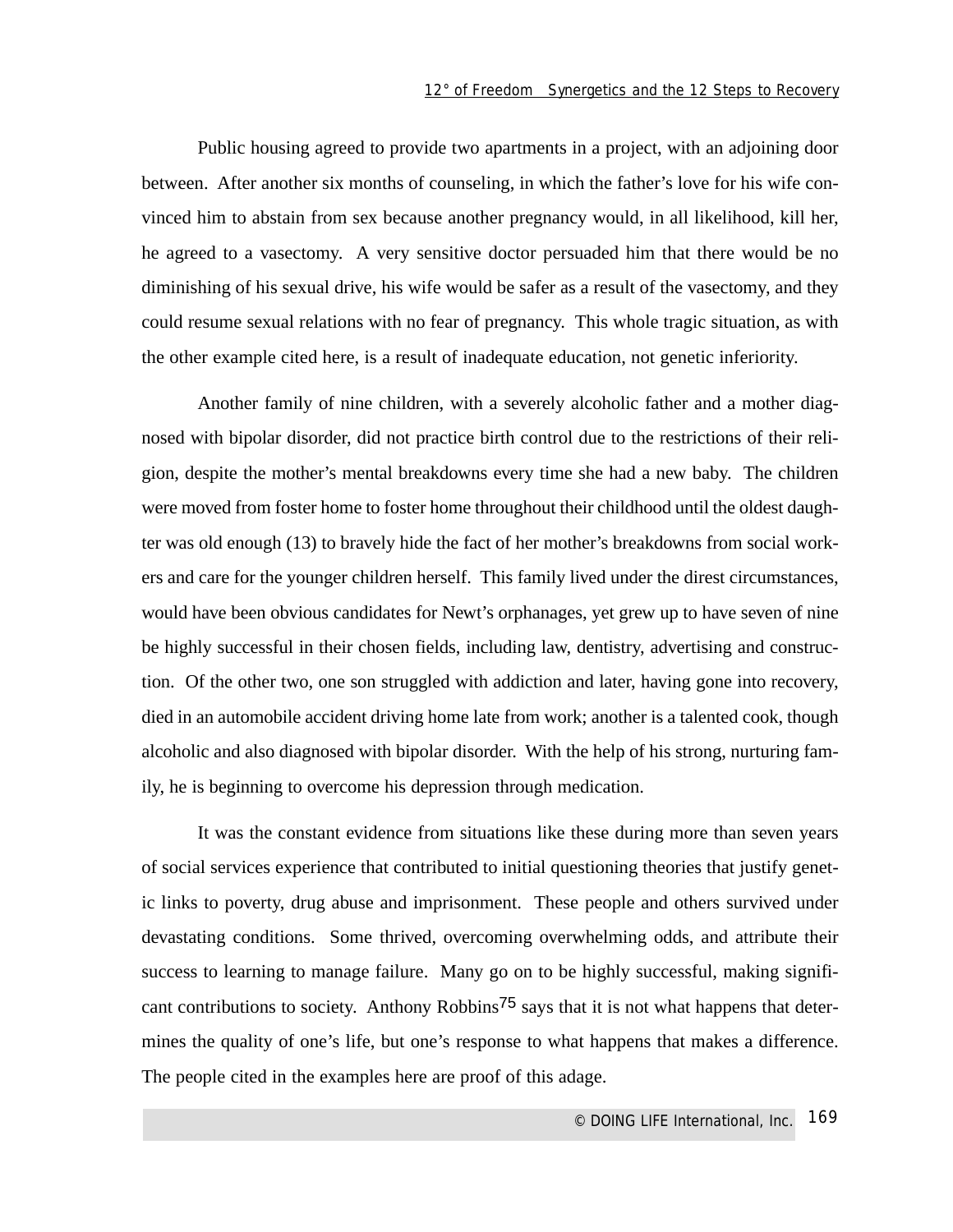Public housing agreed to provide two apartments in a project, with an adjoining door between. After another six months of counseling, in which the father's love for his wife convinced him to abstain from sex because another pregnancy would, in all likelihood, kill her, he agreed to a vasectomy. A very sensitive doctor persuaded him that there would be no diminishing of his sexual drive, his wife would be safer as a result of the vasectomy, and they could resume sexual relations with no fear of pregnancy. This whole tragic situation, as with the other example cited here, is a result of inadequate education, not genetic inferiority.

Another family of nine children, with a severely alcoholic father and a mother diagnosed with bipolar disorder, did not practice birth control due to the restrictions of their religion, despite the mother's mental breakdowns every time she had a new baby. The children were moved from foster home to foster home throughout their childhood until the oldest daughter was old enough (13) to bravely hide the fact of her mother's breakdowns from social workers and care for the younger children herself. This family lived under the direst circumstances, would have been obvious candidates for Newt's orphanages, yet grew up to have seven of nine be highly successful in their chosen fields, including law, dentistry, advertising and construction. Of the other two, one son struggled with addiction and later, having gone into recovery, died in an automobile accident driving home late from work; another is a talented cook, though alcoholic and also diagnosed with bipolar disorder. With the help of his strong, nurturing family, he is beginning to overcome his depression through medication.

It was the constant evidence from situations like these during more than seven years of social services experience that contributed to initial questioning theories that justify genetic links to poverty, drug abuse and imprisonment. These people and others survived under devastating conditions. Some thrived, overcoming overwhelming odds, and attribute their success to learning to manage failure. Many go on to be highly successful, making significant contributions to society. Anthony Robbins<sup>75</sup> says that it is not what happens that determines the quality of one's life, but one's response to what happens that makes a difference. The people cited in the examples here are proof of this adage.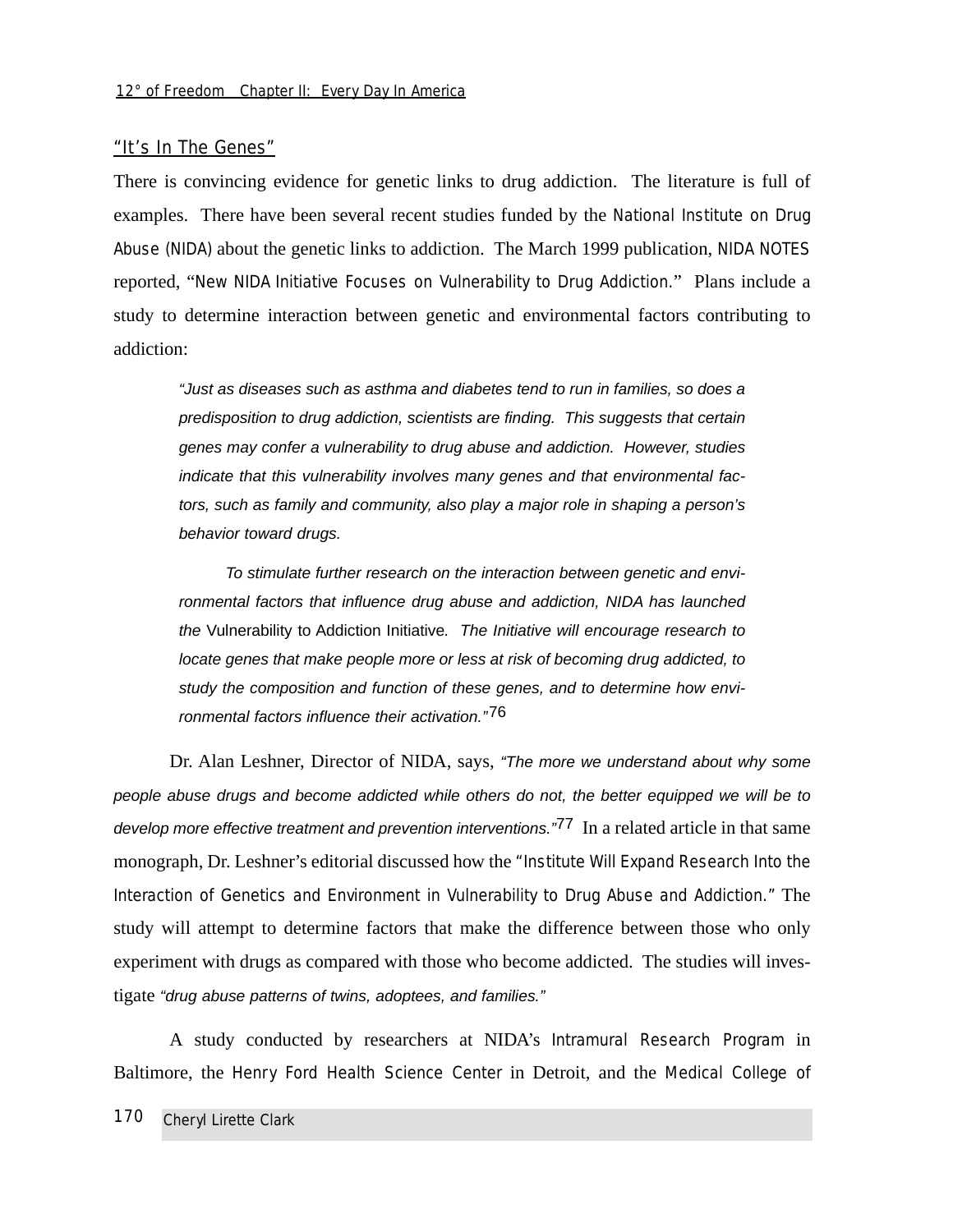# "It's In The Genes"

There is convincing evidence for genetic links to drug addiction. The literature is full of examples. There have been several recent studies funded by the National Institute on Drug Abuse (NIDA) about the genetic links to addiction. The March 1999 publication, NIDA NOTES reported, "New NIDA Initiative Focuses on Vulnerability to Drug Addiction." Plans include a study to determine interaction between genetic and environmental factors contributing to addiction:

"Just as diseases such as asthma and diabetes tend to run in families, so does a predisposition to drug addiction, scientists are finding. This suggests that certain genes may confer a vulnerability to drug abuse and addiction. However, studies indicate that this vulnerability involves many genes and that environmental factors, such as family and community, also play a major role in shaping a person's behavior toward drugs.

To stimulate further research on the interaction between genetic and environmental factors that influence drug abuse and addiction, NIDA has launched the Vulnerability to Addiction Initiative. The Initiative will encourage research to locate genes that make people more or less at risk of becoming drug addicted, to study the composition and function of these genes, and to determine how environmental factors influence their activation."76

Dr. Alan Leshner, Director of NIDA, says, "The more we understand about why some people abuse drugs and become addicted while others do not, the better equipped we will be to develop more effective treatment and prevention interventions.<sup>"77</sup> In a related article in that same monograph, Dr. Leshner's editorial discussed how the "Institute Will Expand Research Into the Interaction of Genetics and Environment in Vulnerability to Drug Abuse and Addiction." The study will attempt to determine factors that make the difference between those who only experiment with drugs as compared with those who become addicted. The studies will investigate "drug abuse patterns of twins, adoptees, and families."

A study conducted by researchers at NIDA's Intramural Research Program in Baltimore, the Henry Ford Health Science Center in Detroit, and the Medical College of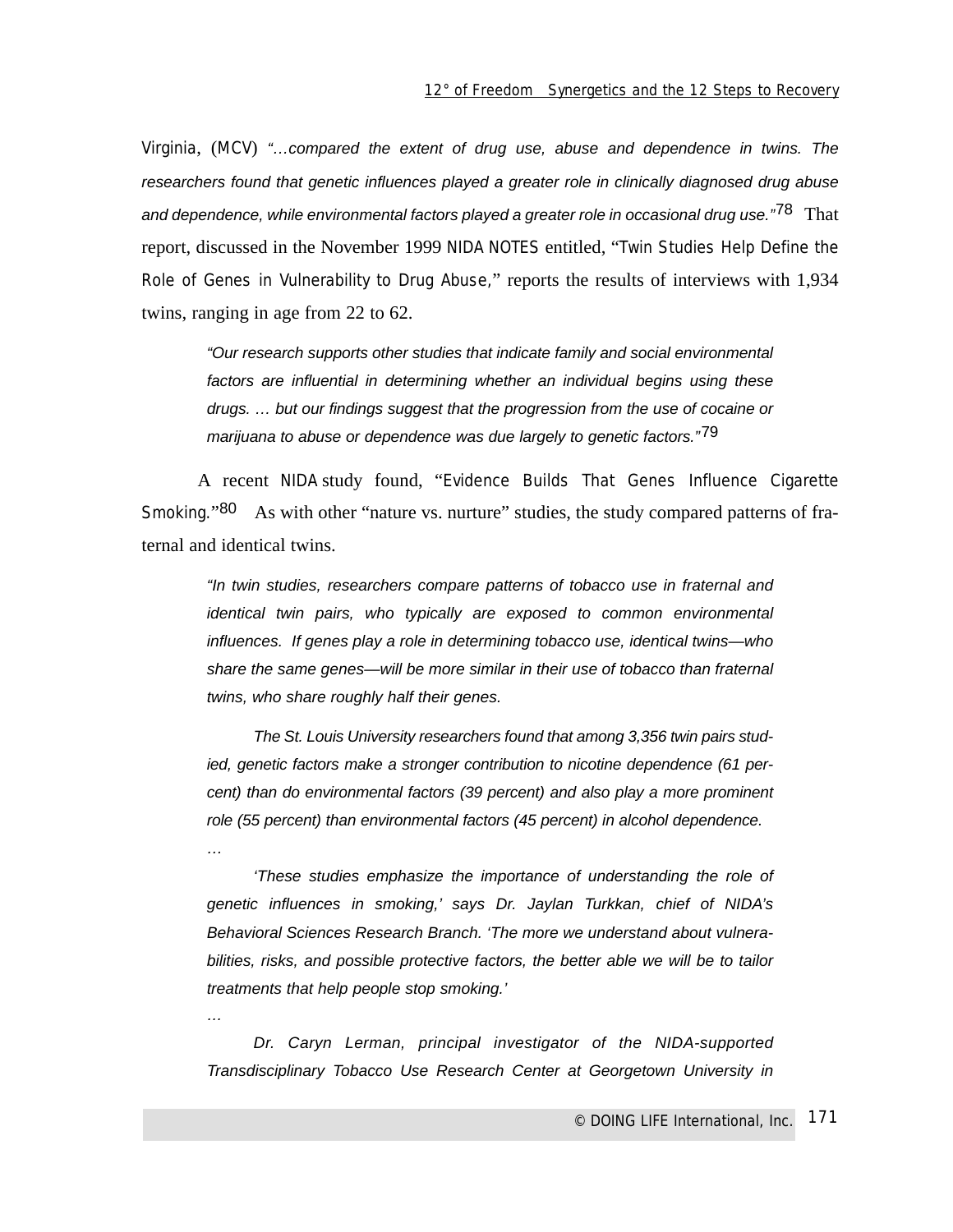Virginia, (MCV) "…compared the extent of drug use, abuse and dependence in twins. The researchers found that genetic influences played a greater role in clinically diagnosed drug abuse and dependence, while environmental factors played a greater role in occasional drug use."<sup>78</sup> That report, discussed in the November 1999 NIDA NOTES entitled, "Twin Studies Help Define the Role of Genes in Vulnerability to Drug Abuse," reports the results of interviews with 1,934 twins, ranging in age from 22 to 62.

"Our research supports other studies that indicate family and social environmental factors are influential in determining whether an individual begins using these drugs. … but our findings suggest that the progression from the use of cocaine or marijuana to abuse or dependence was due largely to genetic factors."<sup>79</sup>

A recent NIDA study found, "Evidence Builds That Genes Influence Cigarette Smoking."<sup>80</sup> As with other "nature vs. nurture" studies, the study compared patterns of fraternal and identical twins.

"In twin studies, researchers compare patterns of tobacco use in fraternal and identical twin pairs, who typically are exposed to common environmental influences. If genes play a role in determining tobacco use, identical twins—who share the same genes—will be more similar in their use of tobacco than fraternal twins, who share roughly half their genes.

The St. Louis University researchers found that among 3,356 twin pairs studied, genetic factors make a stronger contribution to nicotine dependence (61 percent) than do environmental factors (39 percent) and also play a more prominent role (55 percent) than environmental factors (45 percent) in alcohol dependence. …

'These studies emphasize the importance of understanding the role of genetic influences in smoking,' says Dr. Jaylan Turkkan, chief of NIDA's Behavioral Sciences Research Branch. 'The more we understand about vulnerabilities, risks, and possible protective factors, the better able we will be to tailor treatments that help people stop smoking.'

Dr. Caryn Lerman, principal investigator of the NIDA-supported Transdisciplinary Tobacco Use Research Center at Georgetown University in

…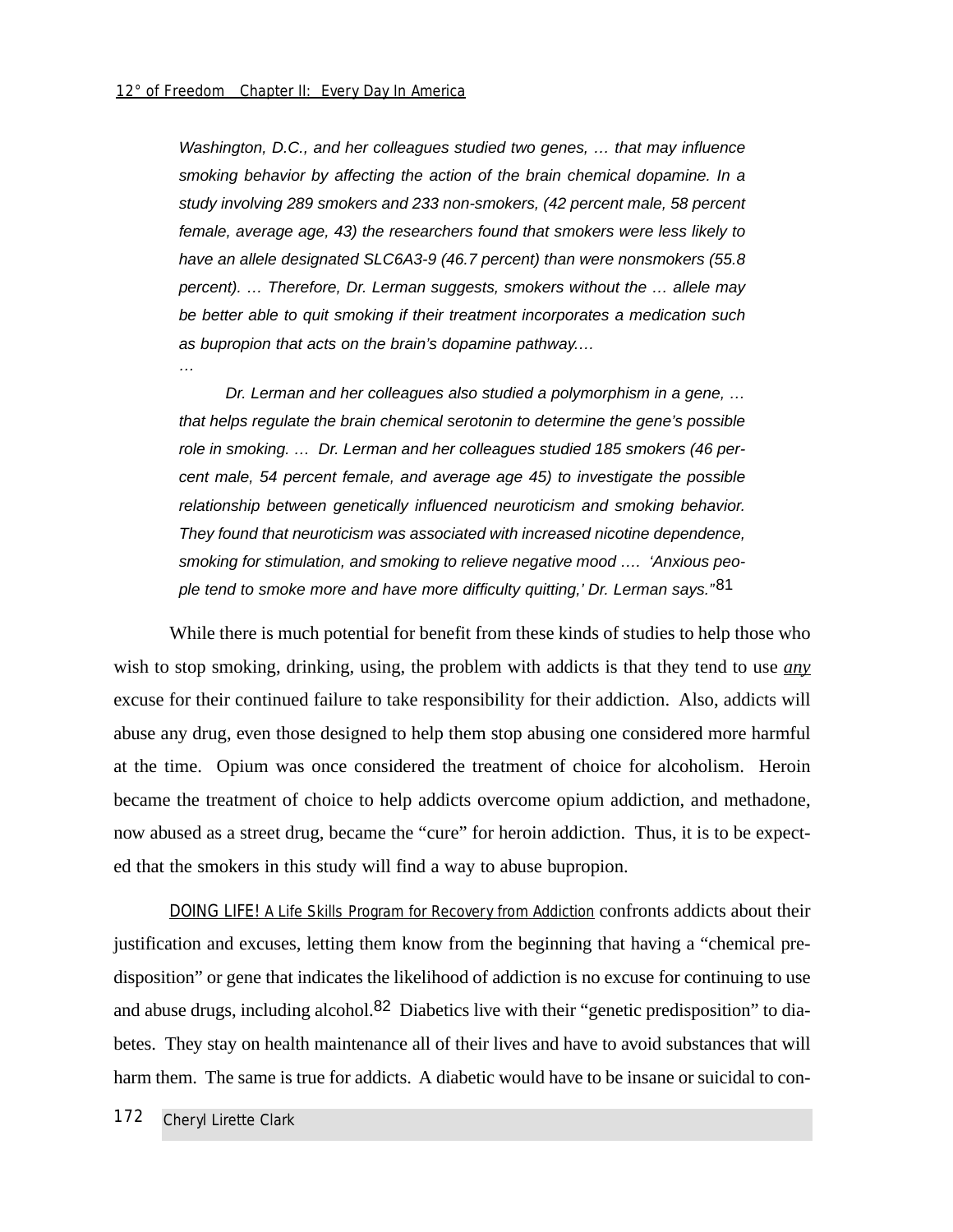…

Washington, D.C., and her colleagues studied two genes, … that may influence smoking behavior by affecting the action of the brain chemical dopamine. In a study involving 289 smokers and 233 non-smokers, (42 percent male, 58 percent female, average age, 43) the researchers found that smokers were less likely to have an allele designated SLC6A3-9 (46.7 percent) than were nonsmokers (55.8 percent). … Therefore, Dr. Lerman suggests, smokers without the … allele may be better able to quit smoking if their treatment incorporates a medication such as bupropion that acts on the brain's dopamine pathway.…

Dr. Lerman and her colleagues also studied a polymorphism in a gene, … that helps regulate the brain chemical serotonin to determine the gene's possible role in smoking. … Dr. Lerman and her colleagues studied 185 smokers (46 percent male, 54 percent female, and average age 45) to investigate the possible relationship between genetically influenced neuroticism and smoking behavior. They found that neuroticism was associated with increased nicotine dependence, smoking for stimulation, and smoking to relieve negative mood …. 'Anxious people tend to smoke more and have more difficulty quitting,' Dr. Lerman says."<sup>81</sup>

While there is much potential for benefit from these kinds of studies to help those who wish to stop smoking, drinking, using, the problem with addicts is that they tend to use *any* excuse for their continued failure to take responsibility for their addiction. Also, addicts will abuse any drug, even those designed to help them stop abusing one considered more harmful at the time. Opium was once considered the treatment of choice for alcoholism. Heroin became the treatment of choice to help addicts overcome opium addiction, and methadone, now abused as a street drug, became the "cure" for heroin addiction. Thus, it is to be expected that the smokers in this study will find a way to abuse bupropion.

DOING LIFE! A Life Skills Program for Recovery from Addiction confronts addicts about their justification and excuses, letting them know from the beginning that having a "chemical predisposition" or gene that indicates the likelihood of addiction is no excuse for continuing to use and abuse drugs, including alcohol.82 Diabetics live with their "genetic predisposition" to diabetes. They stay on health maintenance all of their lives and have to avoid substances that will harm them. The same is true for addicts. A diabetic would have to be insane or suicidal to con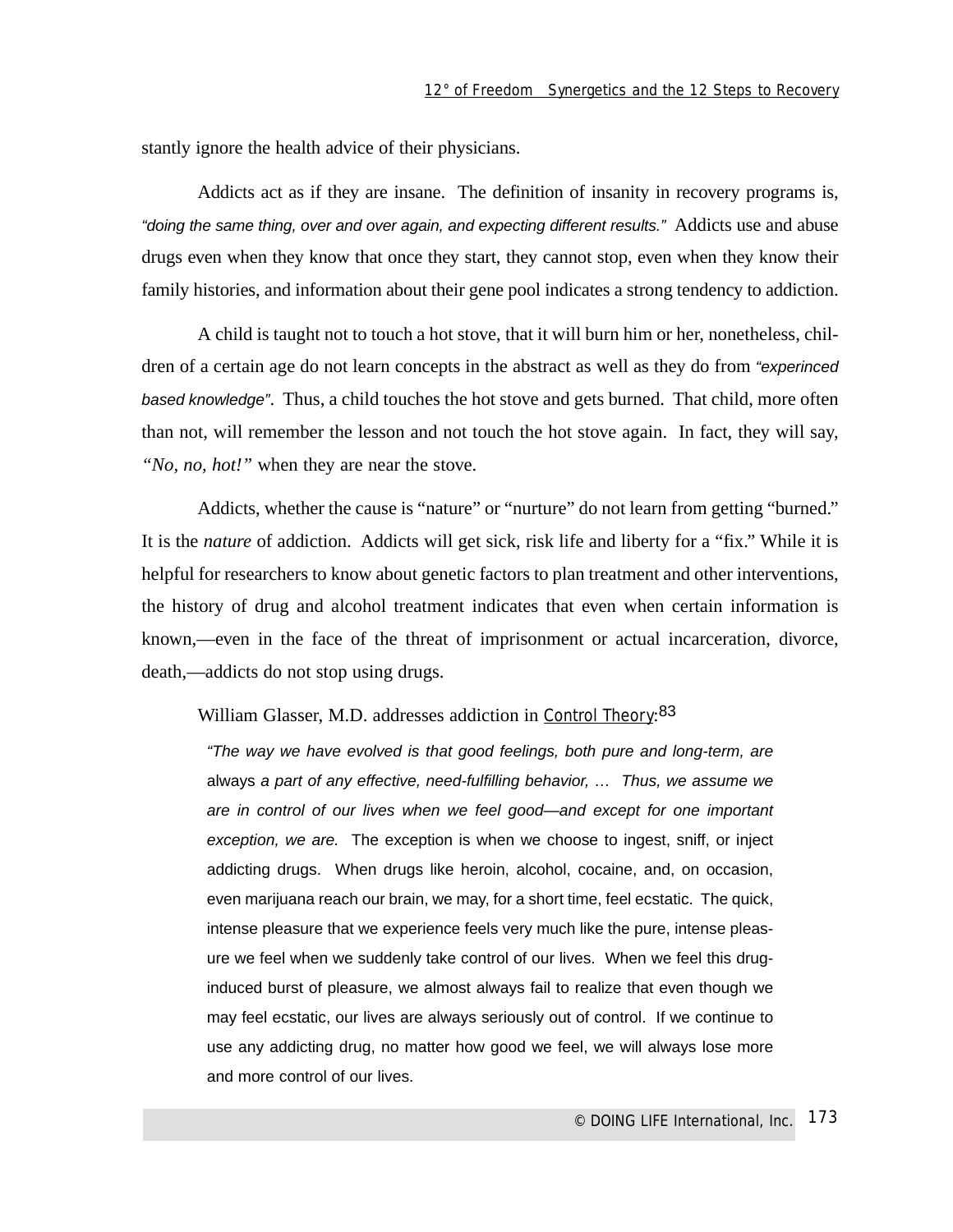stantly ignore the health advice of their physicians.

Addicts act as if they are insane. The definition of insanity in recovery programs is, "doing the same thing, over and over again, and expecting different results." Addicts use and abuse drugs even when they know that once they start, they cannot stop, even when they know their family histories, and information about their gene pool indicates a strong tendency to addiction.

A child is taught not to touch a hot stove, that it will burn him or her, nonetheless, children of a certain age do not learn concepts in the abstract as well as they do from "experinced based knowledge". Thus, a child touches the hot stove and gets burned. That child, more often than not, will remember the lesson and not touch the hot stove again. In fact, they will say, *"No, no, hot!"* when they are near the stove.

Addicts, whether the cause is "nature" or "nurture" do not learn from getting "burned." It is the *nature* of addiction. Addicts will get sick, risk life and liberty for a "fix." While it is helpful for researchers to know about genetic factors to plan treatment and other interventions, the history of drug and alcohol treatment indicates that even when certain information is known,—even in the face of the threat of imprisonment or actual incarceration, divorce, death,—addicts do not stop using drugs.

William Glasser, M.D. addresses addiction in Control Theory:<sup>83</sup>

"The way we have evolved is that good feelings, both pure and long-term, are always a part of any effective, need-fulfilling behavior, … Thus, we assume we are in control of our lives when we feel good—and except for one important exception, we are. The exception is when we choose to ingest, sniff, or inject addicting drugs. When drugs like heroin, alcohol, cocaine, and, on occasion, even marijuana reach our brain, we may, for a short time, feel ecstatic. The quick, intense pleasure that we experience feels very much like the pure, intense pleasure we feel when we suddenly take control of our lives. When we feel this druginduced burst of pleasure, we almost always fail to realize that even though we may feel ecstatic, our lives are always seriously out of control. If we continue to use any addicting drug, no matter how good we feel, we will always lose more and more control of our lives.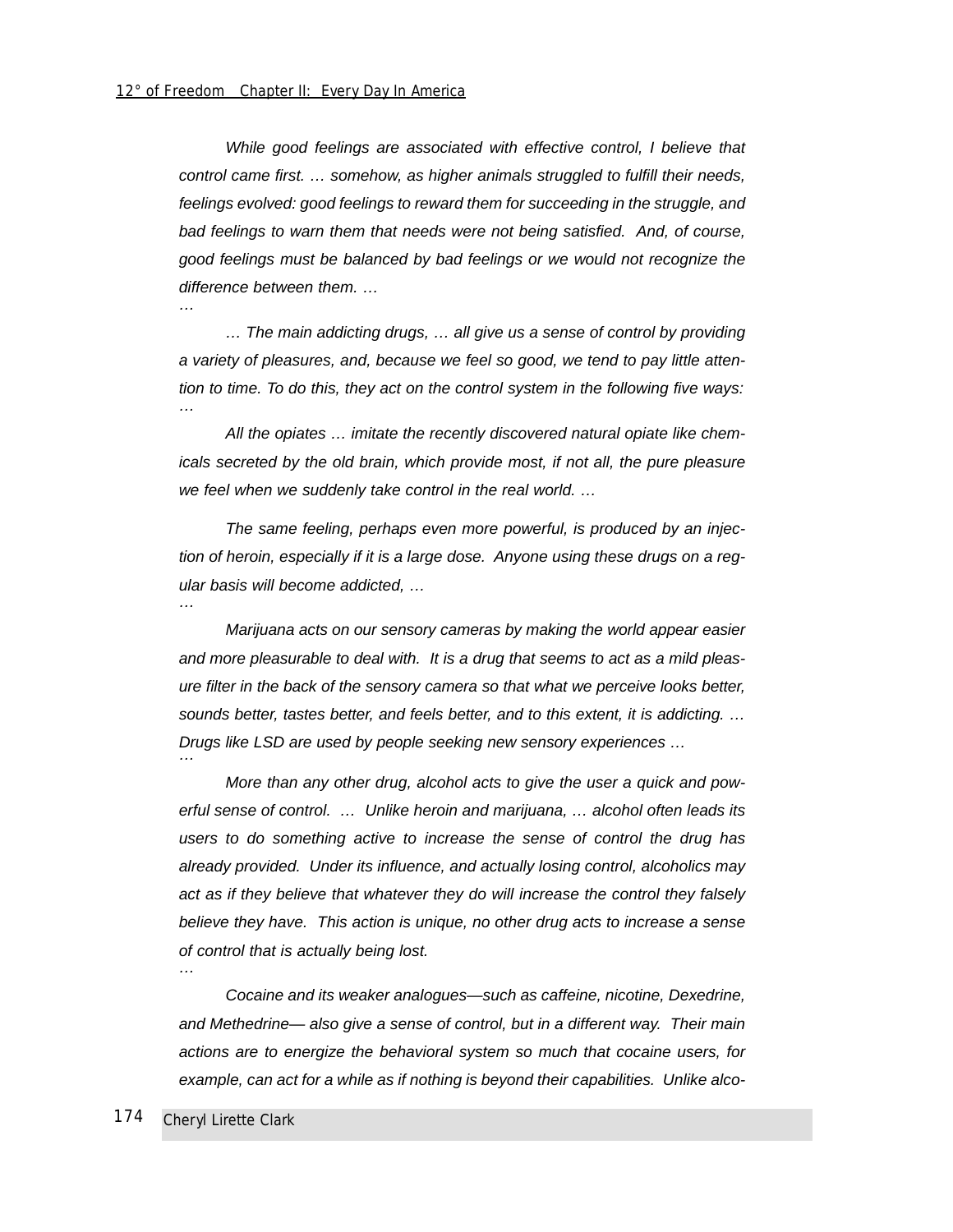While good feelings are associated with effective control, I believe that control came first. … somehow, as higher animals struggled to fulfill their needs, feelings evolved: good feelings to reward them for succeeding in the struggle, and bad feelings to warn them that needs were not being satisfied. And, of course, good feelings must be balanced by bad feelings or we would not recognize the difference between them. … …

… The main addicting drugs, … all give us a sense of control by providing a variety of pleasures, and, because we feel so good, we tend to pay little attention to time. To do this, they act on the control system in the following five ways: …

All the opiates … imitate the recently discovered natural opiate like chemicals secreted by the old brain, which provide most, if not all, the pure pleasure we feel when we suddenly take control in the real world. …

The same feeling, perhaps even more powerful, is produced by an injection of heroin, especially if it is a large dose. Anyone using these drugs on a regular basis will become addicted, … …

Marijuana acts on our sensory cameras by making the world appear easier and more pleasurable to deal with. It is a drug that seems to act as a mild pleasure filter in the back of the sensory camera so that what we perceive looks better, sounds better, tastes better, and feels better, and to this extent, it is addicting. … Drugs like LSD are used by people seeking new sensory experiences … …

More than any other drug, alcohol acts to give the user a quick and powerful sense of control. … Unlike heroin and marijuana, … alcohol often leads its users to do something active to increase the sense of control the drug has already provided. Under its influence, and actually losing control, alcoholics may act as if they believe that whatever they do will increase the control they falsely believe they have. This action is unique, no other drug acts to increase a sense of control that is actually being lost.

Cocaine and its weaker analogues—such as caffeine, nicotine, Dexedrine, and Methedrine— also give a sense of control, but in a different way. Their main actions are to energize the behavioral system so much that cocaine users, for example, can act for a while as if nothing is beyond their capabilities. Unlike alco-

…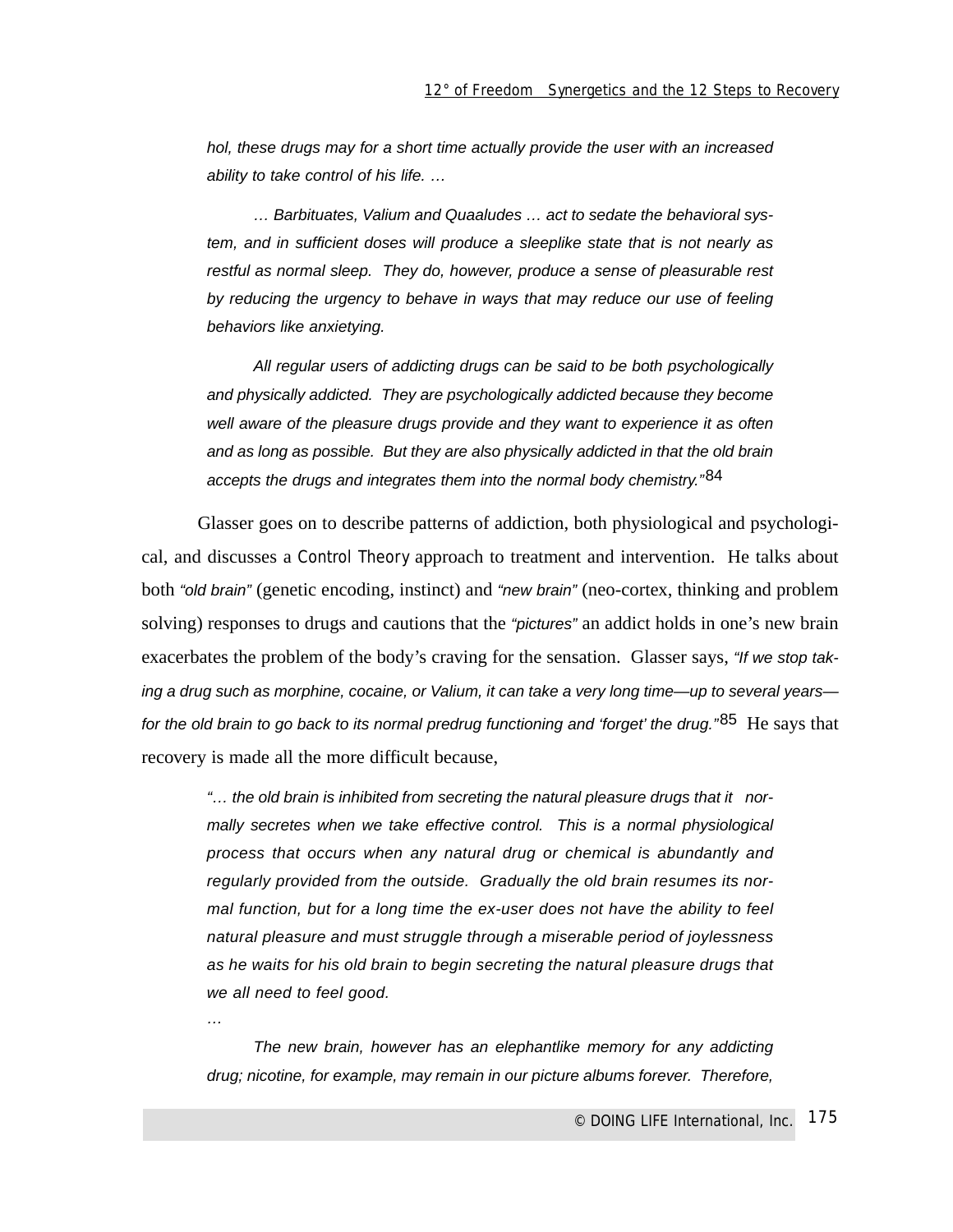hol, these drugs may for a short time actually provide the user with an increased ability to take control of his life. …

… Barbituates, Valium and Quaaludes … act to sedate the behavioral system, and in sufficient doses will produce a sleeplike state that is not nearly as restful as normal sleep. They do, however, produce a sense of pleasurable rest by reducing the urgency to behave in ways that may reduce our use of feeling behaviors like anxietying.

All regular users of addicting drugs can be said to be both psychologically and physically addicted. They are psychologically addicted because they become well aware of the pleasure drugs provide and they want to experience it as often and as long as possible. But they are also physically addicted in that the old brain accepts the drugs and integrates them into the normal body chemistry."<sup>84</sup>

Glasser goes on to describe patterns of addiction, both physiological and psychological, and discusses a Control Theory approach to treatment and intervention. He talks about both "old brain" (genetic encoding, instinct) and "new brain" (neo-cortex, thinking and problem solving) responses to drugs and cautions that the "pictures" an addict holds in one's new brain exacerbates the problem of the body's craving for the sensation. Glasser says, "If we stop taking a drug such as morphine, cocaine, or Valium, it can take a very long time—up to several years for the old brain to go back to its normal predrug functioning and 'forget' the drug."<sup>85</sup> He says that recovery is made all the more difficult because,

"… the old brain is inhibited from secreting the natural pleasure drugs that it normally secretes when we take effective control. This is a normal physiological process that occurs when any natural drug or chemical is abundantly and regularly provided from the outside. Gradually the old brain resumes its normal function, but for a long time the ex-user does not have the ability to feel natural pleasure and must struggle through a miserable period of joylessness as he waits for his old brain to begin secreting the natural pleasure drugs that we all need to feel good.

The new brain, however has an elephantlike memory for any addicting drug; nicotine, for example, may remain in our picture albums forever. Therefore,

…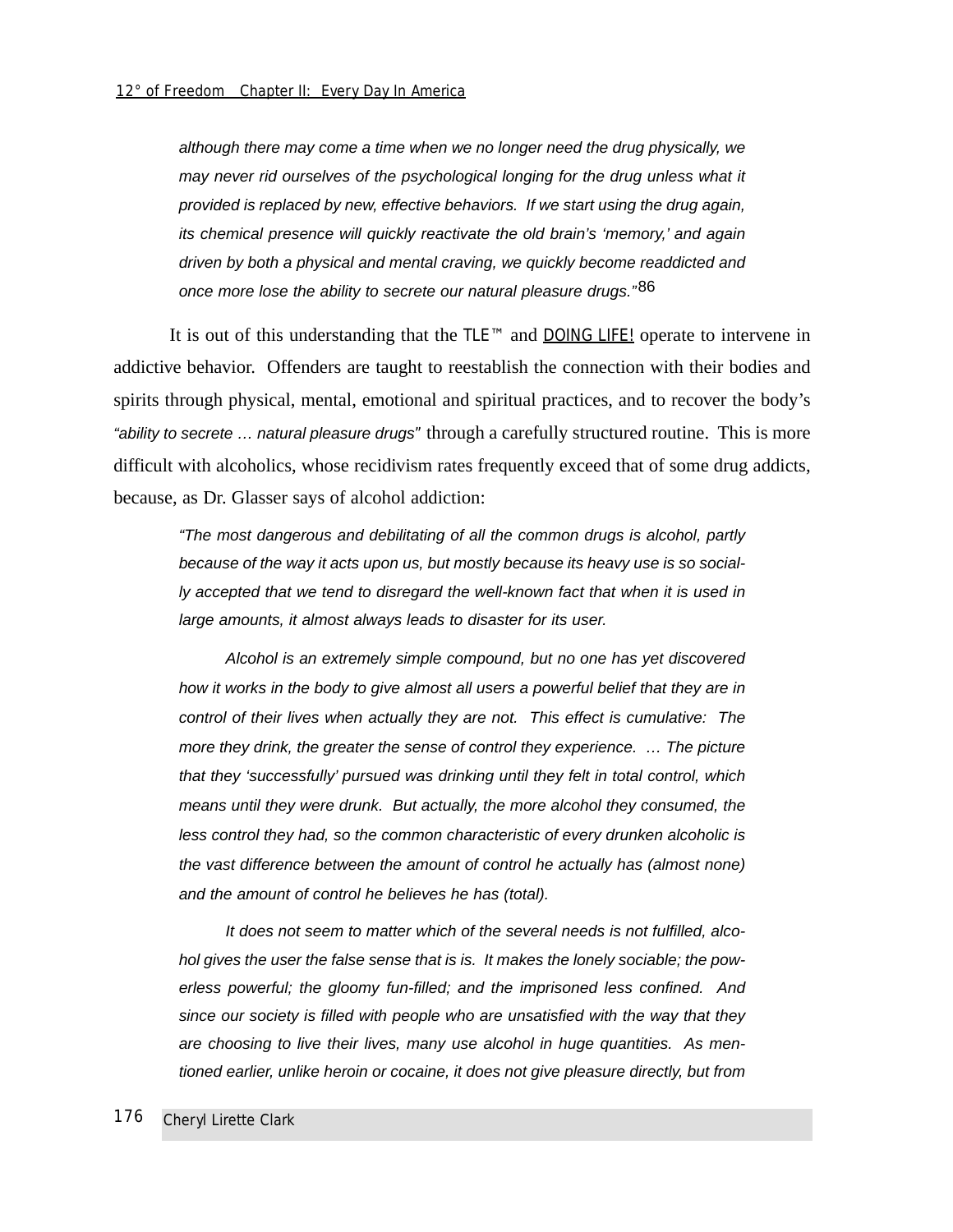although there may come a time when we no longer need the drug physically, we may never rid ourselves of the psychological longing for the drug unless what it provided is replaced by new, effective behaviors. If we start using the drug again, its chemical presence will quickly reactivate the old brain's 'memory,' and again driven by both a physical and mental craving, we quickly become readdicted and once more lose the ability to secrete our natural pleasure drugs."86

It is out of this understanding that the TLE™ and DOING LIFE! operate to intervene in addictive behavior. Offenders are taught to reestablish the connection with their bodies and spirits through physical, mental, emotional and spiritual practices, and to recover the body's "ability to secrete … natural pleasure drugs" through a carefully structured routine. This is more difficult with alcoholics, whose recidivism rates frequently exceed that of some drug addicts, because, as Dr. Glasser says of alcohol addiction:

"The most dangerous and debilitating of all the common drugs is alcohol, partly because of the way it acts upon us, but mostly because its heavy use is so socially accepted that we tend to disregard the well-known fact that when it is used in large amounts, it almost always leads to disaster for its user.

Alcohol is an extremely simple compound, but no one has yet discovered how it works in the body to give almost all users a powerful belief that they are in control of their lives when actually they are not. This effect is cumulative: The more they drink, the greater the sense of control they experience. … The picture that they 'successfully' pursued was drinking until they felt in total control, which means until they were drunk. But actually, the more alcohol they consumed, the less control they had, so the common characteristic of every drunken alcoholic is the vast difference between the amount of control he actually has (almost none) and the amount of control he believes he has (total).

It does not seem to matter which of the several needs is not fulfilled, alcohol gives the user the false sense that is is. It makes the lonely sociable; the powerless powerful; the gloomy fun-filled; and the imprisoned less confined. And since our society is filled with people who are unsatisfied with the way that they are choosing to live their lives, many use alcohol in huge quantities. As mentioned earlier, unlike heroin or cocaine, it does not give pleasure directly, but from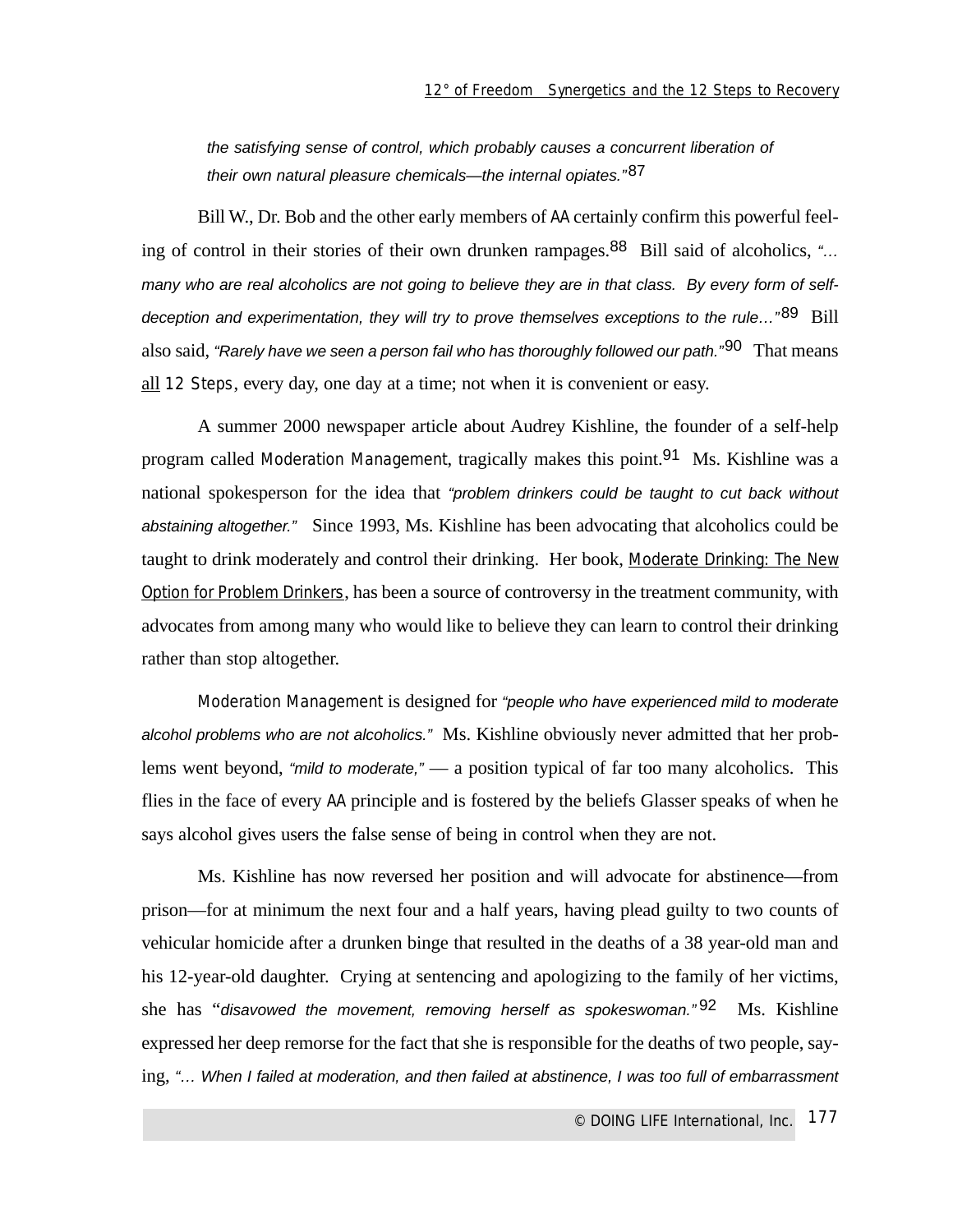the satisfying sense of control, which probably causes a concurrent liberation of their own natural pleasure chemicals—the internal opiates."87

Bill W., Dr. Bob and the other early members of AA certainly confirm this powerful feeling of control in their stories of their own drunken rampages.<sup>88</sup> Bill said of alcoholics, "... many who are real alcoholics are not going to believe they are in that class. By every form of selfdeception and experimentation, they will try to prove themselves exceptions to the rule..."<sup>89</sup> Bill also said, "Rarely have we seen a person fail who has thoroughly followed our path."<sup>90</sup> That means all 12 Steps, every day, one day at a time; not when it is convenient or easy.

A summer 2000 newspaper article about Audrey Kishline, the founder of a self-help program called Moderation Management, tragically makes this point.<sup>91</sup> Ms. Kishline was a national spokesperson for the idea that "problem drinkers could be taught to cut back without abstaining altogether." Since 1993, Ms. Kishline has been advocating that alcoholics could be taught to drink moderately and control their drinking. Her book, Moderate Drinking: The New Option for Problem Drinkers, has been a source of controversy in the treatment community, with advocates from among many who would like to believe they can learn to control their drinking rather than stop altogether.

Moderation Management is designed for "people who have experienced mild to moderate alcohol problems who are not alcoholics." Ms. Kishline obviously never admitted that her problems went beyond, "mild to moderate," — a position typical of far too many alcoholics. This flies in the face of every AA principle and is fostered by the beliefs Glasser speaks of when he says alcohol gives users the false sense of being in control when they are not.

Ms. Kishline has now reversed her position and will advocate for abstinence—from prison—for at minimum the next four and a half years, having plead guilty to two counts of vehicular homicide after a drunken binge that resulted in the deaths of a 38 year-old man and his 12-year-old daughter. Crying at sentencing and apologizing to the family of her victims, she has "disavowed the movement, removing herself as spokeswoman."  $92$  Ms. Kishline expressed her deep remorse for the fact that she is responsible for the deaths of two people, saying, "... When I failed at moderation, and then failed at abstinence, I was too full of embarrassment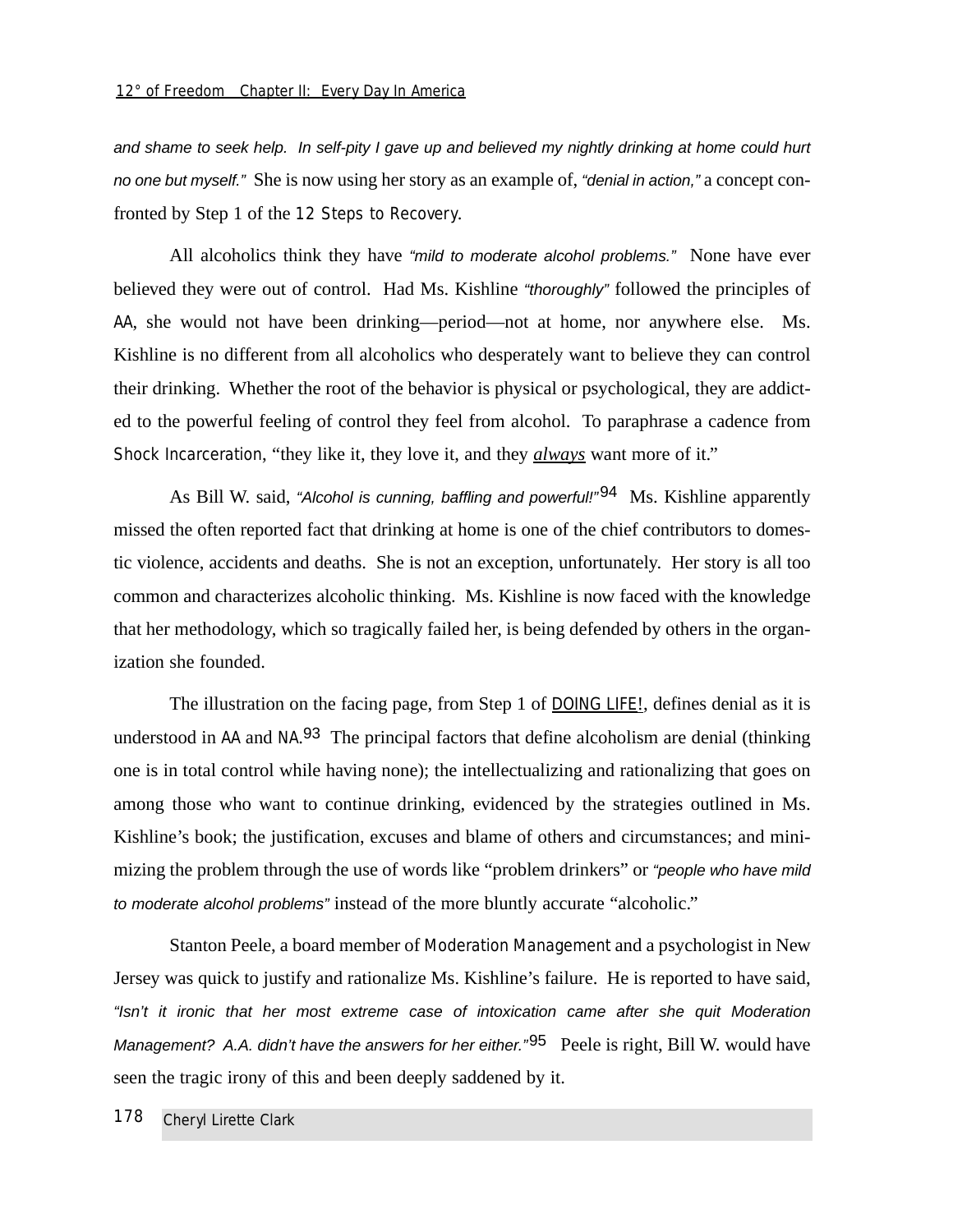and shame to seek help. In self-pity I gave up and believed my nightly drinking at home could hurt no one but myself." She is now using her story as an example of, "denial in action," a concept confronted by Step 1 of the 12 Steps to Recovery.

All alcoholics think they have "mild to moderate alcohol problems." None have ever believed they were out of control. Had Ms. Kishline "thoroughly" followed the principles of AA, she would not have been drinking—period—not at home, nor anywhere else. Ms. Kishline is no different from all alcoholics who desperately want to believe they can control their drinking. Whether the root of the behavior is physical or psychological, they are addicted to the powerful feeling of control they feel from alcohol. To paraphrase a cadence from Shock Incarceration, "they like it, they love it, and they *always* want more of it."

As Bill W. said, "Alcohol is cunning, baffling and powerful!"<sup>94</sup> Ms. Kishline apparently missed the often reported fact that drinking at home is one of the chief contributors to domestic violence, accidents and deaths. She is not an exception, unfortunately. Her story is all too common and characterizes alcoholic thinking. Ms. Kishline is now faced with the knowledge that her methodology, which so tragically failed her, is being defended by others in the organization she founded.

The illustration on the facing page, from Step 1 of DOING LIFE!, defines denial as it is understood in AA and NA.<sup>93</sup> The principal factors that define alcoholism are denial (thinking one is in total control while having none); the intellectualizing and rationalizing that goes on among those who want to continue drinking, evidenced by the strategies outlined in Ms. Kishline's book; the justification, excuses and blame of others and circumstances; and minimizing the problem through the use of words like "problem drinkers" or "people who have mild to moderate alcohol problems" instead of the more bluntly accurate "alcoholic."

Stanton Peele, a board member of Moderation Management and a psychologist in New Jersey was quick to justify and rationalize Ms. Kishline's failure. He is reported to have said, "Isn't it ironic that her most extreme case of intoxication came after she quit Moderation Management? A.A. didn't have the answers for her either." $95$  Peele is right, Bill W. would have seen the tragic irony of this and been deeply saddened by it.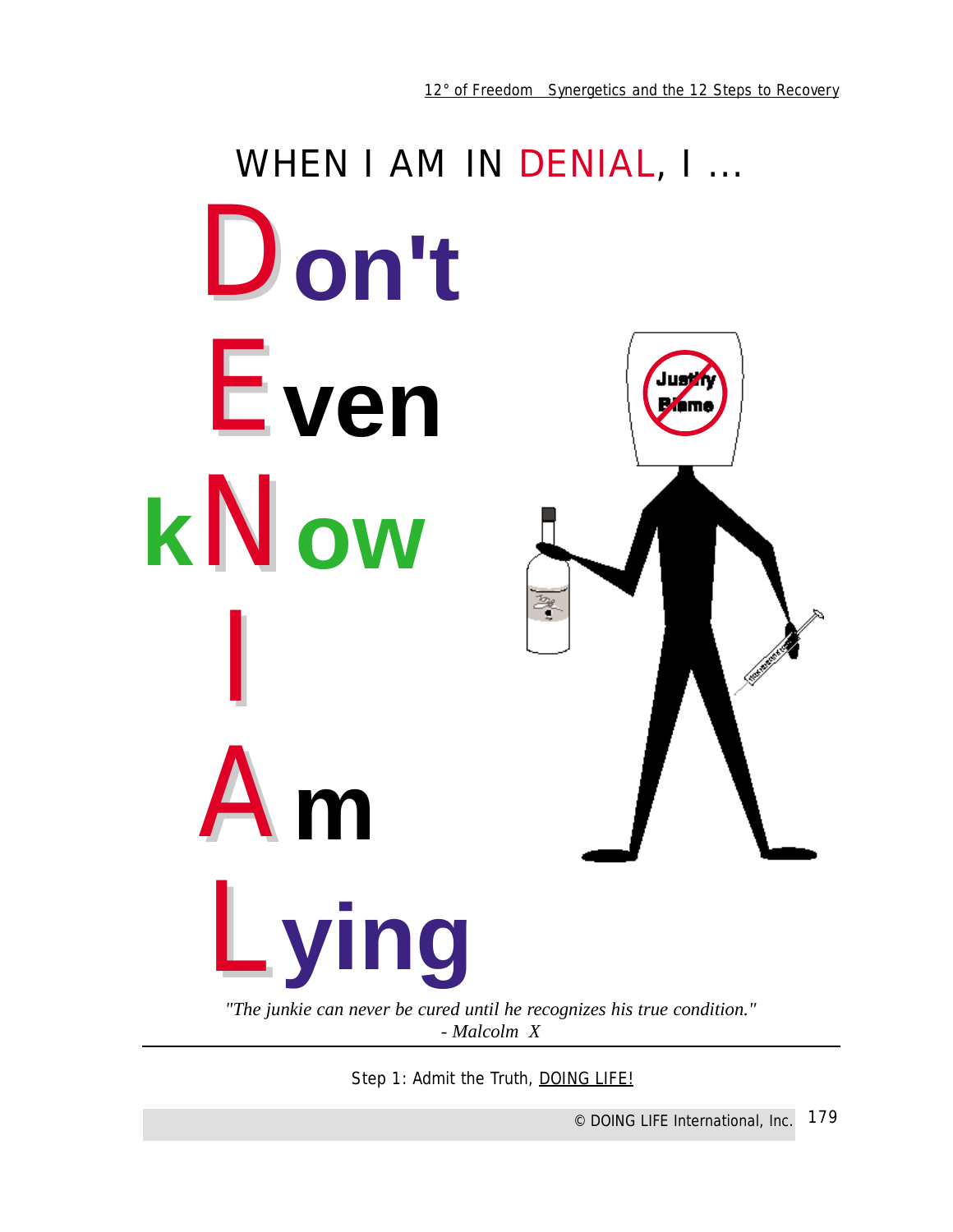

*Step 1: Admit the Truth, DOING LIFE!*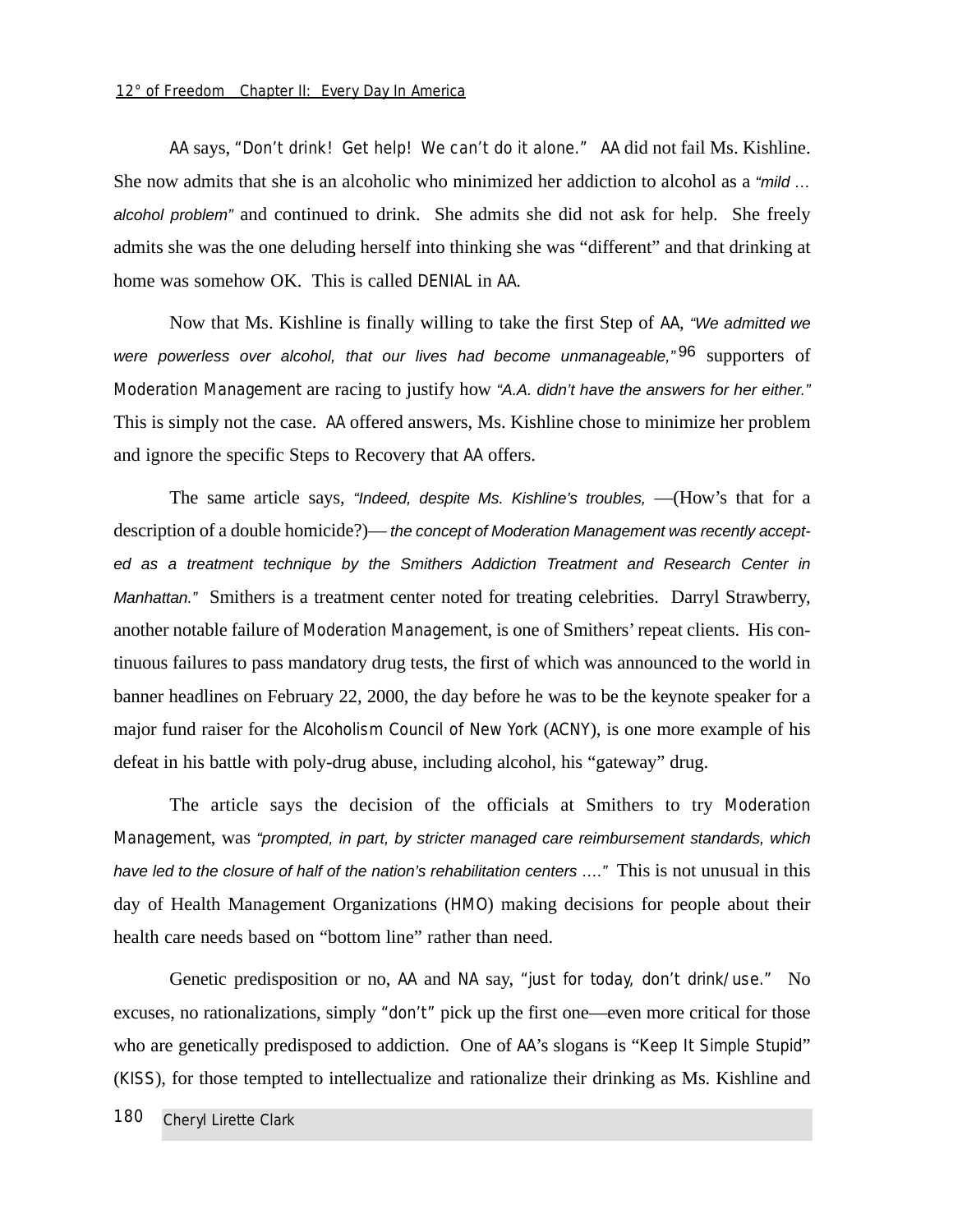AA says, *"Don't drink! Get help! We can't do it alone."* AA did not fail Ms. Kishline. She now admits that she is an alcoholic who minimized her addiction to alcohol as a "mild ... alcohol problem" and continued to drink. She admits she did not ask for help. She freely admits she was the one deluding herself into thinking she was "different" and that drinking at home was somehow OK. This is called DENIAL in AA.

Now that Ms. Kishline is finally willing to take the first Step of AA, "We admitted we were powerless over alcohol, that our lives had become unmanageable,"<sup>96</sup> supporters of Moderation Management are racing to justify how "A.A. didn't have the answers for her either." This is simply not the case. AA offered answers, Ms. Kishline chose to minimize her problem and ignore the specific Steps to Recovery that AA offers.

The same article says, "Indeed, despite Ms. Kishline's troubles, —(How's that for a description of a double homicide?)— the concept of Moderation Management was recently accepted as a treatment technique by the Smithers Addiction Treatment and Research Center in Manhattan." Smithers is a treatment center noted for treating celebrities. Darryl Strawberry, another notable failure of Moderation Management, is one of Smithers'repeat clients. His continuous failures to pass mandatory drug tests, the first of which was announced to the world in banner headlines on February 22, 2000, the day before he was to be the keynote speaker for a major fund raiser for the Alcoholism Council of New York (ACNY), is one more example of his defeat in his battle with poly-drug abuse, including alcohol, his "gateway" drug.

The article says the decision of the officials at Smithers to try Moderation Management, was "prompted, in part, by stricter managed care reimbursement standards, which have led to the closure of half of the nation's rehabilitation centers ...." This is not unusual in this day of Health Management Organizations (HMO) making decisions for people about their health care needs based on "bottom line" rather than need.

Genetic predisposition or no, AA and NA say, *"just for today, don't drink/use."* No excuses, no rationalizations, simply *"don't"* pick up the first one—even more critical for those who are genetically predisposed to addiction. One of AA's slogans is "Keep It Simple Stupid" (KISS), for those tempted to intellectualize and rationalize their drinking as Ms. Kishline and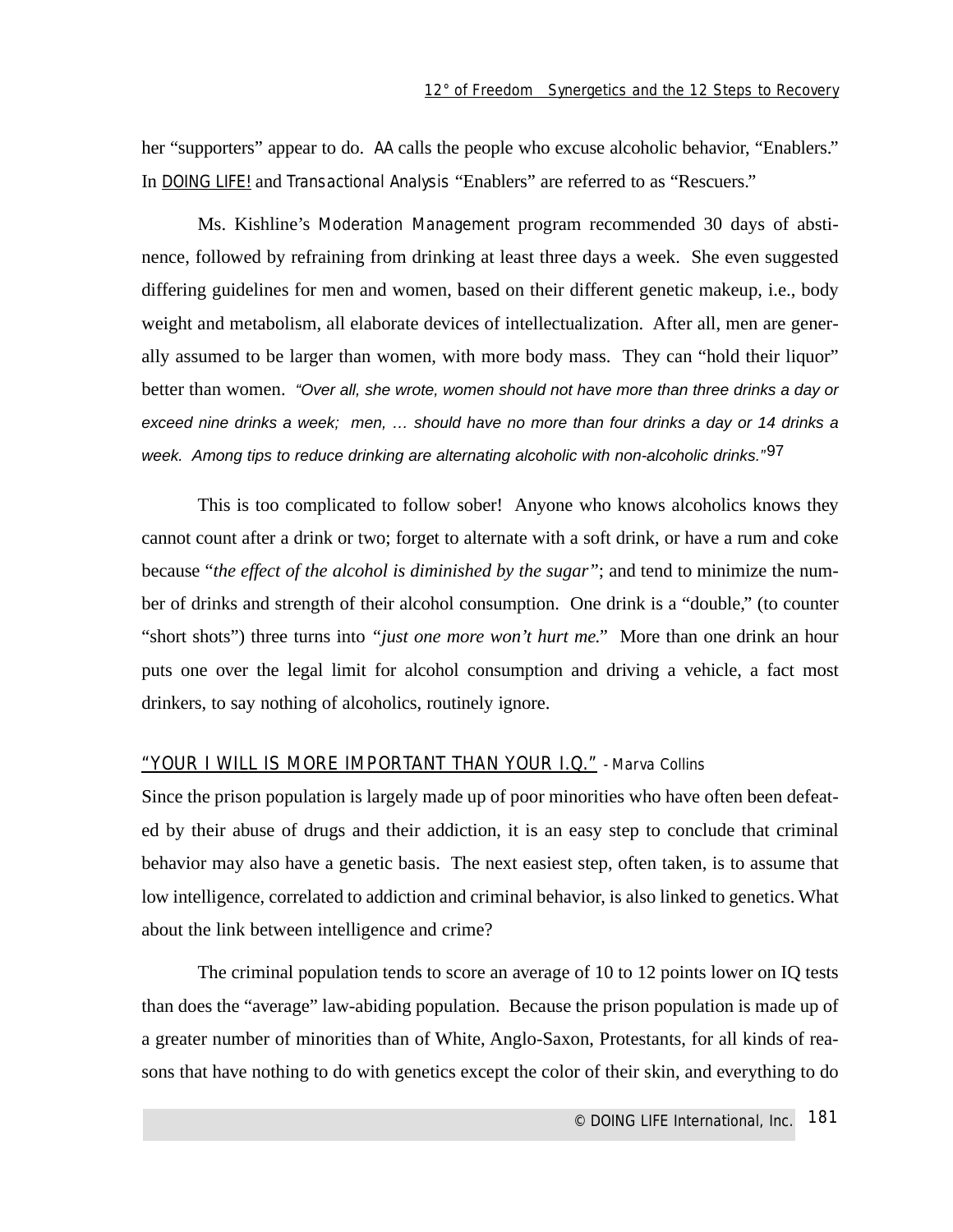her "supporters" appear to do. AA calls the people who excuse alcoholic behavior, "Enablers." In DOING LIFE! and Transactional Analysis "Enablers" are referred to as "Rescuers."

Ms. Kishline's Moderation Management program recommended 30 days of abstinence, followed by refraining from drinking at least three days a week. She even suggested differing guidelines for men and women, based on their different genetic makeup, i.e., body weight and metabolism, all elaborate devices of intellectualization. After all, men are generally assumed to be larger than women, with more body mass. They can "hold their liquor" better than women. "Over all, she wrote, women should not have more than three drinks a day or exceed nine drinks a week; men, ... should have no more than four drinks a day or 14 drinks a week. Among tips to reduce drinking are alternating alcoholic with non-alcoholic drinks."<sup>97</sup>

This is too complicated to follow sober! Anyone who knows alcoholics knows they cannot count after a drink or two; forget to alternate with a soft drink, or have a rum and coke because "*the effect of the alcohol is diminished by the sugar"*; and tend to minimize the number of drinks and strength of their alcohol consumption. One drink is a "double," (to counter "short shots") three turns into *"just one more won't hurt me."* More than one drink an hour puts one over the legal limit for alcohol consumption and driving a vehicle, a fact most drinkers, to say nothing of alcoholics, routinely ignore.

# "YOUR I WILL IS MORE IMPORTANT THAN YOUR I.Q." - Marva Collins

Since the prison population is largely made up of poor minorities who have often been defeated by their abuse of drugs and their addiction, it is an easy step to conclude that criminal behavior may also have a genetic basis. The next easiest step, often taken, is to assume that low intelligence, correlated to addiction and criminal behavior, is also linked to genetics. What about the link between intelligence and crime?

The criminal population tends to score an average of 10 to 12 points lower on IQ tests than does the "average" law-abiding population. Because the prison population is made up of a greater number of minorities than of White, Anglo-Saxon, Protestants, for all kinds of reasons that have nothing to do with genetics except the color of their skin, and everything to do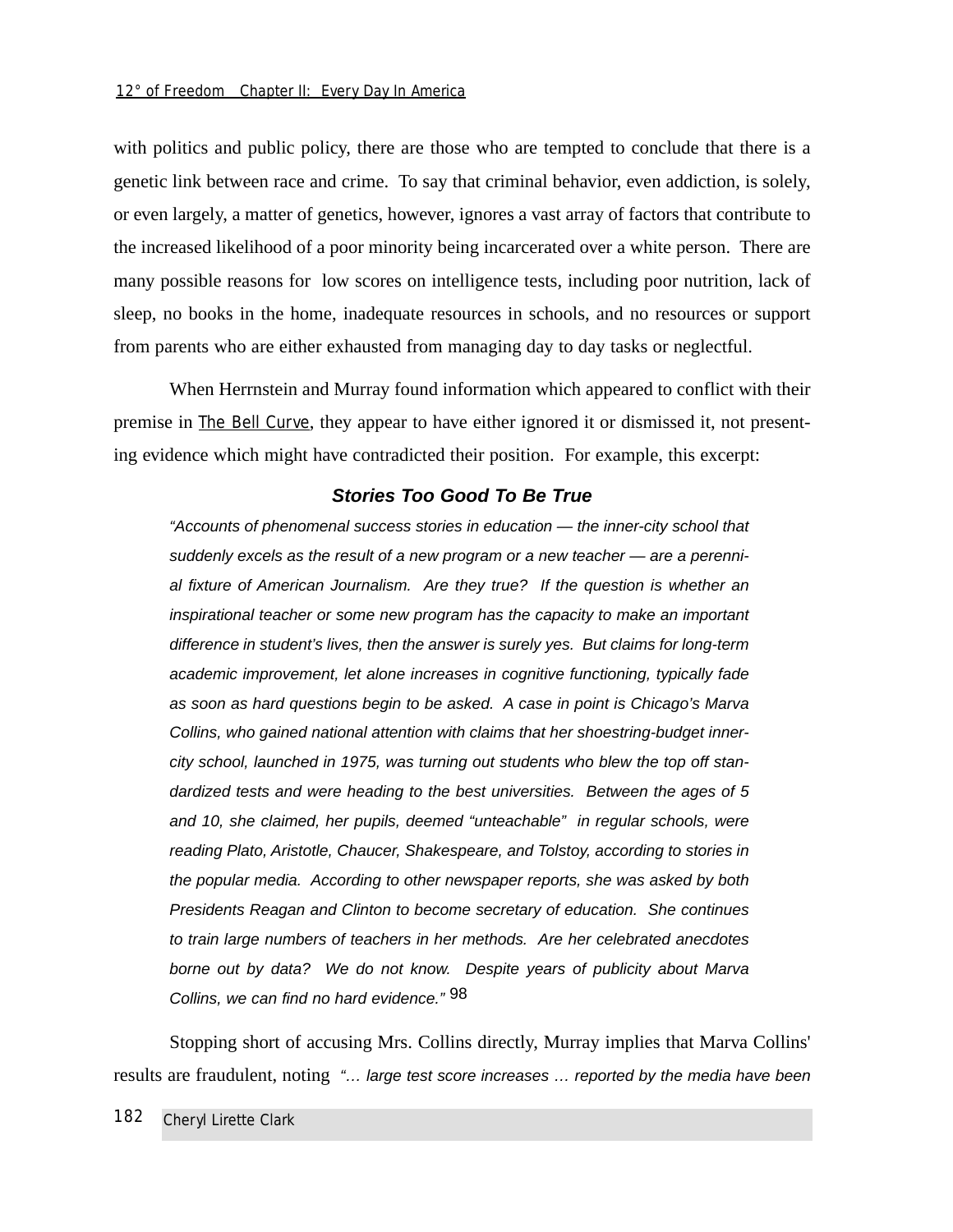with politics and public policy, there are those who are tempted to conclude that there is a genetic link between race and crime. To say that criminal behavior, even addiction, is solely, or even largely, a matter of genetics, however, ignores a vast array of factors that contribute to the increased likelihood of a poor minority being incarcerated over a white person. There are many possible reasons for low scores on intelligence tests, including poor nutrition, lack of sleep, no books in the home, inadequate resources in schools, and no resources or support from parents who are either exhausted from managing day to day tasks or neglectful.

When Herrnstein and Murray found information which appeared to conflict with their premise in The Bell Curve, they appear to have either ignored it or dismissed it, not presenting evidence which might have contradicted their position. For example, this excerpt:

# **Stories Too Good To Be True**

"Accounts of phenomenal success stories in education — the inner-city school that suddenly excels as the result of a new program or a new teacher — are a perennial fixture of American Journalism. Are they true? If the question is whether an inspirational teacher or some new program has the capacity to make an important difference in student's lives, then the answer is surely yes. But claims for long-term academic improvement, let alone increases in cognitive functioning, typically fade as soon as hard questions begin to be asked. A case in point is Chicago's Marva Collins, who gained national attention with claims that her shoestring-budget innercity school, launched in 1975, was turning out students who blew the top off standardized tests and were heading to the best universities. Between the ages of 5 and 10, she claimed, her pupils, deemed "unteachable" in regular schools, were reading Plato, Aristotle, Chaucer, Shakespeare, and Tolstoy, according to stories in the popular media. According to other newspaper reports, she was asked by both Presidents Reagan and Clinton to become secretary of education. She continues to train large numbers of teachers in her methods. Are her celebrated anecdotes borne out by data? We do not know. Despite years of publicity about Marva Collins, we can find no hard evidence." 98

Stopping short of accusing Mrs. Collins directly, Murray implies that Marva Collins' results are fraudulent, noting "... large test score increases ... reported by the media have been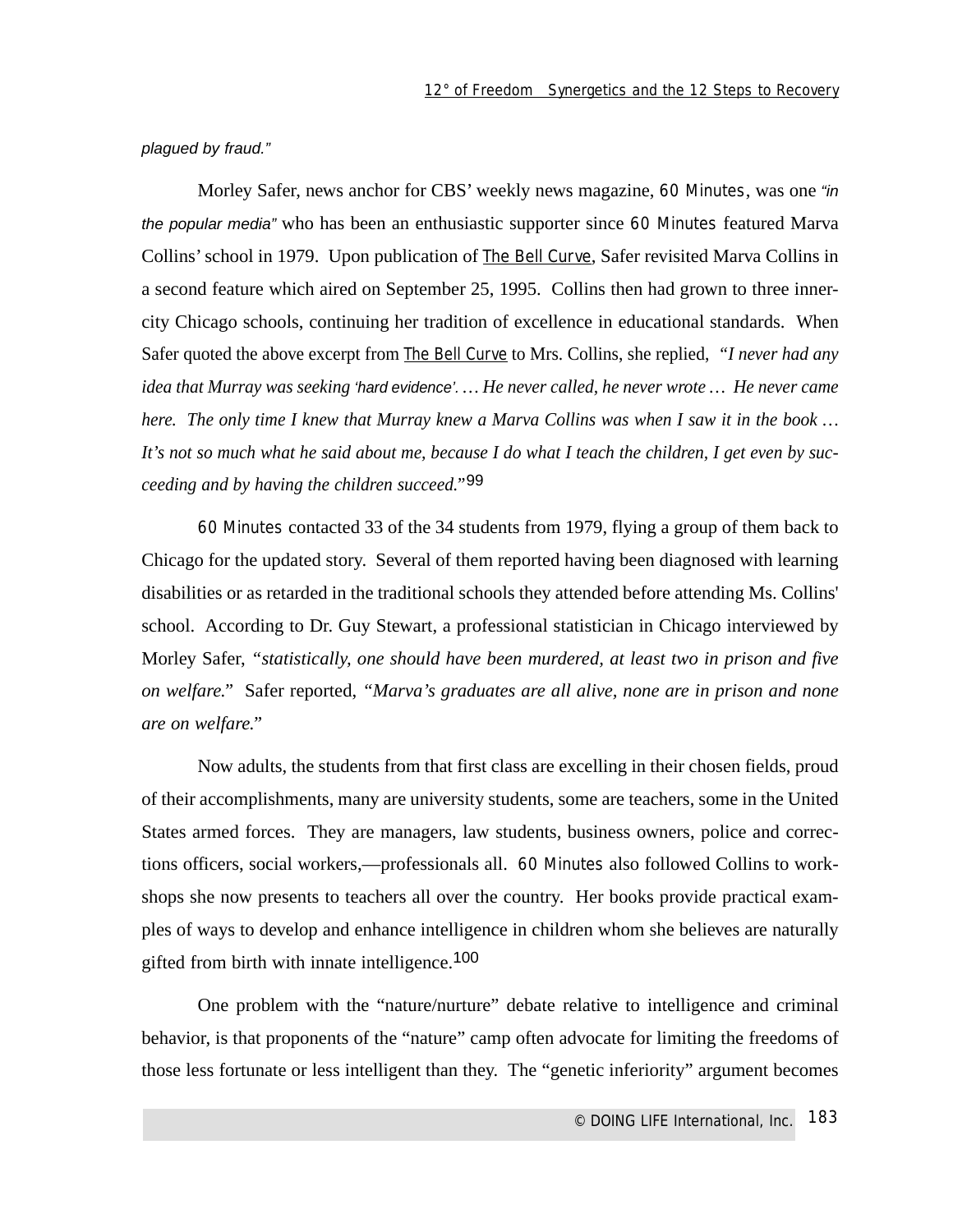plagued by fraud."

Morley Safer, news anchor for CBS' weekly news magazine, 60 Minutes, was one "in the popular media" who has been an enthusiastic supporter since 60 Minutes featured Marva Collins'school in 1979. Upon publication of The Bell Curve, Safer revisited Marva Collins in a second feature which aired on September 25, 1995. Collins then had grown to three innercity Chicago schools, continuing her tradition of excellence in educational standards. When Safer quoted the above excerpt from The Bell Curve to Mrs. Collins, she replied, *"I never had any idea that Murray was seeking* 'hard evidence'. *… He never called, he never wrote … He never came here. The only time I knew that Murray knew a Marva Collins was when I saw it in the book … It's not so much what he said about me, because I do what I teach the children, I get even by succeeding and by having the children succeed."*99

60 Minutes contacted 33 of the 34 students from 1979, flying a group of them back to Chicago for the updated story. Several of them reported having been diagnosed with learning disabilities or as retarded in the traditional schools they attended before attending Ms. Collins' school. According to Dr. Guy Stewart, a professional statistician in Chicago interviewed by Morley Safer, *"statistically, one should have been murdered, at least two in prison and five on welfare."* Safer reported, *"Marva's graduates are all alive, none are in prison and none are on welfare."*

Now adults, the students from that first class are excelling in their chosen fields, proud of their accomplishments, many are university students, some are teachers, some in the United States armed forces. They are managers, law students, business owners, police and corrections officers, social workers,—professionals all. 60 Minutes also followed Collins to workshops she now presents to teachers all over the country. Her books provide practical examples of ways to develop and enhance intelligence in children whom she believes are naturally gifted from birth with innate intelligence.<sup>100</sup>

One problem with the "nature/nurture" debate relative to intelligence and criminal behavior, is that proponents of the "nature" camp often advocate for limiting the freedoms of those less fortunate or less intelligent than they. The "genetic inferiority" argument becomes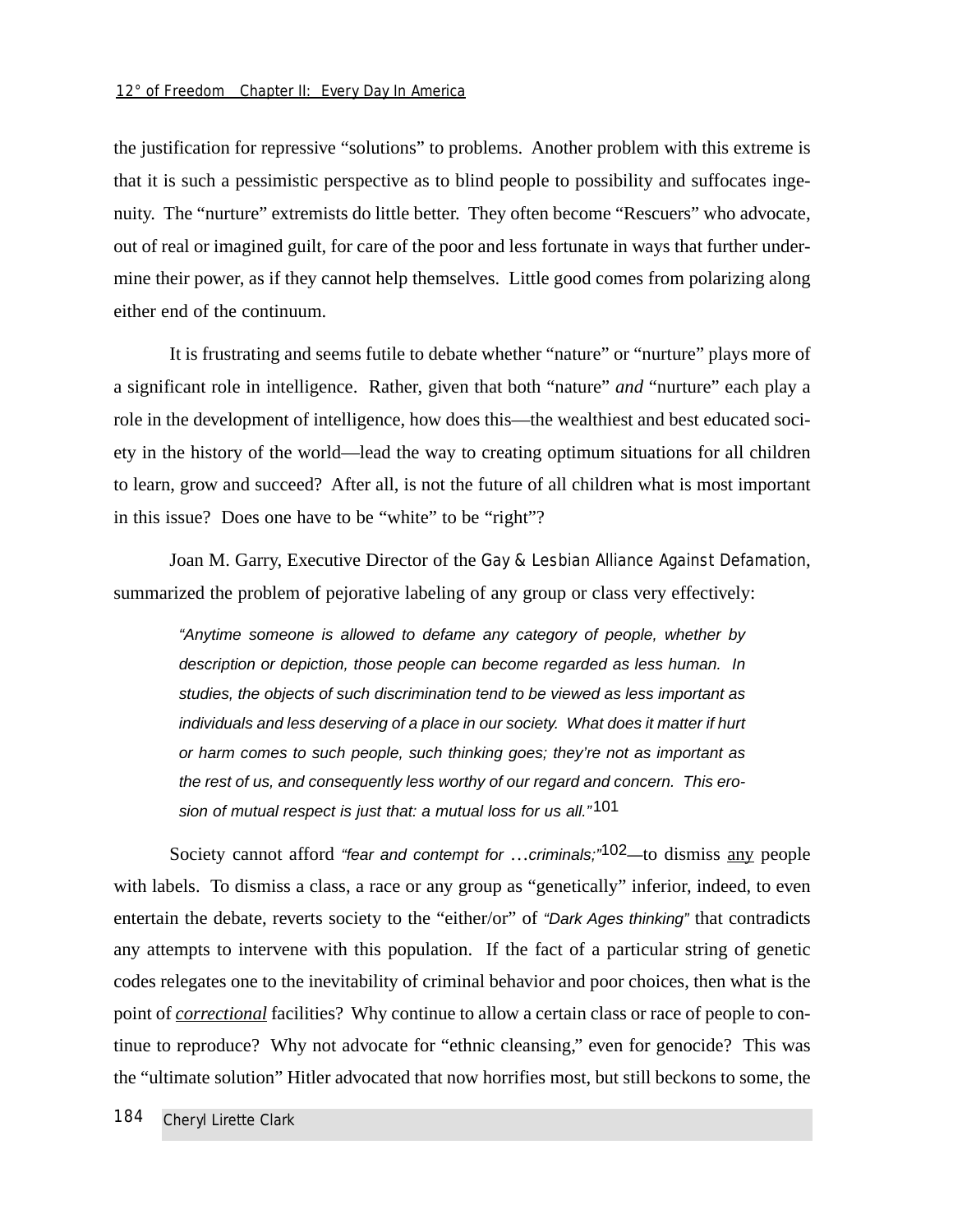### *12° of Freedom Chapter II: Every Day In America*

the justification for repressive "solutions" to problems. Another problem with this extreme is that it is such a pessimistic perspective as to blind people to possibility and suffocates ingenuity. The "nurture" extremists do little better. They often become "Rescuers" who advocate, out of real or imagined guilt, for care of the poor and less fortunate in ways that further undermine their power, as if they cannot help themselves. Little good comes from polarizing along either end of the continuum.

It is frustrating and seems futile to debate whether "nature" or "nurture" plays more of a significant role in intelligence. Rather, given that both "nature" *and* "nurture" each play a role in the development of intelligence, how does this—the wealthiest and best educated society in the history of the world—lead the way to creating optimum situations for all children to learn, grow and succeed? After all, is not the future of all children what is most important in this issue? Does one have to be "white" to be "right"?

Joan M. Garry, Executive Director of the Gay & Lesbian Alliance Against Defamation, summarized the problem of pejorative labeling of any group or class very effectively:

"Anytime someone is allowed to defame any category of people, whether by description or depiction, those people can become regarded as less human. In studies, the objects of such discrimination tend to be viewed as less important as individuals and less deserving of a place in our society. What does it matter if hurt or harm comes to such people, such thinking goes; they're not as important as the rest of us, and consequently less worthy of our regard and concern. This erosion of mutual respect is just that: a mutual loss for us all."<sup>101</sup>

Society cannot afford "fear and contempt for ...criminals;"<sup>102</sup>—to dismiss <u>any</u> people with labels. To dismiss a class, a race or any group as "genetically" inferior, indeed, to even entertain the debate, reverts society to the "either/or" of "Dark Ages thinking" that contradicts any attempts to intervene with this population. If the fact of a particular string of genetic codes relegates one to the inevitability of criminal behavior and poor choices, then what is the point of *correctional* facilities? Why continue to allow a certain class or race of people to continue to reproduce? Why not advocate for "ethnic cleansing," even for genocide? This was the "ultimate solution" Hitler advocated that now horrifies most, but still beckons to some, the

184 *Cheryl Lirette Clark*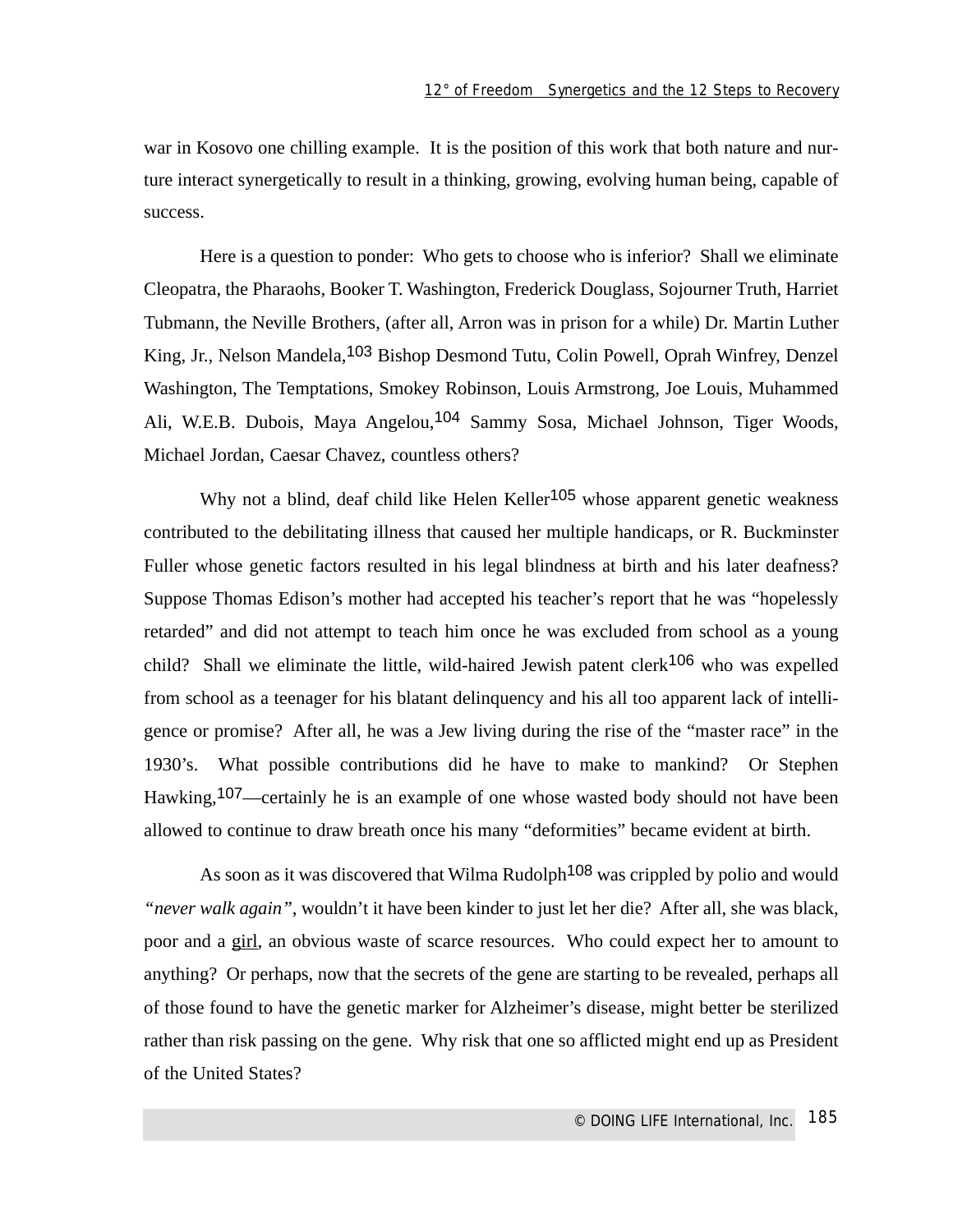war in Kosovo one chilling example. It is the position of this work that both nature and nurture interact synergetically to result in a thinking, growing, evolving human being, capable of success.

Here is a question to ponder: Who gets to choose who is inferior? Shall we eliminate Cleopatra, the Pharaohs, Booker T. Washington, Frederick Douglass, Sojourner Truth, Harriet Tubmann, the Neville Brothers, (after all, Arron was in prison for a while) Dr. Martin Luther King, Jr., Nelson Mandela,<sup>103</sup> Bishop Desmond Tutu, Colin Powell, Oprah Winfrey, Denzel Washington, The Temptations, Smokey Robinson, Louis Armstrong, Joe Louis, Muhammed Ali, W.E.B. Dubois, Maya Angelou,104 Sammy Sosa, Michael Johnson, Tiger Woods, Michael Jordan, Caesar Chavez, countless others?

Why not a blind, deaf child like Helen Keller<sup>105</sup> whose apparent genetic weakness contributed to the debilitating illness that caused her multiple handicaps, or R. Buckminster Fuller whose genetic factors resulted in his legal blindness at birth and his later deafness? Suppose Thomas Edison's mother had accepted his teacher's report that he was "hopelessly retarded" and did not attempt to teach him once he was excluded from school as a young child? Shall we eliminate the little, wild-haired Jewish patent clerk<sup>106</sup> who was expelled from school as a teenager for his blatant delinquency and his all too apparent lack of intelligence or promise? After all, he was a Jew living during the rise of the "master race" in the 1930's. What possible contributions did he have to make to mankind? Or Stephen Hawking,<sup>107</sup>—certainly he is an example of one whose wasted body should not have been allowed to continue to draw breath once his many "deformities" became evident at birth.

As soon as it was discovered that Wilma Rudolph<sup>108</sup> was crippled by polio and would *"never walk again"*, wouldn't it have been kinder to just let her die? After all, she was black, poor and a girl, an obvious waste of scarce resources. Who could expect her to amount to anything? Or perhaps, now that the secrets of the gene are starting to be revealed, perhaps all of those found to have the genetic marker for Alzheimer's disease, might better be sterilized rather than risk passing on the gene. Why risk that one so afflicted might end up as President of the United States?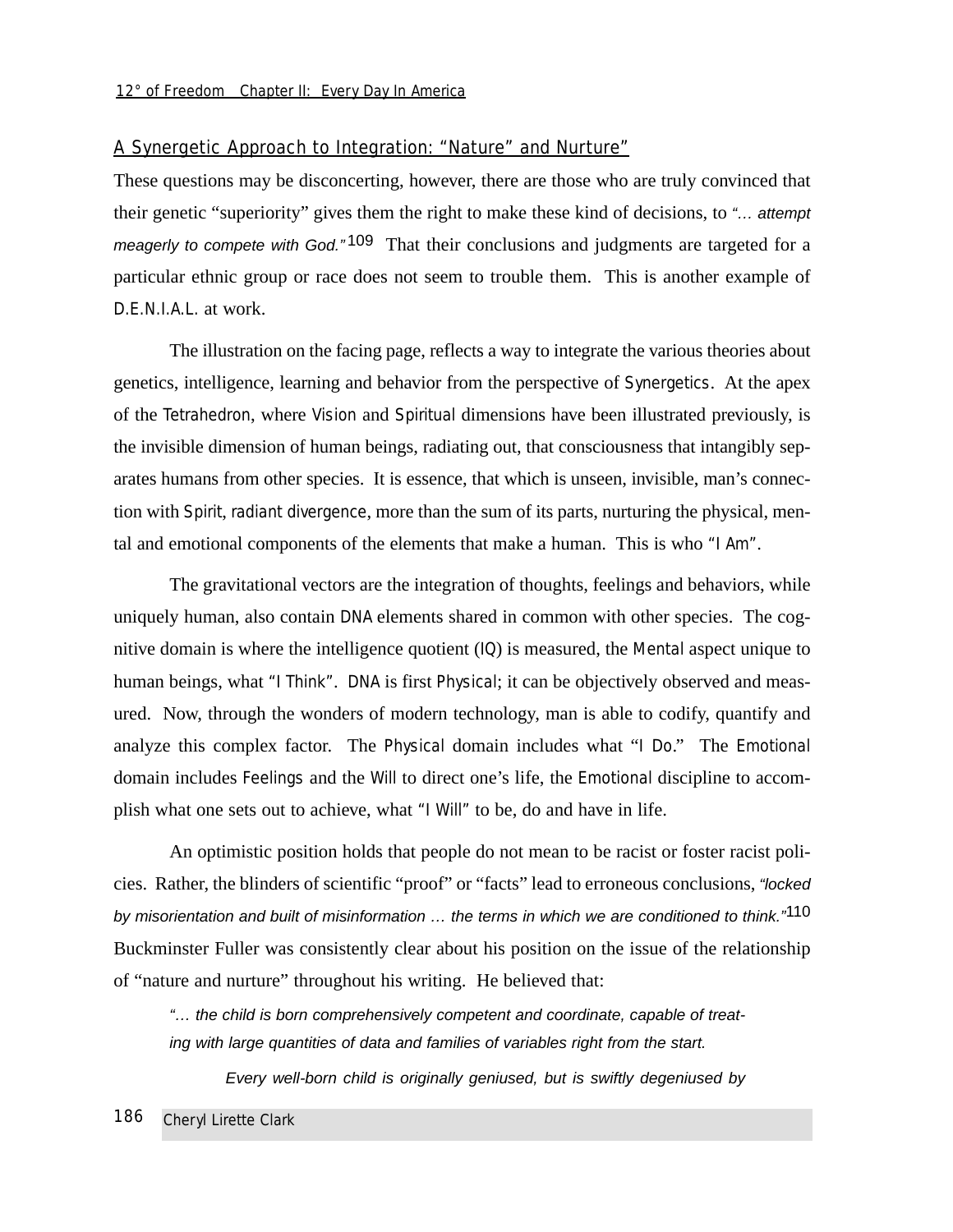### A Synergetic Approach to Integration: "Nature" and Nurture"

These questions may be disconcerting, however, there are those who are truly convinced that their genetic "superiority" gives them the right to make these kind of decisions, to "… attempt *meagerly to compete with God.*<sup> $n$ 109</sup> That their conclusions and judgments are targeted for a particular ethnic group or race does not seem to trouble them. This is another example of D.E.N.I.A.L. at work.

The illustration on the facing page, reflects a way to integrate the various theories about genetics, intelligence, learning and behavior from the perspective of Synergetics. At the apex of the Tetrahedron, where Vision and Spiritual dimensions have been illustrated previously, is the invisible dimension of human beings, radiating out, that consciousness that intangibly separates humans from other species. It is essence, that which is unseen, invisible, man's connection with Spirit, radiant divergence, more than the sum of its parts, nurturing the physical, mental and emotional components of the elements that make a human. This is who "I Am".

The gravitational vectors are the integration of thoughts, feelings and behaviors, while uniquely human, also contain DNA elements shared in common with other species. The cognitive domain is where the intelligence quotient (IQ) is measured, the Mental aspect unique to human beings, what "I Think". DNA is first Physical; it can be objectively observed and measured. Now, through the wonders of modern technology, man is able to codify, quantify and analyze this complex factor. The Physical domain includes what "I Do." The Emotional domain includes Feelings and the Will to direct one's life, the Emotional discipline to accomplish what one sets out to achieve, what "I Will" to be, do and have in life.

An optimistic position holds that people do not mean to be racist or foster racist policies. Rather, the blinders of scientific "proof" or "facts" lead to erroneous conclusions, "locked by misorientation and built of misinformation ... the terms in which we are conditioned to think."<sup>110</sup> Buckminster Fuller was consistently clear about his position on the issue of the relationship of "nature and nurture" throughout his writing. He believed that:

"… the child is born comprehensively competent and coordinate, capable of treating with large quantities of data and families of variables right from the start.

Every well-born child is originally geniused, but is swiftly degeniused by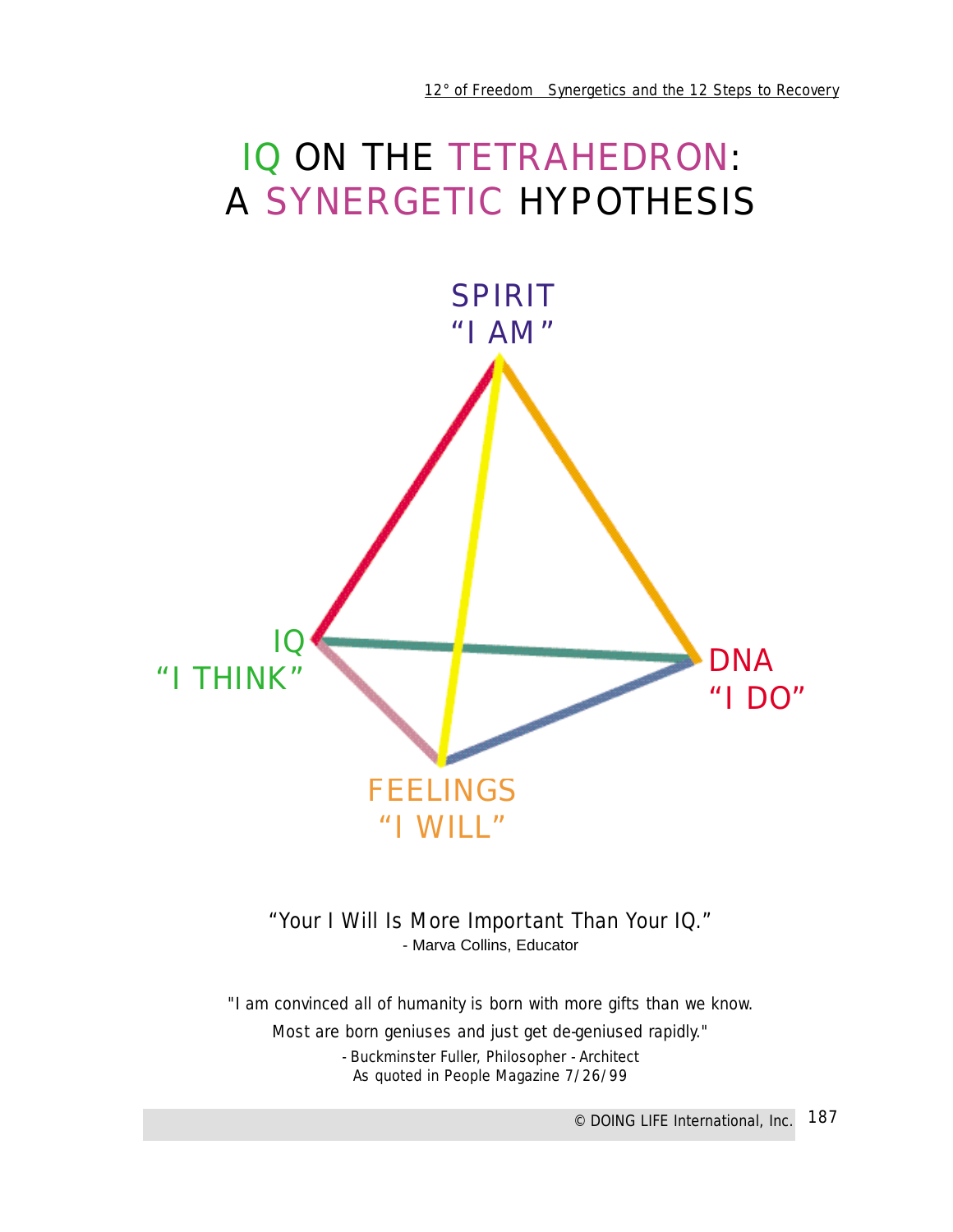# IQ ON THE TETRAHEDRON: A SYNERGETIC HYPOTHESIS



# *"Your I Will Is More Important Than Your IQ."*

- Marva Collins, Educator

*"I am convinced all of humanity is born with more gifts than we know. Most are born geniuses and just get de-geniused rapidly."*

> - Buckminster Fuller, Philosopher - Architect As quoted in People Magazine 7/26/99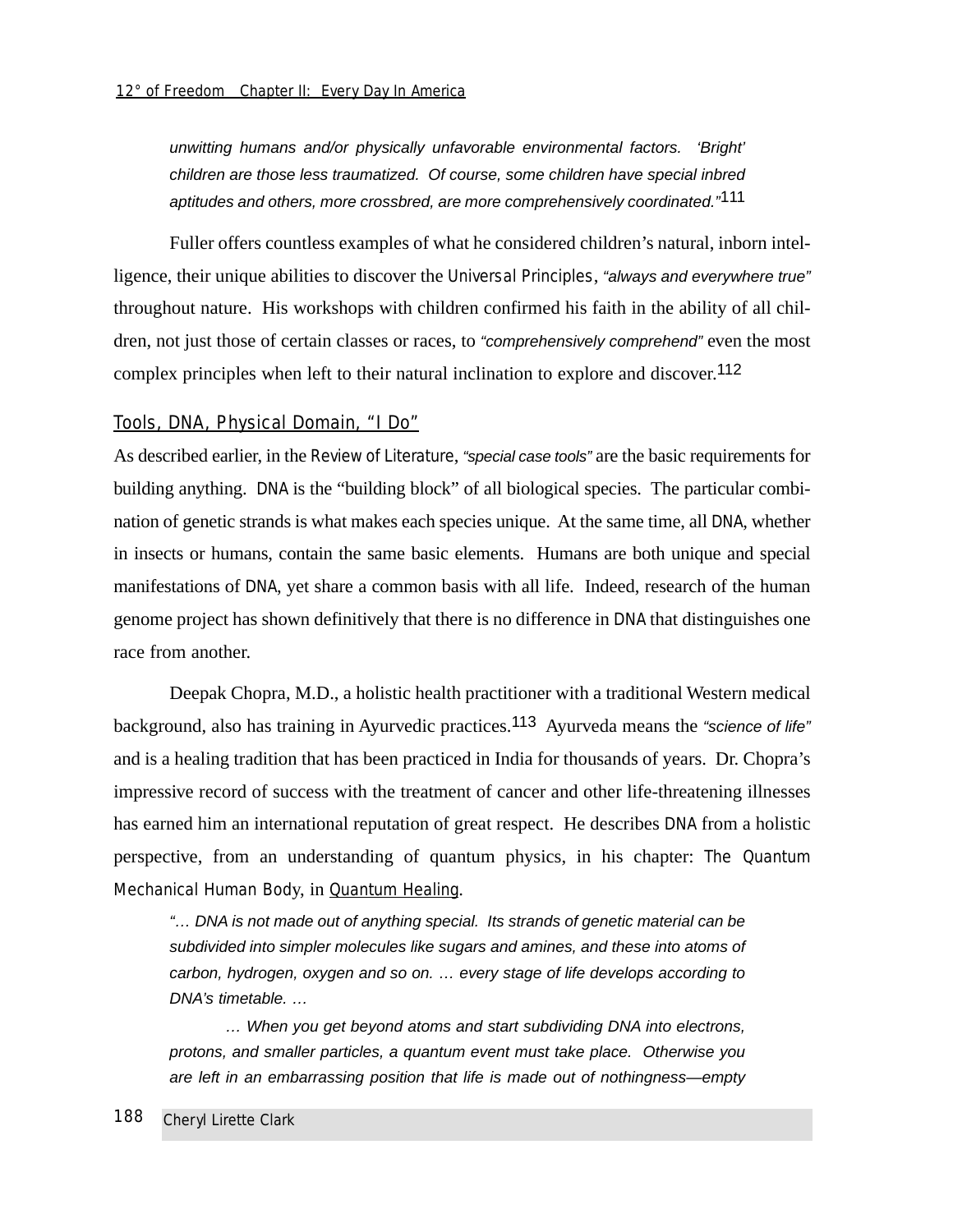unwitting humans and/or physically unfavorable environmental factors. 'Bright' children are those less traumatized. Of course, some children have special inbred aptitudes and others, more crossbred, are more comprehensively coordinated."<sup>111</sup>

Fuller offers countless examples of what he considered children's natural, inborn intelligence, their unique abilities to discover the Universal Principles, "always and everywhere true" throughout nature. His workshops with children confirmed his faith in the ability of all children, not just those of certain classes or races, to "comprehensively comprehend" even the most complex principles when left to their natural inclination to explore and discover.<sup>112</sup>

### Tools, DNA, Physical Domain, "I Do"

As described earlier, in the Review of Literature, "special case tools" are the basic requirements for building anything. DNA is the "building block" of all biological species. The particular combination of genetic strands is what makes each species unique. At the same time, all DNA, whether in insects or humans, contain the same basic elements. Humans are both unique and special manifestations of DNA, yet share a common basis with all life. Indeed, research of the human genome project has shown definitively that there is no difference in DNA that distinguishes one race from another.

Deepak Chopra, M.D., a holistic health practitioner with a traditional Western medical background, also has training in Ayurvedic practices.<sup>113</sup> Ayurveda means the "science of life" and is a healing tradition that has been practiced in India for thousands of years. Dr. Chopra's impressive record of success with the treatment of cancer and other life-threatening illnesses has earned him an international reputation of great respect. He describes DNA from a holistic perspective, from an understanding of quantum physics, in his chapter: *The Quantum Mechanical Human Bod*y, in Quantum Healing.

"… DNA is not made out of anything special. Its strands of genetic material can be subdivided into simpler molecules like sugars and amines, and these into atoms of carbon, hydrogen, oxygen and so on. … every stage of life develops according to DNA's timetable. …

… When you get beyond atoms and start subdividing DNA into electrons, protons, and smaller particles, a quantum event must take place. Otherwise you are left in an embarrassing position that life is made out of nothingness—empty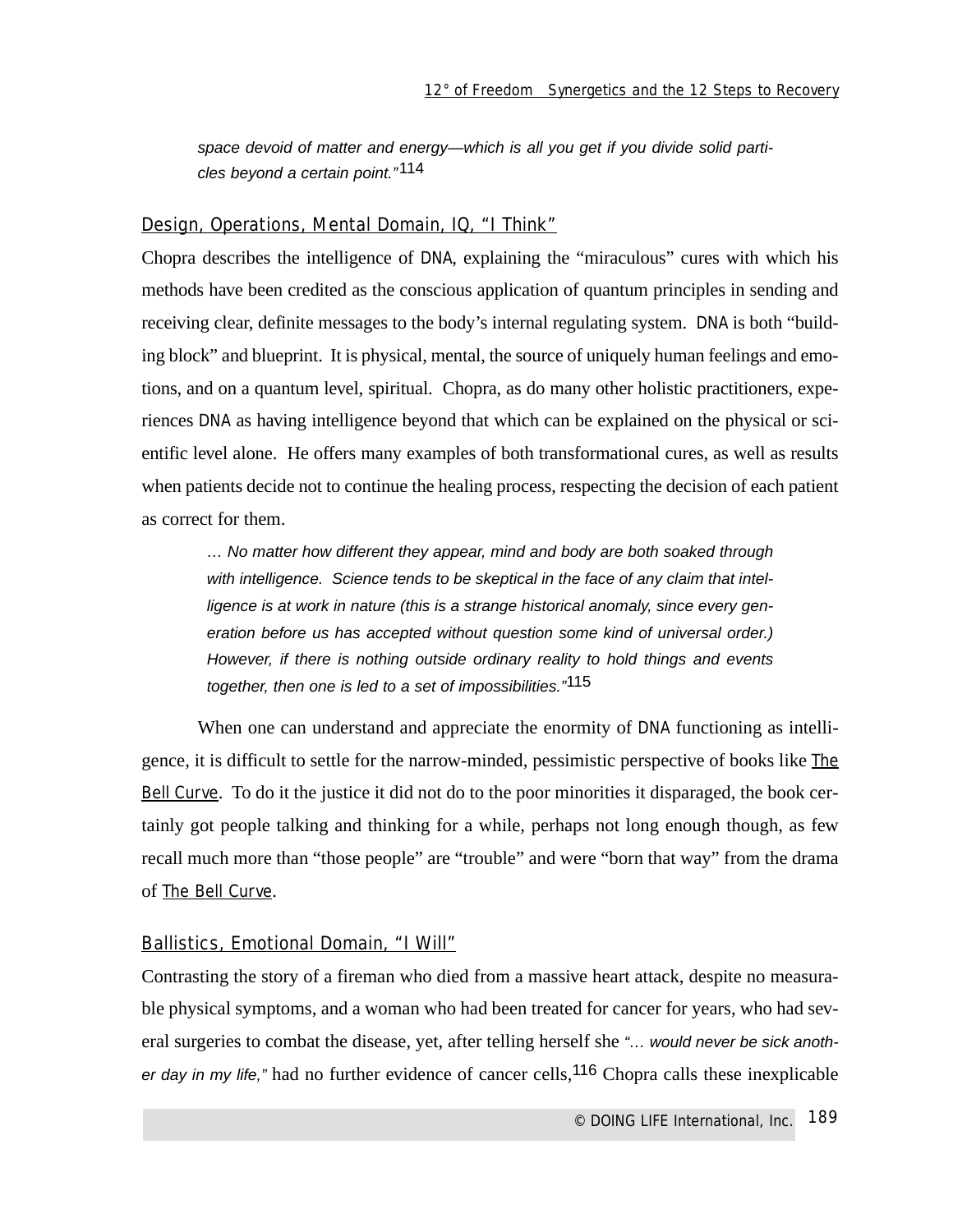space devoid of matter and energy—which is all you get if you divide solid particles beyond a certain point."114

# Design, Operations, Mental Domain, IQ, "I Think"

Chopra describes the intelligence of DNA, explaining the "miraculous" cures with which his methods have been credited as the conscious application of quantum principles in sending and receiving clear, definite messages to the body's internal regulating system. DNA is both "building block" and blueprint. It is physical, mental, the source of uniquely human feelings and emotions, and on a quantum level, spiritual. Chopra, as do many other holistic practitioners, experiences DNA as having intelligence beyond that which can be explained on the physical or scientific level alone. He offers many examples of both transformational cures, as well as results when patients decide not to continue the healing process, respecting the decision of each patient as correct for them.

… No matter how different they appear, mind and body are both soaked through with intelligence. Science tends to be skeptical in the face of any claim that intelligence is at work in nature (this is a strange historical anomaly, since every generation before us has accepted without question some kind of universal order.) However, if there is nothing outside ordinary reality to hold things and events together, then one is led to a set of impossibilities."<sup>115</sup>

When one can understand and appreciate the enormity of DNA functioning as intelligence, it is difficult to settle for the narrow-minded, pessimistic perspective of books like The Bell Curve. To do it the justice it did not do to the poor minorities it disparaged, the book certainly got people talking and thinking for a while, perhaps not long enough though, as few recall much more than "those people" are "trouble" and were "born that way" from the drama of The Bell Curve.

### Ballistics, Emotional Domain, "I Will"

Contrasting the story of a fireman who died from a massive heart attack, despite no measurable physical symptoms, and a woman who had been treated for cancer for years, who had several surgeries to combat the disease, yet, after telling herself she "... would never be sick another day in my life," had no further evidence of cancer cells, <sup>116</sup> Chopra calls these inexplicable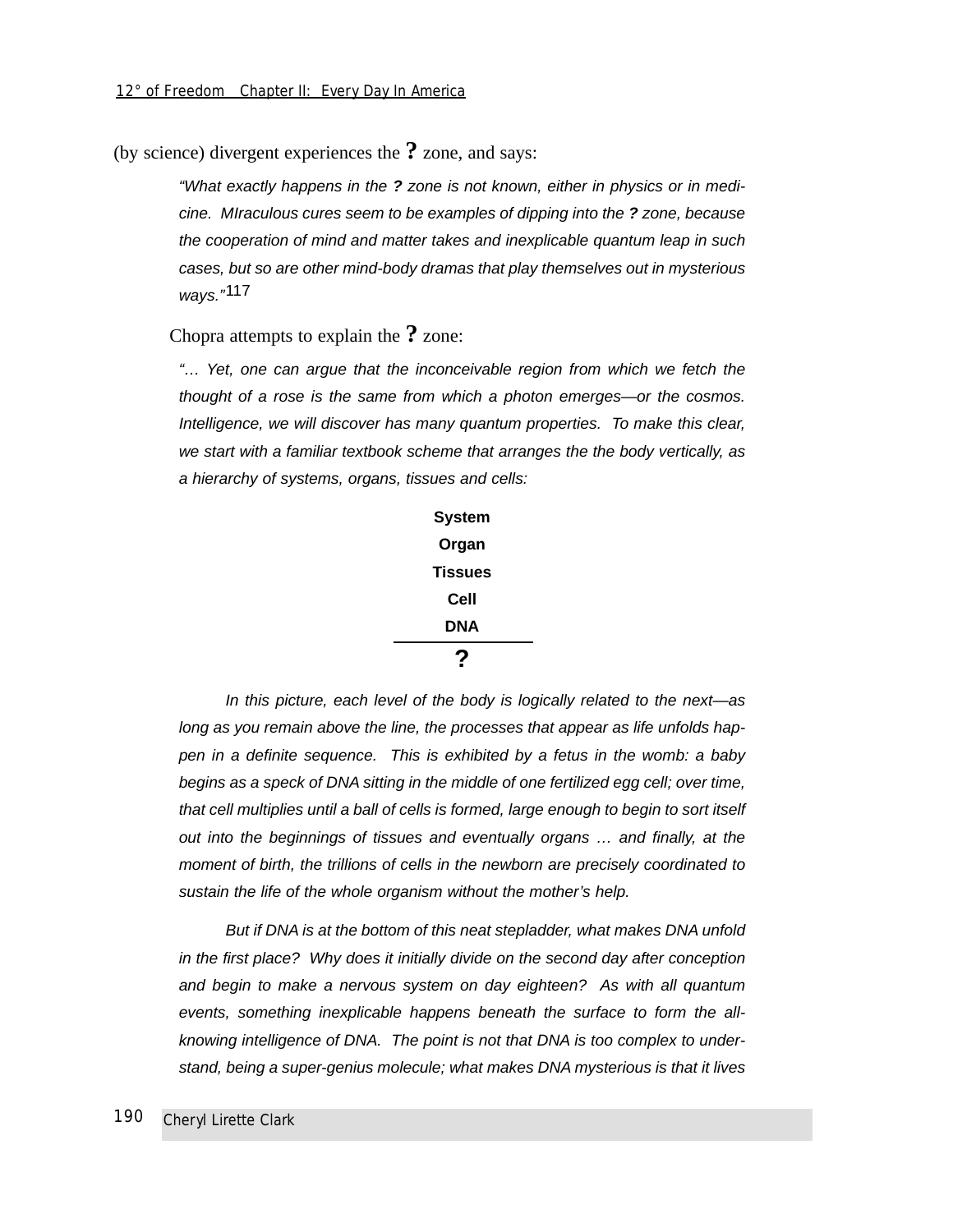(by science) divergent experiences the **?** zone, and says:

"What exactly happens in the **?** zone is not known, either in physics or in medicine. MIraculous cures seem to be examples of dipping into the **?** zone, because the cooperation of mind and matter takes and inexplicable quantum leap in such cases, but so are other mind-body dramas that play themselves out in mysterious ways."117

Chopra attempts to explain the **?** zone:

"… Yet, one can argue that the inconceivable region from which we fetch the thought of a rose is the same from which a photon emerges—or the cosmos. Intelligence, we will discover has many quantum properties. To make this clear, we start with a familiar textbook scheme that arranges the the body vertically, as a hierarchy of systems, organs, tissues and cells:

| System         |
|----------------|
| Organ          |
| <b>Tissues</b> |
| Cell           |
| DNA            |
|                |

In this picture, each level of the body is logically related to the next—as long as you remain above the line, the processes that appear as life unfolds happen in a definite sequence. This is exhibited by a fetus in the womb: a baby begins as a speck of DNA sitting in the middle of one fertilized egg cell; over time, that cell multiplies until a ball of cells is formed, large enough to begin to sort itself out into the beginnings of tissues and eventually organs … and finally, at the moment of birth, the trillions of cells in the newborn are precisely coordinated to sustain the life of the whole organism without the mother's help.

But if DNA is at the bottom of this neat stepladder, what makes DNA unfold in the first place? Why does it initially divide on the second day after conception and begin to make a nervous system on day eighteen? As with all quantum events, something inexplicable happens beneath the surface to form the allknowing intelligence of DNA. The point is not that DNA is too complex to understand, being a super-genius molecule; what makes DNA mysterious is that it lives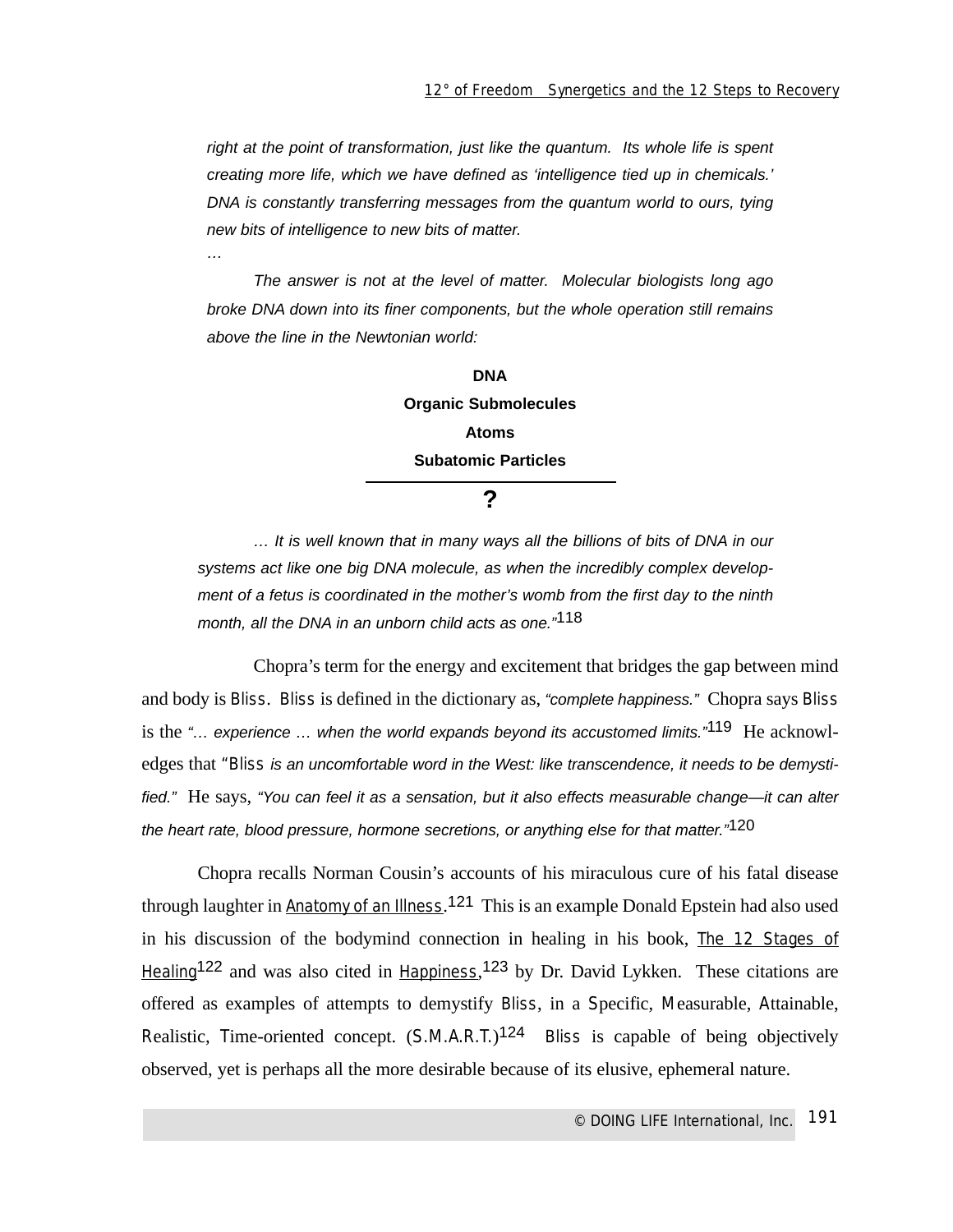right at the point of transformation, just like the quantum. Its whole life is spent creating more life, which we have defined as 'intelligence tied up in chemicals.' DNA is constantly transferring messages from the quantum world to ours, tying new bits of intelligence to new bits of matter.

The answer is not at the level of matter. Molecular biologists long ago broke DNA down into its finer components, but the whole operation still remains above the line in the Newtonian world:

…

**DNA Organic Submolecules Atoms Subatomic Particles**

**?**

… It is well known that in many ways all the billions of bits of DNA in our systems act like one big DNA molecule, as when the incredibly complex development of a fetus is coordinated in the mother's womb from the first day to the ninth month, all the DNA in an unborn child acts as one."<sup>118</sup>

Chopra's term for the energy and excitement that bridges the gap between mind and body is Bliss. Bliss is defined in the dictionary as, "complete happiness." Chopra says Bliss is the "... experience ... when the world expands beyond its accustomed limits."<sup>119</sup> He acknowledges that *"*Bliss is an uncomfortable word in the West: like transcendence, it needs to be demystified." He says, "You can feel it as a sensation, but it also effects measurable change—it can alter the heart rate, blood pressure, hormone secretions, or anything else for that matter."<sup>120</sup>

Chopra recalls Norman Cousin's accounts of his miraculous cure of his fatal disease through laughter in Anatomy of an Illness. <sup>121</sup> This is an example Donald Epstein had also used in his discussion of the bodymind connection in healing in his book, The 12 Stages of Healing<sup>122</sup> and was also cited in Happiness, <sup>123</sup> by Dr. David Lykken. These citations are offered as examples of attempts to demystify Bliss, in a Specific, Measurable, Attainable, Realistic, Time-oriented concept.  $(S.M.A.R.T.)^{124}$  Bliss is capable of being objectively observed, yet is perhaps all the more desirable because of its elusive, ephemeral nature.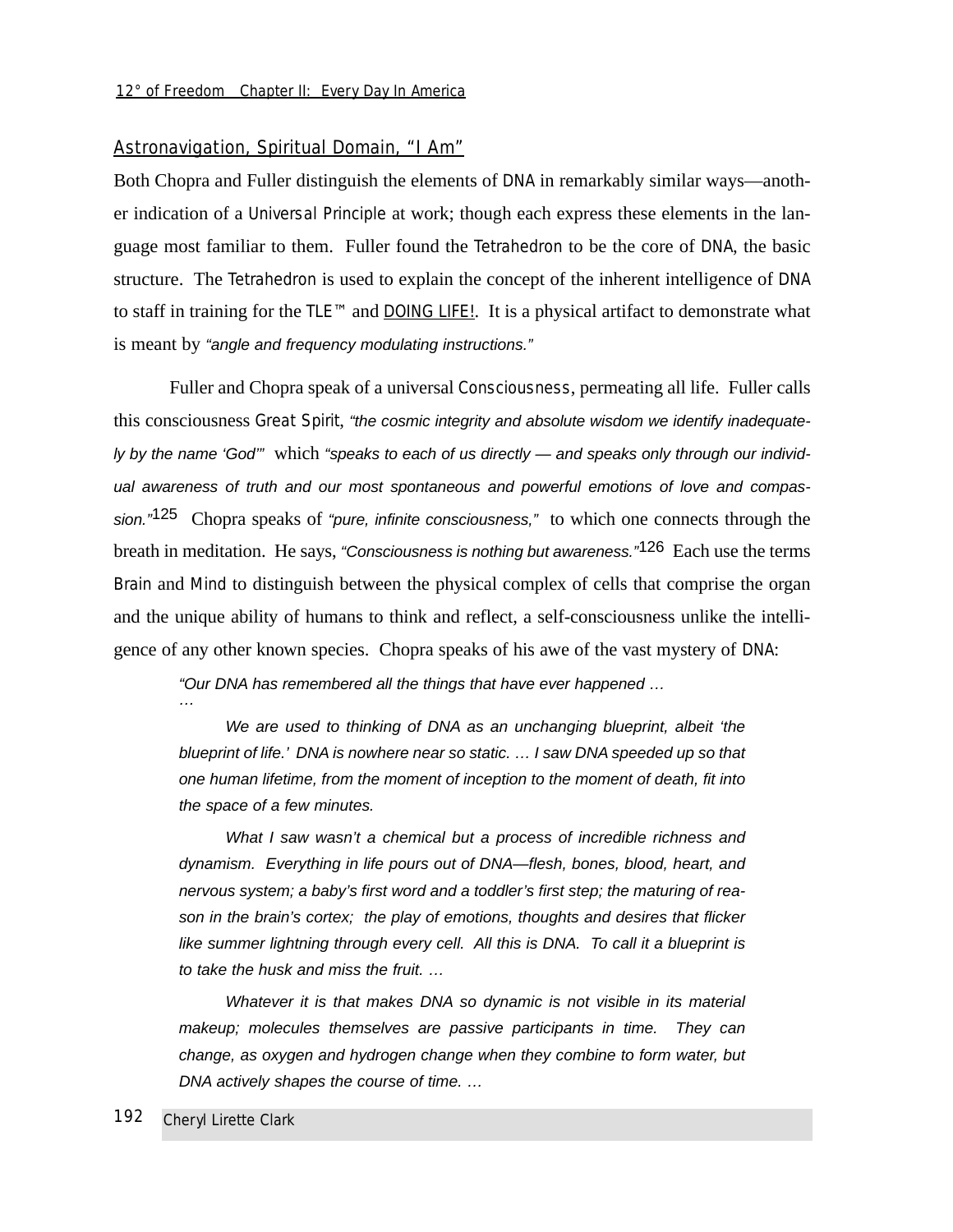## Astronavigation, Spiritual Domain, "I Am"

Both Chopra and Fuller distinguish the elements of DNA in remarkably similar ways—another indication of a Universal Principle at work; though each express these elements in the language most familiar to them. Fuller found the Tetrahedron to be the core of DNA, the basic structure. The Tetrahedron is used to explain the concept of the inherent intelligence of DNA to staff in training for the TLE™ and DOING LIFE!. It is a physical artifact to demonstrate what is meant by "angle and frequency modulating instructions."

Fuller and Chopra speak of a universal Consciousness, permeating all life. Fuller calls this consciousness Great Spirit, "the cosmic integrity and absolute wisdom we identify inadequately by the name 'God'" which "speaks to each of us directly — and speaks only through our individual awareness of truth and our most spontaneous and powerful emotions of love and compassion."<sup>125</sup> Chopra speaks of "pure, infinite consciousness," to which one connects through the breath in meditation. He says, "Consciousness is nothing but awareness."<sup>126</sup> Each use the terms Brain and Mind to distinguish between the physical complex of cells that comprise the organ and the unique ability of humans to think and reflect, a self-consciousness unlike the intelligence of any other known species. Chopra speaks of his awe of the vast mystery of DNA:

"Our DNA has remembered all the things that have ever happened … …

We are used to thinking of DNA as an unchanging blueprint, albeit 'the blueprint of life.' DNA is nowhere near so static. … I saw DNA speeded up so that one human lifetime, from the moment of inception to the moment of death, fit into the space of a few minutes.

What I saw wasn't a chemical but a process of incredible richness and dynamism. Everything in life pours out of DNA—flesh, bones, blood, heart, and nervous system; a baby's first word and a toddler's first step; the maturing of reason in the brain's cortex; the play of emotions, thoughts and desires that flicker like summer lightning through every cell. All this is DNA. To call it a blueprint is to take the husk and miss the fruit. …

Whatever it is that makes DNA so dynamic is not visible in its material makeup; molecules themselves are passive participants in time. They can change, as oxygen and hydrogen change when they combine to form water, but DNA actively shapes the course of time. …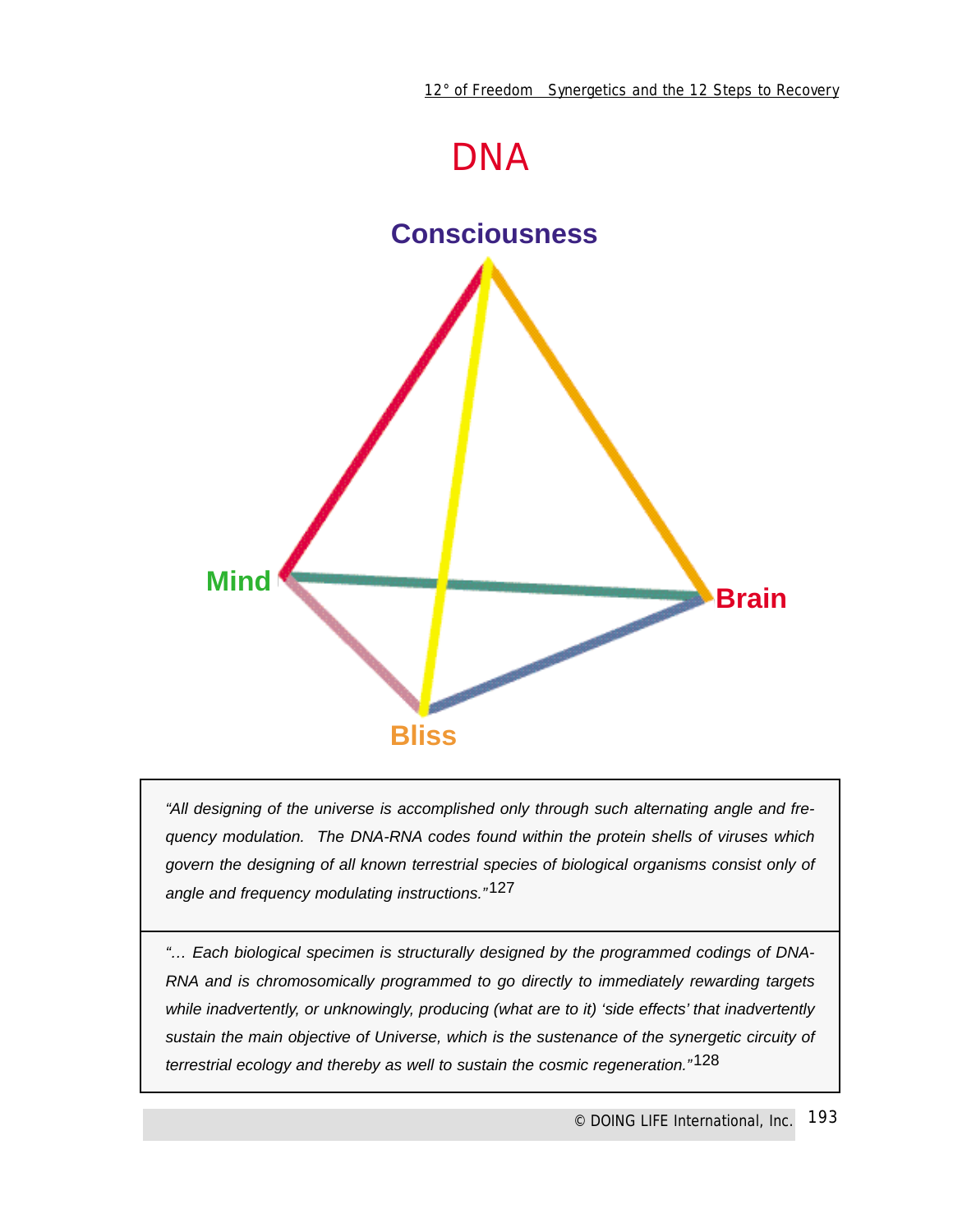



"All designing of the universe is accomplished only through such alternating angle and frequency modulation. The DNA-RNA codes found within the protein shells of viruses which govern the designing of all known terrestrial species of biological organisms consist only of angle and frequency modulating instructions."127

"… Each biological specimen is structurally designed by the programmed codings of DNA-RNA and is chromosomically programmed to go directly to immediately rewarding targets while inadvertently, or unknowingly, producing (what are to it) 'side effects' that inadvertently sustain the main objective of Universe, which is the sustenance of the synergetic circuity of terrestrial ecology and thereby as well to sustain the cosmic regeneration."128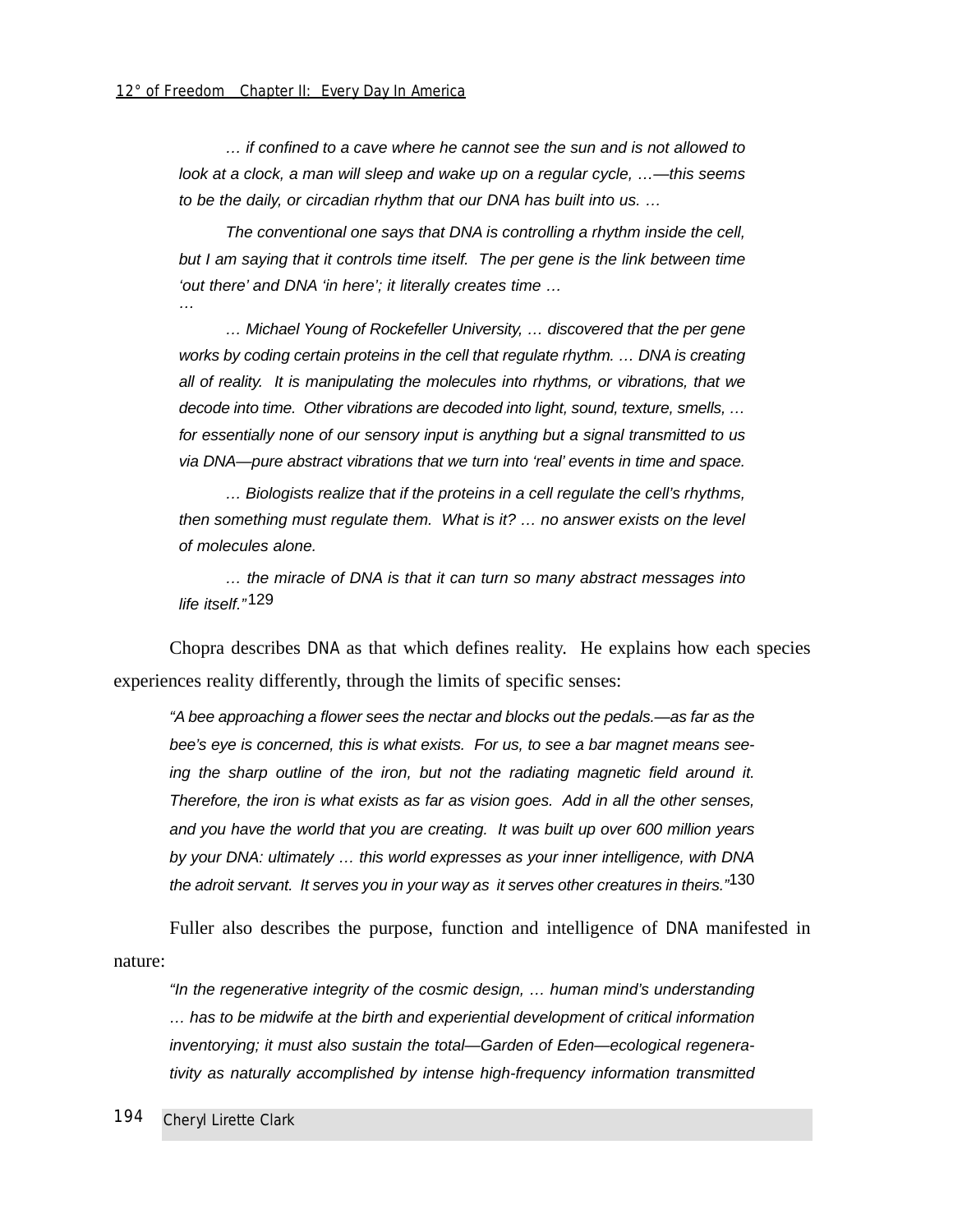…

… if confined to a cave where he cannot see the sun and is not allowed to look at a clock, a man will sleep and wake up on a regular cycle, ...—this seems to be the daily, or circadian rhythm that our DNA has built into us. …

The conventional one says that DNA is controlling a rhythm inside the cell, but I am saying that it controls time itself. The per gene is the link between time 'out there' and DNA 'in here'; it literally creates time …

… Michael Young of Rockefeller University, … discovered that the per gene works by coding certain proteins in the cell that regulate rhythm. … DNA is creating all of reality. It is manipulating the molecules into rhythms, or vibrations, that we decode into time. Other vibrations are decoded into light, sound, texture, smells, … for essentially none of our sensory input is anything but a signal transmitted to us via DNA—pure abstract vibrations that we turn into 'real' events in time and space.

… Biologists realize that if the proteins in a cell regulate the cell's rhythms, then something must regulate them. What is it? … no answer exists on the level of molecules alone.

… the miracle of DNA is that it can turn so many abstract messages into life itself."129

Chopra describes DNA as that which defines reality. He explains how each species experiences reality differently, through the limits of specific senses:

"A bee approaching a flower sees the nectar and blocks out the pedals.—as far as the bee's eye is concerned, this is what exists. For us, to see a bar magnet means seeing the sharp outline of the iron, but not the radiating magnetic field around it. Therefore, the iron is what exists as far as vision goes. Add in all the other senses, and you have the world that you are creating. It was built up over 600 million years by your DNA: ultimately … this world expresses as your inner intelligence, with DNA the adroit servant. It serves you in your way as it serves other creatures in theirs."<sup>130</sup>

Fuller also describes the purpose, function and intelligence of DNA manifested in nature:

"In the regenerative integrity of the cosmic design, … human mind's understanding … has to be midwife at the birth and experiential development of critical information inventorying; it must also sustain the total—Garden of Eden—ecological regenerativity as naturally accomplished by intense high-frequency information transmitted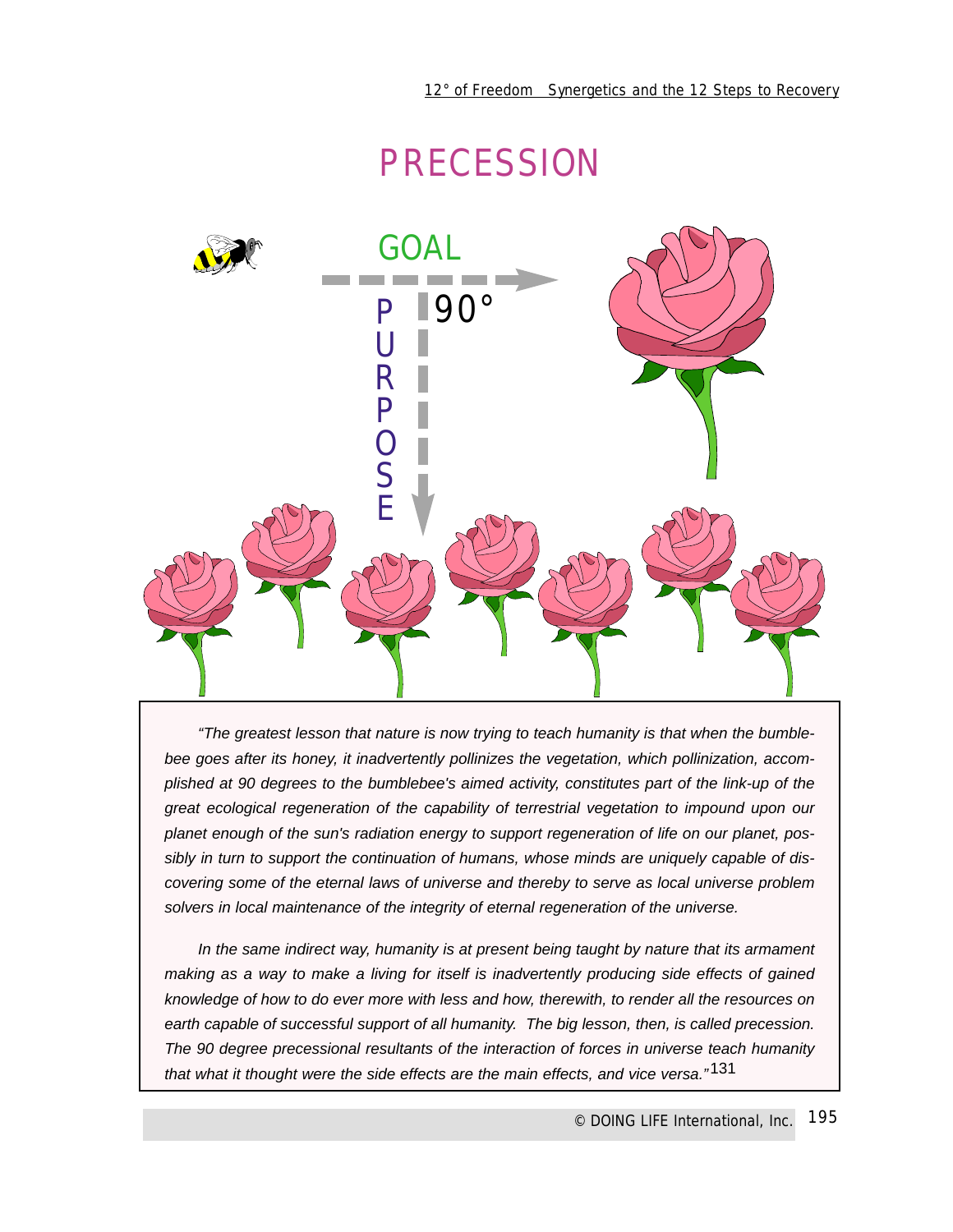# PRECESSION



"The greatest lesson that nature is now trying to teach humanity is that when the bumblebee goes after its honey, it inadvertently pollinizes the vegetation, which pollinization, accomplished at 90 degrees to the bumblebee's aimed activity, constitutes part of the link-up of the great ecological regeneration of the capability of terrestrial vegetation to impound upon our planet enough of the sun's radiation energy to support regeneration of life on our planet, possibly in turn to support the continuation of humans, whose minds are uniquely capable of discovering some of the eternal laws of universe and thereby to serve as local universe problem solvers in local maintenance of the integrity of eternal regeneration of the universe.

In the same indirect way, humanity is at present being taught by nature that its armament making as a way to make a living for itself is inadvertently producing side effects of gained knowledge of how to do ever more with less and how, therewith, to render all the resources on earth capable of successful support of all humanity. The big lesson, then, is called precession. The 90 degree precessional resultants of the interaction of forces in universe teach humanity that what it thought were the side effects are the main effects, and vice versa."131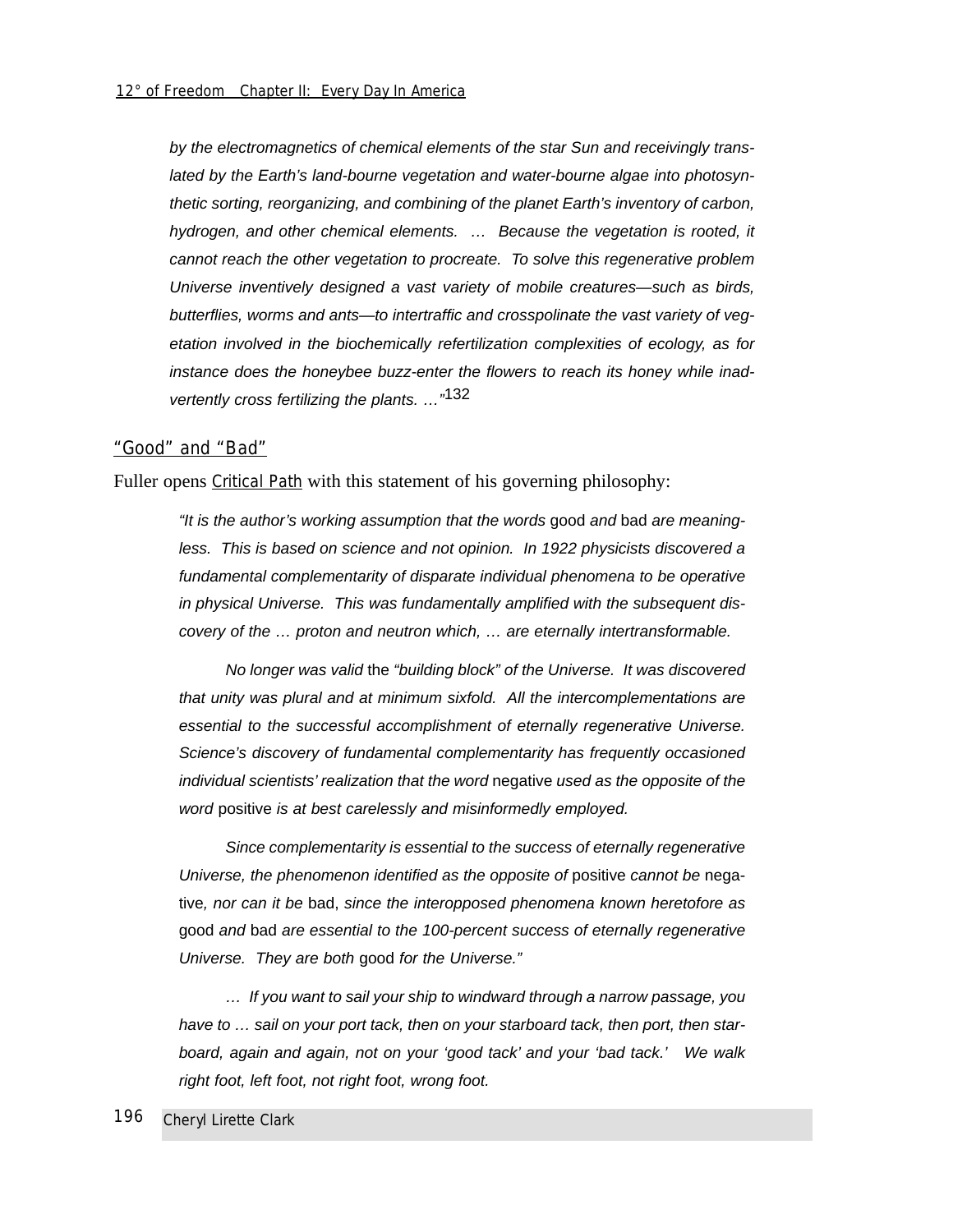by the electromagnetics of chemical elements of the star Sun and receivingly translated by the Earth's land-bourne vegetation and water-bourne algae into photosynthetic sorting, reorganizing, and combining of the planet Earth's inventory of carbon, hydrogen, and other chemical elements. … Because the vegetation is rooted, it cannot reach the other vegetation to procreate. To solve this regenerative problem Universe inventively designed a vast variety of mobile creatures—such as birds, butterflies, worms and ants—to intertraffic and crosspolinate the vast variety of vegetation involved in the biochemically refertilization complexities of ecology, as for instance does the honeybee buzz-enter the flowers to reach its honey while inadvertently cross fertilizing the plants. ..."<sup>132</sup>

#### "Good" and "Bad"

Fuller opens Critical Path with this statement of his governing philosophy:

"It is the author's working assumption that the words good and bad are meaningless. This is based on science and not opinion. In 1922 physicists discovered a fundamental complementarity of disparate individual phenomena to be operative in physical Universe. This was fundamentally amplified with the subsequent discovery of the … proton and neutron which, … are eternally intertransformable.

No longer was valid the "building block" of the Universe. It was discovered that unity was plural and at minimum sixfold. All the intercomplementations are essential to the successful accomplishment of eternally regenerative Universe. Science's discovery of fundamental complementarity has frequently occasioned individual scientists' realization that the word negative used as the opposite of the word positive is at best carelessly and misinformedly employed.

Since complementarity is essential to the success of eternally regenerative Universe, the phenomenon identified as the opposite of positive cannot be negative, nor can it be bad, since the interopposed phenomena known heretofore as good and bad are essential to the 100-percent success of eternally regenerative Universe. They are both good for the Universe."

… If you want to sail your ship to windward through a narrow passage, you have to … sail on your port tack, then on your starboard tack, then port, then starboard, again and again, not on your 'good tack' and your 'bad tack.' We walk right foot, left foot, not right foot, wrong foot.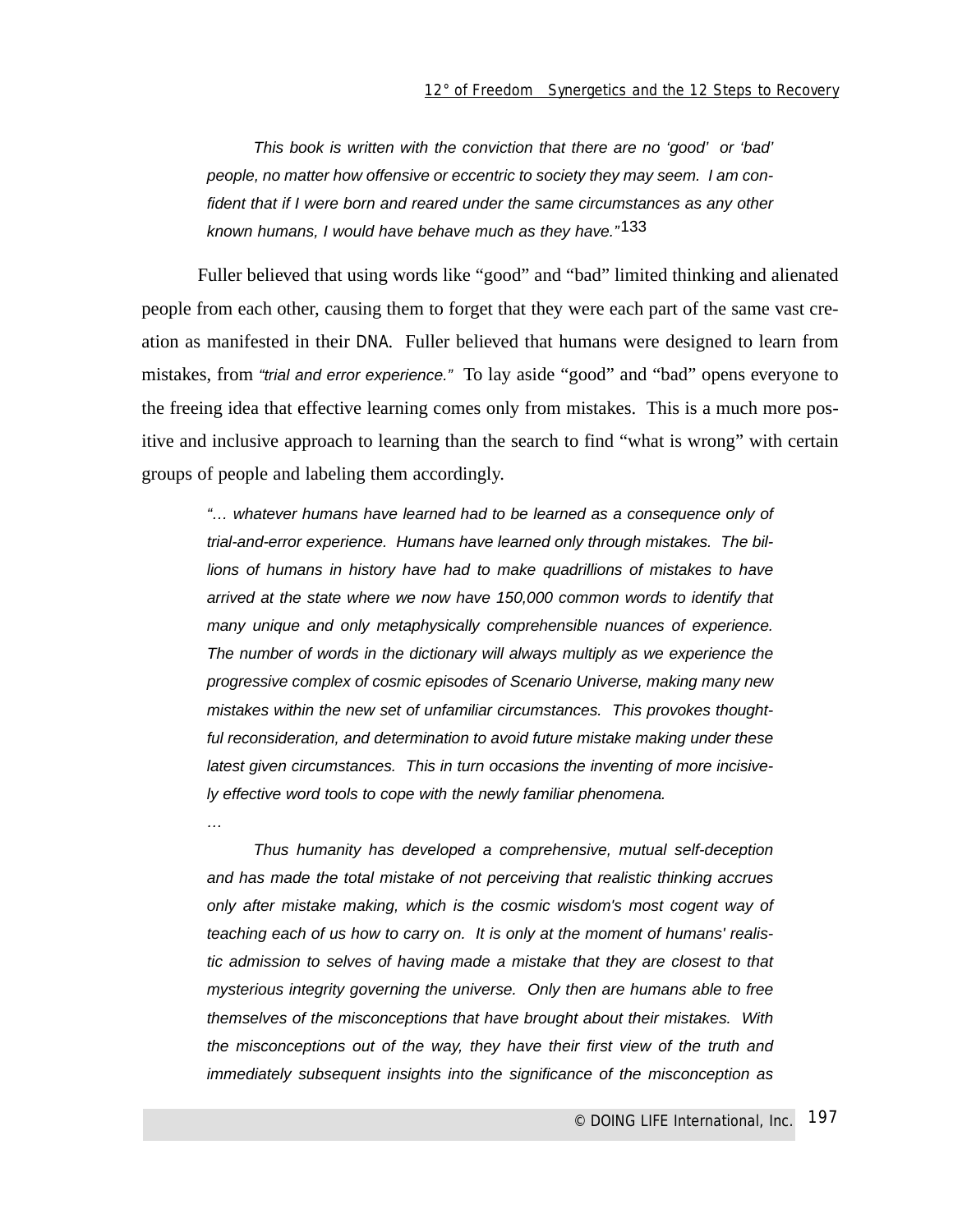This book is written with the conviction that there are no 'good' or 'bad' people, no matter how offensive or eccentric to society they may seem. I am confident that if I were born and reared under the same circumstances as any other known humans, I would have behave much as they have."133

Fuller believed that using words like "good" and "bad" limited thinking and alienated people from each other, causing them to forget that they were each part of the same vast creation as manifested in their DNA. Fuller believed that humans were designed to learn from mistakes, from "trial and error experience." To lay aside "good" and "bad" opens everyone to the freeing idea that effective learning comes only from mistakes. This is a much more positive and inclusive approach to learning than the search to find "what is wrong" with certain groups of people and labeling them accordingly.

"… whatever humans have learned had to be learned as a consequence only of trial-and-error experience. Humans have learned only through mistakes. The billions of humans in history have had to make quadrillions of mistakes to have arrived at the state where we now have 150,000 common words to identify that many unique and only metaphysically comprehensible nuances of experience. The number of words in the dictionary will always multiply as we experience the progressive complex of cosmic episodes of Scenario Universe, making many new mistakes within the new set of unfamiliar circumstances. This provokes thoughtful reconsideration, and determination to avoid future mistake making under these latest given circumstances. This in turn occasions the inventing of more incisively effective word tools to cope with the newly familiar phenomena.

…

Thus humanity has developed a comprehensive, mutual self-deception and has made the total mistake of not perceiving that realistic thinking accrues only after mistake making, which is the cosmic wisdom's most cogent way of teaching each of us how to carry on. It is only at the moment of humans' realistic admission to selves of having made a mistake that they are closest to that mysterious integrity governing the universe. Only then are humans able to free themselves of the misconceptions that have brought about their mistakes. With the misconceptions out of the way, they have their first view of the truth and immediately subsequent insights into the significance of the misconception as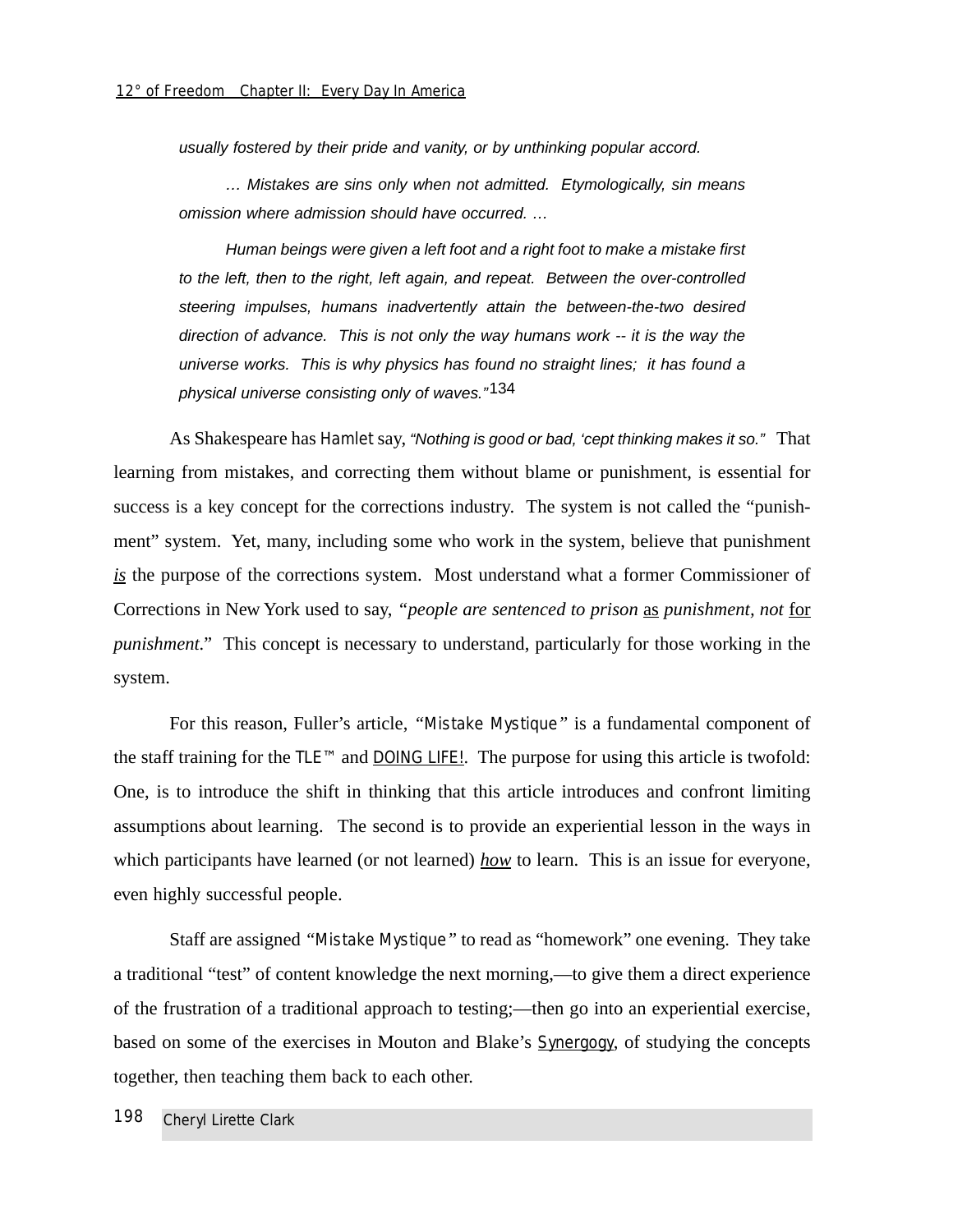usually fostered by their pride and vanity, or by unthinking popular accord.

… Mistakes are sins only when not admitted. Etymologically, sin means omission where admission should have occurred. …

Human beings were given a left foot and a right foot to make a mistake first to the left, then to the right, left again, and repeat. Between the over-controlled steering impulses, humans inadvertently attain the between-the-two desired direction of advance. This is not only the way humans work -- it is the way the universe works. This is why physics has found no straight lines; it has found a physical universe consisting only of waves."134

As Shakespeare has Hamlet say, "Nothing is good or bad, 'cept thinking makes it so." That learning from mistakes, and correcting them without blame or punishment, is essential for success is a key concept for the corrections industry. The system is not called the "punishment" system. Yet, many, including some who work in the system, believe that punishment *is* the purpose of the corrections system. Most understand what a former Commissioner of Corrections in New York used to say, *"people are sentenced to prison* as *punishment, not* for *punishment."* This concept is necessary to understand, particularly for those working in the system.

For this reason, Fuller's article, *"Mistake Mystique"* is a fundamental component of the staff training for the TLE™ and DOING LIFE!. The purpose for using this article is twofold: One, is to introduce the shift in thinking that this article introduces and confront limiting assumptions about learning. The second is to provide an experiential lesson in the ways in which participants have learned (or not learned) <u>how</u> to learn. This is an issue for everyone, even highly successful people.

Staff are assigned *"Mistake Mystique"* to read as "homework" one evening. They take a traditional "test" of content knowledge the next morning,—to give them a direct experience of the frustration of a traditional approach to testing;—then go into an experiential exercise, based on some of the exercises in Mouton and Blake's Synergogy, of studying the concepts together, then teaching them back to each other.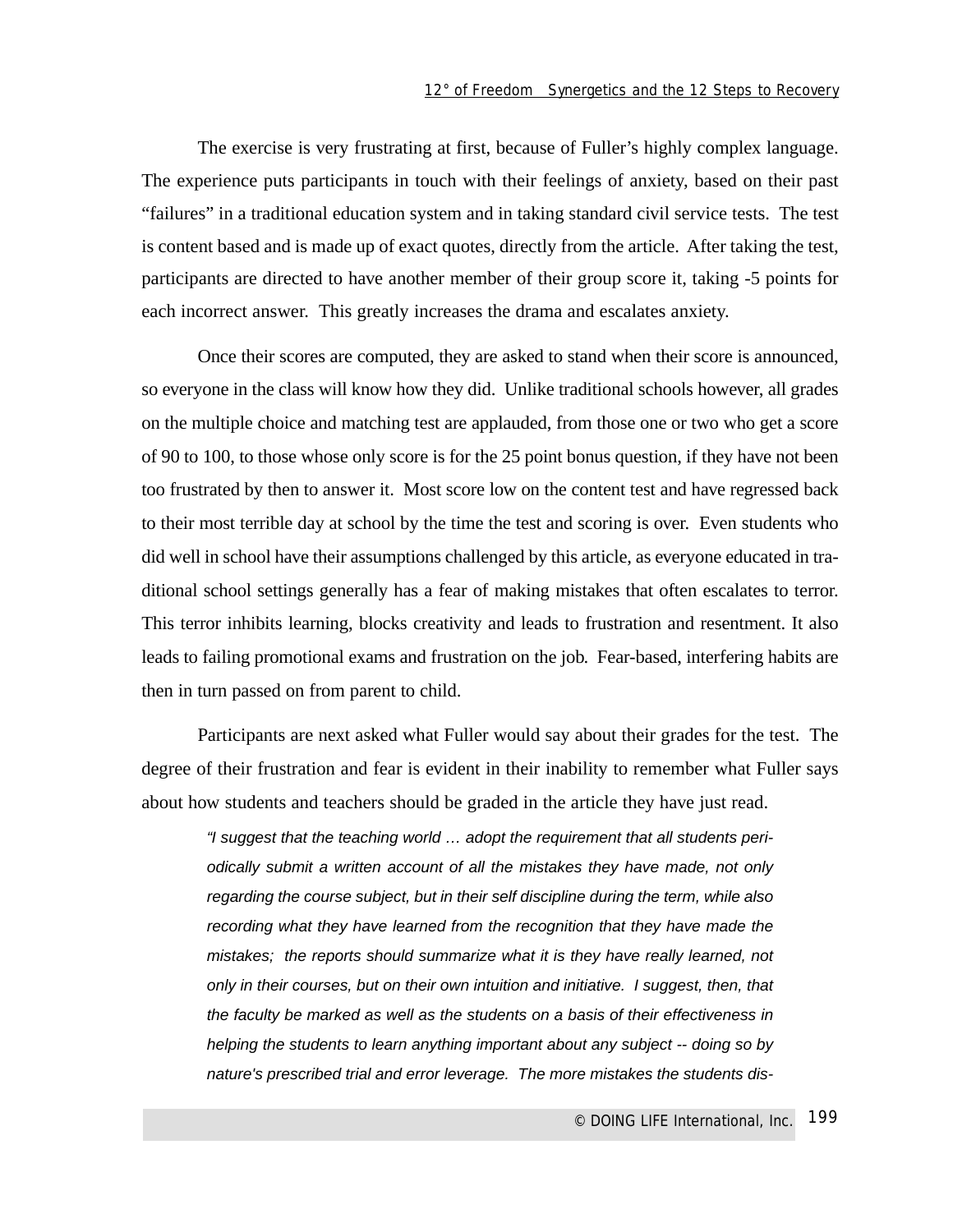The exercise is very frustrating at first, because of Fuller's highly complex language. The experience puts participants in touch with their feelings of anxiety, based on their past "failures" in a traditional education system and in taking standard civil service tests. The test is content based and is made up of exact quotes, directly from the article. After taking the test, participants are directed to have another member of their group score it, taking -5 points for each incorrect answer. This greatly increases the drama and escalates anxiety.

Once their scores are computed, they are asked to stand when their score is announced, so everyone in the class will know how they did. Unlike traditional schools however, all grades on the multiple choice and matching test are applauded, from those one or two who get a score of 90 to 100, to those whose only score is for the 25 point bonus question, if they have not been too frustrated by then to answer it. Most score low on the content test and have regressed back to their most terrible day at school by the time the test and scoring is over. Even students who did well in school have their assumptions challenged by this article, as everyone educated in traditional school settings generally has a fear of making mistakes that often escalates to terror. This terror inhibits learning, blocks creativity and leads to frustration and resentment. It also leads to failing promotional exams and frustration on the job. Fear-based, interfering habits are then in turn passed on from parent to child.

Participants are next asked what Fuller would say about their grades for the test. The degree of their frustration and fear is evident in their inability to remember what Fuller says about how students and teachers should be graded in the article they have just read.

"I suggest that the teaching world … adopt the requirement that all students periodically submit a written account of all the mistakes they have made, not only regarding the course subject, but in their self discipline during the term, while also recording what they have learned from the recognition that they have made the mistakes; the reports should summarize what it is they have really learned, not only in their courses, but on their own intuition and initiative. I suggest, then, that the faculty be marked as well as the students on a basis of their effectiveness in helping the students to learn anything important about any subject -- doing so by nature's prescribed trial and error leverage. The more mistakes the students dis-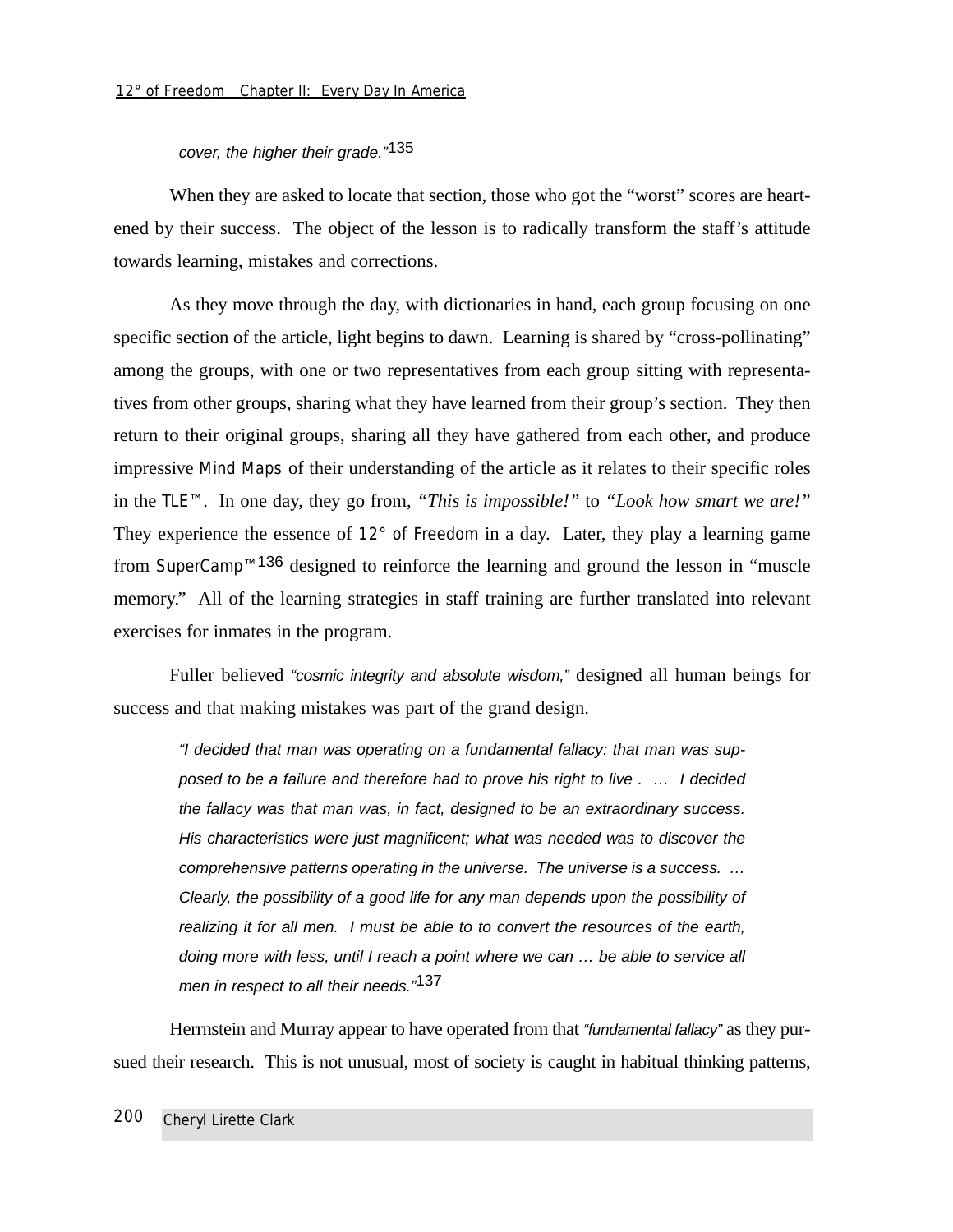# cover, the higher their grade."<sup>135</sup>

When they are asked to locate that section, those who got the "worst" scores are heartened by their success. The object of the lesson is to radically transform the staff's attitude towards learning, mistakes and corrections.

As they move through the day, with dictionaries in hand, each group focusing on one specific section of the article, light begins to dawn. Learning is shared by "cross-pollinating" among the groups, with one or two representatives from each group sitting with representatives from other groups, sharing what they have learned from their group's section. They then return to their original groups, sharing all they have gathered from each other, and produce impressive Mind Maps of their understanding of the article as it relates to their specific roles in the TLE™. In one day, they go from, *"This is impossible!"* to *"Look how smart we are!"* They experience the essence of  $12^{\circ}$  of Freedom in a day. Later, they play a learning game from *SuperCamp*™136 designed to reinforce the learning and ground the lesson in "muscle memory." All of the learning strategies in staff training are further translated into relevant exercises for inmates in the program.

Fuller believed "cosmic integrity and absolute wisdom," designed all human beings for success and that making mistakes was part of the grand design.

"I decided that man was operating on a fundamental fallacy: that man was supposed to be a failure and therefore had to prove his right to live . … I decided the fallacy was that man was, in fact, designed to be an extraordinary success. His characteristics were just magnificent; what was needed was to discover the comprehensive patterns operating in the universe. The universe is a success. … Clearly, the possibility of a good life for any man depends upon the possibility of realizing it for all men. I must be able to to convert the resources of the earth, doing more with less, until I reach a point where we can … be able to service all men in respect to all their needs."<sup>137</sup>

Herrnstein and Murray appear to have operated from that "fundamental fallacy" as they pursued their research. This is not unusual, most of society is caught in habitual thinking patterns,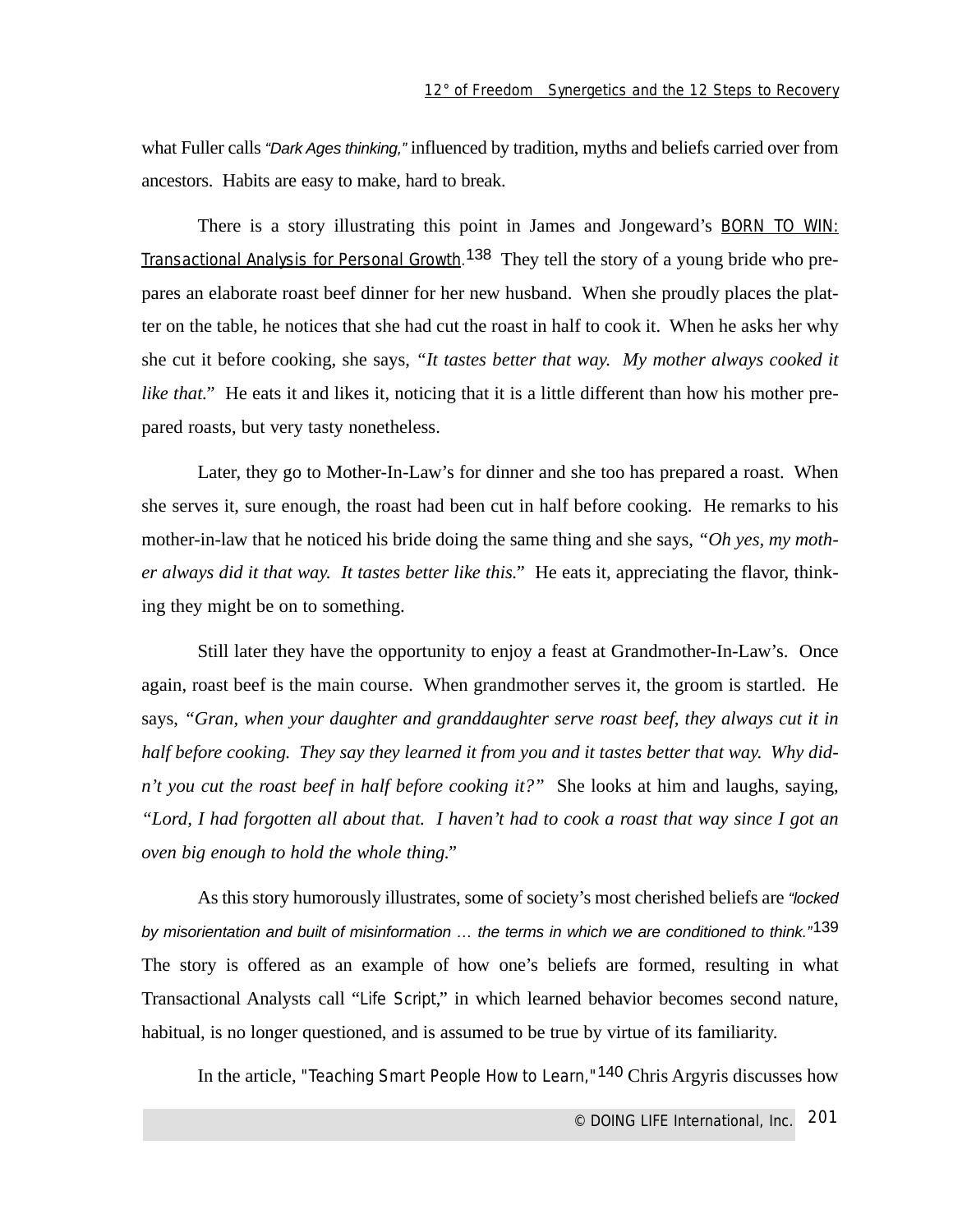what Fuller calls "Dark Ages thinking," influenced by tradition, myths and beliefs carried over from ancestors. Habits are easy to make, hard to break.

There is a story illustrating this point in James and Jongeward's BORN TO WIN: Transactional Analysis for Personal Growth.<sup>138</sup> They tell the story of a young bride who prepares an elaborate roast beef dinner for her new husband. When she proudly places the platter on the table, he notices that she had cut the roast in half to cook it. When he asks her why she cut it before cooking, she says, *"It tastes better that way. My mother always cooked it like that.*" He eats it and likes it, noticing that it is a little different than how his mother prepared roasts, but very tasty nonetheless.

Later, they go to Mother-In-Law's for dinner and she too has prepared a roast. When she serves it, sure enough, the roast had been cut in half before cooking. He remarks to his mother-in-law that he noticed his bride doing the same thing and she says, *"Oh yes, my mother always did it that way. It tastes better like this."* He eats it, appreciating the flavor, thinking they might be on to something.

Still later they have the opportunity to enjoy a feast at Grandmother-In-Law's. Once again, roast beef is the main course. When grandmother serves it, the groom is startled. He says, *"Gran, when your daughter and granddaughter serve roast beef, they always cut it in half before cooking. They say they learned it from you and it tastes better that way. Why didn't you cut the roast beef in half before cooking it?"* She looks at him and laughs, saying, *"Lord, I had forgotten all about that. I haven't had to cook a roast that way since I got an oven big enough to hold the whole thing."*

As this story humorously illustrates, some of society's most cherished beliefs are "locked by misorientation and built of misinformation ... the terms in which we are conditioned to think."<sup>139</sup> The story is offered as an example of how one's beliefs are formed, resulting in what Transactional Analysts call "Life Script," in which learned behavior becomes second nature, habitual, is no longer questioned, and is assumed to be true by virtue of its familiarity.

In the article, *"Teaching Smart People How to Learn,"*140 Chris Argyris discusses how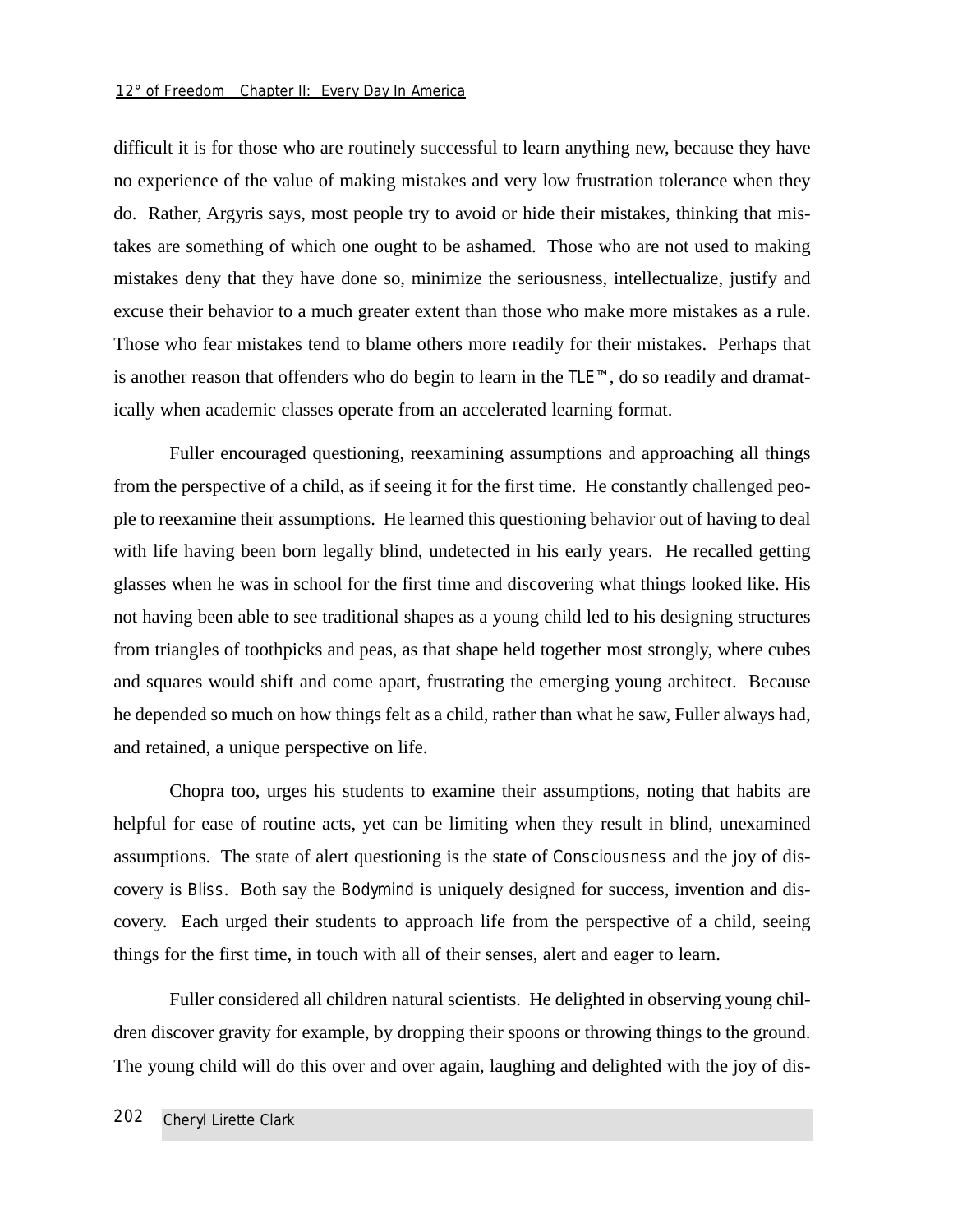### *12° of Freedom Chapter II: Every Day In America*

difficult it is for those who are routinely successful to learn anything new, because they have no experience of the value of making mistakes and very low frustration tolerance when they do. Rather, Argyris says, most people try to avoid or hide their mistakes, thinking that mistakes are something of which one ought to be ashamed. Those who are not used to making mistakes deny that they have done so, minimize the seriousness, intellectualize, justify and excuse their behavior to a much greater extent than those who make more mistakes as a rule. Those who fear mistakes tend to blame others more readily for their mistakes. Perhaps that is another reason that offenders who do begin to learn in the TLE™, do so readily and dramatically when academic classes operate from an accelerated learning format.

Fuller encouraged questioning, reexamining assumptions and approaching all things from the perspective of a child, as if seeing it for the first time. He constantly challenged people to reexamine their assumptions. He learned this questioning behavior out of having to deal with life having been born legally blind, undetected in his early years. He recalled getting glasses when he was in school for the first time and discovering what things looked like. His not having been able to see traditional shapes as a young child led to his designing structures from triangles of toothpicks and peas, as that shape held together most strongly, where cubes and squares would shift and come apart, frustrating the emerging young architect. Because he depended so much on how things felt as a child, rather than what he saw, Fuller always had, and retained, a unique perspective on life.

Chopra too, urges his students to examine their assumptions, noting that habits are helpful for ease of routine acts, yet can be limiting when they result in blind, unexamined assumptions. The state of alert questioning is the state of Consciousness and the joy of discovery is Bliss. Both say the Bodymind is uniquely designed for success, invention and discovery. Each urged their students to approach life from the perspective of a child, seeing things for the first time, in touch with all of their senses, alert and eager to learn.

Fuller considered all children natural scientists. He delighted in observing young children discover gravity for example, by dropping their spoons or throwing things to the ground. The young child will do this over and over again, laughing and delighted with the joy of dis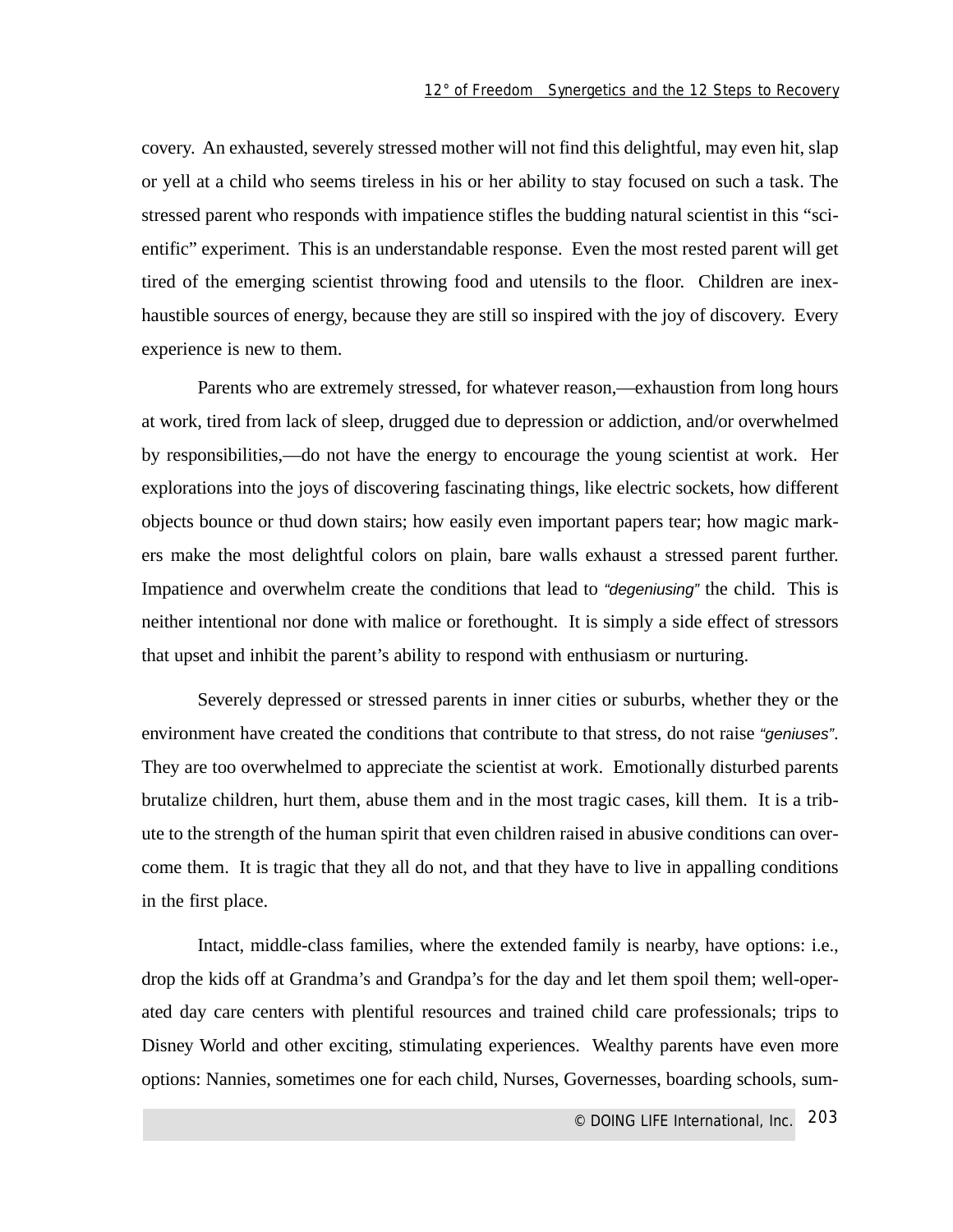covery. An exhausted, severely stressed mother will not find this delightful, may even hit, slap or yell at a child who seems tireless in his or her ability to stay focused on such a task. The stressed parent who responds with impatience stifles the budding natural scientist in this "scientific" experiment. This is an understandable response. Even the most rested parent will get tired of the emerging scientist throwing food and utensils to the floor. Children are inexhaustible sources of energy, because they are still so inspired with the joy of discovery. Every experience is new to them.

Parents who are extremely stressed, for whatever reason,—exhaustion from long hours at work, tired from lack of sleep, drugged due to depression or addiction, and/or overwhelmed by responsibilities,—do not have the energy to encourage the young scientist at work. Her explorations into the joys of discovering fascinating things, like electric sockets, how different objects bounce or thud down stairs; how easily even important papers tear; how magic markers make the most delightful colors on plain, bare walls exhaust a stressed parent further. Impatience and overwhelm create the conditions that lead to "degeniusing" the child. This is neither intentional nor done with malice or forethought. It is simply a side effect of stressors that upset and inhibit the parent's ability to respond with enthusiasm or nurturing.

Severely depressed or stressed parents in inner cities or suburbs, whether they or the environment have created the conditions that contribute to that stress, do not raise "geniuses". They are too overwhelmed to appreciate the scientist at work. Emotionally disturbed parents brutalize children, hurt them, abuse them and in the most tragic cases, kill them. It is a tribute to the strength of the human spirit that even children raised in abusive conditions can overcome them. It is tragic that they all do not, and that they have to live in appalling conditions in the first place.

Intact, middle-class families, where the extended family is nearby, have options: i.e., drop the kids off at Grandma's and Grandpa's for the day and let them spoil them; well-operated day care centers with plentiful resources and trained child care professionals; trips to Disney World and other exciting, stimulating experiences. Wealthy parents have even more options: Nannies, sometimes one for each child, Nurses, Governesses, boarding schools, sum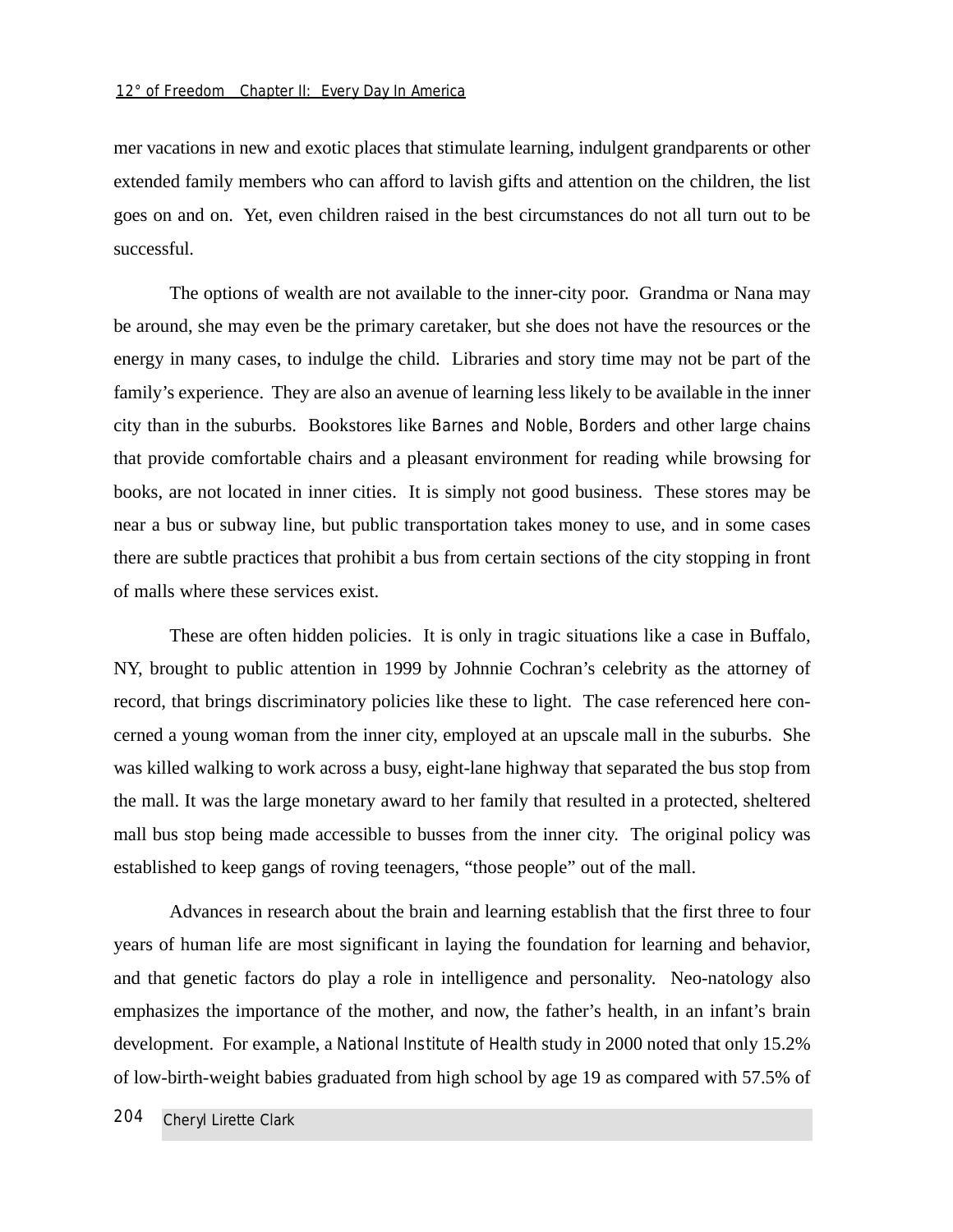mer vacations in new and exotic places that stimulate learning, indulgent grandparents or other extended family members who can afford to lavish gifts and attention on the children, the list goes on and on. Yet, even children raised in the best circumstances do not all turn out to be successful.

The options of wealth are not available to the inner-city poor. Grandma or Nana may be around, she may even be the primary caretaker, but she does not have the resources or the energy in many cases, to indulge the child. Libraries and story time may not be part of the family's experience. They are also an avenue of learning less likely to be available in the inner city than in the suburbs. Bookstores like Barnes and Noble, Borders and other large chains that provide comfortable chairs and a pleasant environment for reading while browsing for books, are not located in inner cities. It is simply not good business. These stores may be near a bus or subway line, but public transportation takes money to use, and in some cases there are subtle practices that prohibit a bus from certain sections of the city stopping in front of malls where these services exist.

These are often hidden policies. It is only in tragic situations like a case in Buffalo, NY, brought to public attention in 1999 by Johnnie Cochran's celebrity as the attorney of record, that brings discriminatory policies like these to light. The case referenced here concerned a young woman from the inner city, employed at an upscale mall in the suburbs. She was killed walking to work across a busy, eight-lane highway that separated the bus stop from the mall. It was the large monetary award to her family that resulted in a protected, sheltered mall bus stop being made accessible to busses from the inner city. The original policy was established to keep gangs of roving teenagers, "those people" out of the mall.

Advances in research about the brain and learning establish that the first three to four years of human life are most significant in laying the foundation for learning and behavior, and that genetic factors do play a role in intelligence and personality. Neo-natology also emphasizes the importance of the mother, and now, the father's health, in an infant's brain development. For example, a National Institute of Health study in 2000 noted that only 15.2% of low-birth-weight babies graduated from high school by age 19 as compared with 57.5% of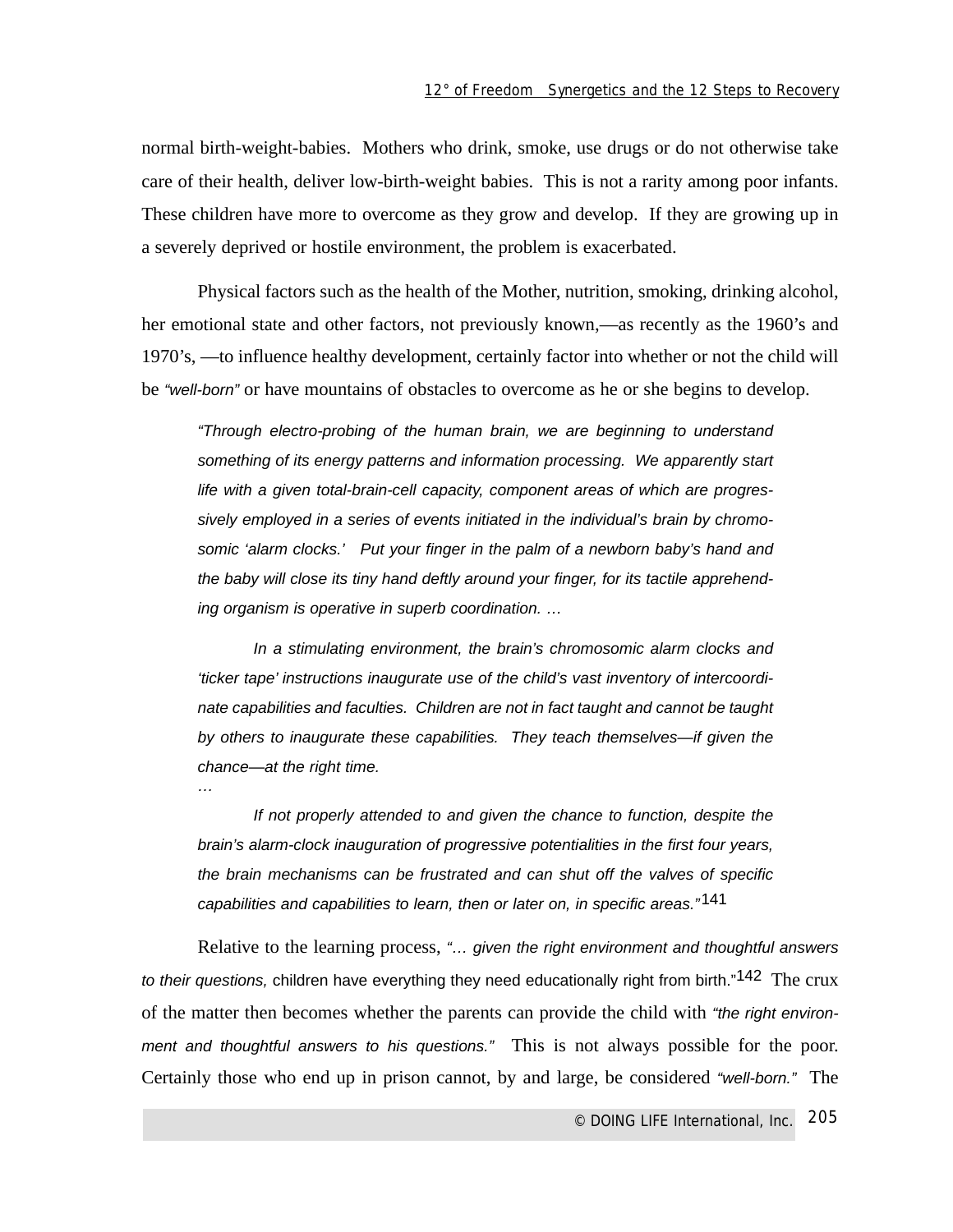normal birth-weight-babies. Mothers who drink, smoke, use drugs or do not otherwise take care of their health, deliver low-birth-weight babies. This is not a rarity among poor infants. These children have more to overcome as they grow and develop. If they are growing up in a severely deprived or hostile environment, the problem is exacerbated.

Physical factors such as the health of the Mother, nutrition, smoking, drinking alcohol, her emotional state and other factors, not previously known,—as recently as the 1960's and 1970's, —to influence healthy development, certainly factor into whether or not the child will be "well-born" or have mountains of obstacles to overcome as he or she begins to develop.

"Through electro-probing of the human brain, we are beginning to understand something of its energy patterns and information processing. We apparently start life with a given total-brain-cell capacity, component areas of which are progressively employed in a series of events initiated in the individual's brain by chromosomic 'alarm clocks.' Put your finger in the palm of a newborn baby's hand and the baby will close its tiny hand deftly around your finger, for its tactile apprehending organism is operative in superb coordination. …

In a stimulating environment, the brain's chromosomic alarm clocks and 'ticker tape' instructions inaugurate use of the child's vast inventory of intercoordinate capabilities and faculties. Children are not in fact taught and cannot be taught by others to inaugurate these capabilities. They teach themselves—if given the chance—at the right time. …

If not properly attended to and given the chance to function, despite the brain's alarm-clock inauguration of progressive potentialities in the first four years, the brain mechanisms can be frustrated and can shut off the valves of specific capabilities and capabilities to learn, then or later on, in specific areas."<sup>141</sup>

Relative to the learning process, "… given the right environment and thoughtful answers to their questions, children have everything they need educationally right from birth."<sup>142</sup> The crux of the matter then becomes whether the parents can provide the child with "the right environment and thoughtful answers to his questions." This is not always possible for the poor. Certainly those who end up in prison cannot, by and large, be considered "well-born." The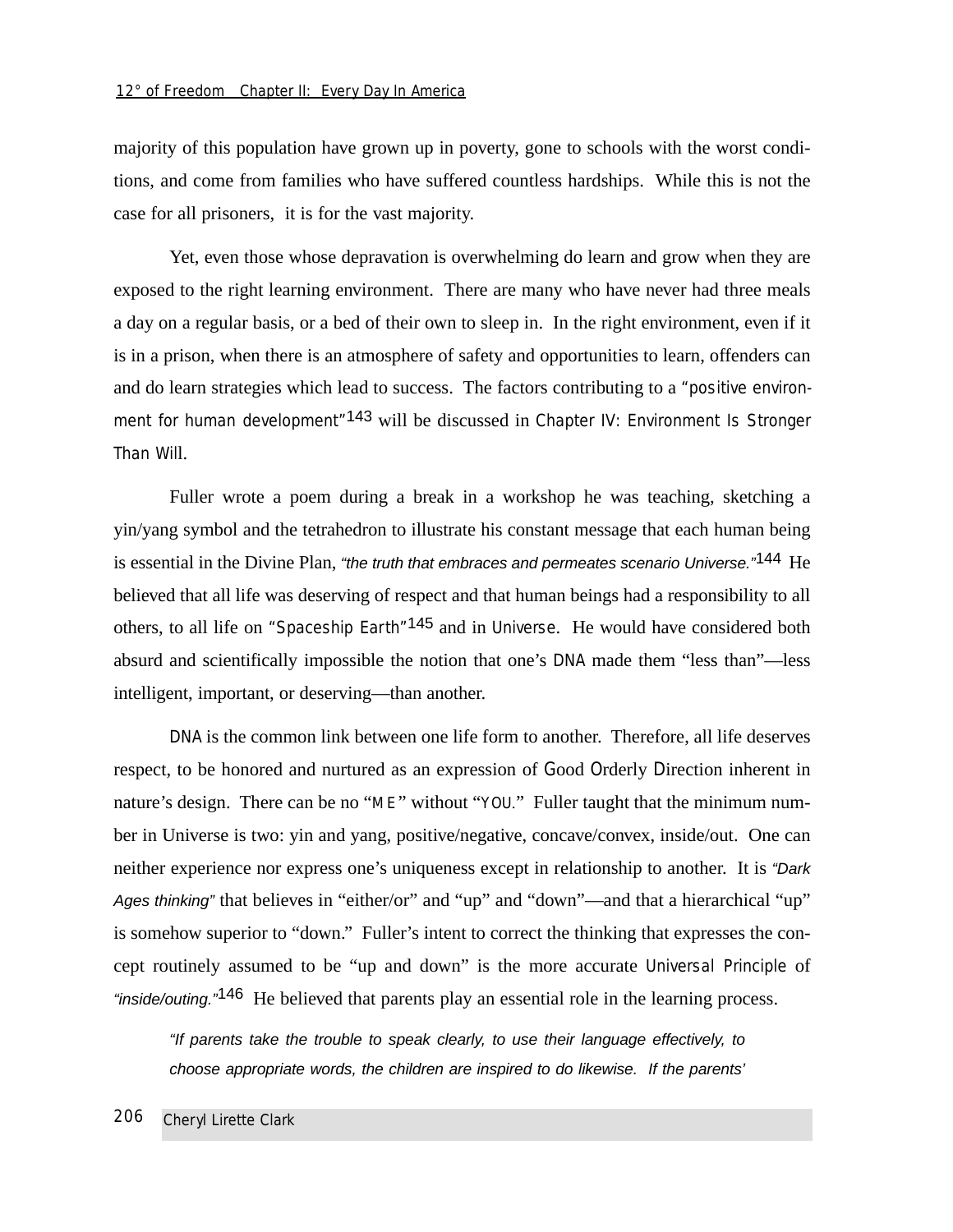majority of this population have grown up in poverty, gone to schools with the worst conditions, and come from families who have suffered countless hardships. While this is not the case for all prisoners, it is for the vast majority.

Yet, even those whose depravation is overwhelming do learn and grow when they are exposed to the right learning environment. There are many who have never had three meals a day on a regular basis, or a bed of their own to sleep in. In the right environment, even if it is in a prison, when there is an atmosphere of safety and opportunities to learn, offenders can and do learn strategies which lead to success. The factors contributing to a *"positive environment for human development"*143 will be discussed in Chapter IV: Environment Is Stronger Than Will.

Fuller wrote a poem during a break in a workshop he was teaching, sketching a yin/yang symbol and the tetrahedron to illustrate his constant message that each human being is essential in the Divine Plan, "the truth that embraces and permeates scenario Universe."<sup>144</sup> He believed that all life was deserving of respect and that human beings had a responsibility to all others, to all life on "Spaceship Earth"<sup>145</sup> and in Universe. He would have considered both absurd and scientifically impossible the notion that one's DNA made them "less than"—less intelligent, important, or deserving—than another.

DNA is the common link between one life form to another. Therefore, all life deserves respect, to be honored and nurtured as an expression of Good Orderly Direction inherent in nature's design. There can be no "ME" without "YOU." Fuller taught that the minimum number in Universe is two: yin and yang, positive/negative, concave/convex, inside/out. One can neither experience nor express one's uniqueness except in relationship to another. It is "Dark Ages thinking" that believes in "either/or" and "up" and "down"—and that a hierarchical "up" is somehow superior to "down." Fuller's intent to correct the thinking that expresses the concept routinely assumed to be "up and down" is the more accurate Universal Principle of "inside/outing."<sup>146</sup> He believed that parents play an essential role in the learning process.

"If parents take the trouble to speak clearly, to use their language effectively, to choose appropriate words, the children are inspired to do likewise. If the parents'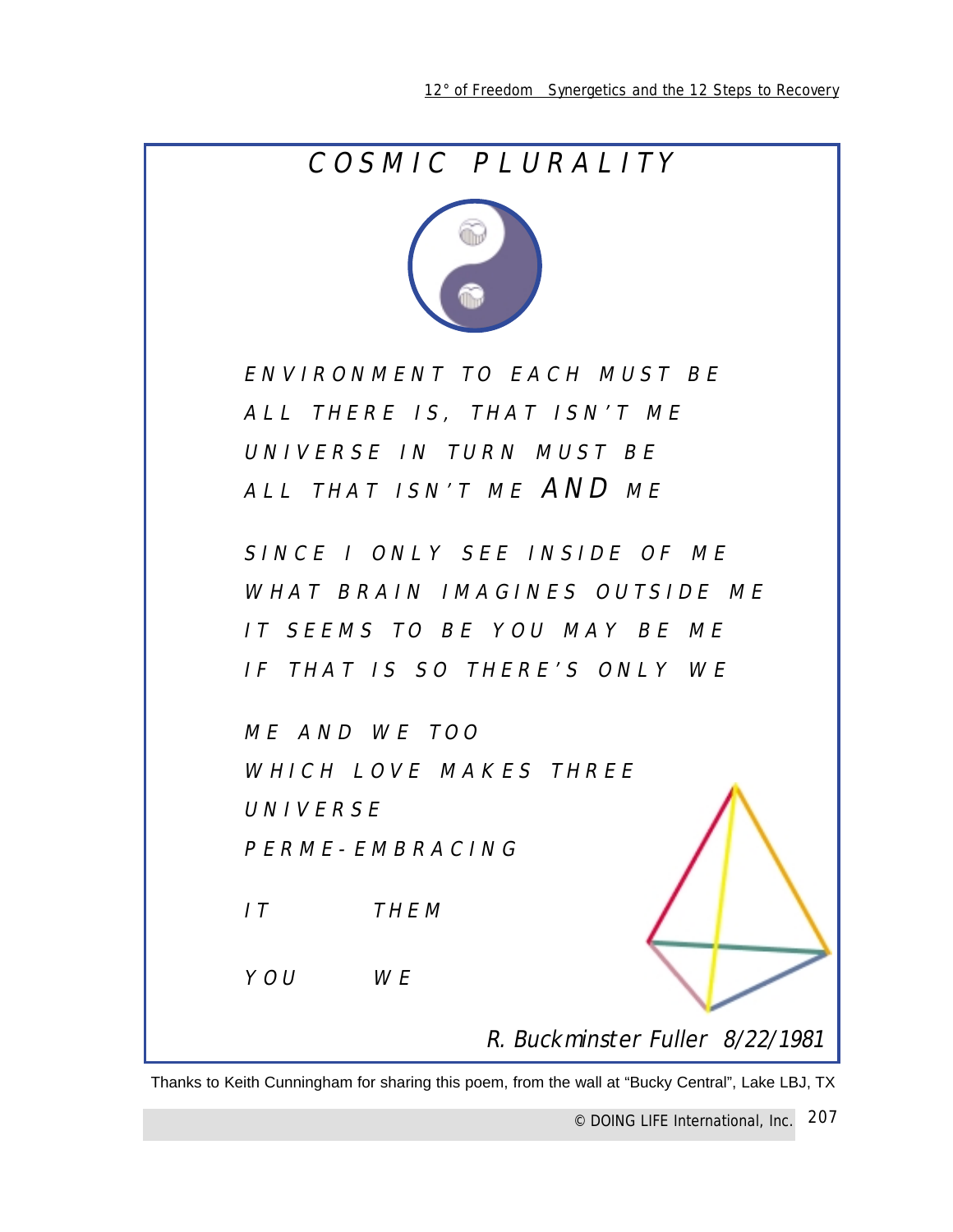



ENVIRONMENT TO EACH MUST BE ALL THERE IS, THAT ISN'T ME UNIVERSE IN TURN MUST BE ALL THAT ISN'T ME AND ME

SINCE I ONLY SEE INSIDE OF ME WHAT BRAIN IMAGINES OUTSIDE ME IT SEEMS TO BE YOU MAY BE ME IF THAT IS SO THERE'S ONLY WE

ME AND WE TOO WHICH LOVE MAKES THREE UNIVERSE PERME-EMBRACING

IT THEM

YOU WF

R. Buckminster Fuller 8/22/1981

Thanks to Keith Cunningham for sharing this poem, from the wall at "Bucky Central", Lake LBJ, TX

207 *© DOING LIFE International, Inc.*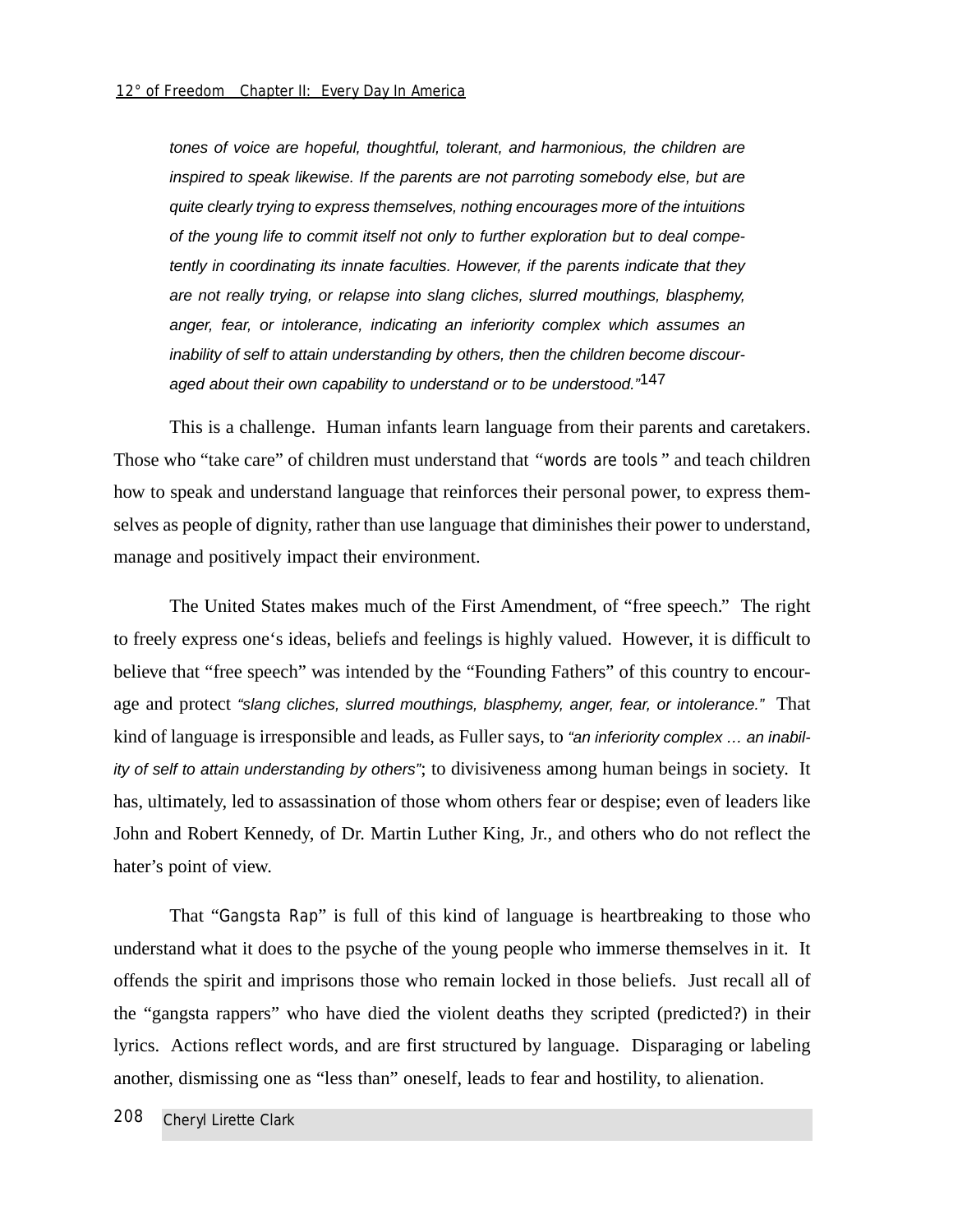tones of voice are hopeful, thoughtful, tolerant, and harmonious, the children are inspired to speak likewise. If the parents are not parroting somebody else, but are quite clearly trying to express themselves, nothing encourages more of the intuitions of the young life to commit itself not only to further exploration but to deal competently in coordinating its innate faculties. However, if the parents indicate that they are not really trying, or relapse into slang cliches, slurred mouthings, blasphemy, anger, fear, or intolerance, indicating an inferiority complex which assumes an inability of self to attain understanding by others, then the children become discouraged about their own capability to understand or to be understood."<sup>147</sup>

This is a challenge. Human infants learn language from their parents and caretakers. Those who "take care" of children must understand that *"words are tools"* and teach children how to speak and understand language that reinforces their personal power, to express themselves as people of dignity, rather than use language that diminishes their power to understand, manage and positively impact their environment.

The United States makes much of the First Amendment, of "free speech." The right to freely express one's ideas, beliefs and feelings is highly valued. However, it is difficult to believe that "free speech" was intended by the "Founding Fathers" of this country to encourage and protect "slang cliches, slurred mouthings, blasphemy, anger, fear, or intolerance." That kind of language is irresponsible and leads, as Fuller says, to "an inferiority complex ... an inability of self to attain understanding by others"; to divisiveness among human beings in society. It has, ultimately, led to assassination of those whom others fear or despise; even of leaders like John and Robert Kennedy, of Dr. Martin Luther King, Jr., and others who do not reflect the hater's point of view.

That "Gangsta Rap" is full of this kind of language is heartbreaking to those who understand what it does to the psyche of the young people who immerse themselves in it. It offends the spirit and imprisons those who remain locked in those beliefs. Just recall all of the "gangsta rappers" who have died the violent deaths they scripted (predicted?) in their lyrics. Actions reflect words, and are first structured by language. Disparaging or labeling another, dismissing one as "less than" oneself, leads to fear and hostility, to alienation.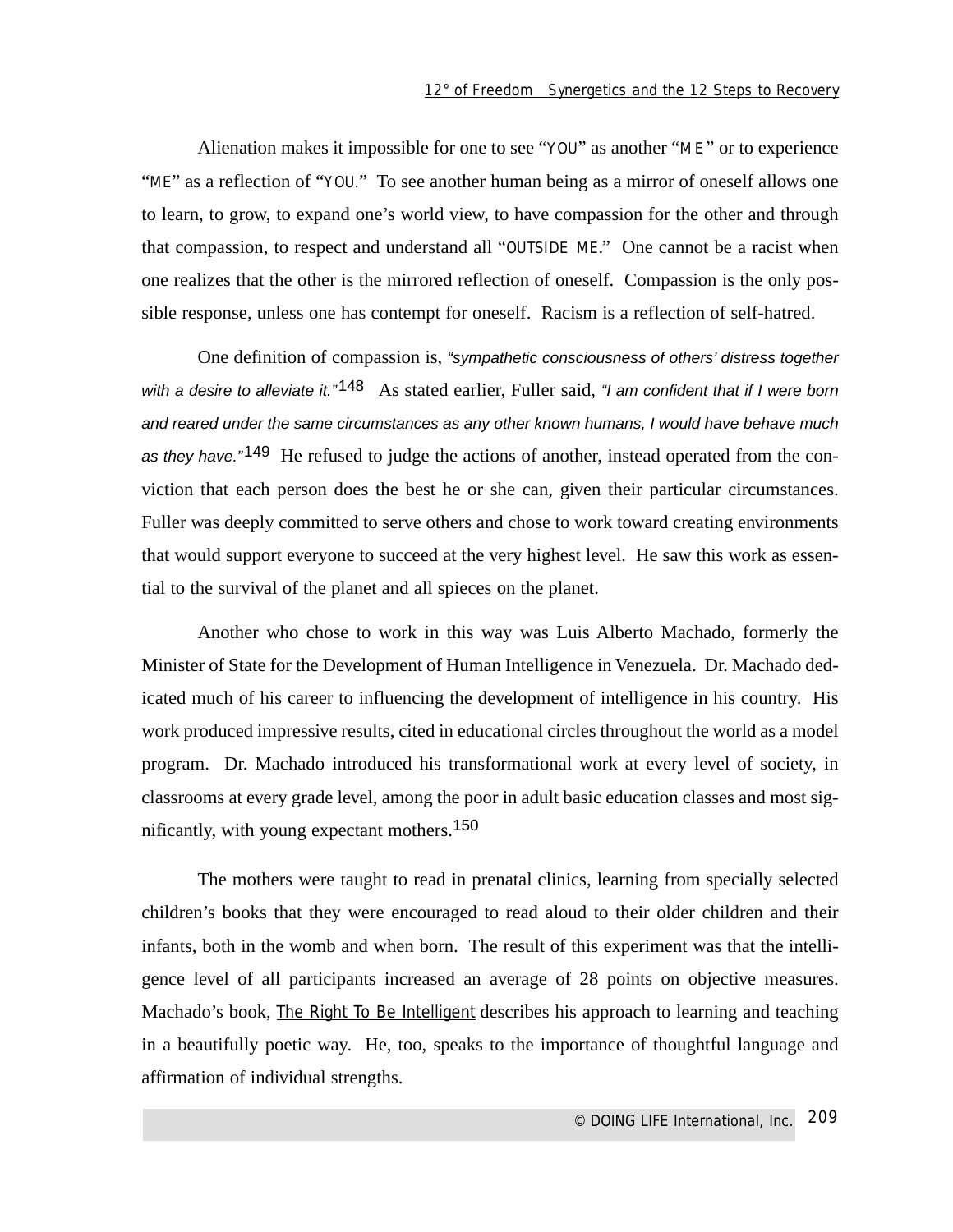Alienation makes it impossible for one to see "YOU" as another "M E" or to experience "ME" as a reflection of "YOU*.*" To see another human being as a mirror of oneself allows one to learn, to grow, to expand one's world view, to have compassion for the other and through that compassion, to respect and understand all "OUTSIDE ME." One cannot be a racist when one realizes that the other is the mirrored reflection of oneself. Compassion is the only possible response, unless one has contempt for oneself. Racism is a reflection of self-hatred.

One definition of compassion is, "sympathetic consciousness of others' distress together with a desire to alleviate it."<sup>148</sup> As stated earlier, Fuller said, "I am confident that if I were born and reared under the same circumstances as any other known humans, I would have behave much as they have.<sup>"149</sup> He refused to judge the actions of another, instead operated from the conviction that each person does the best he or she can, given their particular circumstances. Fuller was deeply committed to serve others and chose to work toward creating environments that would support everyone to succeed at the very highest level. He saw this work as essential to the survival of the planet and all spieces on the planet.

Another who chose to work in this way was Luis Alberto Machado, formerly the Minister of State for the Development of Human Intelligence in Venezuela. Dr. Machado dedicated much of his career to influencing the development of intelligence in his country. His work produced impressive results, cited in educational circles throughout the world as a model program. Dr. Machado introduced his transformational work at every level of society, in classrooms at every grade level, among the poor in adult basic education classes and most significantly, with young expectant mothers.150

The mothers were taught to read in prenatal clinics, learning from specially selected children's books that they were encouraged to read aloud to their older children and their infants, both in the womb and when born. The result of this experiment was that the intelligence level of all participants increased an average of 28 points on objective measures. Machado's book, The Right To Be Intelligent describes his approach to learning and teaching in a beautifully poetic way. He, too, speaks to the importance of thoughtful language and affirmation of individual strengths.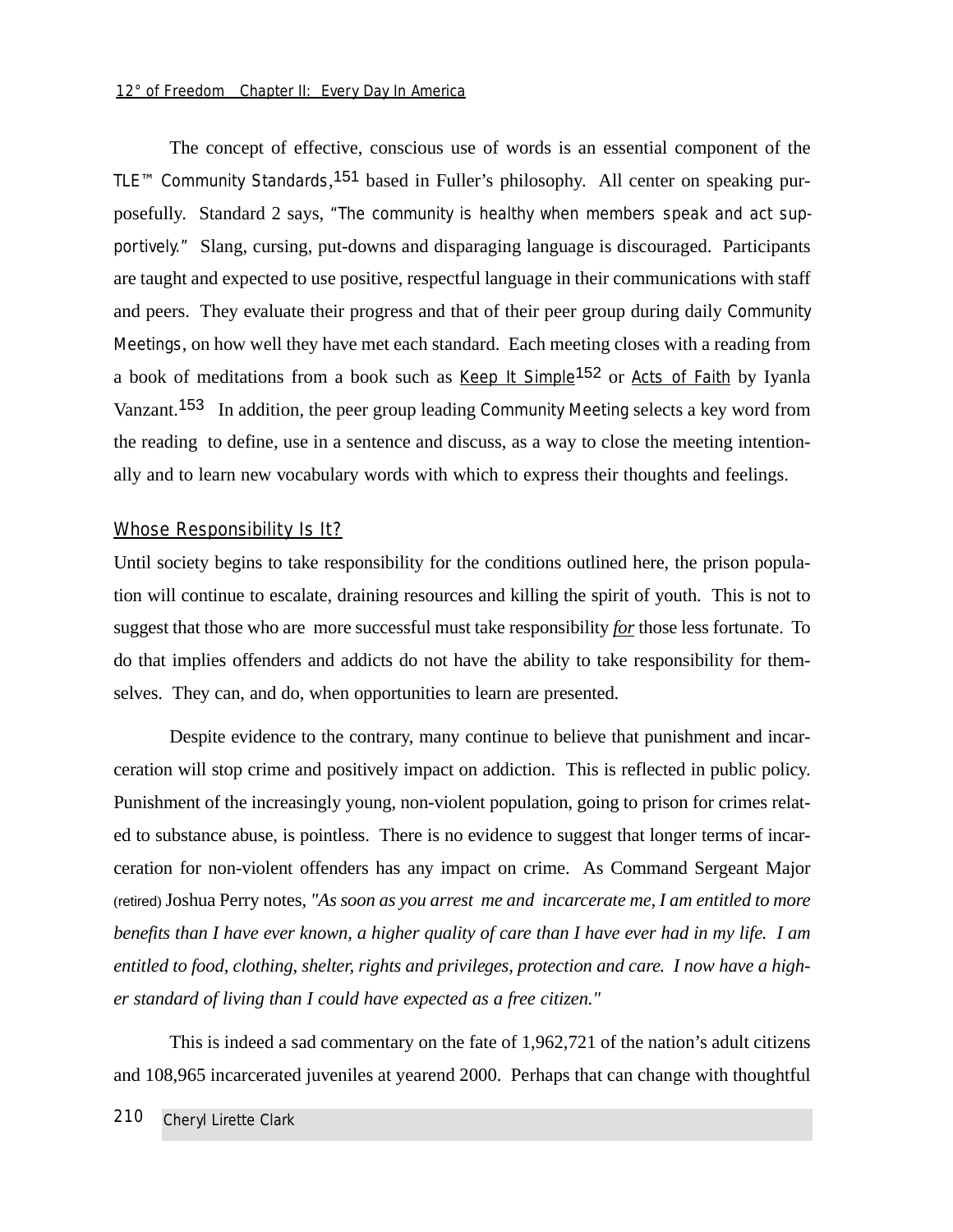# *12° of Freedom Chapter II: Every Day In America*

The concept of effective, conscious use of words is an essential component of the TLE<sup>™</sup> Community Standards,<sup>151</sup> based in Fuller's philosophy. All center on speaking purposefully. Standard 2 says, *"The community is healthy when members speak and act supportively."* Slang, cursing, put-downs and disparaging language is discouraged. Participants are taught and expected to use positive, respectful language in their communications with staff and peers. They evaluate their progress and that of their peer group during daily Community Meetings, on how well they have met each standard. Each meeting closes with a reading from a book of meditations from a book such as Keep It Simple<sup>152</sup> or Acts of Faith by Iyanla Vanzant.<sup>153</sup> In addition, the peer group leading Community Meeting selects a key word from the reading to define, use in a sentence and discuss, as a way to close the meeting intentionally and to learn new vocabulary words with which to express their thoughts and feelings.

# Whose Responsibility Is It?

Until society begins to take responsibility for the conditions outlined here, the prison population will continue to escalate, draining resources and killing the spirit of youth. This is not to suggest that those who are more successful must take responsibility *for* those less fortunate. To do that implies offenders and addicts do not have the ability to take responsibility for themselves. They can, and do, when opportunities to learn are presented.

Despite evidence to the contrary, many continue to believe that punishment and incarceration will stop crime and positively impact on addiction. This is reflected in public policy. Punishment of the increasingly young, non-violent population, going to prison for crimes related to substance abuse, is pointless. There is no evidence to suggest that longer terms of incarceration for non-violent offenders has any impact on crime. As Command Sergeant Major (retired) Joshua Perry notes, *"As soon as you arrest me and incarcerate me, I am entitled to more benefits than I have ever known, a higher quality of care than I have ever had in my life. I am entitled to food, clothing, shelter, rights and privileges, protection and care. I now have a higher standard of living than I could have expected as a free citizen."* 

This is indeed a sad commentary on the fate of 1,962,721 of the nation's adult citizens and 108,965 incarcerated juveniles at yearend 2000. Perhaps that can change with thoughtful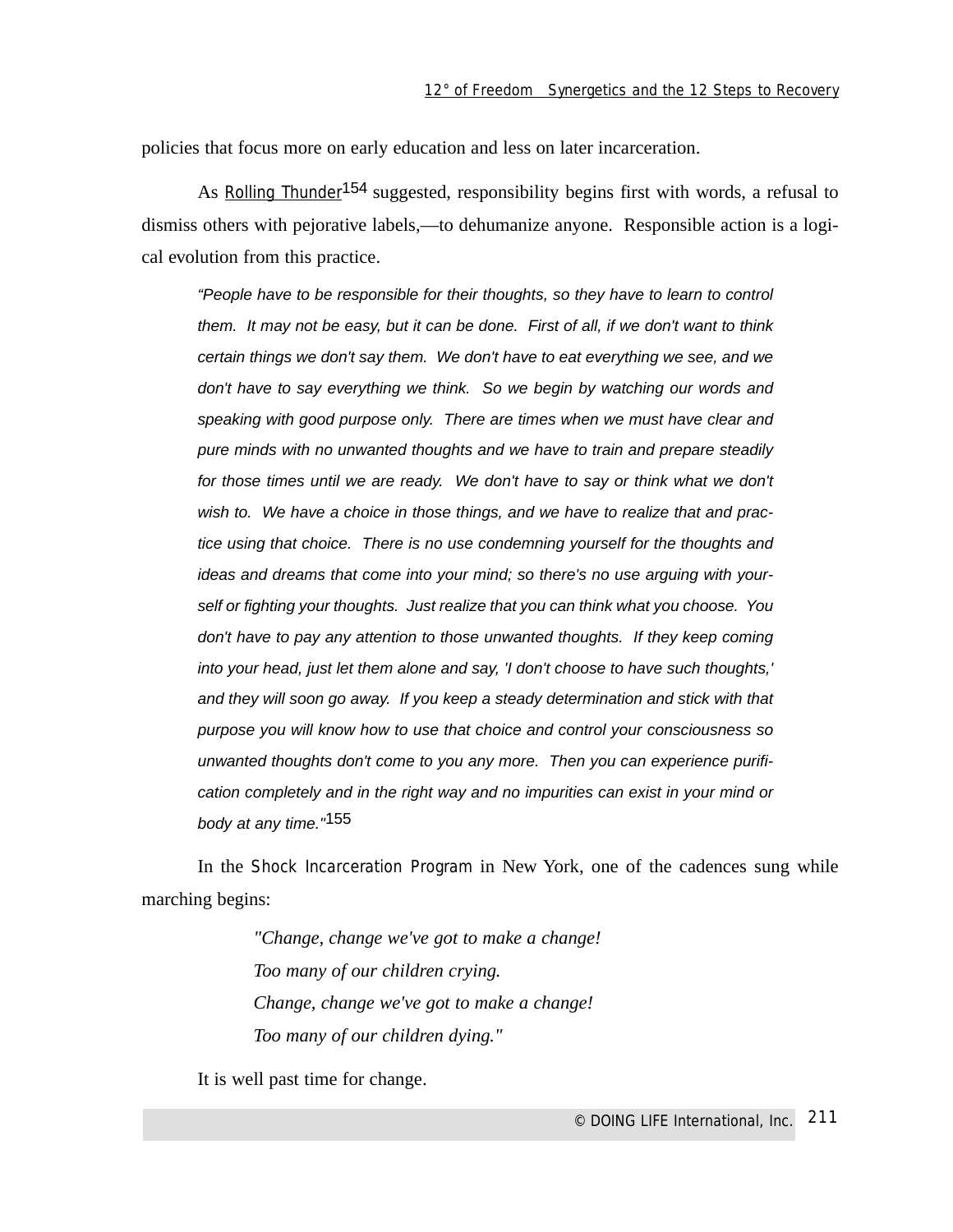policies that focus more on early education and less on later incarceration.

As Rolling Thunder<sup>154</sup> suggested, responsibility begins first with words, a refusal to dismiss others with pejorative labels,—to dehumanize anyone. Responsible action is a logical evolution from this practice.

"People have to be responsible for their thoughts, so they have to learn to control them. It may not be easy, but it can be done. First of all, if we don't want to think certain things we don't say them. We don't have to eat everything we see, and we don't have to say everything we think. So we begin by watching our words and speaking with good purpose only. There are times when we must have clear and pure minds with no unwanted thoughts and we have to train and prepare steadily for those times until we are ready. We don't have to say or think what we don't wish to. We have a choice in those things, and we have to realize that and practice using that choice. There is no use condemning yourself for the thoughts and ideas and dreams that come into your mind; so there's no use arguing with yourself or fighting your thoughts. Just realize that you can think what you choose. You don't have to pay any attention to those unwanted thoughts. If they keep coming into your head, just let them alone and say, 'I don't choose to have such thoughts,' and they will soon go away. If you keep a steady determination and stick with that purpose you will know how to use that choice and control your consciousness so unwanted thoughts don't come to you any more. Then you can experience purification completely and in the right way and no impurities can exist in your mind or body at any time."155

In the Shock Incarceration Program in New York, one of the cadences sung while marching begins:

> *"Change, change we've got to make a change! Too many of our children crying. Change, change we've got to make a change! Too many of our children dying."*

It is well past time for change.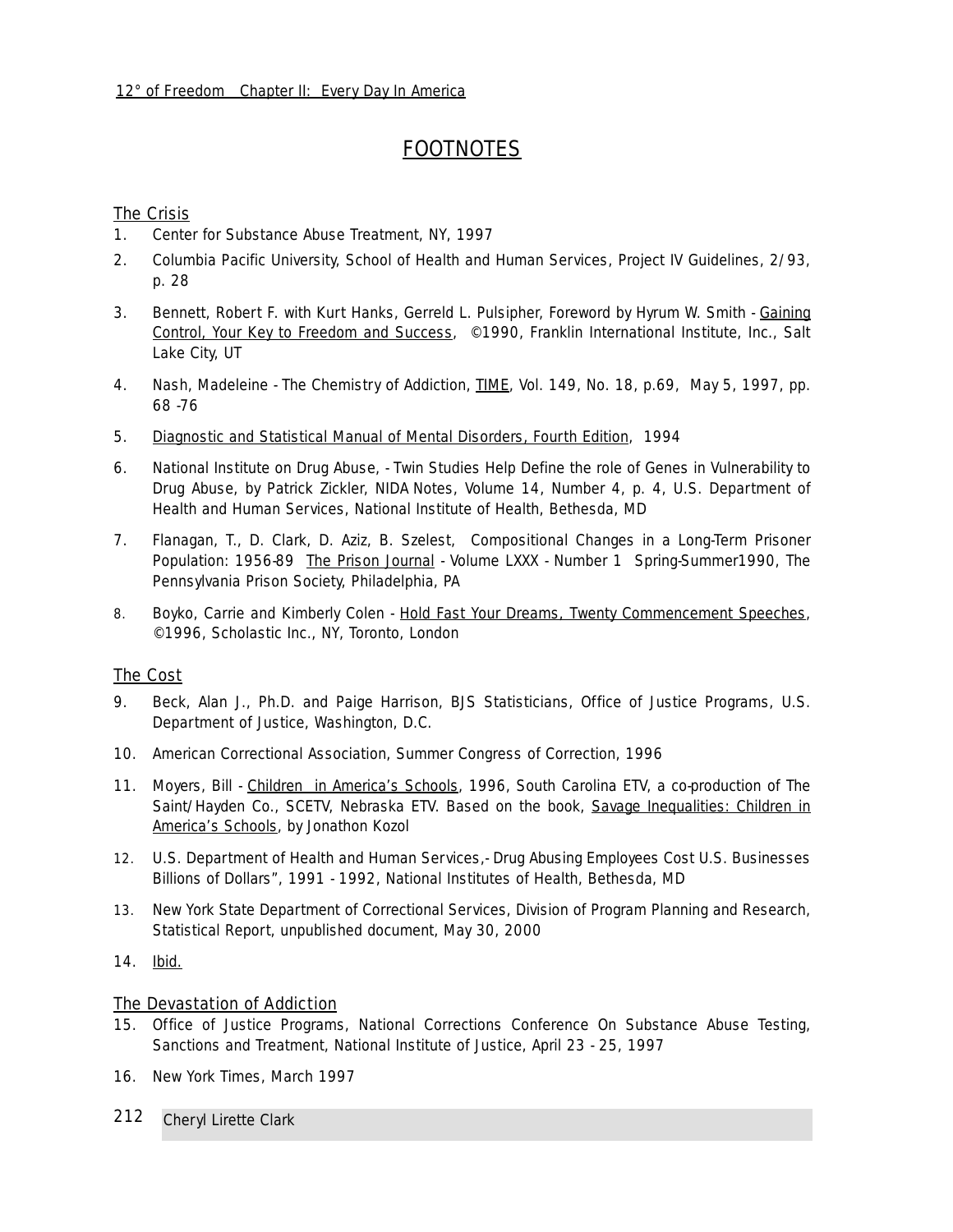# **FOOTNOTES**

# The Crisis

- 1. Center for Substance Abuse Treatment, NY, 1997
- 2. Columbia Pacific University, School of Health and Human Services, Project IV Guidelines, 2/93, p. 28
- 3. Bennett, Robert F. with Kurt Hanks, Gerreld L. Pulsipher, Foreword by Hyrum W. Smith Gaining Control, *Your Key to Freedom and Success*, ©1990, Franklin International Institute, Inc., Salt Lake City, UT
- 4. Nash, Madeleine *The Chemistry of Addiction*, TIME, Vol. 149, No. 18, p.69, May 5, 1997, pp. 68 -76
- 5. Diagnostic and Statistical Manual of Mental Disorders, Fourth Edition, 1994
- 6. National Institute on Drug Abuse, *Twin Studies Help Define the role of Genes in Vulnerability to Drug Abuse*, by Patrick Zickler, NIDA Notes, Volume 14, Number 4, p. 4, U.S. Department of Health and Human Services, National Institute of Health, Bethesda, MD
- 7. Flanagan, T., D. Clark, D. Aziz, B. Szelest, *Compositional Changes in a Long-Term Prisoner Population: 1956-89* The Prison Journal - Volume LXXX - Number 1 Spring-Summer1990, The Pennsylvania Prison Society, Philadelphia, PA
- 8. Boyko, Carrie and Kimberly Colen Hold Fast Your Dreams, *Twenty Commencement Speeches*, ©1996, Scholastic Inc., NY, Toronto, London

# The Cost

- 9. Beck, Alan J., Ph.D. and Paige Harrison, *BJS Statisticians*, Office of Justice Programs, U.S. Department of Justice, Washington, D.C.
- 10. American Correctional Association, Summer Congress of Correction, 1996
- 11. Moyers, Bill Children in America's Schools, 1996, South Carolina ETV, a co-production of The Saint/Hayden Co., SCETV, Nebraska ETV. Based on the book, Savage Inequalities: Children in America's Schools, by Jonathon Kozol
- 12. U.S. Department of Health and Human Services,- *Drug Abusing Employees Cost U.S. Businesses Billions of Dollars"*, 1991 - 1992, National Institutes of Health, Bethesda, MD
- 13. New York State Department of Correctional Services, Division of Program Planning and Research, Statistical Report, unpublished document, May 30, 2000
- 14. Ibid.

# The Devastation of Addiction

- 15. Office of Justice Programs, National Corrections Conference On Substance Abuse Testing, Sanctions and Treatment, National Institute of Justice, April 23 - 25, 1997
- 16. New York Times, March 1997
- 212 *Cheryl Lirette Clark*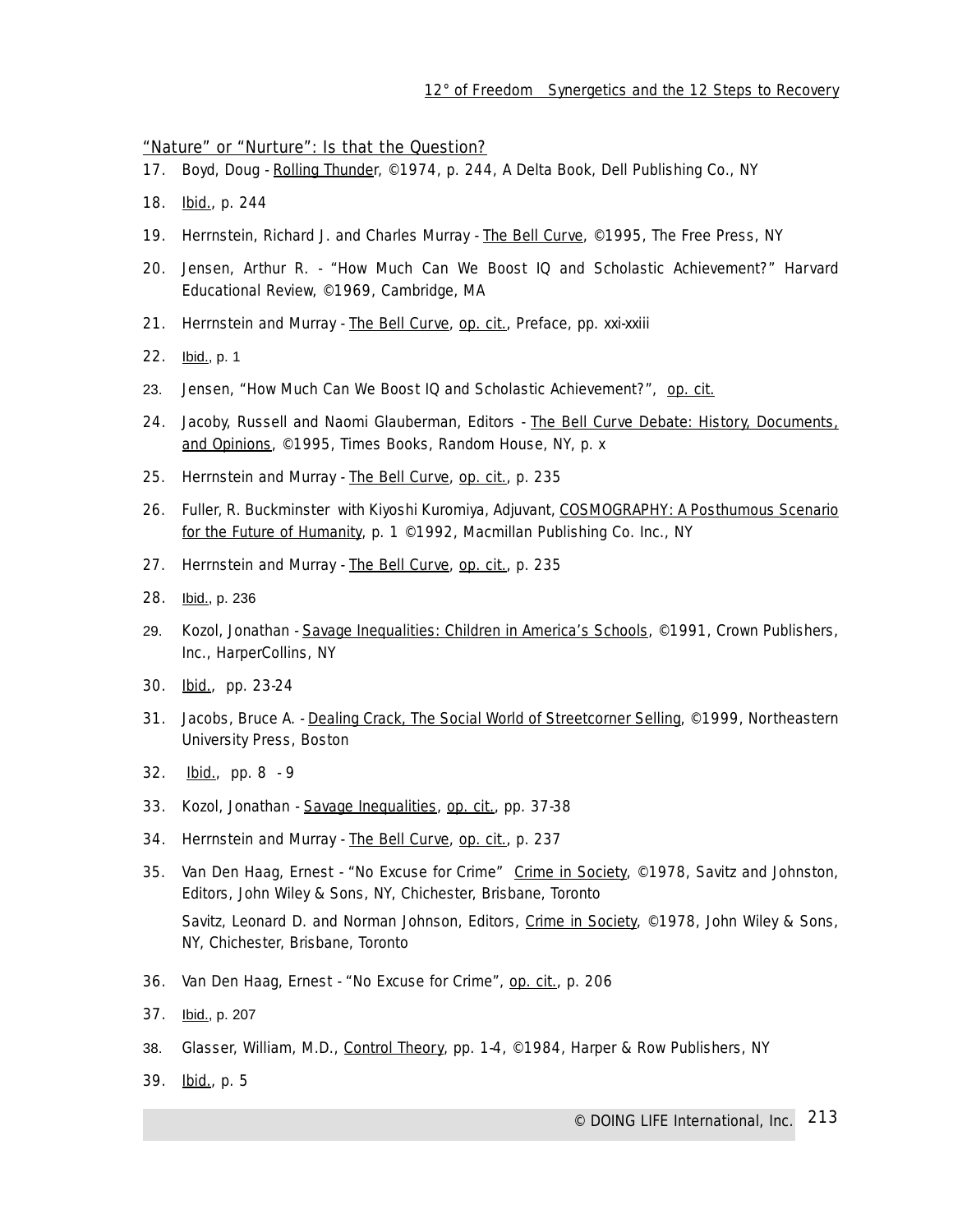#### "Nature" or "Nurture": Is that the Question?

- 17. Boyd, Doug Rolling Thunder, ©1974, p. 244, A Delta Book, Dell Publishing Co., NY
- 18. **Ibid.**, p. 244
- 19. Herrnstein, Richard J. and Charles Murray The Bell Curve, ©1995, The Free Press, NY
- 20. Jensen, Arthur R. *"How Much Can We Boost IQ and Scholastic Achievement?"* Harvard Educational Review, ©1969, Cambridge, MA
- 21. Herrnstein and Murray The Bell Curve, op. cit., Preface, pp. xxi-xxiii
- 22. **Ibid.**, p. 1
- 23. Jensen, *"How Much Can We Boost IQ and Scholastic Achievement?",* op. cit.
- 24. Jacoby, Russell and Naomi Glauberman, Editors The Bell Curve Debate: History, Documents, and Opinions, ©1995, Times Books, Random House, NY, p. x
- 25. Herrnstein and Murray The Bell Curve, op. cit., p. 235
- 26. Fuller, R. Buckminster with Kiyoshi Kuromiya, Adjuvant, COSMOGRAPHY: A Posthumous Scenario for the Future of Humanity, p. 1 ©1992, Macmillan Publishing Co. Inc., NY
- 27. Herrnstein and Murray The Bell Curve, op. cit., p. 235
- 28. Ibid., p. 236
- 29. Kozol, Jonathan Savage Inequalities: Children in America's Schools, ©1991, Crown Publishers, Inc., HarperCollins, NY
- 30. Ibid., pp. 23-24
- 31. Jacobs, Bruce A. Dealing Crack, *The Social World of Streetcorner Selling*, ©1999, Northeastern University Press, Boston
- 32. Ibid., pp. 8 9
- 33. Kozol, Jonathan Savage Inequalities, op. cit., pp. 37-38
- 34. Herrnstein and Murray The Bell Curve, op. cit., p. 237
- 35. Van Den Haag, Ernest *"No Excuse for Crime"* Crime in Society, ©1978, Savitz and Johnston, Editors, John Wiley & Sons, NY, Chichester, Brisbane, Toronto Savitz, Leonard D. and Norman Johnson, Editors, Crime in Society, ©1978, John Wiley & Sons, NY, Chichester, Brisbane, Toronto
- 36. Van Den Haag, Ernest *"No Excuse for Crime",* op. cit., p. 206
- 37. Ibid., p. 207
- 38. Glasser, William, M.D., Control Theory, pp. 1-4, ©1984, Harper & Row Publishers, NY
- 39. Ibid., p. 5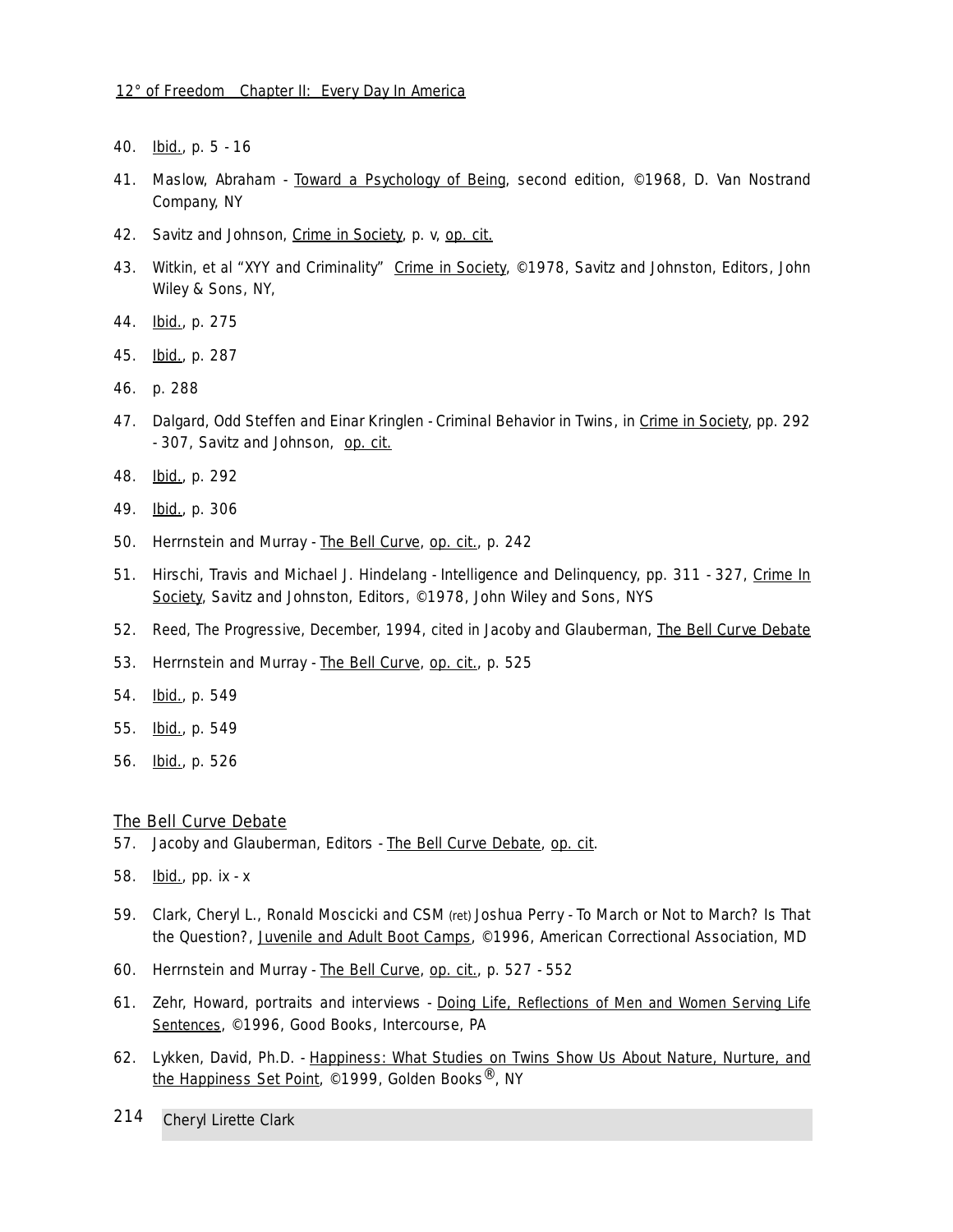- 40. Ibid., p. 5 16
- 41. Maslow, Abraham Toward a Psychology of Being, second edition, ©1968, D. Van Nostrand Company, NY
- 42. Savitz and Johnson, Crime in Society, p. v, op. cit.
- 43. Witkin, et al *"XYY and Criminality"* Crime in Society, ©1978, Savitz and Johnston, Editors, John Wiley & Sons, NY,
- 44. **Ibid.**, p. 275
- 45. Ibid., p. 287
- 46. p. 288
- 47. Dalgard, Odd Steffen and Einar Kringlen *Criminal Behavior in Twins,* in Crime in Society, pp. 292 - 307, Savitz and Johnson, op. cit.
- 48. <u>Ibid.,</u> p. 292
- 49. Ibid., p. 306
- 50. Herrnstein and Murray The Bell Curve, op. cit., p. 242
- 51. Hirschi, Travis and Michael J. Hindelang *Intelligence and Delinquency*, pp. 311 327, Crime In Society, Savitz and Johnston, Editors, ©1978, John Wiley and Sons, NYS
- 52. Reed, *The Progressive*, December, 1994, cited in Jacoby and Glauberman, The Bell Curve Debate
- 53. Herrnstein and Murray The Bell Curve, op. cit., p. 525
- 54. lbid., p. 549
- 55. Ibid., p. 549
- 56. Ibid., p. 526

#### The Bell Curve Debate

- 57. Jacoby and Glauberman, Editors The Bell Curve Debate, op. cit.
- 58. Ibid., pp. ix x
- 59. Clark, Cheryl L., Ronald Moscicki and CSM (ret) Joshua Perry *To March or Not to March? Is That the Question?*, Juvenile and Adult Boot Camps, ©1996, American Correctional Association, MD
- 60. Herrnstein and Murray The Bell Curve, op. cit., p. 527 552
- 61. Zehr, Howard, portraits and interviews Doing Life, Reflections of Men and Women Serving Life Sentences, ©1996, Good Books, Intercourse, PA
- 62. Lykken, David, Ph.D. Happiness: What Studies on Twins Show Us About Nature, Nurture, and the Happiness Set Point, ©1999, Golden Books<sup>®</sup>, NY
- 214 *Cheryl Lirette Clark*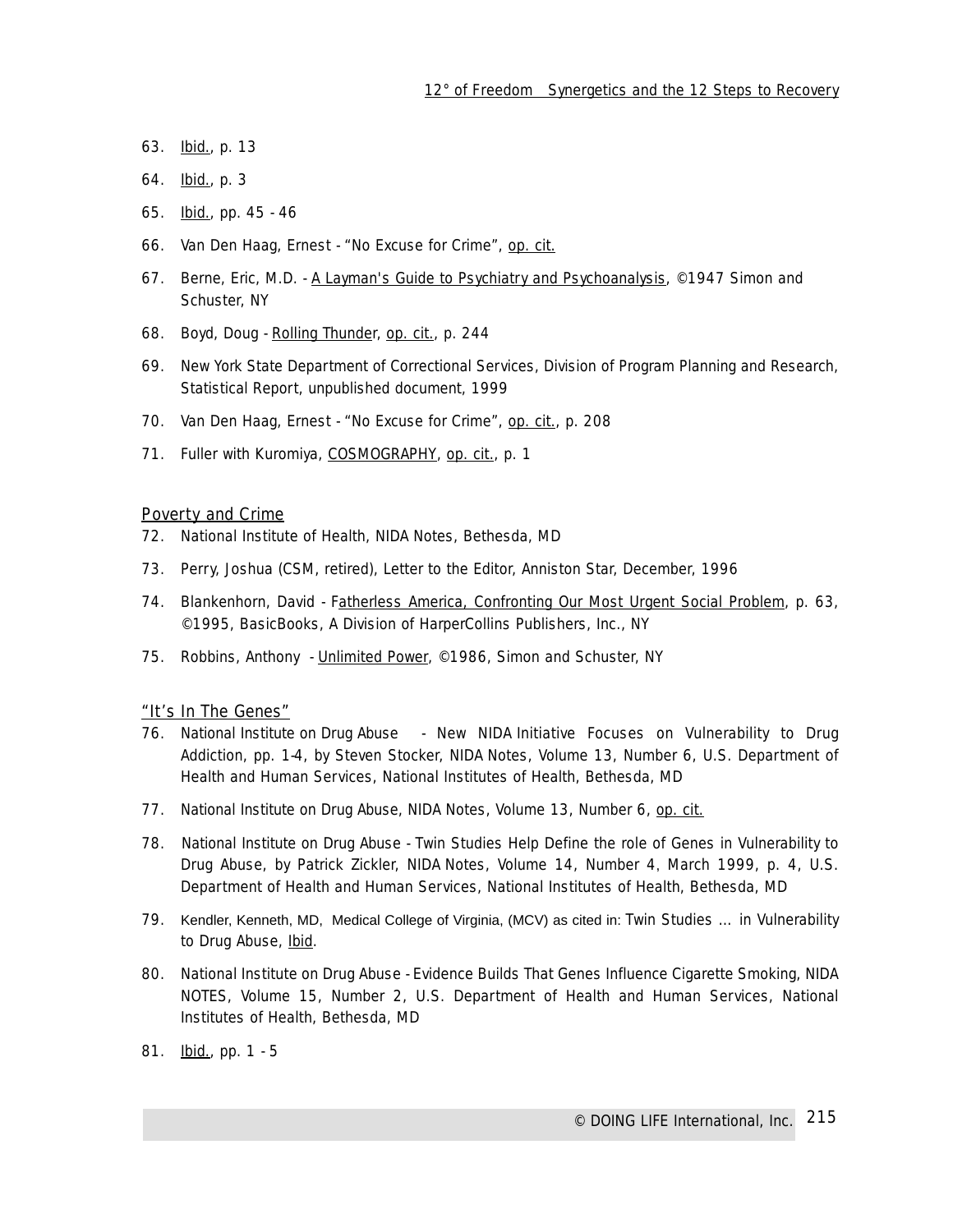- 63. Ibid., p. 13
- 64. Ibid., p. 3
- 65. Ibid., pp. 45 46
- 66. Van Den Haag, Ernest *"No Excuse for Crime",* op. cit.
- 67. Berne, Eric, M.D. A Layman's Guide to Psychiatry and Psychoanalysis, ©1947 Simon and Schuster, NY
- 68. Boyd, Doug Rolling Thunder, op. cit., p. 244
- 69. New York State Department of Correctional Services, Division of Program Planning and Research, Statistical Report, unpublished document, 1999
- 70. Van Den Haag, Ernest *"No Excuse for Crime",* op. cit., p. 208
- 71. Fuller with Kuromiya, COSMOGRAPHY*,* op. cit., p. 1

### Poverty and Crime

- 72. National Institute of Health, NIDA Notes, Bethesda, MD
- 73. Perry, Joshua (CSM, retired), Letter to the Editor, Anniston Star, December, 1996
- 74. Blankenhorn, David Fatherless America, Confronting Our Most Urgent Social Problem, p. 63, ©1995, BasicBooks, A Division of HarperCollins Publishers, Inc., NY
- 75. Robbins, Anthony Unlimited Power, ©1986, Simon and Schuster, NY

### "It's In The Genes"

- 76. National Institute on Drug Abuse *New NIDA Initiative Focuses on Vulnerability to Drug Addiction*, pp. 1-4, by Steven Stocker, NIDA Notes, Volume 13, Number 6, U.S. Department of Health and Human Services, National Institutes of Health, Bethesda, MD
- 77. National Institute on Drug Abuse, NIDA Notes, Volume 13, Number 6, op. cit.
- 78. National Institute on Drug Abuse *Twin Studies Help Define the role of Genes in Vulnerability to Drug Abuse*, by Patrick Zickler, NIDA Notes, Volume 14, Number 4, March 1999, p. 4, U.S. Department of Health and Human Services, National Institutes of Health, Bethesda, MD
- 79. Kendler, Kenneth, MD, Medical College of Virginia, (MCV) as cited in: *Twin Studies … in Vulnerability to Drug Abuse*, Ibid.
- 80. National Institute on Drug Abuse *Evidence Builds That Genes Influence Cigarette Smoking*, NIDA NOTES, Volume 15, Number 2, U.S. Department of Health and Human Services, National Institutes of Health, Bethesda, MD
- 81. Ibid., pp. 1 5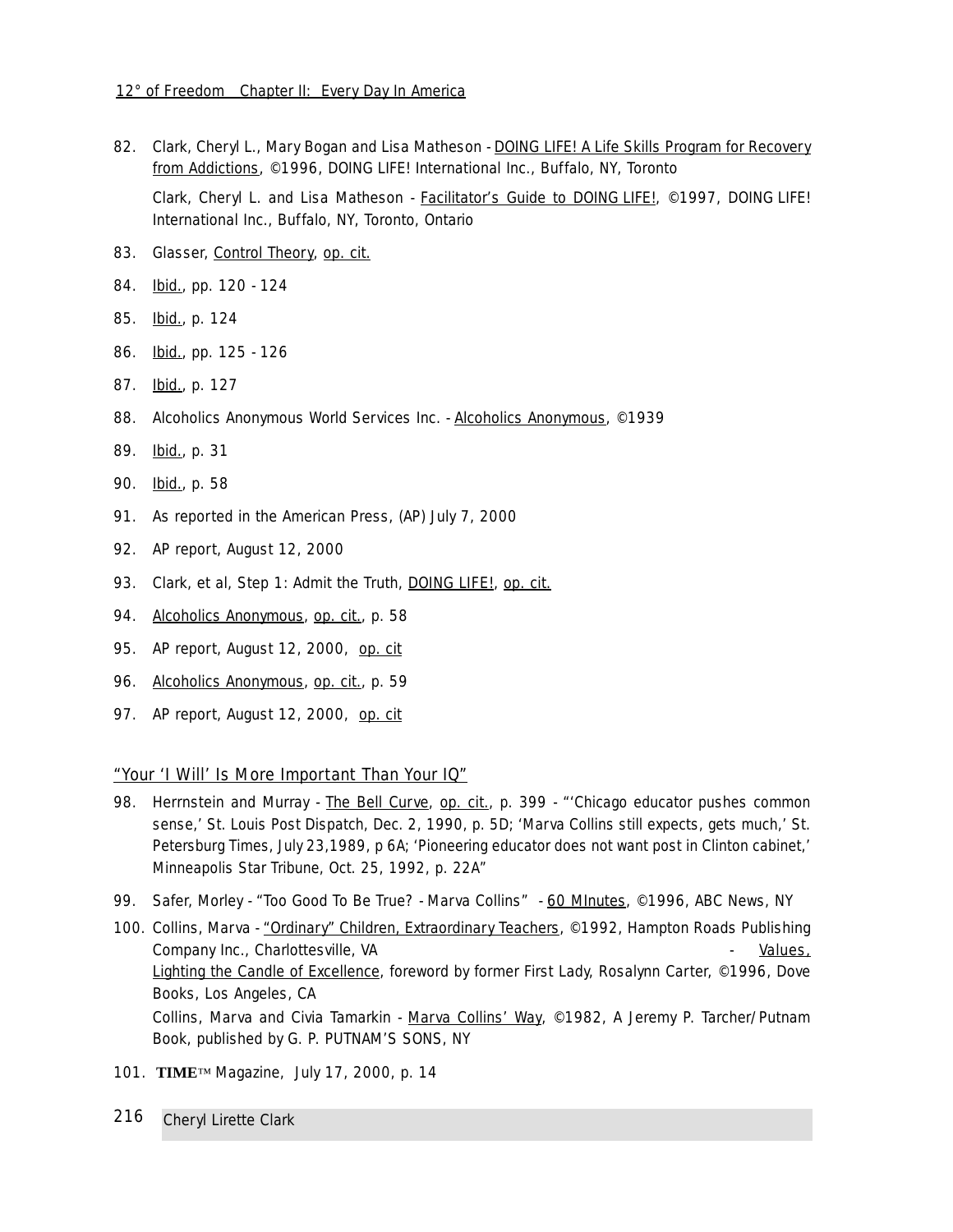82. Clark, Cheryl L., Mary Bogan and Lisa Matheson - DOING LIFE! A Life Skills Program for Recovery from Addictions, ©1996, DOING LIFE! International Inc., Buffalo, NY, Toronto

Clark, Cheryl L. and Lisa Matheson - Facilitator's Guide to DOING LIFE!, ©1997, DOING LIFE! International Inc., Buffalo, NY, Toronto, Ontario

- 83. Glasser, Control Theory, op. cit.
- 84. lbid., pp. 120 124
- 85. Ibid., p. 124
- 86. Ibid., pp. 125 126
- 87. lbid., p. 127
- 88. Alcoholics Anonymous World Services Inc. Alcoholics Anonymous, ©1939
- 89. Ibid., p. 31
- 90. Ibid., p. 58
- 91. As reported in the American Press, (AP) July 7, 2000
- 92. AP report, August 12, 2000
- 93. Clark, et al, *Step 1: Admit the Truth*, **DOING LIFE!**, op. cit.
- 94. Alcoholics Anonymous, op. cit., p. 58
- 95. AP report, August 12, 2000, op. cit
- 96. Alcoholics Anonymous, op. cit., p. 59
- 97. AP report, August 12, 2000, op. cit

#### "Your 'I Will' Is More Important Than Your IQ"

- 98. Herrnstein and Murray The Bell Curve, op. cit., p. 399 *"'Chicago educator pushes common sense,'* St. Louis Post Dispatch*, Dec. 2, 1990, p. 5D; 'Marva Collins still expects, gets much,'* St. Petersburg Times*, July 23,1989, p 6A; 'Pioneering educator does not want post in Clinton cabinet,'* Minneapolis Star Tribune*, Oct. 25, 1992, p. 22A"*
- 99. Safer, Morley "Too Good To Be True? Marva Collins" 60 MInutes, ©1996, ABC News, NY
- 100. Collins, Marva "Ordinary" Children, Extraordinary Teachers, ©1992, Hampton Roads Publishing Company Inc., Charlottesville, VA - Values, Values, Values, Values, Values, Values, Values, Values, Values, Values, Values, Values, Values, Values, Values, Values, Values, Values, Values, Values, Values, Values, Values, Va Lighting the Candle of Excellence, foreword by former First Lady, Rosalynn Carter, ©1996, Dove Books, Los Angeles, CA Collins, Marva and Civia Tamarkin - Marva Collins' Way, ©1982, A Jeremy P. Tarcher/Putnam Book, published by G. P. PUTNAM'S SONS, NY
- 101. **TIME**™ Magazine, July 17, 2000, p. 14
- 216 *Cheryl Lirette Clark*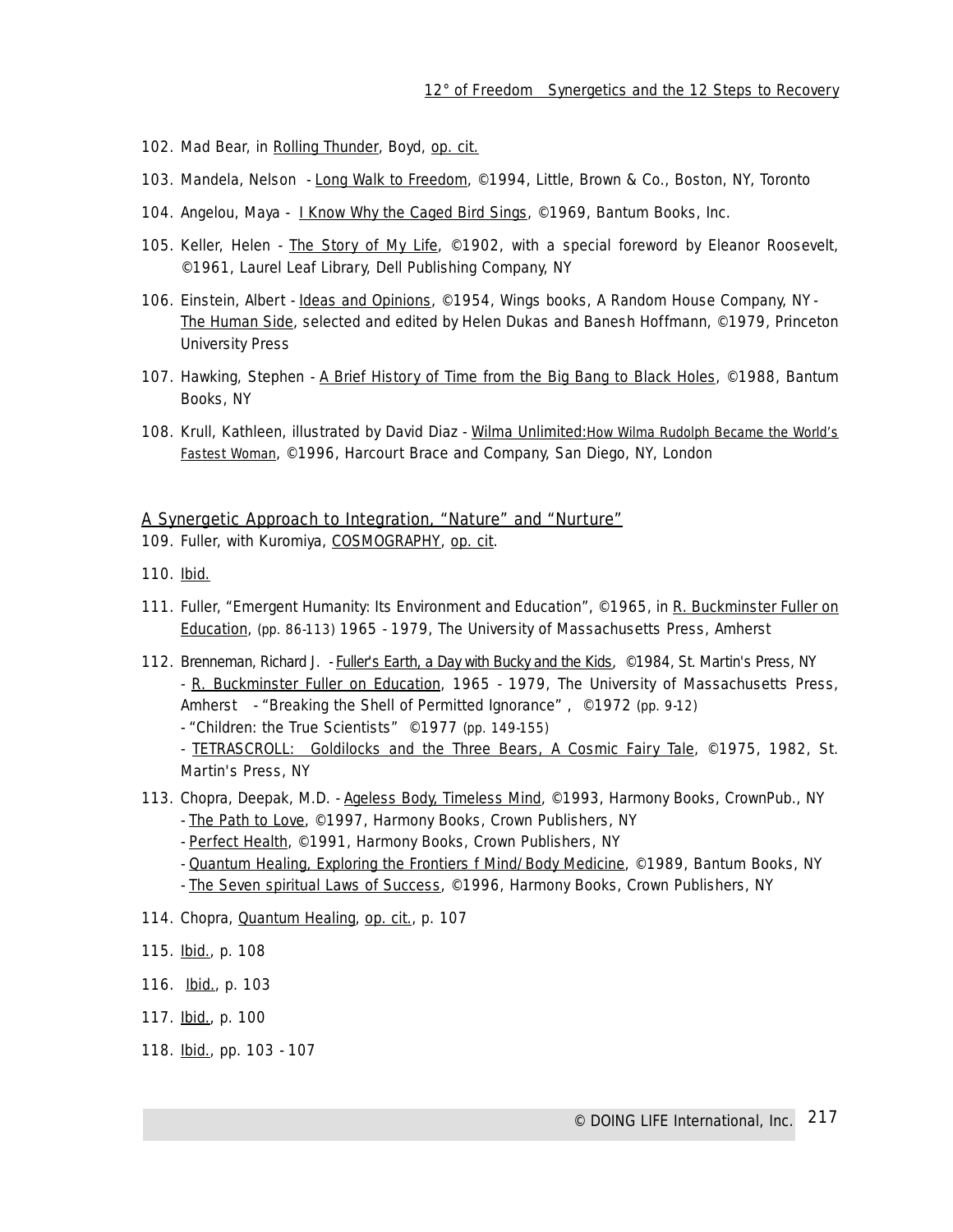- 102. Mad Bear, in Rolling Thunder, Boyd, op. cit.
- 103. Mandela, Nelson Long Walk to Freedom, ©1994, Little, Brown & Co., Boston, NY, Toronto
- 104. Angelou, Maya I Know Why the Caged Bird Sings, ©1969, Bantum Books, Inc.
- 105. Keller, Helen The Story of My Life, ©1902, with a special foreword by Eleanor Roosevelt, ©1961, Laurel Leaf Library, Dell Publishing Company, NY
- 106. Einstein, Albert Ideas and Opinions, ©1954, Wings books, A Random House Company, NY -The Human Side, selected and edited by Helen Dukas and Banesh Hoffmann, ©1979, Princeton University Press
- 107. Hawking, Stephen A Brief History of Time from the Big Bang to Black Holes, ©1988, Bantum Books, NY
- 108. Krull, Kathleen, illustrated by David Diaz Wilma Unlimited: How Wilma Rudolph Became the World's Fastest Woman, ©1996, Harcourt Brace and Company, San Diego, NY, London

#### A Synergetic Approach to Integration, "Nature" and "Nurture"

109. Fuller, with Kuromiya, COSMOGRAPHY, op. cit.

- 110. Ibid.
- 111. Fuller, *"Emergent Humanity: Its Environment and Education"*, ©1965, in R. Buckminster Fuller on Education, (pp. 86-113) 1965 - 1979, The University of Massachusetts Press, Amherst
- 112. Brenneman, Richard J. Fuller's Earth, a Day with Bucky and the Kids, ©1984, St. Martin's Press, NY - R. Buckminster Fuller on Education, 1965 - 1979, The University of Massachusetts Press, Amherst - *"Breaking the Shell of Permitted Ignorance" ,* ©1972 (pp. 9-12)

- *"Children: the True Scientists"* ©1977 (pp. 149-155)

- TETRASCROLL: Goldilocks and the Three Bears, A Cosmic Fairy Tale, ©1975, 1982, St. Martin's Press, NY

- 113. Chopra, Deepak, M.D. Ageless Body, Timeless Mind, ©1993, Harmony Books, CrownPub., NY - The Path to Love, ©1997, Harmony Books, Crown Publishers, NY
	- Perfect Health, ©1991, Harmony Books, Crown Publishers, NY
	- Quantum Healing, Exploring the Frontiers f Mind/Body Medicine, ©1989, Bantum Books, NY
	- The Seven spiritual Laws of Success, ©1996, Harmony Books, Crown Publishers, NY
- 114. Chopra, Quantum Healing, op. cit., p. 107
- 115. Ibid., p. 108
- 116. Ibid., p. 103
- 117. **Ibid.**, p. 100
- 118. Ibid., pp. 103 107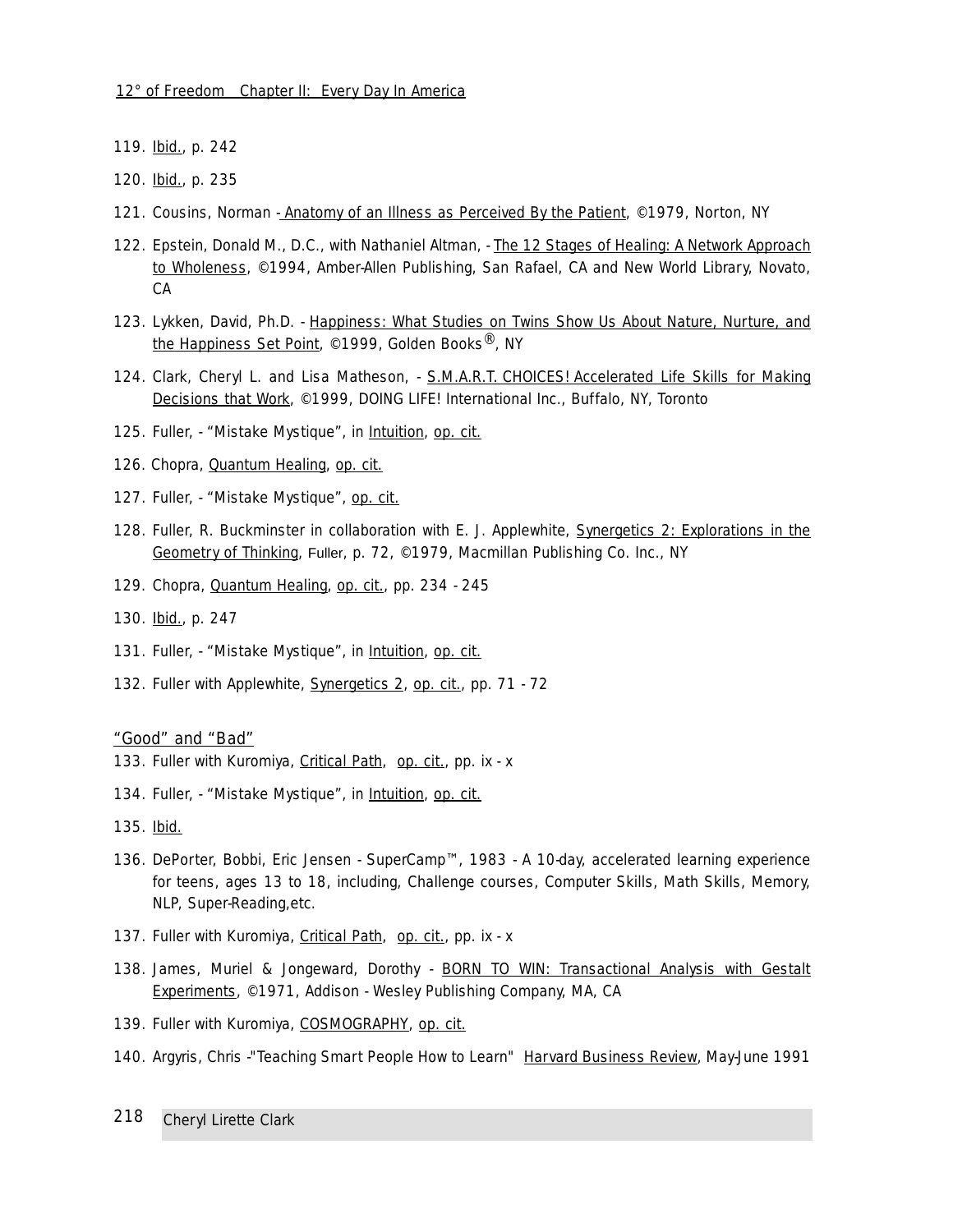- 119. Ibid., p. 242
- 120. Ibid., p. 235
- 121. Cousins, Norman Anatomy of an Illness as Perceived By the Patient, ©1979, Norton, NY
- 122. Epstein, Donald M., D.C., with Nathaniel Altman, The 12 Stages of Healing: A Network Approach to Wholeness, ©1994, Amber-Allen Publishing, San Rafael, CA and New World Library, Novato, CA
- 123. Lykken, David, Ph.D. Happiness: What Studies on Twins Show Us About Nature, Nurture, and the Happiness Set Point, ©1999, Golden Books<sup>®</sup>, NY
- 124. Clark, Cheryl L. and Lisa Matheson*,* S.M.A.R.T. CHOICES! Accelerated Life Skills for Making Decisions that Work, ©1999, DOING LIFE! International Inc., Buffalo, NY, Toronto
- 125. Fuller, *"Mistake Mystique",* in Intuition, op. cit.
- 126. Chopra, Quantum Healing, op. cit.
- 127. Fuller, *"Mistake Mystique"*, op. cit.
- 128. Fuller, R. Buckminster in collaboration with E. J. Applewhite, Synergetics 2: Explorations in the Geometry of Thinking, Fuller, p. 72, ©1979, Macmillan Publishing Co. Inc., NY
- 129. Chopra, Quantum Healing, op. cit., pp. 234 245
- 130. Ibid., p. 247
- 131. Fuller, *"Mistake Mystique",* in Intuition, op. cit.
- 132. Fuller with Applewhite, Synergetics 2, op. cit., pp. 71 72

#### "Good" and "Bad"

- 133. Fuller with Kuromiya, Critical Path, op. cit., pp. ix x
- 134. Fuller, *"Mistake Mystique",* in Intuition, op. cit.
- 135. Ibid.
- 136. DePorter, Bobbi, Eric Jensen *SuperCamp*™, 1983 A 10-day, accelerated learning experience for teens, ages 13 to 18, including, Challenge courses, Computer Skills, Math Skills, Memory, NLP, Super-Reading,etc.
- 137. Fuller with Kuromiya, Critical Path, op. cit., pp. ix x
- 138. James, Muriel & Jongeward, Dorothy BORN TO WIN: Transactional Analysis with Gestalt Experiments, ©1971, Addison - Wesley Publishing Company, MA, CA
- 139. Fuller with Kuromiya, COSMOGRAPHY*,* op. cit.
- 140. Argyris, Chris -*"Teaching Smart People How to Learn"* Harvard Business Review, May-June 1991